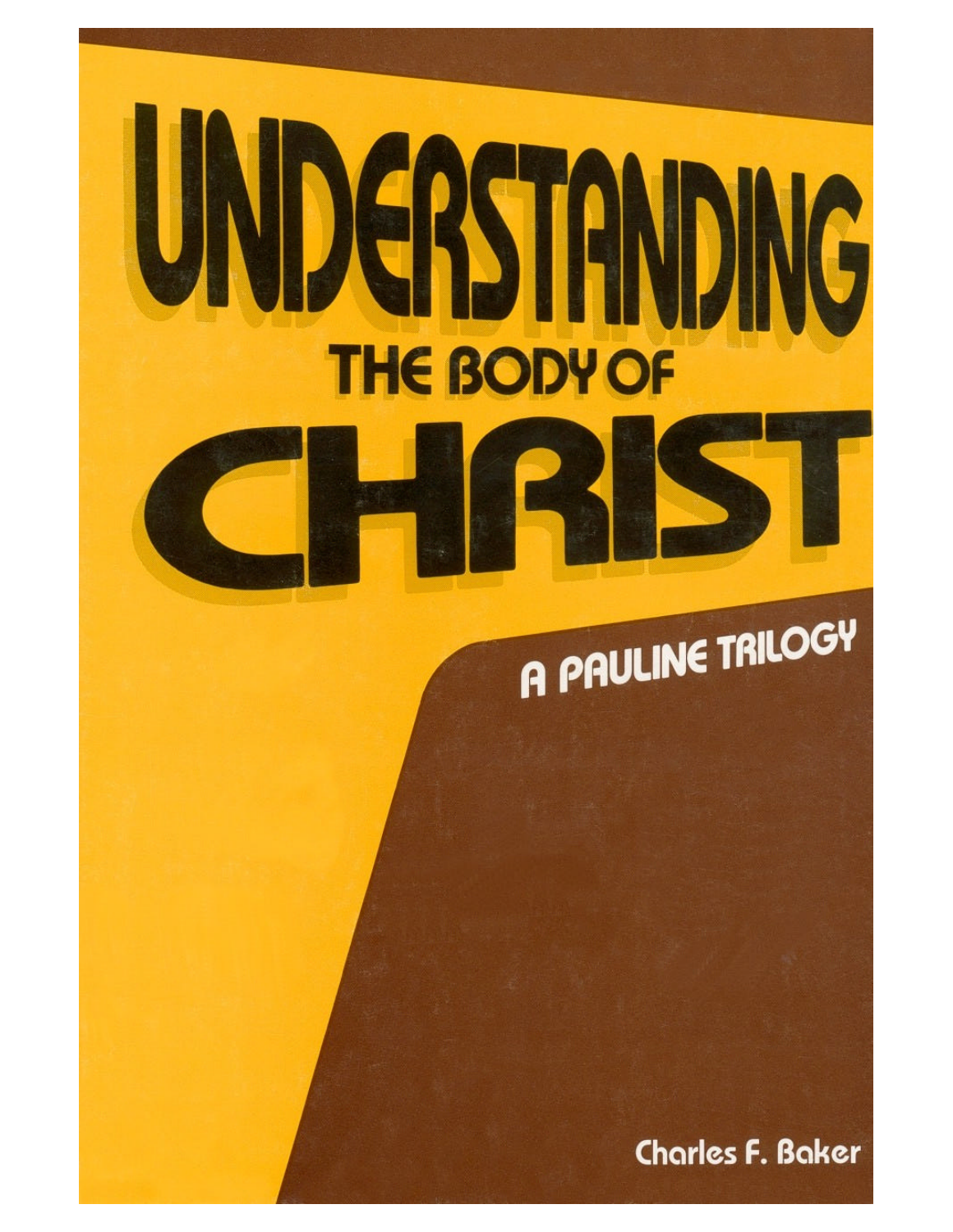# UNDERSTANDING **THE BODY OF**

## A PAULINE TRILOGY

**Charles F. Baker**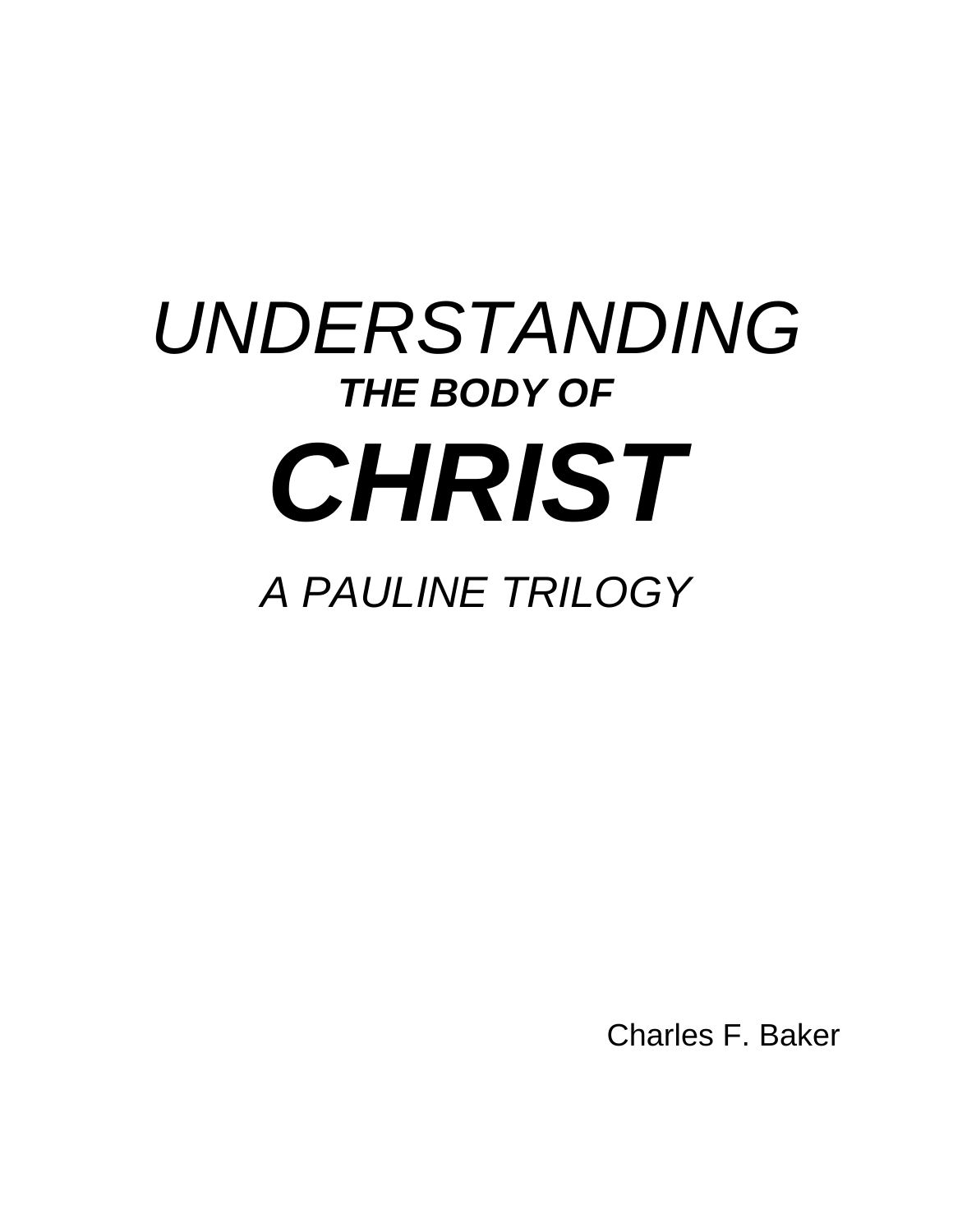### *UNDERSTANDING* **THE BODY OF** *CHRIST A PAULINE TRILOGY*

Charles F. Baker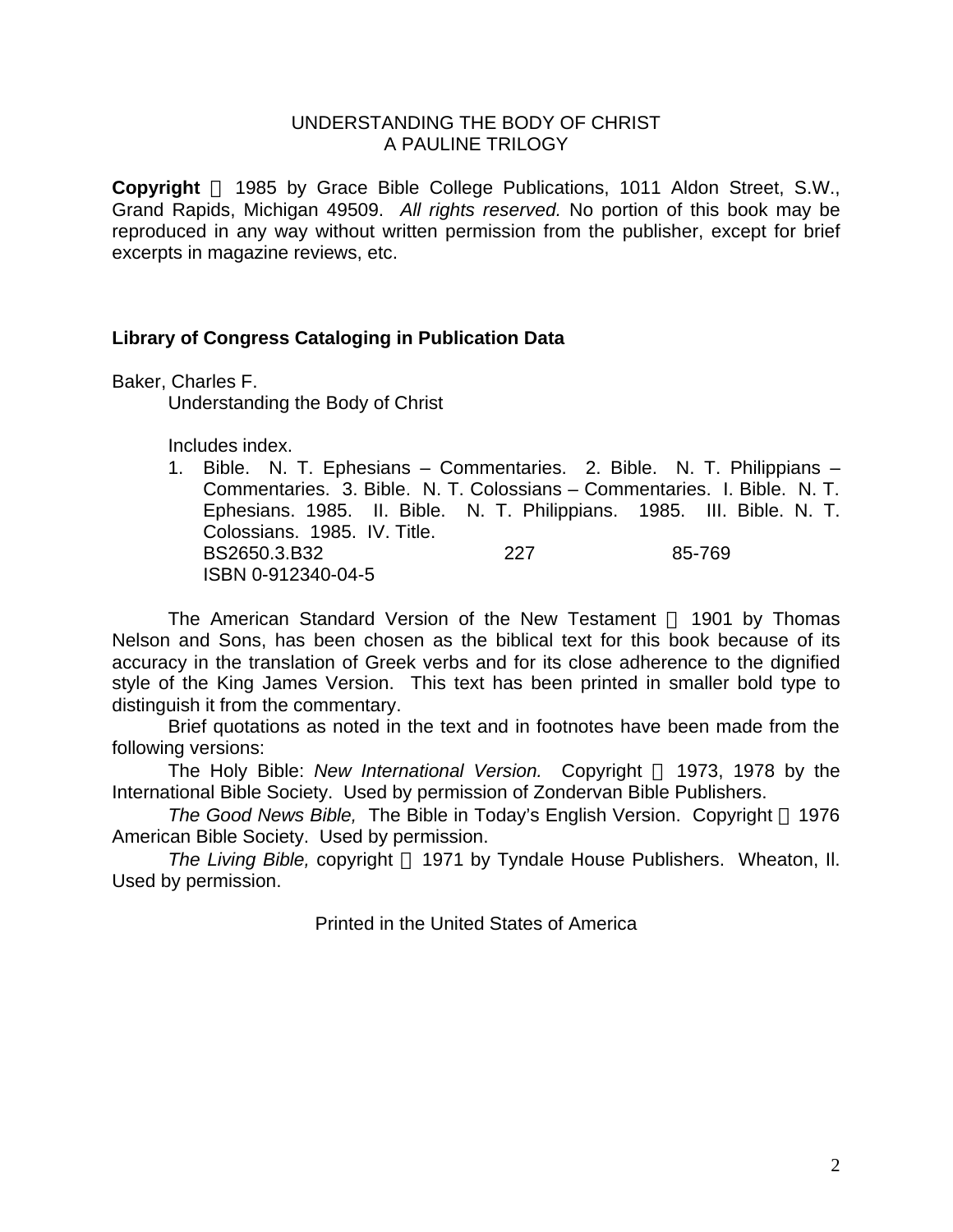#### UNDERSTANDING THE BODY OF CHRIST A PAULINE TRILOGY

**Copyright** © 1985 by Grace Bible College Publications, 1011 Aldon Street, S.W., Grand Rapids, Michigan 49509. *All rights reserved.* No portion of this book may be reproduced in any way without written permission from the publisher, except for brief excerpts in magazine reviews, etc.

#### **Library of Congress Cataloging in Publication Data**

Baker, Charles F.

Understanding the Body of Christ

Includes index.

1. Bible. N. T. Ephesians – Commentaries. 2. Bible. N. T. Philippians – Commentaries. 3. Bible. N. T. Colossians – Commentaries. I. Bible. N. T. Ephesians. 1985. II. Bible. N. T. Philippians. 1985. III. Bible. N. T. Colossians. 1985. IV. Title. BS2650.3.B32 227 85-769 ISBN 0-912340-04-5

The American Standard Version of the New Testament  $\odot$  1901 by Thomas Nelson and Sons, has been chosen as the biblical text for this book because of its accuracy in the translation of Greek verbs and for its close adherence to the dignified style of the King James Version. This text has been printed in smaller bold type to distinguish it from the commentary.

Brief quotations as noted in the text and in footnotes have been made from the following versions:

The Holy Bible: *New International Version.* Copyright © 1973, 1978 by the International Bible Society. Used by permission of Zondervan Bible Publishers.

*The Good News Bible, The Bible in Today's English Version. Copyright © 1976* American Bible Society. Used by permission.

*The Living Bible, copyright © 1971 by Tyndale House Publishers. Wheaton, II.* Used by permission.

Printed in the United States of America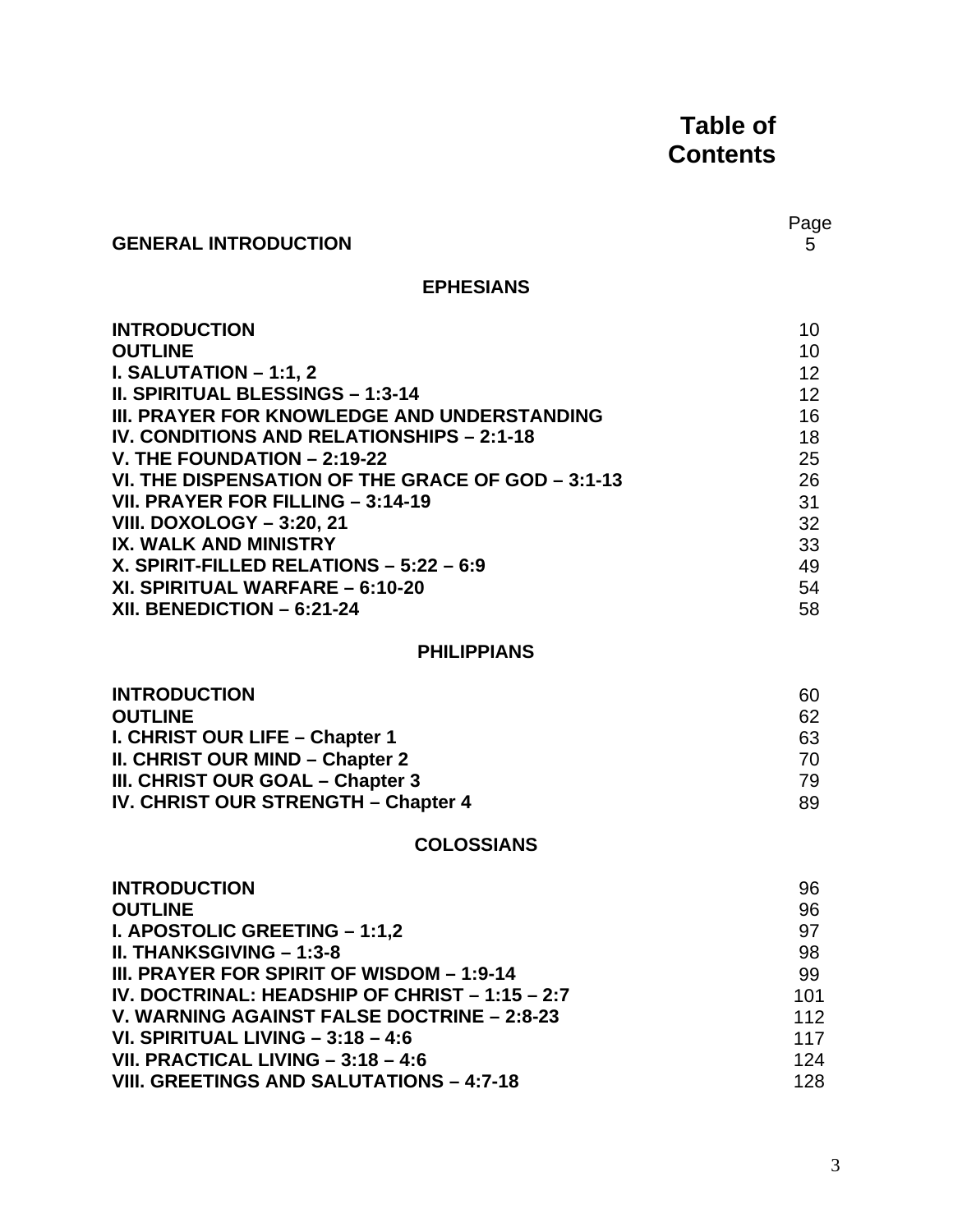#### **Table of Contents**

#### **GENERAL INTRODUCTION**

Page<br>5

#### **EPHESIANS**

| <b>INTRODUCTION</b>                               | 10              |
|---------------------------------------------------|-----------------|
| <b>OUTLINE</b>                                    | 10              |
| <b>I. SALUTATION – 1:1, 2</b>                     | 12 <sup>2</sup> |
| <b>II. SPIRITUAL BLESSINGS - 1:3-14</b>           | 12 <sup>2</sup> |
| III. PRAYER FOR KNOWLEDGE AND UNDERSTANDING       | 16              |
| IV. CONDITIONS AND RELATIONSHIPS - 2:1-18         | 18              |
| V. THE FOUNDATION $- 2:19-22$                     | 25              |
| VI. THE DISPENSATION OF THE GRACE OF GOD - 3:1-13 | 26              |
| VII. PRAYER FOR FILLING - 3:14-19                 | 31              |
| <b>VIII. DOXOLOGY - 3:20, 21</b>                  | 32              |
| <b>IX. WALK AND MINISTRY</b>                      | 33              |
| X. SPIRIT-FILLED RELATIONS $-5:22 - 6:9$          | 49              |
| XI. SPIRITUAL WARFARE - 6:10-20                   | 54              |
| XII. BENEDICTION $-6:21-24$                       | 58              |

#### **PHILIPPIANS**

| <b>INTRODUCTION</b>                 | 60 |
|-------------------------------------|----|
| <b>OUTLINE</b>                      | 62 |
| I. CHRIST OUR LIFE - Chapter 1      | 63 |
| II. CHRIST OUR MIND - Chapter 2     | 70 |
| III. CHRIST OUR GOAL – Chapter 3    | 79 |
| IV. CHRIST OUR STRENGTH - Chapter 4 | 89 |

#### **COLOSSIANS**

| <b>INTRODUCTION</b>                             | 96  |
|-------------------------------------------------|-----|
| <b>OUTLINE</b>                                  | 96  |
| I. APOSTOLIC GREETING - 1:1,2                   | 97  |
| <b>II. THANKSGIVING - 1:3-8</b>                 | 98  |
| III. PRAYER FOR SPIRIT OF WISDOM - 1:9-14       | 99  |
| IV. DOCTRINAL: HEADSHIP OF CHRIST - 1:15 - 2:7  | 101 |
| V. WARNING AGAINST FALSE DOCTRINE - 2:8-23      | 112 |
| VI. SPIRITUAL LIVING $-3:18-4:6$                | 117 |
| VII. PRACTICAL LIVING - 3:18 - 4:6              | 124 |
| <b>VIII. GREETINGS AND SALUTATIONS - 4:7-18</b> | 128 |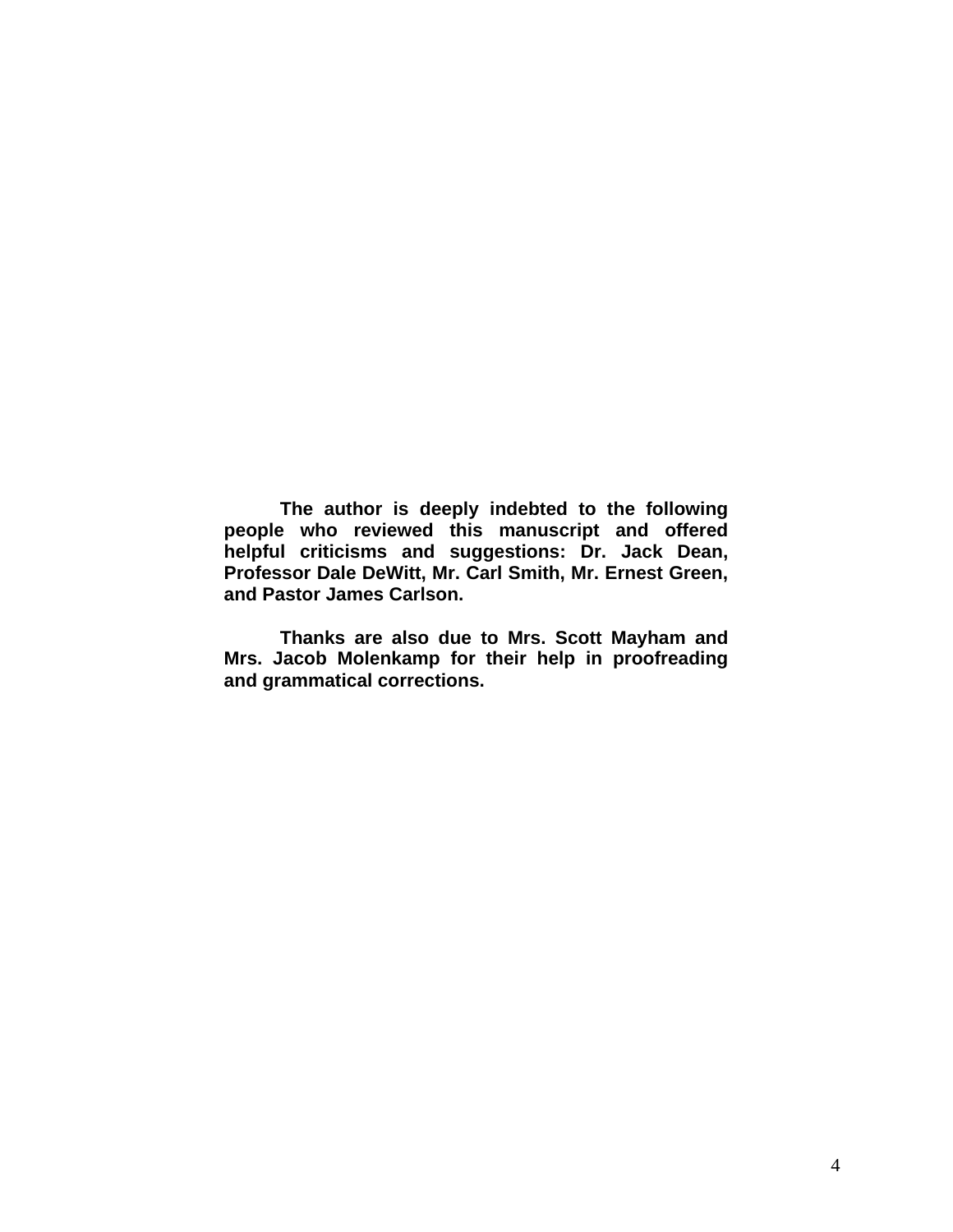**The author is deeply indebted to the following people who reviewed this manuscript and offered helpful criticisms and suggestions: Dr. Jack Dean, Professor Dale DeWitt, Mr. Carl Smith, Mr. Ernest Green, and Pastor James Carlson.** 

**Thanks are also due to Mrs. Scott Mayham and Mrs. Jacob Molenkamp for their help in proofreading and grammatical corrections.**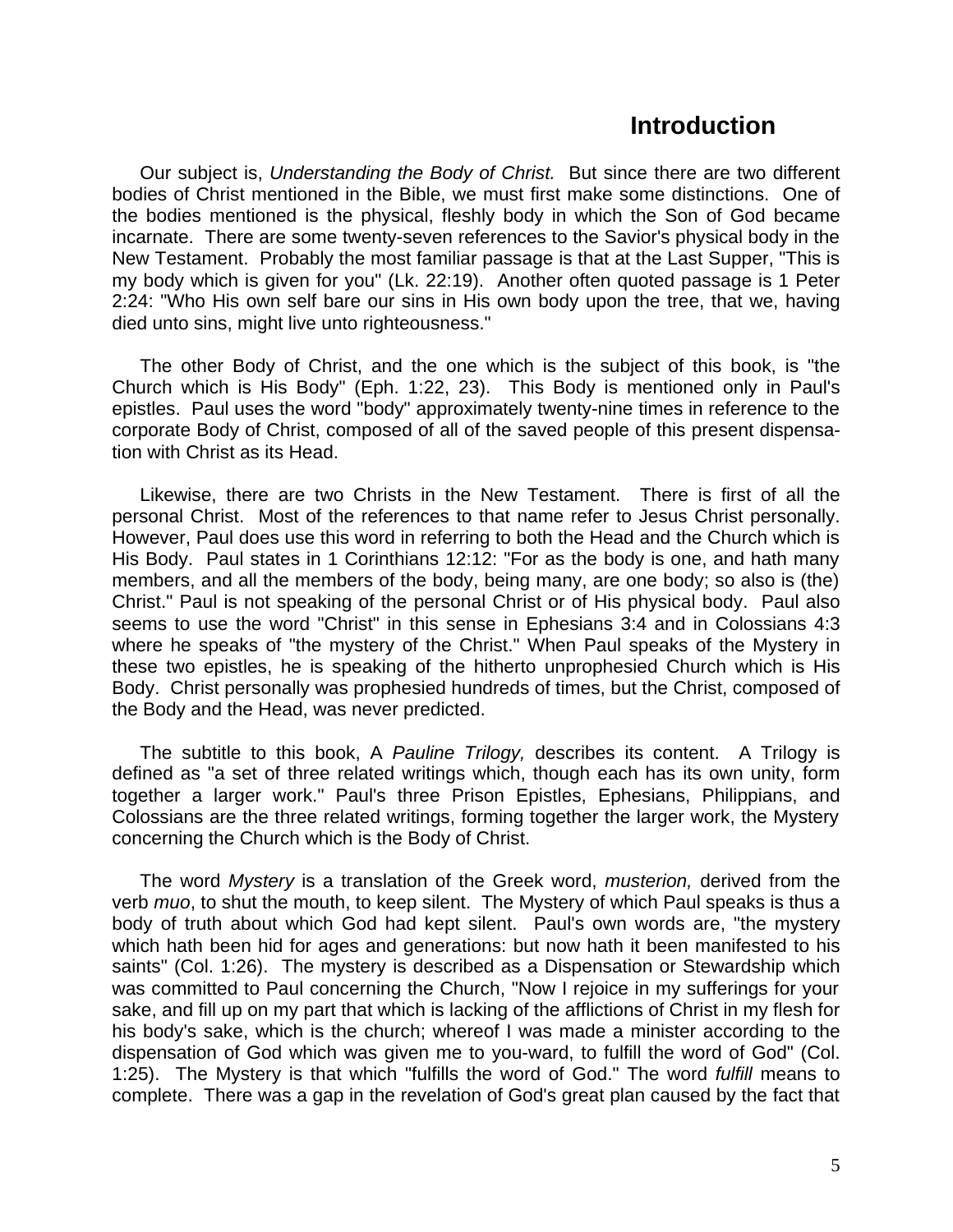#### **Introduction**

Our subject is, *Understanding the Body of Christ.* But since there are two different bodies of Christ mentioned in the Bible, we must first make some distinctions. One of the bodies mentioned is the physical, fleshly body in which the Son of God became incarnate. There are some twenty-seven references to the Savior's physical body in the New Testament. Probably the most familiar passage is that at the Last Supper, "This is my body which is given for you" (Lk. 22:19). Another often quoted passage is 1 Peter 2:24: "Who His own self bare our sins in His own body upon the tree, that we, having died unto sins, might live unto righteousness."

The other Body of Christ, and the one which is the subject of this book, is "the Church which is His Body" (Eph. 1:22, 23). This Body is mentioned only in Paul's epistles. Paul uses the word "body" approximately twenty-nine times in reference to the corporate Body of Christ, composed of all of the saved people of this present dispensation with Christ as its Head.

Likewise, there are two Christs in the New Testament. There is first of all the personal Christ. Most of the references to that name refer to Jesus Christ personally. However, Paul does use this word in referring to both the Head and the Church which is His Body. Paul states in 1 Corinthians 12:12: "For as the body is one, and hath many members, and all the members of the body, being many, are one body; so also is (the) Christ." Paul is not speaking of the personal Christ or of His physical body. Paul also seems to use the word "Christ" in this sense in Ephesians 3:4 and in Colossians 4:3 where he speaks of "the mystery of the Christ." When Paul speaks of the Mystery in these two epistles, he is speaking of the hitherto unprophesied Church which is His Body. Christ personally was prophesied hundreds of times, but the Christ, composed of the Body and the Head, was never predicted.

The subtitle to this book, A *Pauline Trilogy,* describes its content. A Trilogy is defined as "a set of three related writings which, though each has its own unity, form together a larger work." Paul's three Prison Epistles, Ephesians, Philippians, and Colossians are the three related writings, forming together the larger work, the Mystery concerning the Church which is the Body of Christ.

The word *Mystery* is a translation of the Greek word, *musterion,* derived from the verb *muo*, to shut the mouth, to keep silent. The Mystery of which Paul speaks is thus a body of truth about which God had kept silent. Paul's own words are, "the mystery which hath been hid for ages and generations: but now hath it been manifested to his saints" (Col. 1:26). The mystery is described as a Dispensation or Stewardship which was committed to Paul concerning the Church, "Now I rejoice in my sufferings for your sake, and fill up on my part that which is lacking of the afflictions of Christ in my flesh for his body's sake, which is the church; whereof I was made a minister according to the dispensation of God which was given me to you-ward, to fulfill the word of God" (Col. 1:25). The Mystery is that which "fulfills the word of God." The word *fulfill* means to complete. There was a gap in the revelation of God's great plan caused by the fact that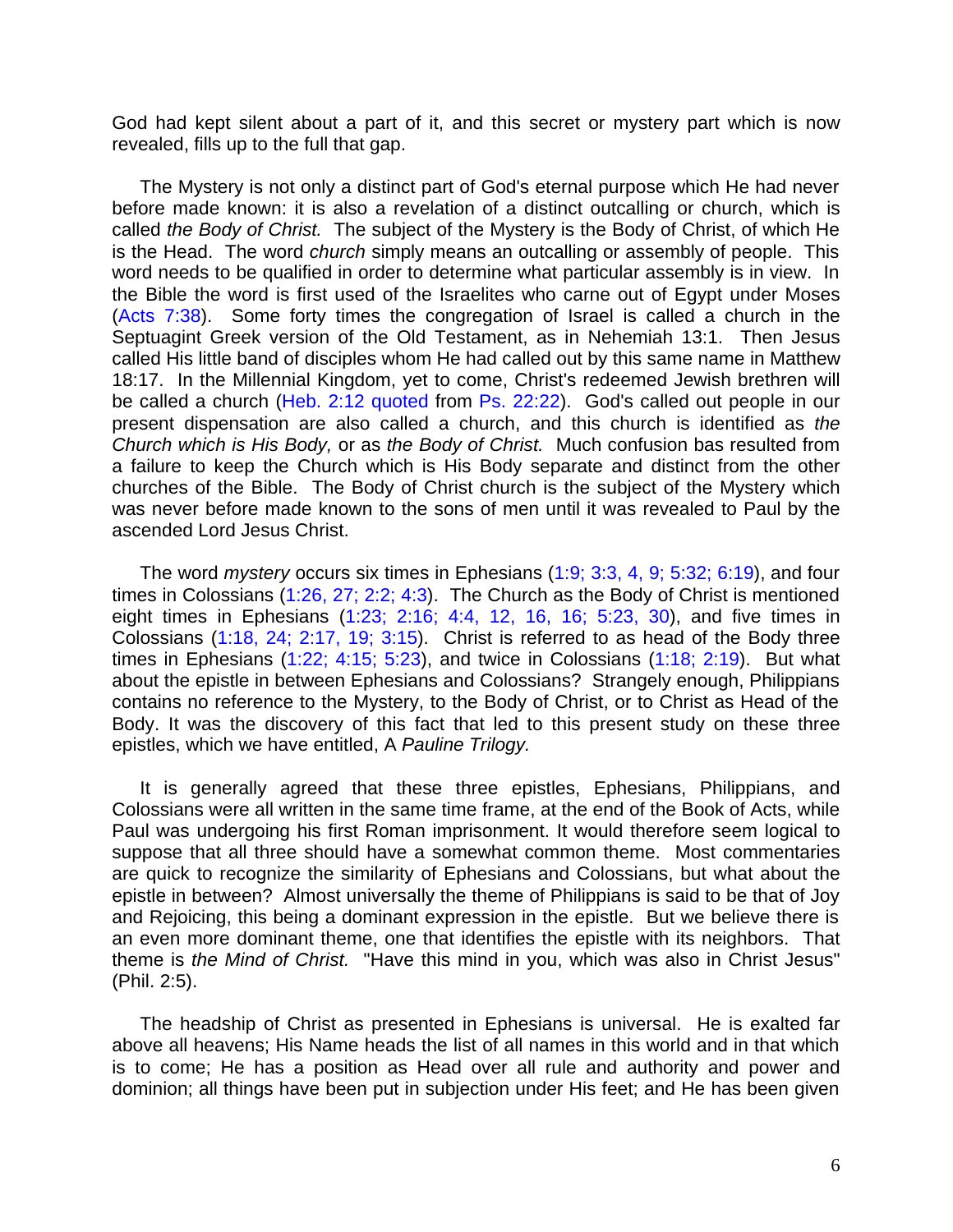God had kept silent about a part of it, and this secret or mystery part which is now revealed, fills up to the full that gap.

The Mystery is not only a distinct part of God's eternal purpose which He had never before made known: it is also a revelation of a distinct outcalling or church, which is called *the Body of Christ.* The subject of the Mystery is the Body of Christ, of which He is the Head. The word *church* simply means an outcalling or assembly of people. This word needs to be qualified in order to determine what particular assembly is in view. In the Bible the word is first used of the Israelites who carne out of Egypt under Moses (Acts 7:38). Some forty times the congregation of Israel is called a church in the Septuagint Greek version of the Old Testament, as in Nehemiah 13:1. Then Jesus called His little band of disciples whom He had called out by this same name in Matthew 18:17. In the Millennial Kingdom, yet to come, Christ's redeemed Jewish brethren will be called a church (Heb. 2:12 quoted from Ps. 22:22). God's called out people in our present dispensation are also called a church, and this church is identified as *the Church which is His Body,* or as *the Body of Christ.* Much confusion bas resulted from a failure to keep the Church which is His Body separate and distinct from the other churches of the Bible. The Body of Christ church is the subject of the Mystery which was never before made known to the sons of men until it was revealed to Paul by the ascended Lord Jesus Christ.

The word *mystery* occurs six times in Ephesians (1:9; 3:3, 4, 9; 5:32; 6:19), and four times in Colossians (1:26, 27; 2:2; 4:3). The Church as the Body of Christ is mentioned eight times in Ephesians (1:23; 2:16; 4:4, 12, 16, 16; 5:23, 30), and five times in Colossians (1:18, 24; 2:17, 19; 3:15). Christ is referred to as head of the Body three times in Ephesians  $(1:22; 4:15; 5:23)$ , and twice in Colossians  $(1:18; 2:19)$ . But what about the epistle in between Ephesians and Colossians? Strangely enough, Philippians contains no reference to the Mystery, to the Body of Christ, or to Christ as Head of the Body. It was the discovery of this fact that led to this present study on these three epistles, which we have entitled, A *Pauline Trilogy.*

It is generally agreed that these three epistles, Ephesians, Philippians, and Colossians were all written in the same time frame, at the end of the Book of Acts, while Paul was undergoing his first Roman imprisonment. It would therefore seem logical to suppose that all three should have a somewhat common theme. Most commentaries are quick to recognize the similarity of Ephesians and Colossians, but what about the epistle in between? Almost universally the theme of Philippians is said to be that of Joy and Rejoicing, this being a dominant expression in the epistle. But we believe there is an even more dominant theme, one that identifies the epistle with its neighbors. That theme is *the Mind of Christ.* "Have this mind in you, which was also in Christ Jesus" (Phil. 2:5).

The headship of Christ as presented in Ephesians is universal. He is exalted far above all heavens; His Name heads the list of all names in this world and in that which is to come; He has a position as Head over all rule and authority and power and dominion; all things have been put in subjection under His feet; and He has been given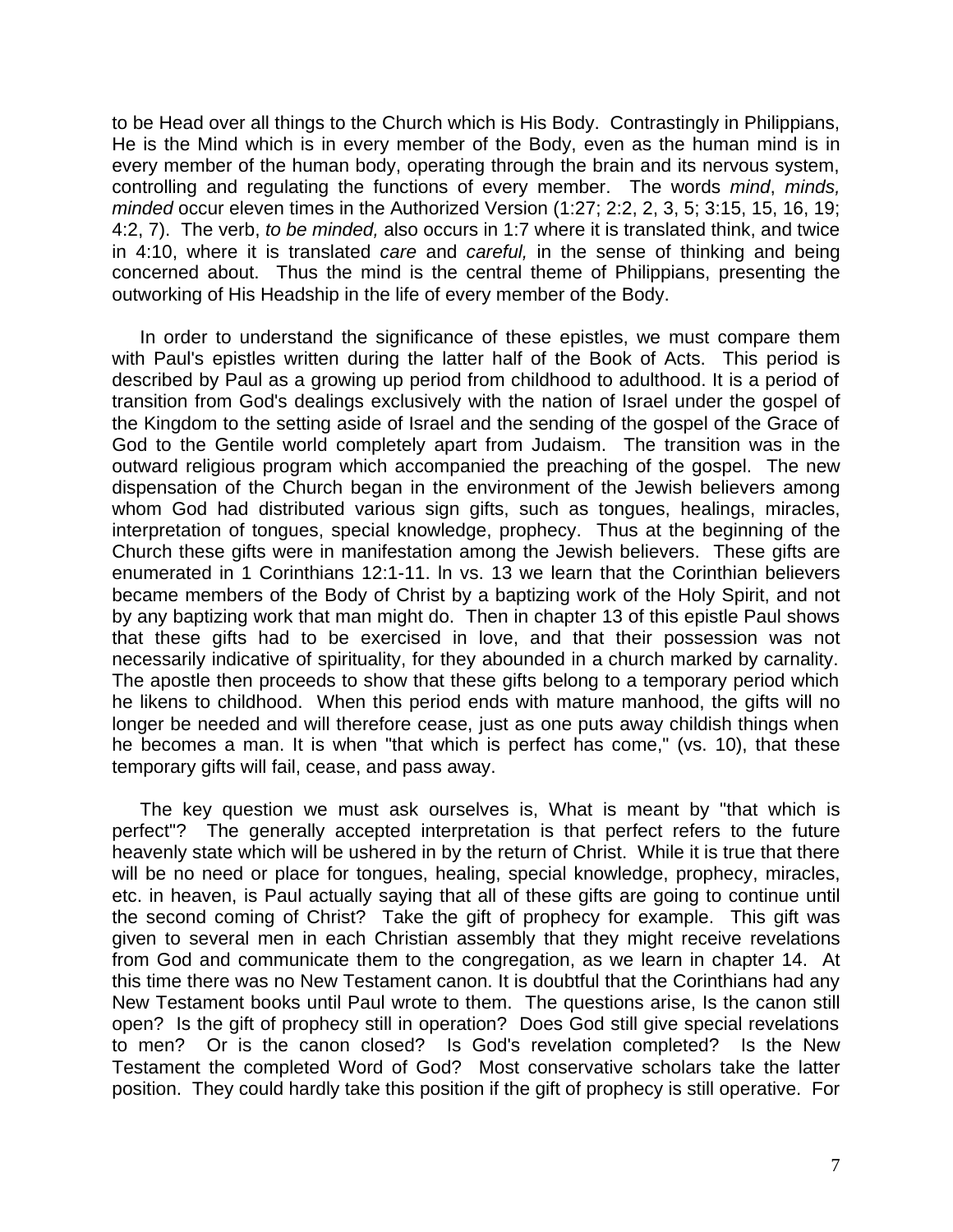to be Head over all things to the Church which is His Body. Contrastingly in Philippians, He is the Mind which is in every member of the Body, even as the human mind is in every member of the human body, operating through the brain and its nervous system, controlling and regulating the functions of every member. The words *mind*, *minds, minded* occur eleven times in the Authorized Version (1:27; 2:2, 2, 3, 5; 3:15, 15, 16, 19; 4:2, 7). The verb, *to be minded,* also occurs in 1:7 where it is translated think, and twice in 4:10, where it is translated *care* and *careful,* in the sense of thinking and being concerned about. Thus the mind is the central theme of Philippians, presenting the outworking of His Headship in the life of every member of the Body.

In order to understand the significance of these epistles, we must compare them with Paul's epistles written during the latter half of the Book of Acts. This period is described by Paul as a growing up period from childhood to adulthood. It is a period of transition from God's dealings exclusively with the nation of Israel under the gospel of the Kingdom to the setting aside of Israel and the sending of the gospel of the Grace of God to the Gentile world completely apart from Judaism. The transition was in the outward religious program which accompanied the preaching of the gospel. The new dispensation of the Church began in the environment of the Jewish believers among whom God had distributed various sign gifts, such as tongues, healings, miracles, interpretation of tongues, special knowledge, prophecy. Thus at the beginning of the Church these gifts were in manifestation among the Jewish believers. These gifts are enumerated in 1 Corinthians 12:1-11. ln vs. 13 we learn that the Corinthian believers became members of the Body of Christ by a baptizing work of the Holy Spirit, and not by any baptizing work that man might do. Then in chapter 13 of this epistle Paul shows that these gifts had to be exercised in love, and that their possession was not necessarily indicative of spirituality, for they abounded in a church marked by carnality. The apostle then proceeds to show that these gifts belong to a temporary period which he likens to childhood. When this period ends with mature manhood, the gifts will no longer be needed and will therefore cease, just as one puts away childish things when he becomes a man. It is when "that which is perfect has come," (vs. 10), that these temporary gifts will fail, cease, and pass away.

The key question we must ask ourselves is, What is meant by "that which is perfect"? The generally accepted interpretation is that perfect refers to the future heavenly state which will be ushered in by the return of Christ. While it is true that there will be no need or place for tongues, healing, special knowledge, prophecy, miracles, etc. in heaven, is Paul actually saying that all of these gifts are going to continue until the second coming of Christ? Take the gift of prophecy for example. This gift was given to several men in each Christian assembly that they might receive revelations from God and communicate them to the congregation, as we learn in chapter 14. At this time there was no New Testament canon. It is doubtful that the Corinthians had any New Testament books until Paul wrote to them. The questions arise, Is the canon still open? Is the gift of prophecy still in operation? Does God still give special revelations to men? Or is the canon closed? Is God's revelation completed? Is the New Testament the completed Word of God? Most conservative scholars take the latter position. They could hardly take this position if the gift of prophecy is still operative. For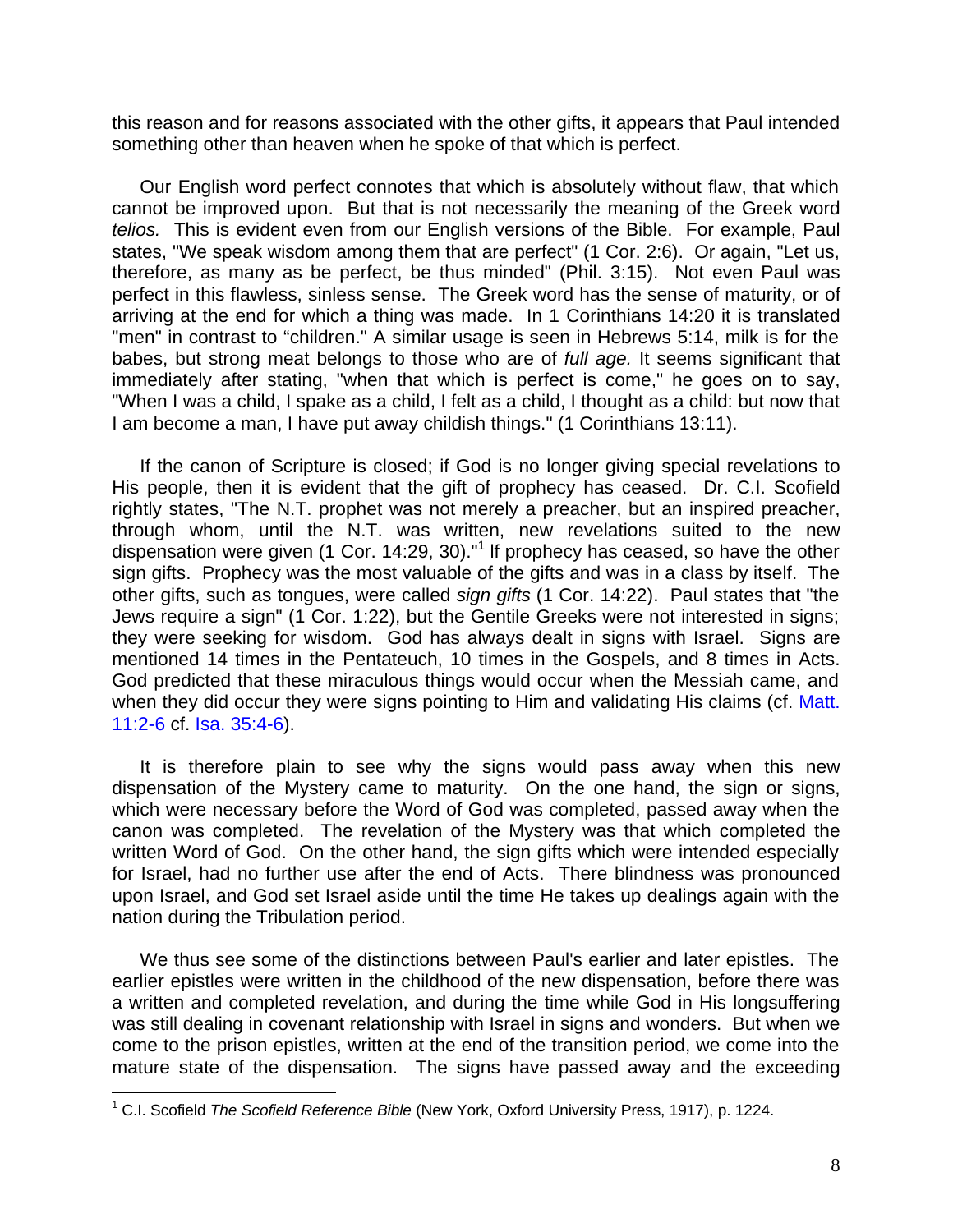this reason and for reasons associated with the other gifts, it appears that Paul intended something other than heaven when he spoke of that which is perfect.

Our English word perfect connotes that which is absolutely without flaw, that which cannot be improved upon. But that is not necessarily the meaning of the Greek word *telios.* This is evident even from our English versions of the Bible. For example, Paul states, "We speak wisdom among them that are perfect" (1 Cor. 2:6). Or again, "Let us, therefore, as many as be perfect, be thus minded" (Phil. 3:15). Not even Paul was perfect in this flawless, sinless sense. The Greek word has the sense of maturity, or of arriving at the end for which a thing was made. In 1 Corinthians 14:20 it is translated "men" in contrast to "children." A similar usage is seen in Hebrews 5:14, milk is for the babes, but strong meat belongs to those who are of *full age.* It seems significant that immediately after stating, "when that which is perfect is come," he goes on to say, "When I was a child, I spake as a child, I felt as a child, I thought as a child: but now that I am become a man, I have put away childish things." (1 Corinthians 13:11).

If the canon of Scripture is closed; if God is no longer giving special revelations to His people, then it is evident that the gift of prophecy has ceased. Dr. C.I. Scofield rightly states, "The N.T. prophet was not merely a preacher, but an inspired preacher, through whom, until the N.T. was written, new revelations suited to the new dispensation were given (1 Cor. 14:29, 30)."<sup>1</sup> If prophecy has ceased, so have the other sign gifts. Prophecy was the most valuable of the gifts and was in a class by itself. The other gifts, such as tongues, were called *sign gifts* (1 Cor. 14:22). Paul states that "the Jews require a sign" (1 Cor. 1:22), but the Gentile Greeks were not interested in signs; they were seeking for wisdom. God has always dealt in signs with Israel. Signs are mentioned 14 times in the Pentateuch, 10 times in the Gospels, and 8 times in Acts. God predicted that these miraculous things would occur when the Messiah came, and when they did occur they were signs pointing to Him and validating His claims (cf. Matt. 11:2-6 cf. Isa. 35:4-6).

It is therefore plain to see why the signs would pass away when this new dispensation of the Mystery came to maturity. On the one hand, the sign or signs, which were necessary before the Word of God was completed, passed away when the canon was completed. The revelation of the Mystery was that which completed the written Word of God. On the other hand, the sign gifts which were intended especially for Israel, had no further use after the end of Acts. There blindness was pronounced upon Israel, and God set Israel aside until the time He takes up dealings again with the nation during the Tribulation period.

We thus see some of the distinctions between Paul's earlier and later epistles. The earlier epistles were written in the childhood of the new dispensation, before there was a written and completed revelation, and during the time while God in His longsuffering was still dealing in covenant relationship with Israel in signs and wonders. But when we come to the prison epistles, written at the end of the transition period, we come into the mature state of the dispensation. The signs have passed away and the exceeding

 1 C.I. Scofield *The Scofield Reference Bible* (New York, Oxford University Press, 1917), p. 1224.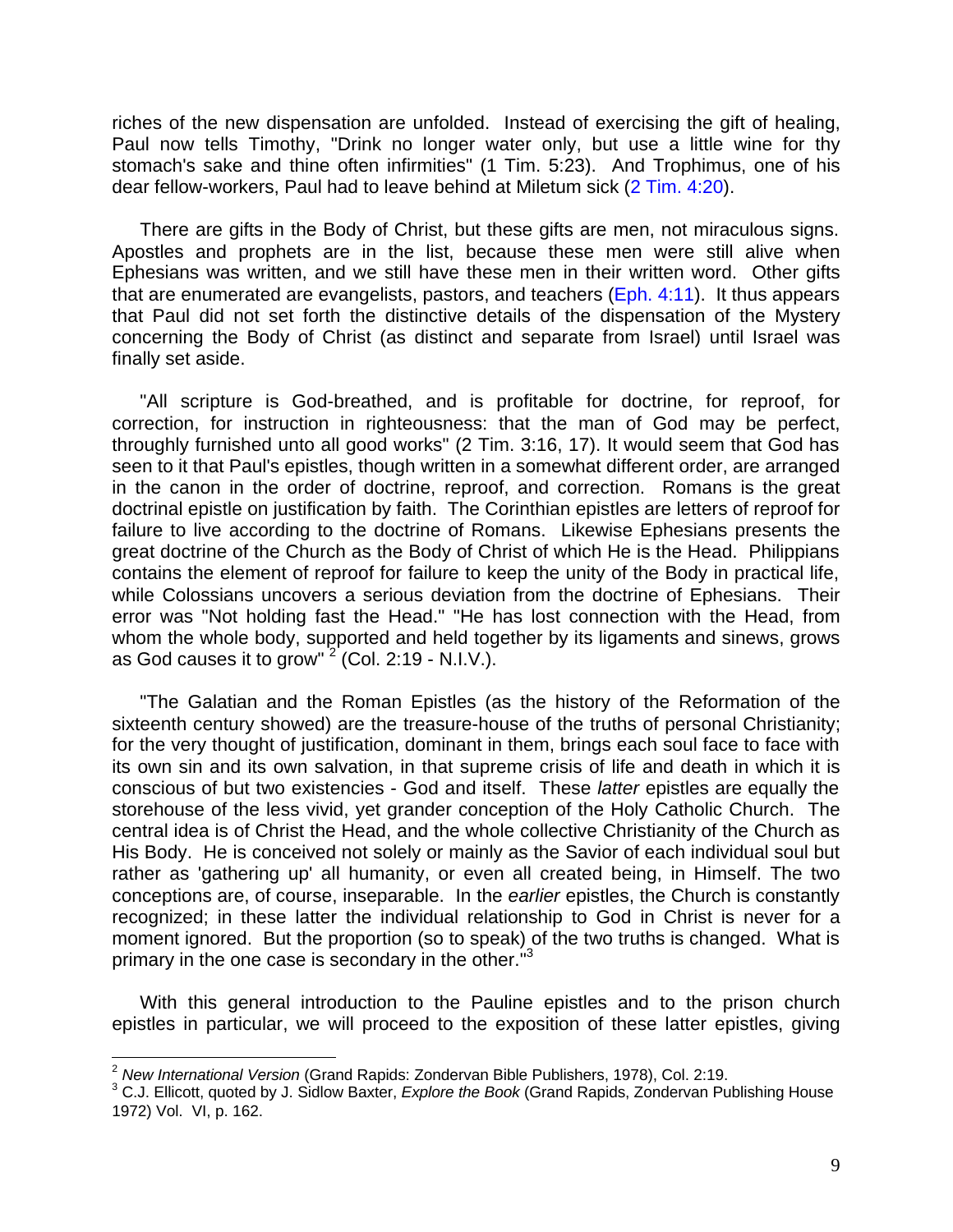riches of the new dispensation are unfolded. Instead of exercising the gift of healing, Paul now tells Timothy, "Drink no longer water only, but use a little wine for thy stomach's sake and thine often infirmities" (1 Tim. 5:23). And Trophimus, one of his dear fellow-workers, Paul had to leave behind at Miletum sick (2 Tim. 4:20).

There are gifts in the Body of Christ, but these gifts are men, not miraculous signs. Apostles and prophets are in the list, because these men were still alive when Ephesians was written, and we still have these men in their written word. Other gifts that are enumerated are evangelists, pastors, and teachers  $(Eph. 4:11)$ . It thus appears that Paul did not set forth the distinctive details of the dispensation of the Mystery concerning the Body of Christ (as distinct and separate from Israel) until Israel was finally set aside.

"All scripture is God-breathed, and is profitable for doctrine, for reproof, for correction, for instruction in righteousness: that the man of God may be perfect, throughly furnished unto all good works" (2 Tim. 3:16, 17). It would seem that God has seen to it that Paul's epistles, though written in a somewhat different order, are arranged in the canon in the order of doctrine, reproof, and correction. Romans is the great doctrinal epistle on justification by faith. The Corinthian epistles are letters of reproof for failure to live according to the doctrine of Romans. Likewise Ephesians presents the great doctrine of the Church as the Body of Christ of which He is the Head. Philippians contains the element of reproof for failure to keep the unity of the Body in practical life, while Colossians uncovers a serious deviation from the doctrine of Ephesians. Their error was "Not holding fast the Head." "He has lost connection with the Head, from whom the whole body, supported and held together by its ligaments and sinews, grows as God causes it to grow" $2$  (Col. 2:19 - N.I.V.).

"The Galatian and the Roman Epistles (as the history of the Reformation of the sixteenth century showed) are the treasure-house of the truths of personal Christianity; for the very thought of justification, dominant in them, brings each soul face to face with its own sin and its own salvation, in that supreme crisis of life and death in which it is conscious of but two existencies - God and itself. These *latter* epistles are equally the storehouse of the less vivid, yet grander conception of the Holy Catholic Church. The central idea is of Christ the Head, and the whole collective Christianity of the Church as His Body. He is conceived not solely or mainly as the Savior of each individual soul but rather as 'gathering up' all humanity, or even all created being, in Himself. The two conceptions are, of course, inseparable. In the *earlier* epistles, the Church is constantly recognized; in these latter the individual relationship to God in Christ is never for a moment ignored. But the proportion (so to speak) of the two truths is changed. What is primary in the one case is secondary in the other.<sup>"3</sup>

With this general introduction to the Pauline epistles and to the prison church epistles in particular, we will proceed to the exposition of these latter epistles, giving

 $\overline{a}$ <sup>2</sup> *New International Version* (Grand Rapids: Zondervan Bible Publishers, 1978), Col. 2:19.

<sup>&</sup>lt;sup>3</sup> C.J. Ellicott, quoted by J. Sidlow Baxter, *Explore the Book* (Grand Rapids, Zondervan Publishing House 1972) Vol. VI, p. 162.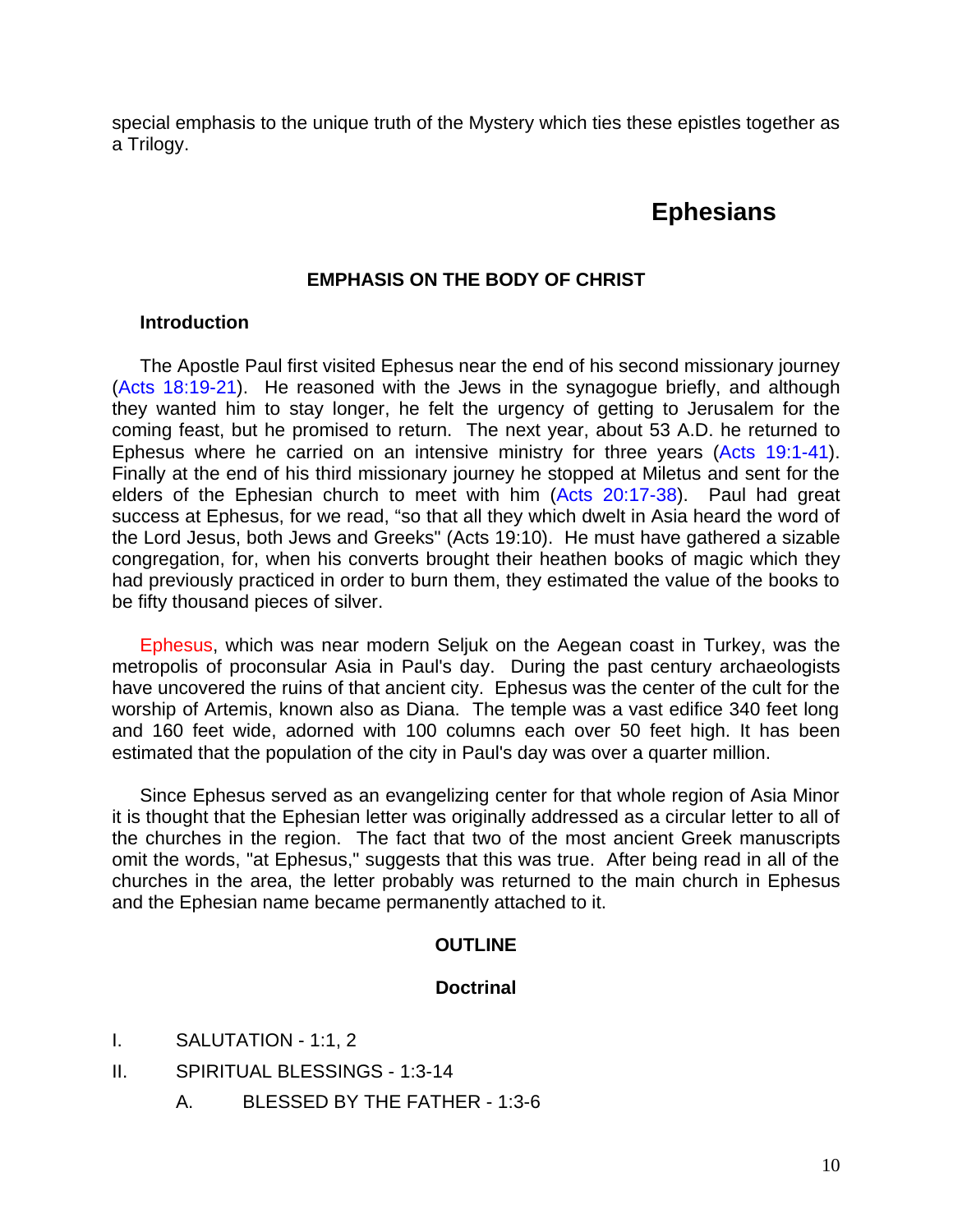special emphasis to the unique truth of the Mystery which ties these epistles together as a Trilogy.

#### **Ephesians**

#### **EMPHASIS ON THE BODY OF CHRIST**

#### **Introduction**

The Apostle Paul first visited Ephesus near the end of his second missionary journey (Acts 18:19-21). He reasoned with the Jews in the synagogue briefly, and although they wanted him to stay longer, he felt the urgency of getting to Jerusalem for the coming feast, but he promised to return. The next year, about 53 A.D. he returned to Ephesus where he carried on an intensive ministry for three years (Acts 19:1-41). Finally at the end of his third missionary journey he stopped at Miletus and sent for the elders of the Ephesian church to meet with him (Acts 20:17-38). Paul had great success at Ephesus, for we read, "so that all they which dwelt in Asia heard the word of the Lord Jesus, both Jews and Greeks" (Acts 19:10). He must have gathered a sizable congregation, for, when his converts brought their heathen books of magic which they had previously practiced in order to burn them, they estimated the value of the books to be fifty thousand pieces of silver.

Ephesus, which was near modern Seljuk on the Aegean coast in Turkey, was the metropolis of proconsular Asia in Paul's day. During the past century archaeologists have uncovered the ruins of that ancient city. Ephesus was the center of the cult for the worship of Artemis, known also as Diana. The temple was a vast edifice 340 feet long and 160 feet wide, adorned with 100 columns each over 50 feet high. It has been estimated that the population of the city in Paul's day was over a quarter million.

Since Ephesus served as an evangelizing center for that whole region of Asia Minor it is thought that the Ephesian letter was originally addressed as a circular letter to all of the churches in the region. The fact that two of the most ancient Greek manuscripts omit the words, "at Ephesus," suggests that this was true. After being read in all of the churches in the area, the letter probably was returned to the main church in Ephesus and the Ephesian name became permanently attached to it.

#### **OUTLINE**

#### **Doctrinal**

- I. SALUTATION 1:1, 2
- II. SPIRITUAL BLESSINGS 1:3-14
	- A. BLESSED BY THE FATHER 1:3-6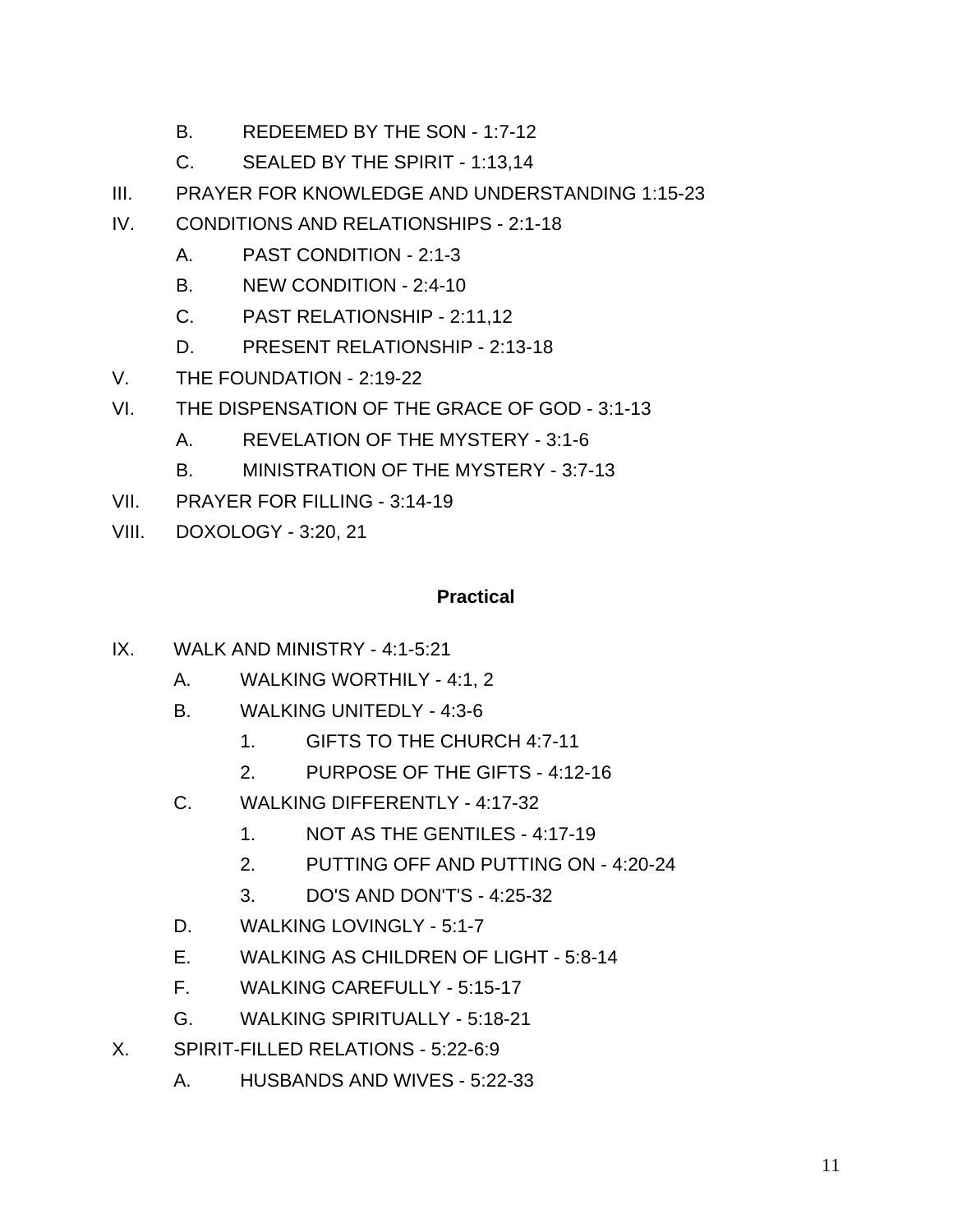- B. REDEEMED BY THE SON 1:7-12
- C. SEALED BY THE SPIRIT 1:13,14
- III. PRAYER FOR KNOWLEDGE AND UNDERSTANDING 1:15-23
- IV. CONDITIONS AND RELATIONSHIPS 2:1-18
	- A. PAST CONDITION 2:1-3
	- B. NEW CONDITION 2:4-10
	- C. PAST RELATIONSHIP 2:11,12
	- D. PRESENT RELATIONSHIP 2:13-18
- V. THE FOUNDATION 2:19-22
- VI. THE DISPENSATION OF THE GRACE OF GOD 3:1-13
	- A. REVELATION OF THE MYSTERY 3:1-6
	- B. MINISTRATION OF THE MYSTERY 3:7-13
- VII. PRAYER FOR FILLING 3:14-19
- VIII. DOXOLOGY 3:20, 21

#### **Practical**

- IX. WALK AND MINISTRY 4:1-5:21
	- A. WALKING WORTHILY 4:1, 2
	- B. WALKING UNITEDLY 4:3-6
		- 1. GIFTS TO THE CHURCH 4:7-11
		- 2. PURPOSE OF THE GIFTS 4:12-16
	- C. WALKING DIFFERENTLY 4:17-32
		- 1. NOT AS THE GENTILES 4:17-19
		- 2. PUTTING OFF AND PUTTING ON 4:20-24
		- 3. DO'S AND DON'T'S 4:25-32
	- D. WALKING LOVINGLY 5:1-7
	- E. WALKING AS CHILDREN OF LIGHT 5:8-14
	- F. WALKING CAREFULLY 5:15-17
	- G. WALKING SPIRITUALLY 5:18-21
- X. SPIRIT-FILLED RELATIONS 5:22-6:9
	- A. HUSBANDS AND WIVES 5:22-33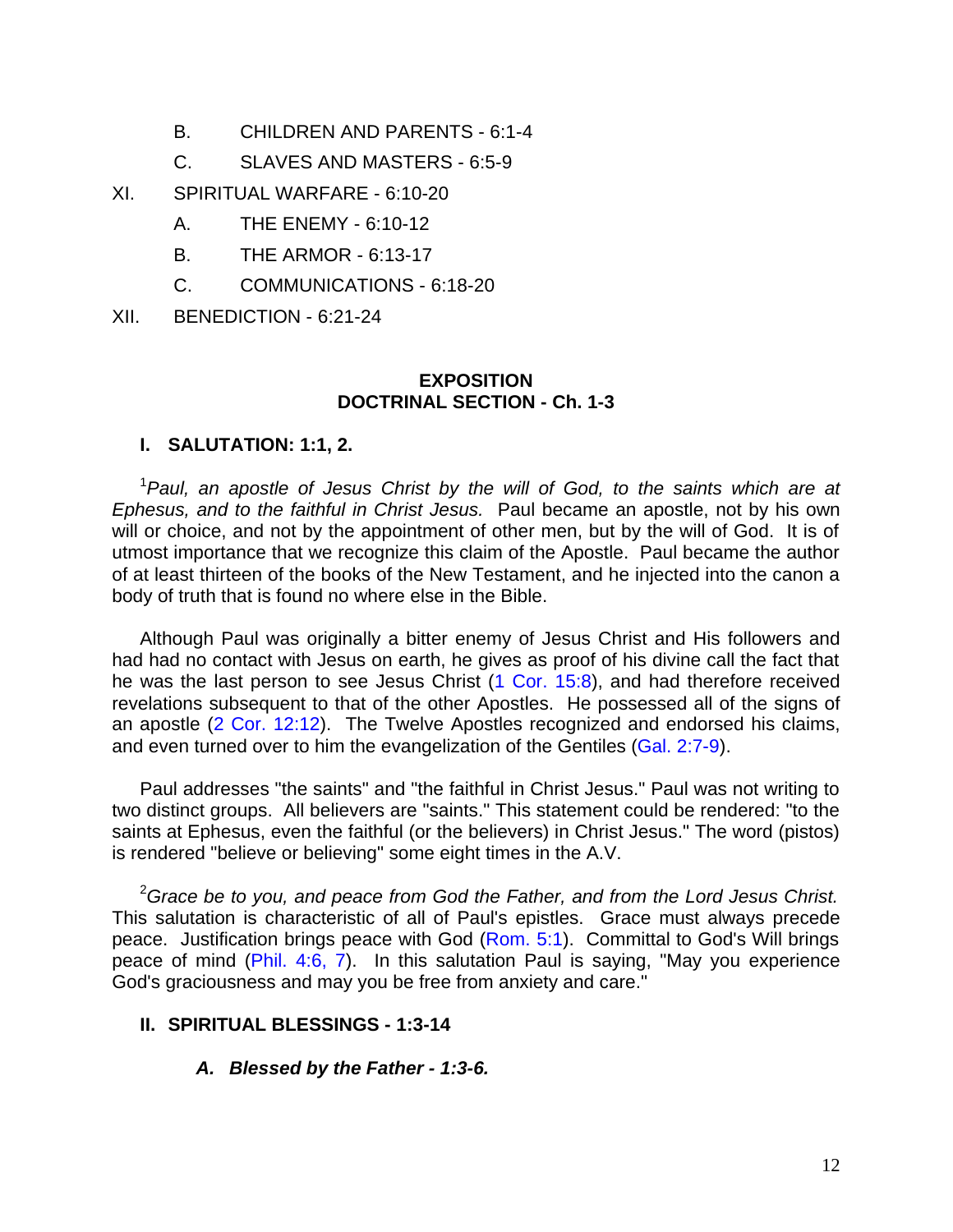- B. CHILDREN AND PARENTS 6:1-4
- C. SLAVES AND MASTERS 6:5-9
- XI. SPIRITUAL WARFARE 6:10-20
	- A. THE ENEMY 6:10-12
	- B. THE ARMOR 6:13-17
	- C. COMMUNICATIONS 6:18-20

XII. BENEDICTION - 6:21-24

#### **EXPOSITION DOCTRINAL SECTION - Ch. 1-3**

#### **I. SALUTATION: 1:1, 2.**

<sup>1</sup>*Paul, an apostle of Jesus Christ by the will of God, to the saints which are at Ephesus, and to the faithful in Christ Jesus.* Paul became an apostle, not by his own will or choice, and not by the appointment of other men, but by the will of God. It is of utmost importance that we recognize this claim of the Apostle. Paul became the author of at least thirteen of the books of the New Testament, and he injected into the canon a body of truth that is found no where else in the Bible.

Although Paul was originally a bitter enemy of Jesus Christ and His followers and had had no contact with Jesus on earth, he gives as proof of his divine call the fact that he was the last person to see Jesus Christ (1 Cor. 15:8), and had therefore received revelations subsequent to that of the other Apostles. He possessed all of the signs of an apostle (2 Cor. 12:12). The Twelve Apostles recognized and endorsed his claims, and even turned over to him the evangelization of the Gentiles (Gal. 2:7-9).

Paul addresses "the saints" and "the faithful in Christ Jesus." Paul was not writing to two distinct groups. All believers are "saints." This statement could be rendered: "to the saints at Ephesus, even the faithful (or the believers) in Christ Jesus." The word (pistos) is rendered "believe or believing" some eight times in the A.V.

<sup>2</sup>*Grace be to you, and peace from God the Father, and from the Lord Jesus Christ.*  This salutation is characteristic of all of Paul's epistles. Grace must always precede peace. Justification brings peace with God (Rom. 5:1). Committal to God's Will brings peace of mind (Phil. 4:6, 7). In this salutation Paul is saying, "May you experience God's graciousness and may you be free from anxiety and care."

#### **II. SPIRITUAL BLESSINGS - 1:3-14**

#### *A. Blessed by the Father - 1:3-6.*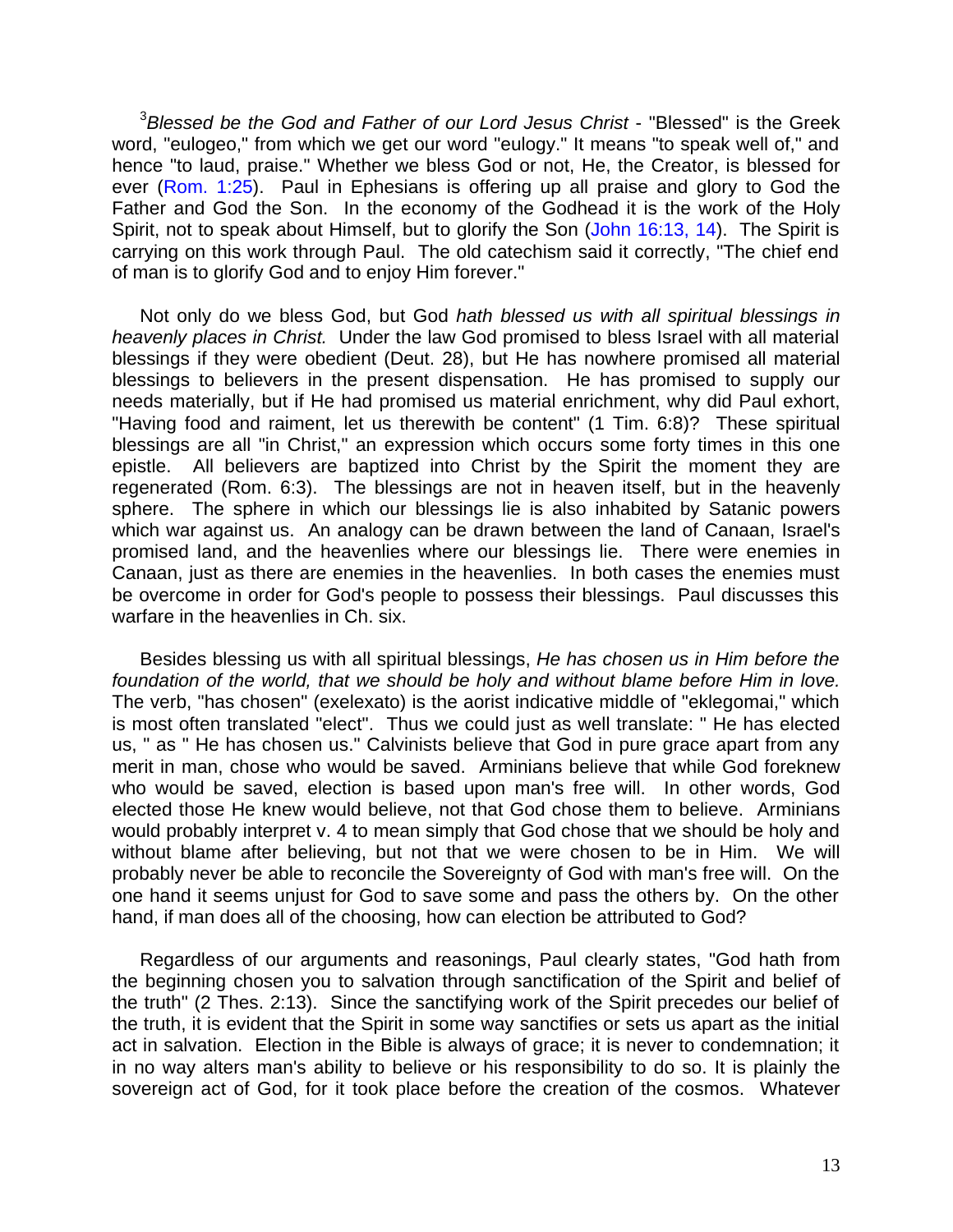<sup>3</sup>*Blessed be the God and Father of our Lord Jesus Christ* - "Blessed" is the Greek word, "eulogeo," from which we get our word "eulogy." It means "to speak well of," and hence "to laud, praise." Whether we bless God or not, He, the Creator, is blessed for ever (Rom. 1:25). Paul in Ephesians is offering up all praise and glory to God the Father and God the Son. In the economy of the Godhead it is the work of the Holy Spirit, not to speak about Himself, but to glorify the Son (John 16:13, 14). The Spirit is carrying on this work through Paul. The old catechism said it correctly, "The chief end of man is to glorify God and to enjoy Him forever."

Not only do we bless God, but God *hath blessed us with all spiritual blessings in heavenly places in Christ.* Under the law God promised to bless Israel with all material blessings if they were obedient (Deut. 28), but He has nowhere promised all material blessings to believers in the present dispensation. He has promised to supply our needs materially, but if He had promised us material enrichment, why did Paul exhort, "Having food and raiment, let us therewith be content" (1 Tim. 6:8)? These spiritual blessings are all "in Christ," an expression which occurs some forty times in this one epistle. All believers are baptized into Christ by the Spirit the moment they are regenerated (Rom. 6:3). The blessings are not in heaven itself, but in the heavenly sphere. The sphere in which our blessings lie is also inhabited by Satanic powers which war against us. An analogy can be drawn between the land of Canaan, Israel's promised land, and the heavenlies where our blessings lie. There were enemies in Canaan, just as there are enemies in the heavenlies. In both cases the enemies must be overcome in order for God's people to possess their blessings. Paul discusses this warfare in the heavenlies in Ch. six.

Besides blessing us with all spiritual blessings, *He has chosen us in Him before the foundation of the world, that we should be holy and without blame before Him in love.*  The verb, "has chosen" (exelexato) is the aorist indicative middle of "eklegomai," which is most often translated "elect". Thus we could just as well translate: " He has elected us, " as " He has chosen us." Calvinists believe that God in pure grace apart from any merit in man, chose who would be saved. Arminians believe that while God foreknew who would be saved, election is based upon man's free will. In other words, God elected those He knew would believe, not that God chose them to believe. Arminians would probably interpret v. 4 to mean simply that God chose that we should be holy and without blame after believing, but not that we were chosen to be in Him. We will probably never be able to reconcile the Sovereignty of God with man's free will. On the one hand it seems unjust for God to save some and pass the others by. On the other hand, if man does all of the choosing, how can election be attributed to God?

Regardless of our arguments and reasonings, Paul clearly states, "God hath from the beginning chosen you to salvation through sanctification of the Spirit and belief of the truth" (2 Thes. 2:13). Since the sanctifying work of the Spirit precedes our belief of the truth, it is evident that the Spirit in some way sanctifies or sets us apart as the initial act in salvation. Election in the Bible is always of grace; it is never to condemnation; it in no way alters man's ability to believe or his responsibility to do so. It is plainly the sovereign act of God, for it took place before the creation of the cosmos. Whatever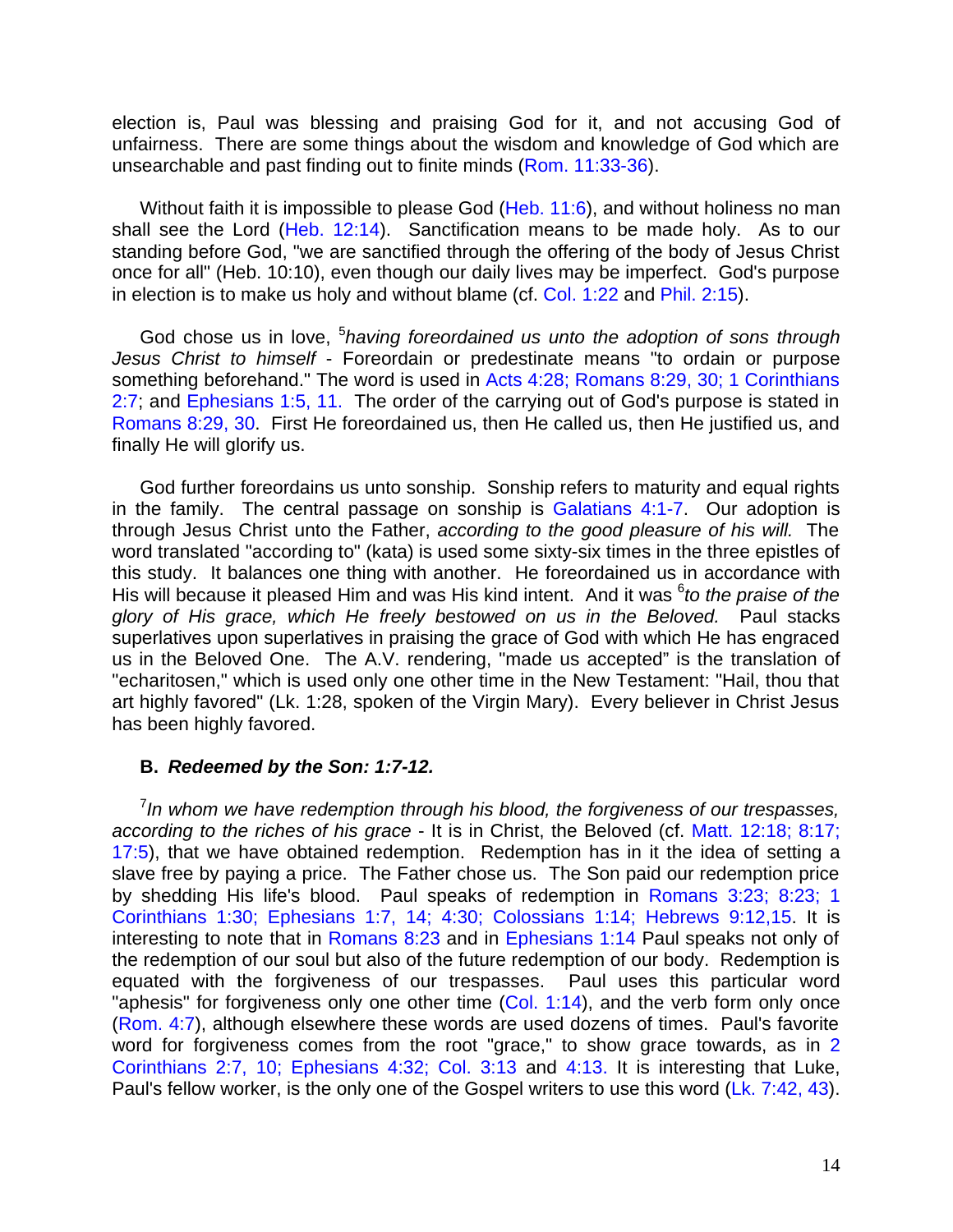election is, Paul was blessing and praising God for it, and not accusing God of unfairness. There are some things about the wisdom and knowledge of God which are unsearchable and past finding out to finite minds (Rom. 11:33-36).

Without faith it is impossible to please God (Heb. 11:6), and without holiness no man shall see the Lord (Heb. 12:14). Sanctification means to be made holy. As to our standing before God, "we are sanctified through the offering of the body of Jesus Christ once for all" (Heb. 10:10), even though our daily lives may be imperfect. God's purpose in election is to make us holy and without blame (cf. Col. 1:22 and Phil. 2:15).

God chose us in love, <sup>5</sup>having foreordained us unto the adoption of sons through *Jesus Christ to himself* - Foreordain or predestinate means "to ordain or purpose something beforehand." The word is used in Acts 4:28; Romans 8:29, 30; 1 Corinthians 2:7; and Ephesians 1:5, 11. The order of the carrying out of God's purpose is stated in Romans 8:29, 30. First He foreordained us, then He called us, then He justified us, and finally He will glorify us.

God further foreordains us unto sonship. Sonship refers to maturity and equal rights in the family. The central passage on sonship is Galatians 4:1-7. Our adoption is through Jesus Christ unto the Father, *according to the good pleasure of his will.* The word translated "according to" (kata) is used some sixty-six times in the three epistles of this study. It balances one thing with another. He foreordained us in accordance with His will because it pleased Him and was His kind intent. And it was <sup>6</sup>to the praise of the *glory of His grace, which He freely bestowed on us in the Beloved.* Paul stacks superlatives upon superlatives in praising the grace of God with which He has engraced us in the Beloved One. The A.V. rendering, "made us accepted" is the translation of "echaritosen," which is used only one other time in the New Testament: "Hail, thou that art highly favored" (Lk. 1:28, spoken of the Virgin Mary). Every believer in Christ Jesus has been highly favored.

#### **B.** *Redeemed by the Son: 1:7-12.*

<sup>7</sup> In whom we have redemption through his blood, the forgiveness of our trespasses, *according to the riches of his grace* - It is in Christ, the Beloved (cf. Matt. 12:18; 8:17; 17:5), that we have obtained redemption. Redemption has in it the idea of setting a slave free by paying a price. The Father chose us. The Son paid our redemption price by shedding His life's blood. Paul speaks of redemption in Romans 3:23; 8:23; 1 Corinthians 1:30; Ephesians 1:7, 14; 4:30; Colossians 1:14; Hebrews 9:12,15. It is interesting to note that in Romans 8:23 and in Ephesians 1:14 Paul speaks not only of the redemption of our soul but also of the future redemption of our body. Redemption is equated with the forgiveness of our trespasses. Paul uses this particular word "aphesis" for forgiveness only one other time (Col. 1:14), and the verb form only once (Rom. 4:7), although elsewhere these words are used dozens of times. Paul's favorite word for forgiveness comes from the root "grace," to show grace towards, as in 2 Corinthians 2:7, 10; Ephesians 4:32; Col. 3:13 and 4:13. It is interesting that Luke, Paul's fellow worker, is the only one of the Gospel writers to use this word (Lk. 7:42, 43).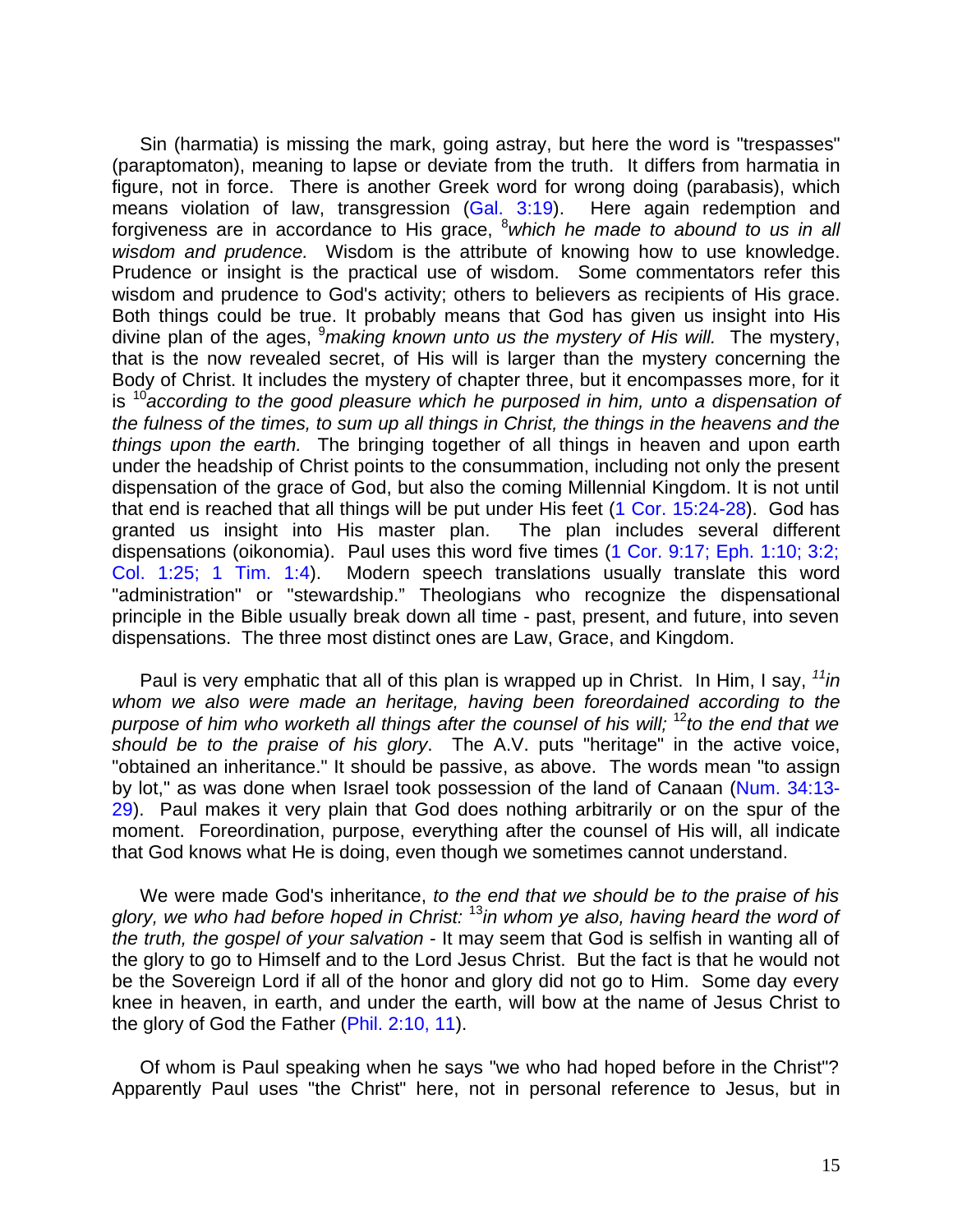Sin (harmatia) is missing the mark, going astray, but here the word is "trespasses" (paraptomaton), meaning to lapse or deviate from the truth. It differs from harmatia in figure, not in force. There is another Greek word for wrong doing (parabasis), which means violation of law, transgression (Gal. 3:19). Here again redemption and forgiveness are in accordance to His grace, <sup>8</sup>*which he made to abound to us in all wisdom and prudence.* Wisdom is the attribute of knowing how to use knowledge. Prudence or insight is the practical use of wisdom. Some commentators refer this wisdom and prudence to God's activity; others to believers as recipients of His grace. Both things could be true. It probably means that God has given us insight into His divine plan of the ages, <sup>9</sup>*making known unto us the mystery of His will.* The mystery, that is the now revealed secret, of His will is larger than the mystery concerning the Body of Christ. It includes the mystery of chapter three, but it encompasses more, for it is <sup>10</sup>*according to the good pleasure which he purposed in him, unto a dispensation of the fulness of the times, to sum up all things in Christ, the things in the heavens and the things upon the earth.* The bringing together of all things in heaven and upon earth under the headship of Christ points to the consummation, including not only the present dispensation of the grace of God, but also the coming Millennial Kingdom. It is not until that end is reached that all things will be put under His feet (1 Cor. 15:24-28). God has granted us insight into His master plan. The plan includes several different dispensations (oikonomia). Paul uses this word five times (1 Cor. 9:17; Eph. 1:10; 3:2; Col. 1:25; 1 Tim. 1:4). Modern speech translations usually translate this word "administration" or "stewardship." Theologians who recognize the dispensational principle in the Bible usually break down all time - past, present, and future, into seven dispensations. The three most distinct ones are Law, Grace, and Kingdom.

Paul is very emphatic that all of this plan is wrapped up in Christ. In Him, I say, *<sup>11</sup>in whom we also were made an heritage, having been foreordained according to the purpose of him who worketh all things after the counsel of his will;* <sup>12</sup>*to the end that we should be to the praise of his glory*. The A.V. puts "heritage" in the active voice, "obtained an inheritance." It should be passive, as above. The words mean "to assign by lot," as was done when Israel took possession of the land of Canaan (Num. 34:13- 29). Paul makes it very plain that God does nothing arbitrarily or on the spur of the moment. Foreordination, purpose, everything after the counsel of His will, all indicate that God knows what He is doing, even though we sometimes cannot understand.

We were made God's inheritance, *to the end that we should be to the praise of his glory, we who had before hoped in Christ:* <sup>13</sup>*in whom ye also, having heard the word of the truth, the gospel of your salvation* - It may seem that God is selfish in wanting all of the glory to go to Himself and to the Lord Jesus Christ. But the fact is that he would not be the Sovereign Lord if all of the honor and glory did not go to Him. Some day every knee in heaven, in earth, and under the earth, will bow at the name of Jesus Christ to the glory of God the Father (Phil. 2:10, 11).

Of whom is Paul speaking when he says "we who had hoped before in the Christ"? Apparently Paul uses "the Christ" here, not in personal reference to Jesus, but in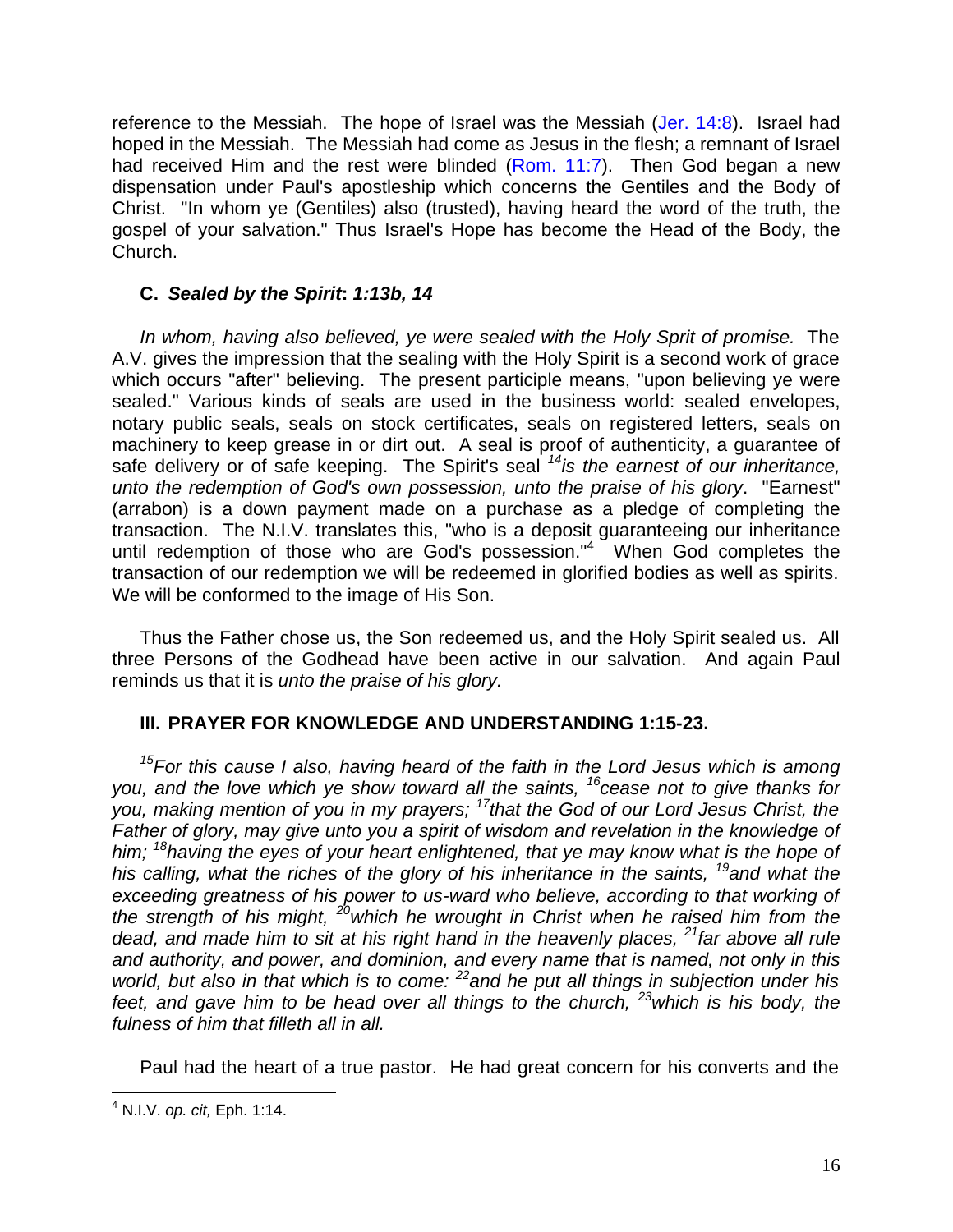reference to the Messiah. The hope of Israel was the Messiah (Jer. 14:8). Israel had hoped in the Messiah. The Messiah had come as Jesus in the flesh; a remnant of Israel had received Him and the rest were blinded (Rom. 11:7). Then God began a new dispensation under Paul's apostleship which concerns the Gentiles and the Body of Christ. "In whom ye (Gentiles) also (trusted), having heard the word of the truth, the gospel of your salvation." Thus Israel's Hope has become the Head of the Body, the Church.

#### **C.** *Sealed by the Spirit***:** *1:13b, 14*

*In whom, having also believed, ye were sealed with the Holy Sprit of promise.* The A.V. gives the impression that the sealing with the Holy Spirit is a second work of grace which occurs "after" believing. The present participle means, "upon believing ye were sealed." Various kinds of seals are used in the business world: sealed envelopes, notary public seals, seals on stock certificates, seals on registered letters, seals on machinery to keep grease in or dirt out. A seal is proof of authenticity, a guarantee of safe delivery or of safe keeping. The Spirit's seal *<sup>14</sup>is the earnest of our inheritance, unto the redemption of God's own possession, unto the praise of his glory*. "Earnest" (arrabon) is a down payment made on a purchase as a pledge of completing the transaction. The N.I.V. translates this, "who is a deposit guaranteeing our inheritance until redemption of those who are God's possession."<sup>4</sup> When God completes the transaction of our redemption we will be redeemed in glorified bodies as well as spirits. We will be conformed to the image of His Son.

Thus the Father chose us, the Son redeemed us, and the Holy Spirit sealed us. All three Persons of the Godhead have been active in our salvation. And again Paul reminds us that it is *unto the praise of his glory.*

#### **III. PRAYER FOR KNOWLEDGE AND UNDERSTANDING 1:15-23.**

*<sup>15</sup>For this cause I also, having heard of the faith in the Lord Jesus which is among you, and the love which ye show toward all the saints, <sup>16</sup>cease not to give thanks for you, making mention of you in my prayers; <sup>17</sup>that the God of our Lord Jesus Christ, the Father of glory, may give unto you a spirit of wisdom and revelation in the knowledge of him; <sup>18</sup>having the eyes of your heart enlightened, that ye may know what is the hope of his calling, what the riches of the glory of his inheritance in the saints, <sup>19</sup>and what the* exceeding greatness of his power to us-ward who believe, according to that working of *the strength of his might, <sup>20</sup>which he wrought in Christ when he raised him from the dead, and made him to sit at his right hand in the heavenly places, <sup>21</sup>far above all rule and authority, and power, and dominion, and every name that is named, not only in this world, but also in that which is to come: <sup>22</sup>and he put all things in subjection under his feet, and gave him to be head over all things to the church, <sup>23</sup>which is his body, the fulness of him that filleth all in all.* 

Paul had the heart of a true pastor. He had great concern for his converts and the

 4 N.I.V. *op. cit,* Eph. 1:14.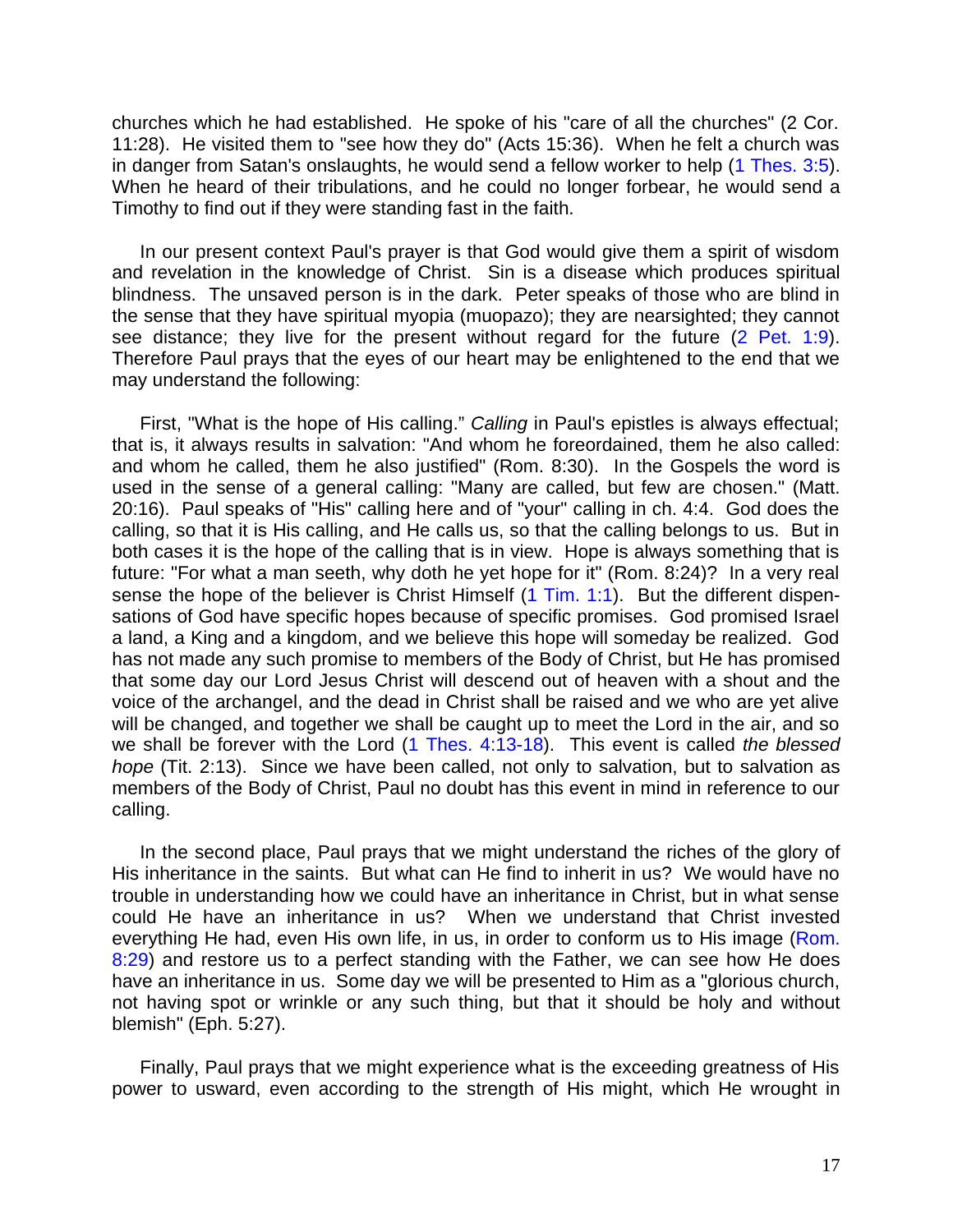churches which he had established. He spoke of his "care of all the churches" (2 Cor. 11:28). He visited them to "see how they do" (Acts 15:36). When he felt a church was in danger from Satan's onslaughts, he would send a fellow worker to help (1 Thes. 3:5). When he heard of their tribulations, and he could no longer forbear, he would send a Timothy to find out if they were standing fast in the faith.

In our present context Paul's prayer is that God would give them a spirit of wisdom and revelation in the knowledge of Christ. Sin is a disease which produces spiritual blindness. The unsaved person is in the dark. Peter speaks of those who are blind in the sense that they have spiritual myopia (muopazo); they are nearsighted; they cannot see distance; they live for the present without regard for the future (2 Pet. 1:9). Therefore Paul prays that the eyes of our heart may be enlightened to the end that we may understand the following:

First, "What is the hope of His calling." *Calling* in Paul's epistles is always effectual; that is, it always results in salvation: "And whom he foreordained, them he also called: and whom he called, them he also justified" (Rom. 8:30). In the Gospels the word is used in the sense of a general calling: "Many are called, but few are chosen." (Matt. 20:16). Paul speaks of "His" calling here and of "your" calling in ch. 4:4. God does the calling, so that it is His calling, and He calls us, so that the calling belongs to us. But in both cases it is the hope of the calling that is in view. Hope is always something that is future: "For what a man seeth, why doth he yet hope for it" (Rom. 8:24)? In a very real sense the hope of the believer is Christ Himself (1 Tim. 1:1). But the different dispensations of God have specific hopes because of specific promises. God promised Israel a land, a King and a kingdom, and we believe this hope will someday be realized. God has not made any such promise to members of the Body of Christ, but He has promised that some day our Lord Jesus Christ will descend out of heaven with a shout and the voice of the archangel, and the dead in Christ shall be raised and we who are yet alive will be changed, and together we shall be caught up to meet the Lord in the air, and so we shall be forever with the Lord (1 Thes. 4:13-18). This event is called *the blessed hope* (Tit. 2:13). Since we have been called, not only to salvation, but to salvation as members of the Body of Christ, Paul no doubt has this event in mind in reference to our calling.

In the second place, Paul prays that we might understand the riches of the glory of His inheritance in the saints. But what can He find to inherit in us? We would have no trouble in understanding how we could have an inheritance in Christ, but in what sense could He have an inheritance in us? When we understand that Christ invested everything He had, even His own life, in us, in order to conform us to His image (Rom. 8:29) and restore us to a perfect standing with the Father, we can see how He does have an inheritance in us. Some day we will be presented to Him as a "glorious church, not having spot or wrinkle or any such thing, but that it should be holy and without blemish" (Eph. 5:27).

Finally, Paul prays that we might experience what is the exceeding greatness of His power to usward, even according to the strength of His might, which He wrought in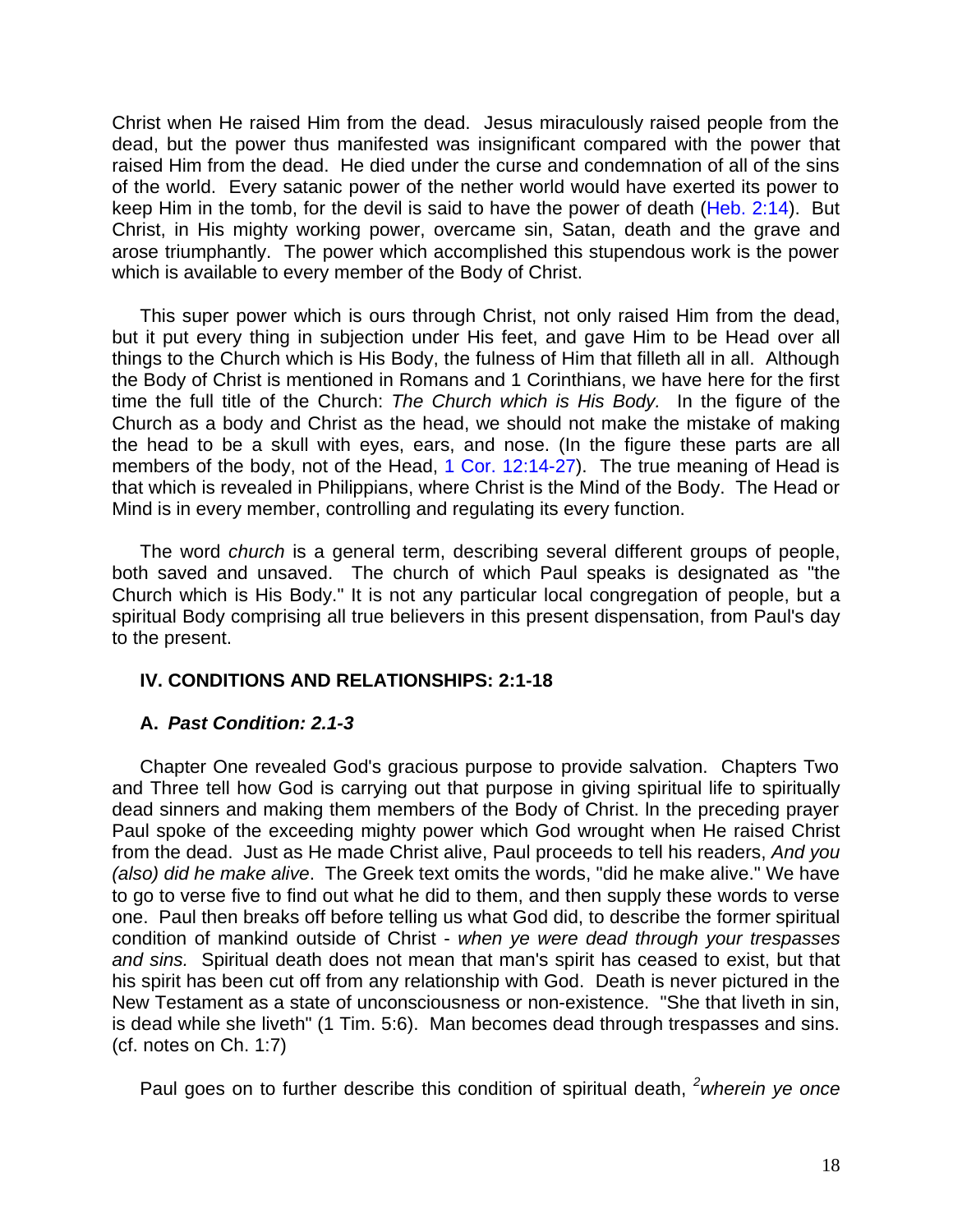Christ when He raised Him from the dead. Jesus miraculously raised people from the dead, but the power thus manifested was insignificant compared with the power that raised Him from the dead. He died under the curse and condemnation of all of the sins of the world. Every satanic power of the nether world would have exerted its power to keep Him in the tomb, for the devil is said to have the power of death (Heb. 2:14). But Christ, in His mighty working power, overcame sin, Satan, death and the grave and arose triumphantly. The power which accomplished this stupendous work is the power which is available to every member of the Body of Christ.

This super power which is ours through Christ, not only raised Him from the dead, but it put every thing in subjection under His feet, and gave Him to be Head over all things to the Church which is His Body, the fulness of Him that filleth all in all. Although the Body of Christ is mentioned in Romans and 1 Corinthians, we have here for the first time the full title of the Church: *The Church which is His Body.* In the figure of the Church as a body and Christ as the head, we should not make the mistake of making the head to be a skull with eyes, ears, and nose. (In the figure these parts are all members of the body, not of the Head, 1 Cor. 12:14-27). The true meaning of Head is that which is revealed in Philippians, where Christ is the Mind of the Body. The Head or Mind is in every member, controlling and regulating its every function.

The word *church* is a general term, describing several different groups of people, both saved and unsaved. The church of which Paul speaks is designated as "the Church which is His Body." It is not any particular local congregation of people, but a spiritual Body comprising all true believers in this present dispensation, from Paul's day to the present.

#### **IV. CONDITIONS AND RELATIONSHIPS: 2:1-18**

#### **A.** *Past Condition: 2.1-3*

Chapter One revealed God's gracious purpose to provide salvation. Chapters Two and Three tell how God is carrying out that purpose in giving spiritual life to spiritually dead sinners and making them members of the Body of Christ. ln the preceding prayer Paul spoke of the exceeding mighty power which God wrought when He raised Christ from the dead. Just as He made Christ alive, Paul proceeds to tell his readers, *And you (also) did he make alive*. The Greek text omits the words, "did he make alive." We have to go to verse five to find out what he did to them, and then supply these words to verse one. Paul then breaks off before telling us what God did, to describe the former spiritual condition of mankind outside of Christ - *when ye were dead through your trespasses and sins.* Spiritual death does not mean that man's spirit has ceased to exist, but that his spirit has been cut off from any relationship with God. Death is never pictured in the New Testament as a state of unconsciousness or non-existence. "She that liveth in sin, is dead while she liveth" (1 Tim. 5:6). Man becomes dead through trespasses and sins. (cf. notes on Ch. 1:7)

Paul goes on to further describe this condition of spiritual death, *<sup>2</sup>wherein ye once*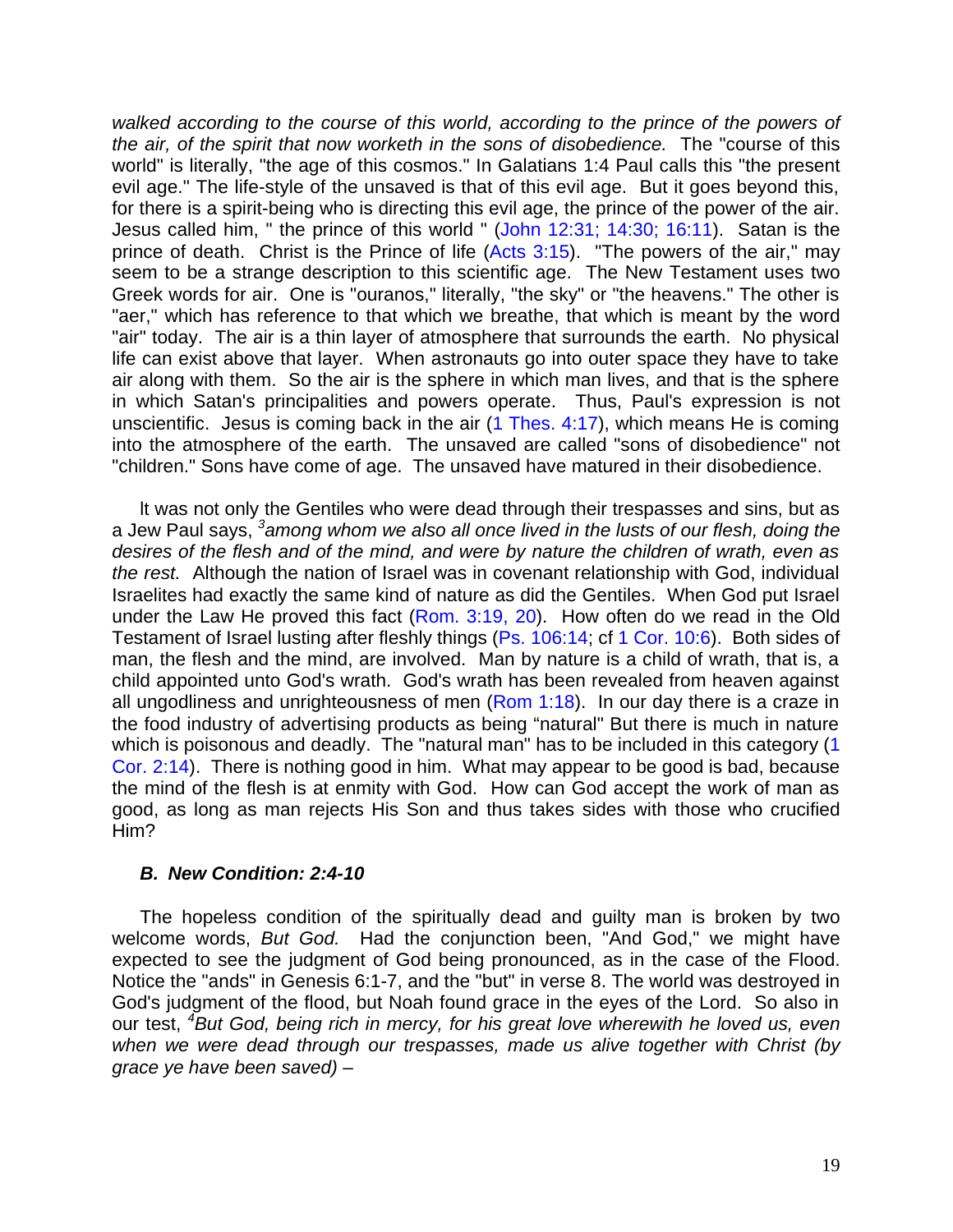*walked according to the course of this world, according to the prince of the powers of the air, of the spirit that now worketh in the sons of disobedience.* The "course of this world" is literally, "the age of this cosmos." In Galatians 1:4 Paul calls this "the present evil age." The life-style of the unsaved is that of this evil age. But it goes beyond this, for there is a spirit-being who is directing this evil age, the prince of the power of the air. Jesus called him, " the prince of this world " (John 12:31; 14:30; 16:11). Satan is the prince of death. Christ is the Prince of life (Acts 3:15). "The powers of the air," may seem to be a strange description to this scientific age. The New Testament uses two Greek words for air. One is "ouranos," literally, "the sky" or "the heavens." The other is "aer," which has reference to that which we breathe, that which is meant by the word "air" today. The air is a thin layer of atmosphere that surrounds the earth. No physical life can exist above that layer. When astronauts go into outer space they have to take air along with them. So the air is the sphere in which man lives, and that is the sphere in which Satan's principalities and powers operate. Thus, Paul's expression is not unscientific. Jesus is coming back in the air  $(1$  Thes. 4:17), which means He is coming into the atmosphere of the earth. The unsaved are called "sons of disobedience" not "children." Sons have come of age. The unsaved have matured in their disobedience.

lt was not only the Gentiles who were dead through their trespasses and sins, but as a Jew Paul says, *<sup>3</sup> among whom we also all once lived in the lusts of our flesh, doing the desires of the flesh and of the mind, and were by nature the children of wrath, even as the rest.* Although the nation of Israel was in covenant relationship with God, individual Israelites had exactly the same kind of nature as did the Gentiles. When God put Israel under the Law He proved this fact (Rom. 3:19, 20). How often do we read in the Old Testament of Israel lusting after fleshly things (Ps. 106:14; cf 1 Cor. 10:6). Both sides of man, the flesh and the mind, are involved. Man by nature is a child of wrath, that is, a child appointed unto God's wrath. God's wrath has been revealed from heaven against all ungodliness and unrighteousness of men (Rom 1:18). In our day there is a craze in the food industry of advertising products as being "natural" But there is much in nature which is poisonous and deadly. The "natural man" has to be included in this category (1 Cor. 2:14). There is nothing good in him. What may appear to be good is bad, because the mind of the flesh is at enmity with God. How can God accept the work of man as good, as long as man rejects His Son and thus takes sides with those who crucified Him?

#### *B. New Condition: 2:4-10*

The hopeless condition of the spiritually dead and guilty man is broken by two welcome words, *But God.* Had the conjunction been, "And God," we might have expected to see the judgment of God being pronounced, as in the case of the Flood. Notice the "ands" in Genesis 6:1-7, and the "but" in verse 8. The world was destroyed in God's judgment of the flood, but Noah found grace in the eyes of the Lord. So also in our test, *<sup>4</sup>But God, being rich in mercy, for his great love wherewith he loved us, even when we were dead through our trespasses, made us alive together with Christ (by grace ye have been saved)* –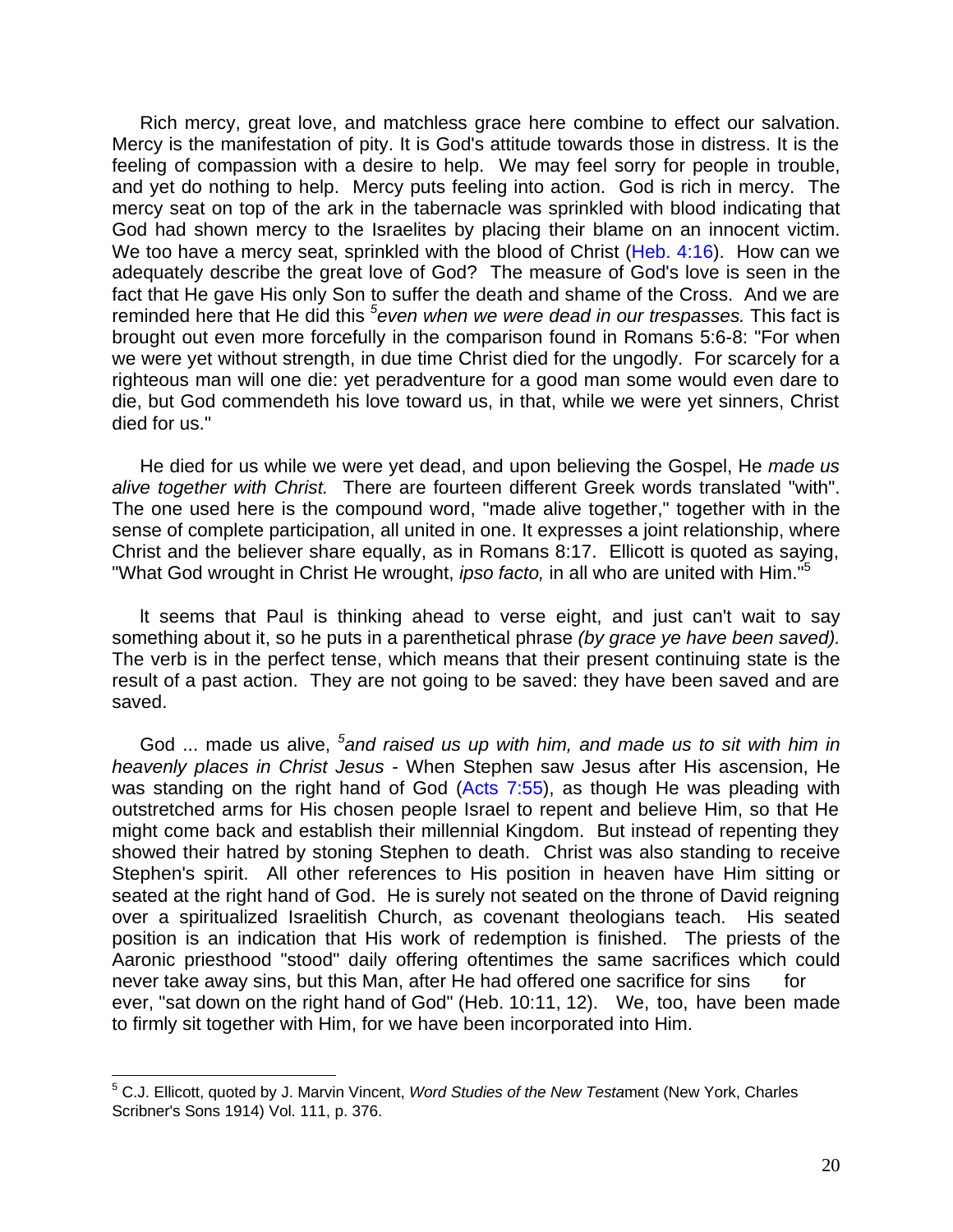Rich mercy, great love, and matchless grace here combine to effect our salvation. Mercy is the manifestation of pity. It is God's attitude towards those in distress. It is the feeling of compassion with a desire to help. We may feel sorry for people in trouble, and yet do nothing to help. Mercy puts feeling into action. God is rich in mercy. The mercy seat on top of the ark in the tabernacle was sprinkled with blood indicating that God had shown mercy to the Israelites by placing their blame on an innocent victim. We too have a mercy seat, sprinkled with the blood of Christ (Heb. 4:16). How can we adequately describe the great love of God? The measure of God's love is seen in the fact that He gave His only Son to suffer the death and shame of the Cross. And we are reminded here that He did this <sup>5</sup>even when we were dead in our trespasses. This fact is brought out even more forcefully in the comparison found in Romans 5:6-8: "For when we were yet without strength, in due time Christ died for the ungodly. For scarcely for a righteous man will one die: yet peradventure for a good man some would even dare to die, but God commendeth his love toward us, in that, while we were yet sinners, Christ died for us."

He died for us while we were yet dead, and upon believing the Gospel, He *made us alive together with Christ.* There are fourteen different Greek words translated "with". The one used here is the compound word, "made alive together," together with in the sense of complete participation, all united in one. It expresses a joint relationship, where Christ and the believer share equally, as in Romans 8:17. Ellicott is quoted as saying, "What God wrought in Christ He wrought, *ipso facto,* in all who are united with Him."<sup>5</sup>

lt seems that Paul is thinking ahead to verse eight, and just can't wait to say something about it, so he puts in a parenthetical phrase *(by grace ye have been saved).* The verb is in the perfect tense, which means that their present continuing state is the result of a past action. They are not going to be saved: they have been saved and are saved.

God ... made us alive, *<sup>5</sup> and raised us up with him, and made us to sit with him in heavenly places in Christ Jesus* - When Stephen saw Jesus after His ascension, He was standing on the right hand of God (Acts 7:55), as though He was pleading with outstretched arms for His chosen people Israel to repent and believe Him, so that He might come back and establish their millennial Kingdom. But instead of repenting they showed their hatred by stoning Stephen to death. Christ was also standing to receive Stephen's spirit. All other references to His position in heaven have Him sitting or seated at the right hand of God. He is surely not seated on the throne of David reigning over a spiritualized Israelitish Church, as covenant theologians teach. His seated position is an indication that His work of redemption is finished. The priests of the Aaronic priesthood "stood" daily offering oftentimes the same sacrifices which could never take away sins, but this Man, after He had offered one sacrifice for sins for ever, "sat down on the right hand of God" (Heb. 10:11, 12). We, too, have been made to firmly sit together with Him, for we have been incorporated into Him.

 5 C.J. Ellicott, quoted by J. Marvin Vincent, *Word Studies of the New Testa*ment (New York, Charles Scribner's Sons 1914) Vol. 111, p. 376.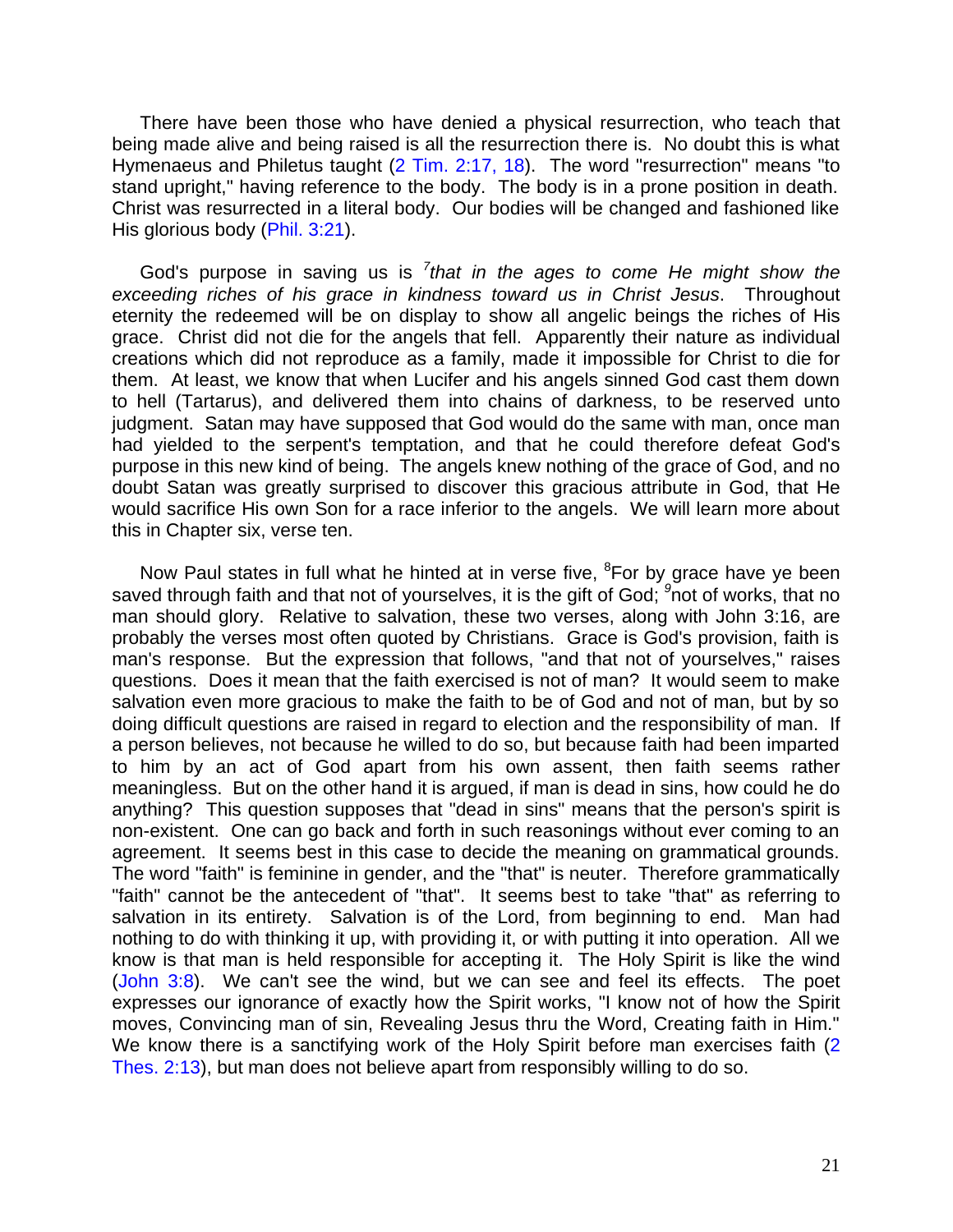There have been those who have denied a physical resurrection, who teach that being made alive and being raised is all the resurrection there is. No doubt this is what Hymenaeus and Philetus taught (2 Tim. 2:17, 18). The word "resurrection" means "to stand upright," having reference to the body. The body is in a prone position in death. Christ was resurrected in a literal body. Our bodies will be changed and fashioned like His glorious body (Phil. 3:21).

God's purpose in saving us is *<sup>7</sup> that in the ages to come He might show the exceeding riches of his grace in kindness toward us in Christ Jesus*. Throughout eternity the redeemed will be on display to show all angelic beings the riches of His grace. Christ did not die for the angels that fell. Apparently their nature as individual creations which did not reproduce as a family, made it impossible for Christ to die for them. At least, we know that when Lucifer and his angels sinned God cast them down to hell (Tartarus), and delivered them into chains of darkness, to be reserved unto judgment. Satan may have supposed that God would do the same with man, once man had yielded to the serpent's temptation, and that he could therefore defeat God's purpose in this new kind of being. The angels knew nothing of the grace of God, and no doubt Satan was greatly surprised to discover this gracious attribute in God, that He would sacrifice His own Son for a race inferior to the angels. We will learn more about this in Chapter six, verse ten.

Now Paul states in full what he hinted at in verse five, <sup>8</sup>For by grace have ye been saved through faith and that not of yourselves, it is the gift of God; <sup>9</sup>not of works, that no man should glory. Relative to salvation, these two verses, along with John 3:16, are probably the verses most often quoted by Christians. Grace is God's provision, faith is man's response. But the expression that follows, "and that not of yourselves," raises questions. Does it mean that the faith exercised is not of man? It would seem to make salvation even more gracious to make the faith to be of God and not of man, but by so doing difficult questions are raised in regard to election and the responsibility of man. If a person believes, not because he willed to do so, but because faith had been imparted to him by an act of God apart from his own assent, then faith seems rather meaningless. But on the other hand it is argued, if man is dead in sins, how could he do anything? This question supposes that "dead in sins" means that the person's spirit is non-existent. One can go back and forth in such reasonings without ever coming to an agreement. It seems best in this case to decide the meaning on grammatical grounds. The word "faith" is feminine in gender, and the "that" is neuter. Therefore grammatically "faith" cannot be the antecedent of "that". It seems best to take "that" as referring to salvation in its entirety. Salvation is of the Lord, from beginning to end. Man had nothing to do with thinking it up, with providing it, or with putting it into operation. All we know is that man is held responsible for accepting it. The Holy Spirit is like the wind (John 3:8). We can't see the wind, but we can see and feel its effects. The poet expresses our ignorance of exactly how the Spirit works, "I know not of how the Spirit moves, Convincing man of sin, Revealing Jesus thru the Word, Creating faith in Him." We know there is a sanctifying work of the Holy Spirit before man exercises faith (2 Thes. 2:13), but man does not believe apart from responsibly willing to do so.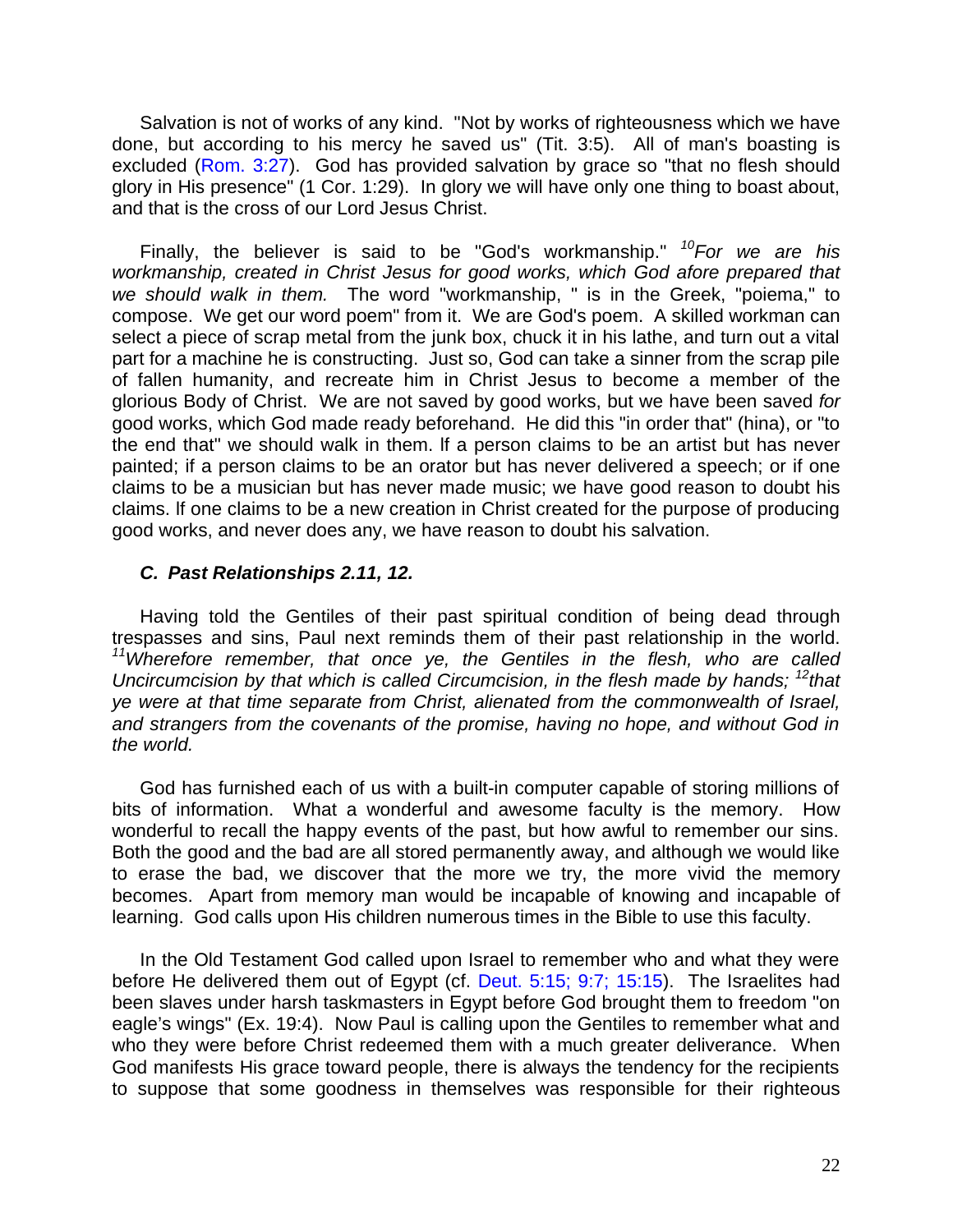Salvation is not of works of any kind. "Not by works of righteousness which we have done, but according to his mercy he saved us" (Tit. 3:5). All of man's boasting is excluded (Rom. 3:27). God has provided salvation by grace so "that no flesh should glory in His presence" (1 Cor. 1:29). In glory we will have only one thing to boast about, and that is the cross of our Lord Jesus Christ.

Finally, the believer is said to be "God's workmanship." *<sup>10</sup>For we are his workmanship, created in Christ Jesus for good works, which God afore prepared that we should walk in them.* The word "workmanship, " is in the Greek, "poiema," to compose. We get our word poem" from it. We are God's poem. A skilled workman can select a piece of scrap metal from the junk box, chuck it in his lathe, and turn out a vital part for a machine he is constructing. Just so, God can take a sinner from the scrap pile of fallen humanity, and recreate him in Christ Jesus to become a member of the glorious Body of Christ. We are not saved by good works, but we have been saved *for* good works, which God made ready beforehand. He did this "in order that" (hina), or "to the end that" we should walk in them. lf a person claims to be an artist but has never painted; if a person claims to be an orator but has never delivered a speech; or if one claims to be a musician but has never made music; we have good reason to doubt his claims. lf one claims to be a new creation in Christ created for the purpose of producing good works, and never does any, we have reason to doubt his salvation.

#### *C. Past Relationships 2.11, 12.*

Having told the Gentiles of their past spiritual condition of being dead through trespasses and sins, Paul next reminds them of their past relationship in the world. *<sup>11</sup>Wherefore remember, that once ye, the Gentiles in the flesh, who are called Uncircumcision by that which is called Circumcision, in the flesh made by hands;* <sup>12</sup>*that ye were at that time separate from Christ, alienated from the commonwealth of Israel, and strangers from the covenants of the promise, having no hope, and without God in the world.*

God has furnished each of us with a built-in computer capable of storing millions of bits of information. What a wonderful and awesome faculty is the memory. How wonderful to recall the happy events of the past, but how awful to remember our sins. Both the good and the bad are all stored permanently away, and although we would like to erase the bad, we discover that the more we try, the more vivid the memory becomes. Apart from memory man would be incapable of knowing and incapable of learning. God calls upon His children numerous times in the Bible to use this faculty.

In the Old Testament God called upon Israel to remember who and what they were before He delivered them out of Egypt (cf. Deut. 5:15; 9:7; 15:15). The Israelites had been slaves under harsh taskmasters in Egypt before God brought them to freedom "on eagle's wings" (Ex. 19:4). Now Paul is calling upon the Gentiles to remember what and who they were before Christ redeemed them with a much greater deliverance. When God manifests His grace toward people, there is always the tendency for the recipients to suppose that some goodness in themselves was responsible for their righteous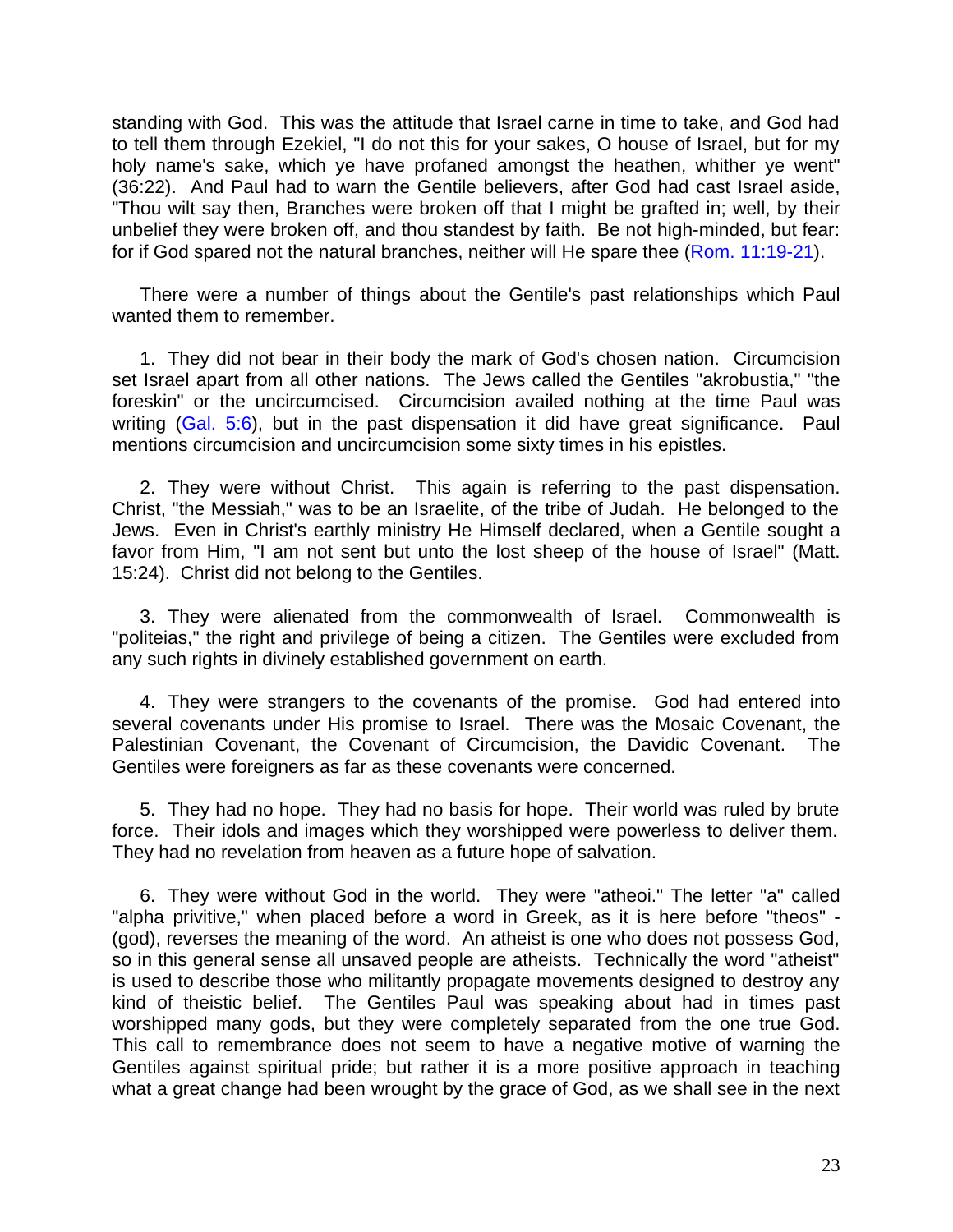standing with God. This was the attitude that Israel carne in time to take, and God had to tell them through Ezekiel, "I do not this for your sakes, O house of Israel, but for my holy name's sake, which ye have profaned amongst the heathen, whither ye went" (36:22). And Paul had to warn the Gentile believers, after God had cast Israel aside, "Thou wilt say then, Branches were broken off that I might be grafted in; well, by their unbelief they were broken off, and thou standest by faith. Be not high-minded, but fear: for if God spared not the natural branches, neither will He spare thee (Rom. 11:19-21).

There were a number of things about the Gentile's past relationships which Paul wanted them to remember.

1. They did not bear in their body the mark of God's chosen nation. Circumcision set Israel apart from all other nations. The Jews called the Gentiles "akrobustia," "the foreskin" or the uncircumcised. Circumcision availed nothing at the time Paul was writing (Gal. 5:6), but in the past dispensation it did have great significance. Paul mentions circumcision and uncircumcision some sixty times in his epistles.

2. They were without Christ. This again is referring to the past dispensation. Christ, "the Messiah," was to be an Israelite, of the tribe of Judah. He belonged to the Jews. Even in Christ's earthly ministry He Himself declared, when a Gentile sought a favor from Him, "I am not sent but unto the lost sheep of the house of Israel" (Matt. 15:24). Christ did not belong to the Gentiles.

3. They were alienated from the commonwealth of Israel. Commonwealth is "politeias," the right and privilege of being a citizen. The Gentiles were excluded from any such rights in divinely established government on earth.

4. They were strangers to the covenants of the promise. God had entered into several covenants under His promise to Israel. There was the Mosaic Covenant, the Palestinian Covenant, the Covenant of Circumcision, the Davidic Covenant. The Gentiles were foreigners as far as these covenants were concerned.

5. They had no hope. They had no basis for hope. Their world was ruled by brute force. Their idols and images which they worshipped were powerless to deliver them. They had no revelation from heaven as a future hope of salvation.

6. They were without God in the world. They were "atheoi." The letter "a" called "alpha privitive," when placed before a word in Greek, as it is here before "theos" - (god), reverses the meaning of the word. An atheist is one who does not possess God, so in this general sense all unsaved people are atheists. Technically the word "atheist" is used to describe those who militantly propagate movements designed to destroy any kind of theistic belief. The Gentiles Paul was speaking about had in times past worshipped many gods, but they were completely separated from the one true God. This call to remembrance does not seem to have a negative motive of warning the Gentiles against spiritual pride; but rather it is a more positive approach in teaching what a great change had been wrought by the grace of God, as we shall see in the next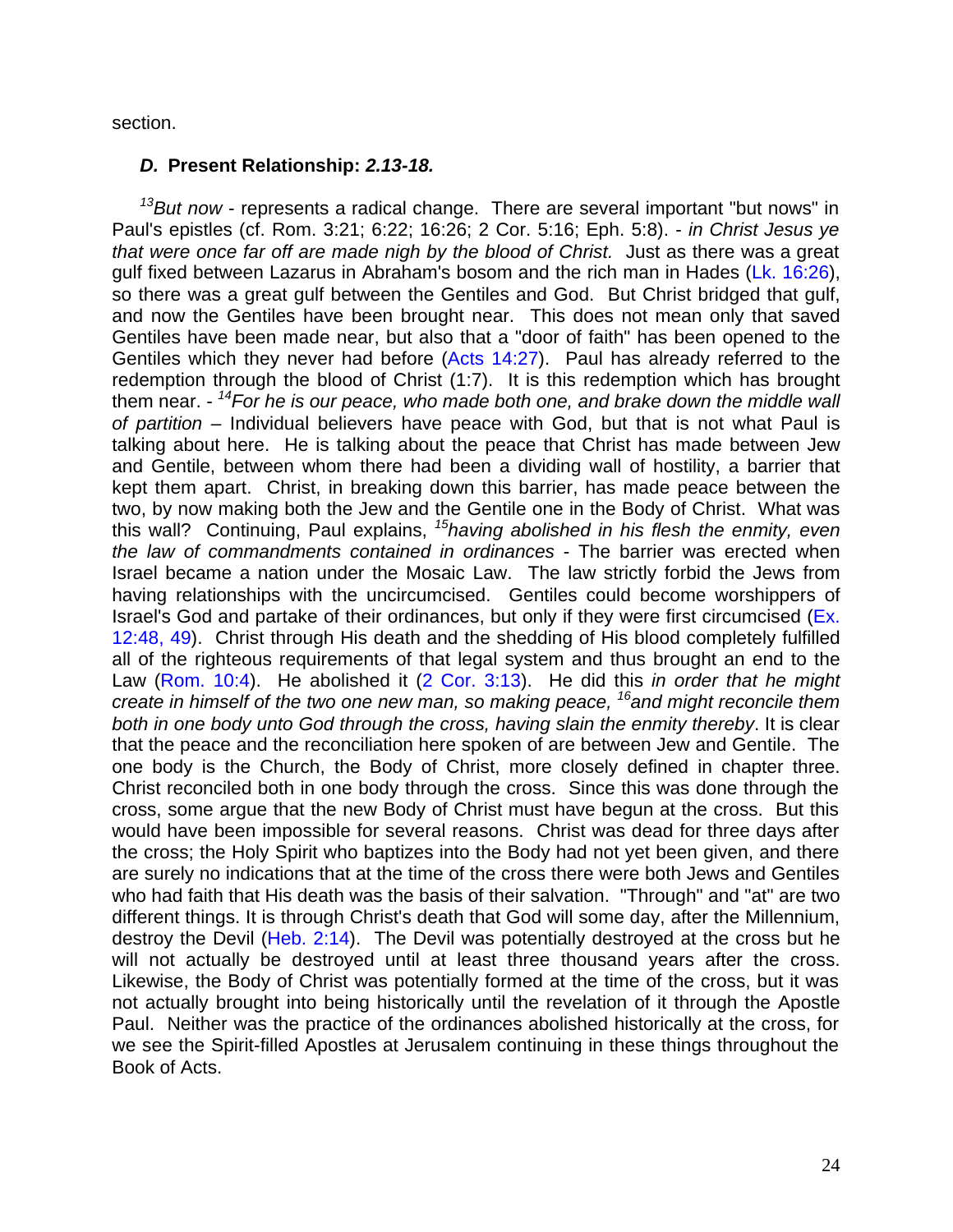section.

#### *D.* **Present Relationship:** *2.13-18.*

*<sup>13</sup>But now* - represents a radical change. There are several important "but nows" in Paul's epistles (cf. Rom. 3:21; 6:22; 16:26; 2 Cor. 5:16; Eph. 5:8). - *in Christ Jesus ye that were once far off are made nigh by the blood of Christ.* Just as there was a great gulf fixed between Lazarus in Abraham's bosom and the rich man in Hades (Lk. 16:26), so there was a great gulf between the Gentiles and God. But Christ bridged that gulf, and now the Gentiles have been brought near. This does not mean only that saved Gentiles have been made near, but also that a "door of faith" has been opened to the Gentiles which they never had before (Acts 14:27). Paul has already referred to the redemption through the blood of Christ (1:7). It is this redemption which has brought them near. - *<sup>14</sup>For he is our peace, who made both one, and brake down the middle wall of partition* – Individual believers have peace with God, but that is not what Paul is talking about here. He is talking about the peace that Christ has made between Jew and Gentile, between whom there had been a dividing wall of hostility, a barrier that kept them apart. Christ, in breaking down this barrier, has made peace between the two, by now making both the Jew and the Gentile one in the Body of Christ. What was this wall? Continuing, Paul explains, *<sup>15</sup>having abolished in his flesh the enmity, even the law of commandments contained in ordinances* - The barrier was erected when Israel became a nation under the Mosaic Law. The law strictly forbid the Jews from having relationships with the uncircumcised. Gentiles could become worshippers of Israel's God and partake of their ordinances, but only if they were first circumcised (Ex. 12:48, 49). Christ through His death and the shedding of His blood completely fulfilled all of the righteous requirements of that legal system and thus brought an end to the Law (Rom. 10:4). He abolished it (2 Cor. 3:13). He did this *in order that he might create in himself of the two one new man, so making peace, <sup>16</sup>and might reconcile them both in one body unto God through the cross, having slain the enmity thereby*. It is clear that the peace and the reconciliation here spoken of are between Jew and Gentile. The one body is the Church, the Body of Christ, more closely defined in chapter three. Christ reconciled both in one body through the cross. Since this was done through the cross, some argue that the new Body of Christ must have begun at the cross. But this would have been impossible for several reasons. Christ was dead for three days after the cross; the Holy Spirit who baptizes into the Body had not yet been given, and there are surely no indications that at the time of the cross there were both Jews and Gentiles who had faith that His death was the basis of their salvation. "Through" and "at" are two different things. It is through Christ's death that God will some day, after the Millennium, destroy the Devil (Heb. 2:14). The Devil was potentially destroyed at the cross but he will not actually be destroyed until at least three thousand years after the cross. Likewise, the Body of Christ was potentially formed at the time of the cross, but it was not actually brought into being historically until the revelation of it through the Apostle Paul. Neither was the practice of the ordinances abolished historically at the cross, for we see the Spirit-filled Apostles at Jerusalem continuing in these things throughout the Book of Acts.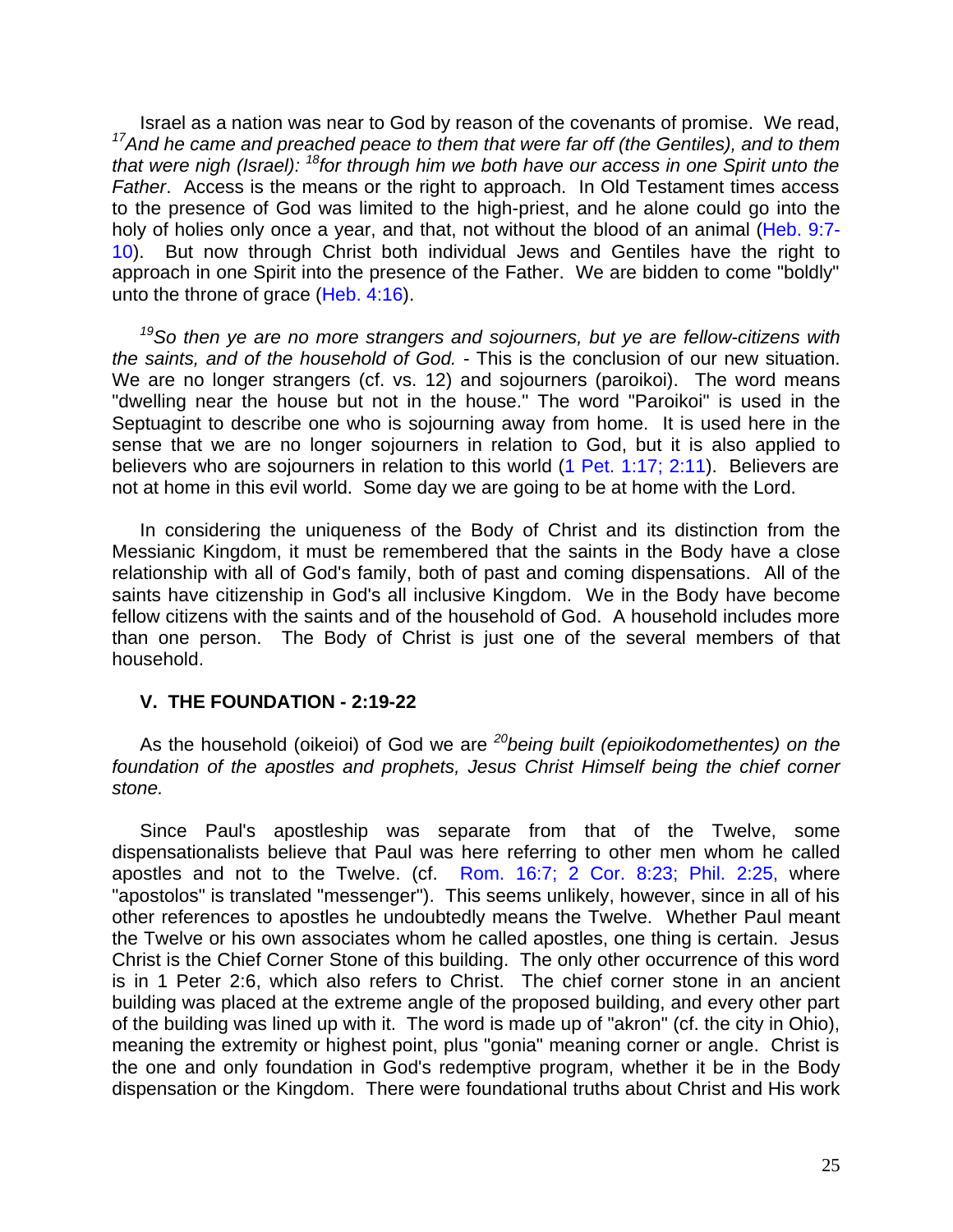Israel as a nation was near to God by reason of the covenants of promise. We read, *<sup>17</sup>And he came and preached peace to them that were far off (the Gentiles), and to them that were nigh (Israel): <sup>18</sup>for through him we both have our access in one Spirit unto the Father*. Access is the means or the right to approach. In Old Testament times access to the presence of God was limited to the high-priest, and he alone could go into the holy of holies only once a year, and that, not without the blood of an animal (Heb. 9:7- 10). But now through Christ both individual Jews and Gentiles have the right to approach in one Spirit into the presence of the Father. We are bidden to come "boldly" unto the throne of grace (Heb. 4:16).

*<sup>19</sup>So then ye are no more strangers and sojourners, but ye are fellow-citizens with the saints, and of the household of God.* - This is the conclusion of our new situation. We are no longer strangers (cf. vs. 12) and sojourners (paroikoi). The word means "dwelling near the house but not in the house." The word "Paroikoi" is used in the Septuagint to describe one who is sojourning away from home. It is used here in the sense that we are no longer sojourners in relation to God, but it is also applied to believers who are sojourners in relation to this world (1 Pet. 1:17; 2:11). Believers are not at home in this evil world. Some day we are going to be at home with the Lord.

In considering the uniqueness of the Body of Christ and its distinction from the Messianic Kingdom, it must be remembered that the saints in the Body have a close relationship with all of God's family, both of past and coming dispensations. All of the saints have citizenship in God's all inclusive Kingdom. We in the Body have become fellow citizens with the saints and of the household of God. A household includes more than one person. The Body of Christ is just one of the several members of that household.

#### **V. THE FOUNDATION - 2:19-22**

As the household (oikeioi) of God we are *<sup>20</sup>being built (epioikodomethentes) on the foundation of the apostles and prophets, Jesus Christ Himself being the chief corner stone.*

Since Paul's apostleship was separate from that of the Twelve, some dispensationalists believe that Paul was here referring to other men whom he called apostles and not to the Twelve. (cf. Rom. 16:7; 2 Cor. 8:23; Phil. 2:25, where "apostolos" is translated "messenger"). This seems unlikely, however, since in all of his other references to apostles he undoubtedly means the Twelve. Whether Paul meant the Twelve or his own associates whom he called apostles, one thing is certain. Jesus Christ is the Chief Corner Stone of this building. The only other occurrence of this word is in 1 Peter 2:6, which also refers to Christ. The chief corner stone in an ancient building was placed at the extreme angle of the proposed building, and every other part of the building was lined up with it. The word is made up of "akron" (cf. the city in Ohio), meaning the extremity or highest point, plus "gonia" meaning corner or angle. Christ is the one and only foundation in God's redemptive program, whether it be in the Body dispensation or the Kingdom. There were foundational truths about Christ and His work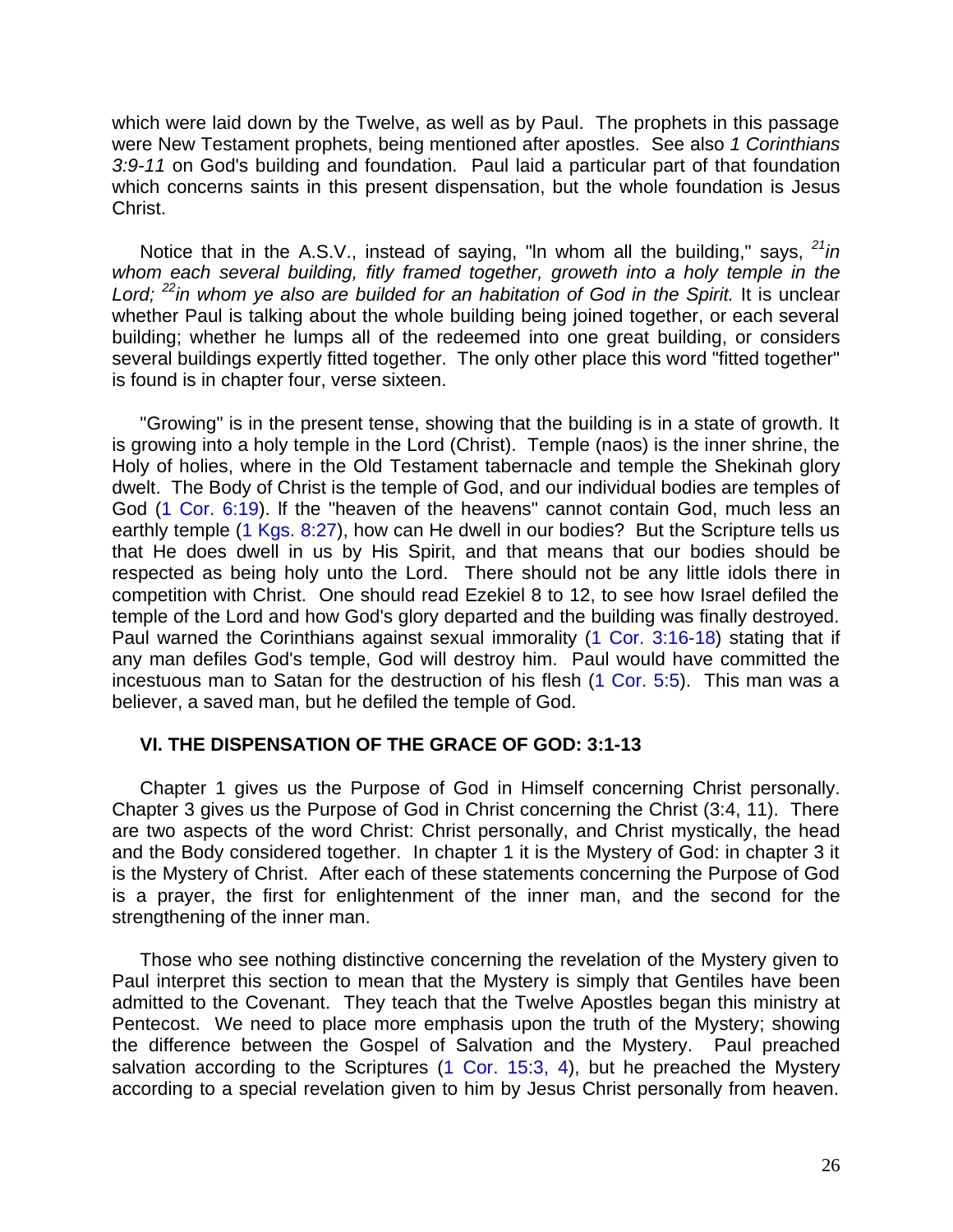which were laid down by the Twelve, as well as by Paul. The prophets in this passage were New Testament prophets, being mentioned after apostles. See also *1 Corinthians 3:9-11* on God's building and foundation. Paul laid a particular part of that foundation which concerns saints in this present dispensation, but the whole foundation is Jesus Christ.

Notice that in the A.S.V., instead of saying, "ln whom all the building," says, *<sup>21</sup>in*  whom each several building, fitly framed together, groweth into a holy temple in the *Lord; <sup>22</sup>in whom ye also are builded for an habitation of God in the Spirit.* It is unclear whether Paul is talking about the whole building being joined together, or each several building; whether he lumps all of the redeemed into one great building, or considers several buildings expertly fitted together. The only other place this word "fitted together" is found is in chapter four, verse sixteen.

"Growing" is in the present tense, showing that the building is in a state of growth. It is growing into a holy temple in the Lord (Christ). Temple (naos) is the inner shrine, the Holy of holies, where in the Old Testament tabernacle and temple the Shekinah glory dwelt. The Body of Christ is the temple of God, and our individual bodies are temples of God (1 Cor. 6:19). lf the "heaven of the heavens" cannot contain God, much less an earthly temple (1 Kgs. 8:27), how can He dwell in our bodies? But the Scripture tells us that He does dwell in us by His Spirit, and that means that our bodies should be respected as being holy unto the Lord. There should not be any little idols there in competition with Christ. One should read Ezekiel 8 to 12, to see how Israel defiled the temple of the Lord and how God's glory departed and the building was finally destroyed. Paul warned the Corinthians against sexual immorality (1 Cor. 3:16-18) stating that if any man defiles God's temple, God will destroy him. Paul would have committed the incestuous man to Satan for the destruction of his flesh (1 Cor. 5:5). This man was a believer, a saved man, but he defiled the temple of God.

#### **VI. THE DISPENSATION OF THE GRACE OF GOD: 3:1-13**

Chapter 1 gives us the Purpose of God in Himself concerning Christ personally. Chapter 3 gives us the Purpose of God in Christ concerning the Christ (3:4, 11). There are two aspects of the word Christ: Christ personally, and Christ mystically, the head and the Body considered together. In chapter 1 it is the Mystery of God: in chapter 3 it is the Mystery of Christ. After each of these statements concerning the Purpose of God is a prayer, the first for enlightenment of the inner man, and the second for the strengthening of the inner man.

Those who see nothing distinctive concerning the revelation of the Mystery given to Paul interpret this section to mean that the Mystery is simply that Gentiles have been admitted to the Covenant. They teach that the Twelve Apostles began this ministry at Pentecost. We need to place more emphasis upon the truth of the Mystery; showing the difference between the Gospel of Salvation and the Mystery. Paul preached salvation according to the Scriptures (1 Cor. 15:3, 4), but he preached the Mystery according to a special revelation given to him by Jesus Christ personally from heaven.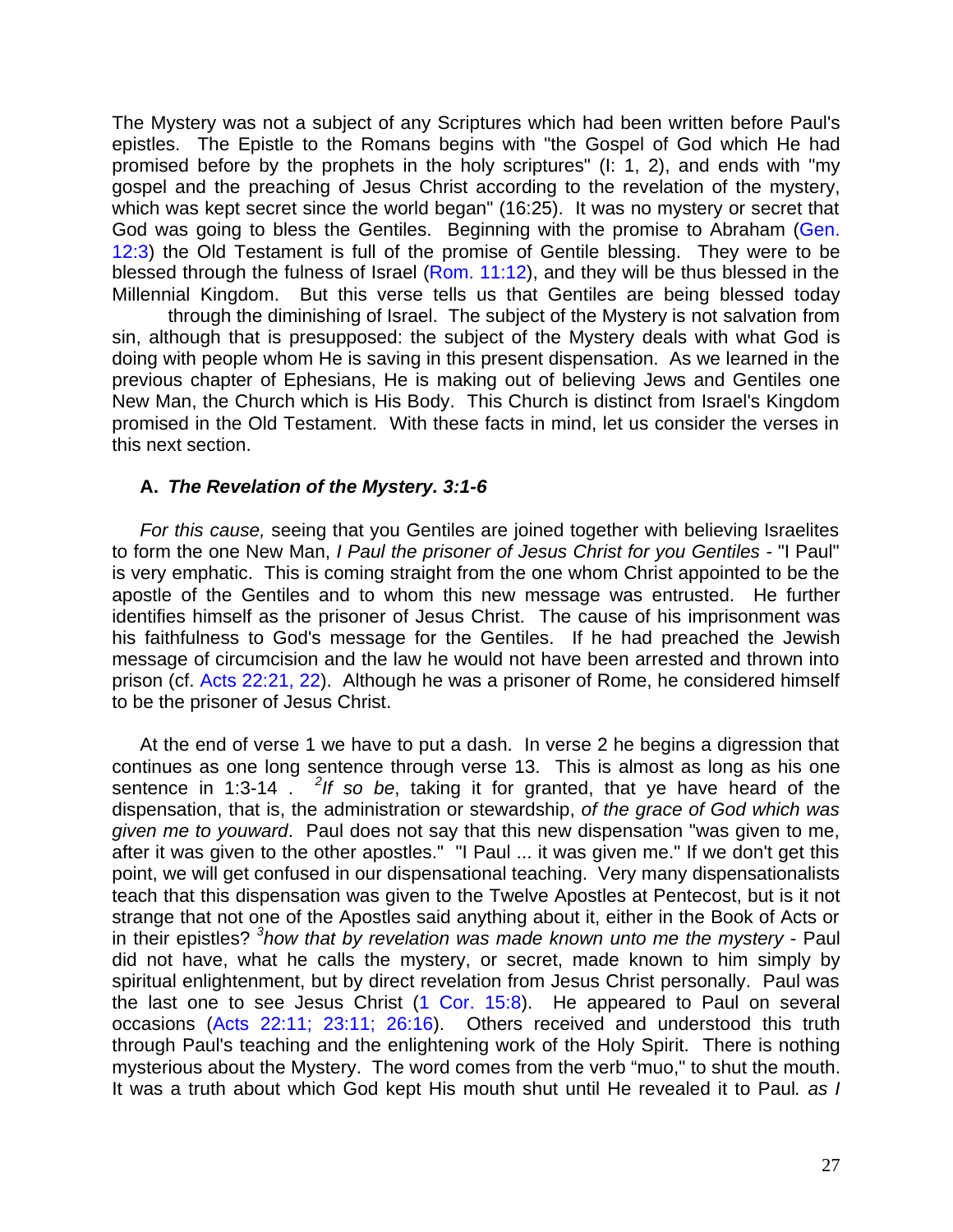The Mystery was not a subject of any Scriptures which had been written before Paul's epistles. The Epistle to the Romans begins with "the Gospel of God which He had promised before by the prophets in the holy scriptures" (I: 1, 2), and ends with "my gospel and the preaching of Jesus Christ according to the revelation of the mystery, which was kept secret since the world began" (16:25). It was no mystery or secret that God was going to bless the Gentiles. Beginning with the promise to Abraham (Gen. 12:3) the Old Testament is full of the promise of Gentile blessing. They were to be blessed through the fulness of Israel (Rom. 11:12), and they will be thus blessed in the Millennial Kingdom. But this verse tells us that Gentiles are being blessed today

through the diminishing of Israel. The subject of the Mystery is not salvation from sin, although that is presupposed: the subject of the Mystery deals with what God is doing with people whom He is saving in this present dispensation. As we learned in the previous chapter of Ephesians, He is making out of believing Jews and Gentiles one New Man, the Church which is His Body. This Church is distinct from Israel's Kingdom promised in the Old Testament. With these facts in mind, let us consider the verses in this next section.

#### **A.** *The Revelation of the Mystery. 3:1-6*

*For this cause,* seeing that you Gentiles are joined together with believing Israelites to form the one New Man, *I Paul the prisoner of Jesus Christ for you Gentiles -* "I Paul" is very emphatic. This is coming straight from the one whom Christ appointed to be the apostle of the Gentiles and to whom this new message was entrusted. He further identifies himself as the prisoner of Jesus Christ. The cause of his imprisonment was his faithfulness to God's message for the Gentiles. If he had preached the Jewish message of circumcision and the law he would not have been arrested and thrown into prison (cf. Acts 22:21, 22). Although he was a prisoner of Rome, he considered himself to be the prisoner of Jesus Christ.

At the end of verse 1 we have to put a dash. In verse 2 he begins a digression that continues as one long sentence through verse 13. This is almost as long as his one sentence in 1:3-14 . <sup>2</sup>If so be, taking it for granted, that ye have heard of the dispensation, that is, the administration or stewardship, *of the grace of God which was given me to youward*. Paul does not say that this new dispensation "was given to me, after it was given to the other apostles." "I Paul ... it was given me." If we don't get this point, we will get confused in our dispensational teaching. Very many dispensationalists teach that this dispensation was given to the Twelve Apostles at Pentecost, but is it not strange that not one of the Apostles said anything about it, either in the Book of Acts or in their epistles? *<sup>3</sup> how that by revelation was made known unto me the mystery* - Paul did not have, what he calls the mystery, or secret, made known to him simply by spiritual enlightenment, but by direct revelation from Jesus Christ personally. Paul was the last one to see Jesus Christ (1 Cor. 15:8). He appeared to Paul on several occasions (Acts 22:11; 23:11; 26:16). Others received and understood this truth through Paul's teaching and the enlightening work of the Holy Spirit. There is nothing mysterious about the Mystery. The word comes from the verb "muo," to shut the mouth. It was a truth about which God kept His mouth shut until He revealed it to Paul*. as I*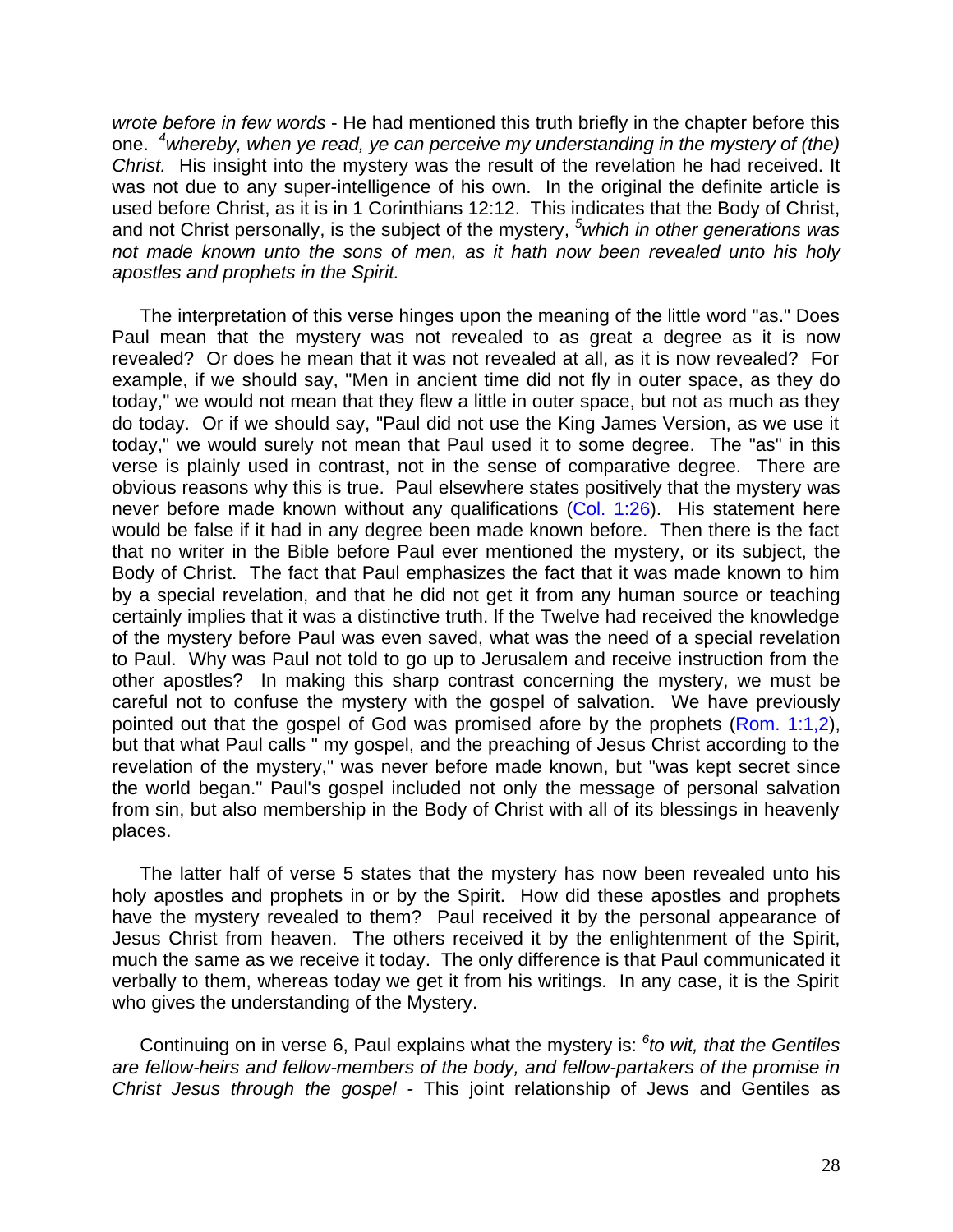*wrote before in few words* - He had mentioned this truth briefly in the chapter before this one. *<sup>4</sup>whereby, when ye read, ye can perceive my understanding in the mystery of (the) Christ.* His insight into the mystery was the result of the revelation he had received. It was not due to any super-intelligence of his own. In the original the definite article is used before Christ, as it is in 1 Corinthians 12:12. This indicates that the Body of Christ, and not Christ personally, is the subject of the mystery, *<sup>5</sup>which in other generations was not made known unto the sons of men, as it hath now been revealed unto his holy apostles and prophets in the Spirit.*

The interpretation of this verse hinges upon the meaning of the little word "as." Does Paul mean that the mystery was not revealed to as great a degree as it is now revealed? Or does he mean that it was not revealed at all, as it is now revealed? For example, if we should say, "Men in ancient time did not fly in outer space, as they do today," we would not mean that they flew a little in outer space, but not as much as they do today. Or if we should say, "Paul did not use the King James Version, as we use it today," we would surely not mean that Paul used it to some degree. The "as" in this verse is plainly used in contrast, not in the sense of comparative degree. There are obvious reasons why this is true. Paul elsewhere states positively that the mystery was never before made known without any qualifications (Col. 1:26). His statement here would be false if it had in any degree been made known before. Then there is the fact that no writer in the Bible before Paul ever mentioned the mystery, or its subject, the Body of Christ. The fact that Paul emphasizes the fact that it was made known to him by a special revelation, and that he did not get it from any human source or teaching certainly implies that it was a distinctive truth. lf the Twelve had received the knowledge of the mystery before Paul was even saved, what was the need of a special revelation to Paul. Why was Paul not told to go up to Jerusalem and receive instruction from the other apostles? In making this sharp contrast concerning the mystery, we must be careful not to confuse the mystery with the gospel of salvation. We have previously pointed out that the gospel of God was promised afore by the prophets (Rom. 1:1,2), but that what Paul calls " my gospel, and the preaching of Jesus Christ according to the revelation of the mystery," was never before made known, but "was kept secret since the world began." Paul's gospel included not only the message of personal salvation from sin, but also membership in the Body of Christ with all of its blessings in heavenly places.

The latter half of verse 5 states that the mystery has now been revealed unto his holy apostles and prophets in or by the Spirit. How did these apostles and prophets have the mystery revealed to them? Paul received it by the personal appearance of Jesus Christ from heaven. The others received it by the enlightenment of the Spirit, much the same as we receive it today. The only difference is that Paul communicated it verbally to them, whereas today we get it from his writings. In any case, it is the Spirit who gives the understanding of the Mystery.

Continuing on in verse 6, Paul explains what the mystery is: *<sup>6</sup> to wit, that the Gentiles are fellow-heirs and fellow-members of the body, and fellow-partakers of the promise in Christ Jesus through the gospel -* This joint relationship of Jews and Gentiles as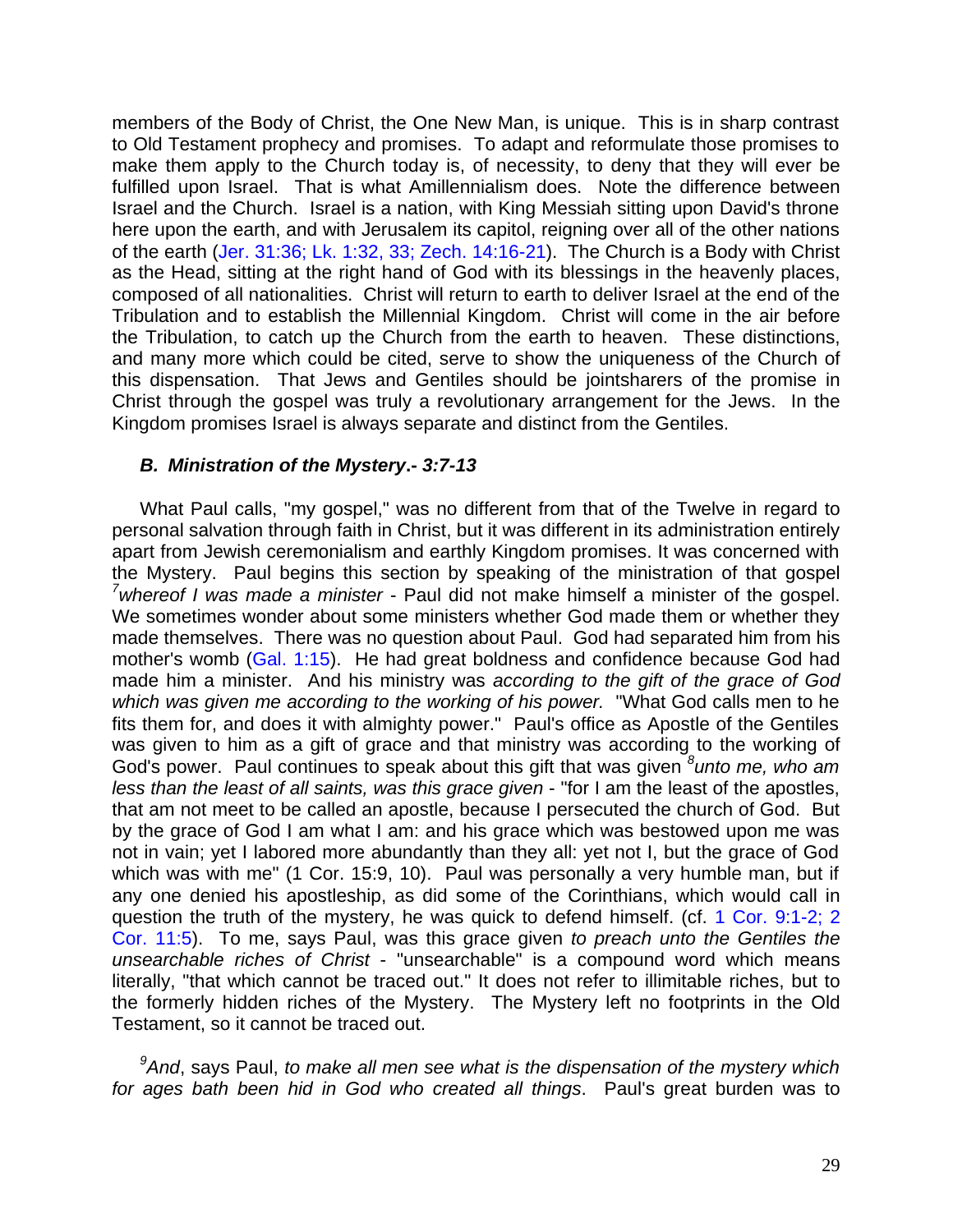members of the Body of Christ, the One New Man, is unique. This is in sharp contrast to Old Testament prophecy and promises. To adapt and reformulate those promises to make them apply to the Church today is, of necessity, to deny that they will ever be fulfilled upon Israel. That is what Amillennialism does. Note the difference between Israel and the Church. Israel is a nation, with King Messiah sitting upon David's throne here upon the earth, and with Jerusalem its capitol, reigning over all of the other nations of the earth (Jer. 31:36; Lk. 1:32, 33; Zech. 14:16-21). The Church is a Body with Christ as the Head, sitting at the right hand of God with its blessings in the heavenly places, composed of all nationalities. Christ will return to earth to deliver Israel at the end of the Tribulation and to establish the Millennial Kingdom. Christ will come in the air before the Tribulation, to catch up the Church from the earth to heaven. These distinctions, and many more which could be cited, serve to show the uniqueness of the Church of this dispensation. That Jews and Gentiles should be jointsharers of the promise in Christ through the gospel was truly a revolutionary arrangement for the Jews. In the Kingdom promises Israel is always separate and distinct from the Gentiles.

#### *B. Ministration of the Mystery***.-** *3:7-13*

What Paul calls, "my gospel," was no different from that of the Twelve in regard to personal salvation through faith in Christ, but it was different in its administration entirely apart from Jewish ceremonialism and earthly Kingdom promises. It was concerned with the Mystery. Paul begins this section by speaking of the ministration of that gospel *<sup>7</sup>whereof I was made a minister* - Paul did not make himself a minister of the gospel. We sometimes wonder about some ministers whether God made them or whether they made themselves. There was no question about Paul. God had separated him from his mother's womb (Gal. 1:15). He had great boldness and confidence because God had made him a minister. And his ministry was *according to the gift of the grace of God which was given me according to the working of his power.* "What God calls men to he fits them for, and does it with almighty power." Paul's office as Apostle of the Gentiles was given to him as a gift of grace and that ministry was according to the working of God's power. Paul continues to speak about this gift that was given *<sup>8</sup> unto me, who am less than the least of all saints, was this grace given* - "for I am the least of the apostles, that am not meet to be called an apostle, because I persecuted the church of God. But by the grace of God I am what I am: and his grace which was bestowed upon me was not in vain; yet I labored more abundantly than they all: yet not I, but the grace of God which was with me" (1 Cor. 15:9, 10). Paul was personally a very humble man, but if any one denied his apostleship, as did some of the Corinthians, which would call in question the truth of the mystery, he was quick to defend himself. (cf. 1 Cor. 9:1-2; 2 Cor. 11:5). To me, says Paul, was this grace given *to preach unto the Gentiles the unsearchable riches of Christ* - "unsearchable" is a compound word which means literally, "that which cannot be traced out." It does not refer to illimitable riches, but to the formerly hidden riches of the Mystery. The Mystery left no footprints in the Old Testament, so it cannot be traced out.

*<sup>9</sup>And*, says Paul, *to make all men see what is the dispensation of the mystery which for ages bath been hid in God who created all things*. Paul's great burden was to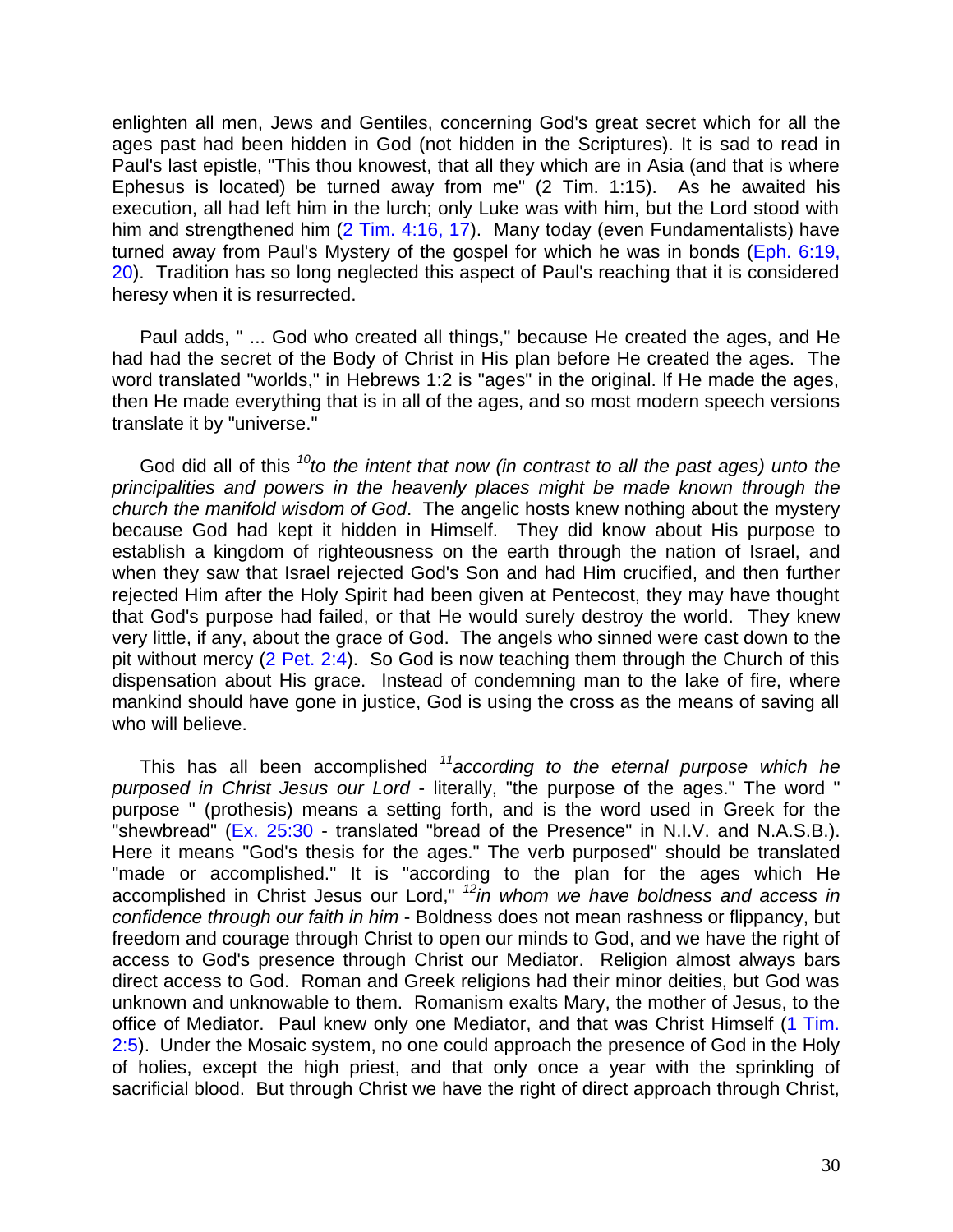enlighten all men, Jews and Gentiles, concerning God's great secret which for all the ages past had been hidden in God (not hidden in the Scriptures). It is sad to read in Paul's last epistle, "This thou knowest, that all they which are in Asia (and that is where Ephesus is located) be turned away from me" (2 Tim. 1:15). As he awaited his execution, all had left him in the lurch; only Luke was with him, but the Lord stood with him and strengthened him (2 Tim. 4:16, 17). Many today (even Fundamentalists) have turned away from Paul's Mystery of the gospel for which he was in bonds (Eph. 6:19, 20). Tradition has so long neglected this aspect of Paul's reaching that it is considered heresy when it is resurrected.

Paul adds, " ... God who created all things," because He created the ages, and He had had the secret of the Body of Christ in His plan before He created the ages. The word translated "worlds," in Hebrews 1:2 is "ages" in the original. lf He made the ages, then He made everything that is in all of the ages, and so most modern speech versions translate it by "universe."

God did all of this *<sup>10</sup>to the intent that now (in contrast to all the past ages) unto the principalities and powers in the heavenly places might be made known through the church the manifold wisdom of God*. The angelic hosts knew nothing about the mystery because God had kept it hidden in Himself. They did know about His purpose to establish a kingdom of righteousness on the earth through the nation of Israel, and when they saw that Israel rejected God's Son and had Him crucified, and then further rejected Him after the Holy Spirit had been given at Pentecost, they may have thought that God's purpose had failed, or that He would surely destroy the world. They knew very little, if any, about the grace of God. The angels who sinned were cast down to the pit without mercy (2 Pet. 2:4). So God is now teaching them through the Church of this dispensation about His grace. Instead of condemning man to the lake of fire, where mankind should have gone in justice, God is using the cross as the means of saving all who will believe.

This has all been accomplished *<sup>11</sup>according to the eternal purpose which he purposed in Christ Jesus our Lord* - literally, "the purpose of the ages." The word " purpose " (prothesis) means a setting forth, and is the word used in Greek for the "shewbread" (Ex. 25:30 - translated "bread of the Presence" in N.I.V. and N.A.S.B.). Here it means "God's thesis for the ages." The verb purposed" should be translated "made or accomplished." It is "according to the plan for the ages which He accomplished in Christ Jesus our Lord," *<sup>12</sup>in whom we have boldness and access in confidence through our faith in him* - Boldness does not mean rashness or flippancy, but freedom and courage through Christ to open our minds to God, and we have the right of access to God's presence through Christ our Mediator. Religion almost always bars direct access to God. Roman and Greek religions had their minor deities, but God was unknown and unknowable to them. Romanism exalts Mary, the mother of Jesus, to the office of Mediator. Paul knew only one Mediator, and that was Christ Himself (1 Tim. 2:5). Under the Mosaic system, no one could approach the presence of God in the Holy of holies, except the high priest, and that only once a year with the sprinkling of sacrificial blood. But through Christ we have the right of direct approach through Christ,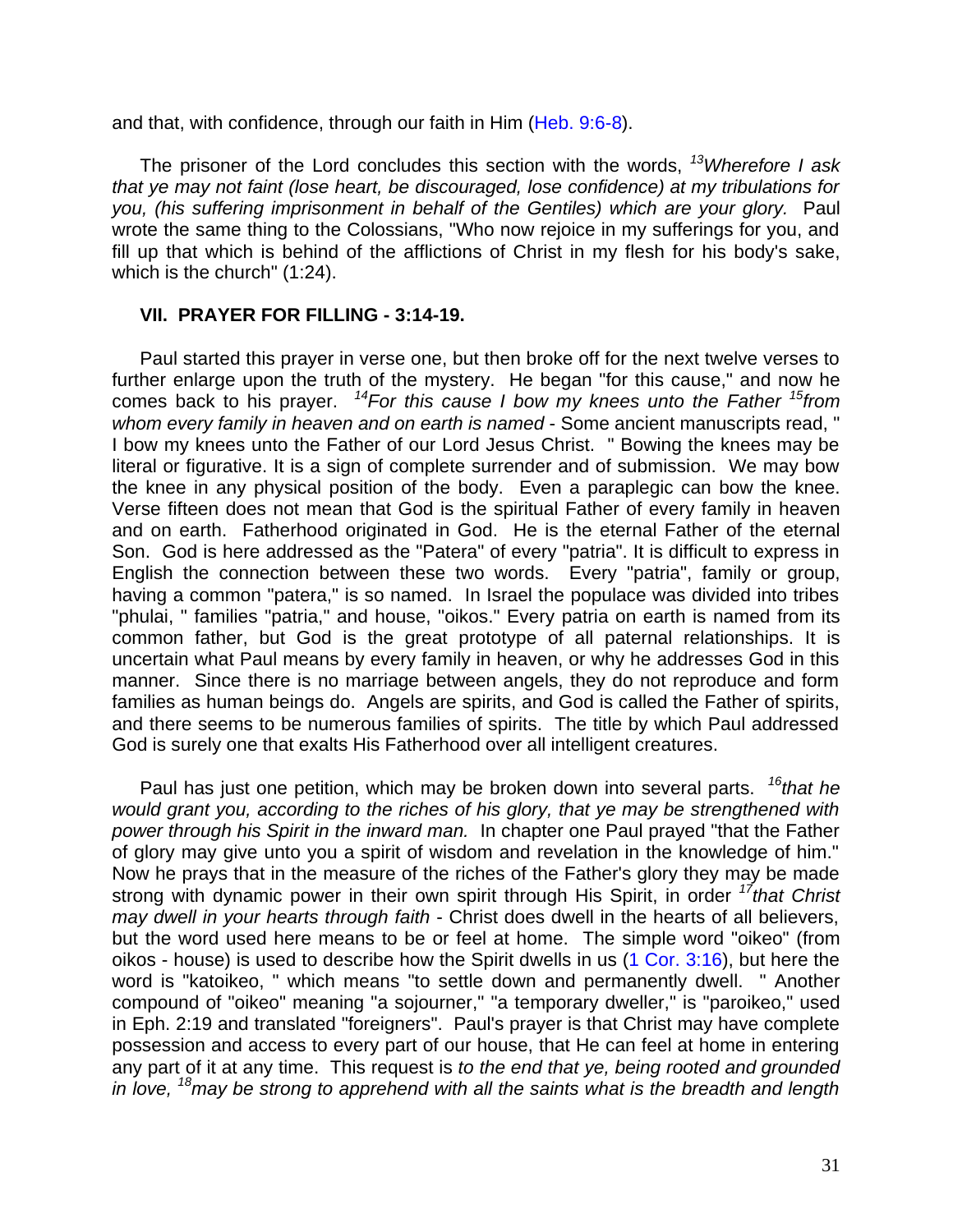and that, with confidence, through our faith in Him (Heb. 9:6-8).

The prisoner of the Lord concludes this section with the words, *<sup>13</sup>Wherefore I ask that ye may not faint (lose heart, be discouraged, lose confidence) at my tribulations for you, (his suffering imprisonment in behalf of the Gentiles) which are your glory.* Paul wrote the same thing to the Colossians, "Who now rejoice in my sufferings for you, and fill up that which is behind of the afflictions of Christ in my flesh for his body's sake, which is the church" (1:24).

#### **VII. PRAYER FOR FILLING - 3:14-19.**

Paul started this prayer in verse one, but then broke off for the next twelve verses to further enlarge upon the truth of the mystery. He began "for this cause," and now he comes back to his prayer. *<sup>14</sup>For this cause I bow my knees unto the Father <sup>15</sup>from*  whom every family in heaven and on earth is named - Some ancient manuscripts read. " I bow my knees unto the Father of our Lord Jesus Christ. " Bowing the knees may be literal or figurative. It is a sign of complete surrender and of submission. We may bow the knee in any physical position of the body. Even a paraplegic can bow the knee. Verse fifteen does not mean that God is the spiritual Father of every family in heaven and on earth. Fatherhood originated in God. He is the eternal Father of the eternal Son. God is here addressed as the "Patera" of every "patria". It is difficult to express in English the connection between these two words. Every "patria", family or group, having a common "patera," is so named. In Israel the populace was divided into tribes "phulai, " families "patria," and house, "oikos." Every patria on earth is named from its common father, but God is the great prototype of all paternal relationships. It is uncertain what Paul means by every family in heaven, or why he addresses God in this manner. Since there is no marriage between angels, they do not reproduce and form families as human beings do. Angels are spirits, and God is called the Father of spirits, and there seems to be numerous families of spirits. The title by which Paul addressed God is surely one that exalts His Fatherhood over all intelligent creatures.

Paul has just one petition, which may be broken down into several parts. *<sup>16</sup>that he would grant you, according to the riches of his glory, that ye may be strengthened with power through his Spirit in the inward man.* In chapter one Paul prayed "that the Father of glory may give unto you a spirit of wisdom and revelation in the knowledge of him." Now he prays that in the measure of the riches of the Father's glory they may be made strong with dynamic power in their own spirit through His Spirit, in order *<sup>17</sup>that Christ may dwell in your hearts through faith* - Christ does dwell in the hearts of all believers, but the word used here means to be or feel at home. The simple word "oikeo" (from oikos - house) is used to describe how the Spirit dwells in us (1 Cor. 3:16), but here the word is "katoikeo, " which means "to settle down and permanently dwell. " Another compound of "oikeo" meaning "a sojourner," "a temporary dweller," is "paroikeo," used in Eph. 2:19 and translated "foreigners". Paul's prayer is that Christ may have complete possession and access to every part of our house, that He can feel at home in entering any part of it at any time. This request is *to the end that ye, being rooted and grounded in love, <sup>18</sup>may be strong to apprehend with all the saints what is the breadth and length*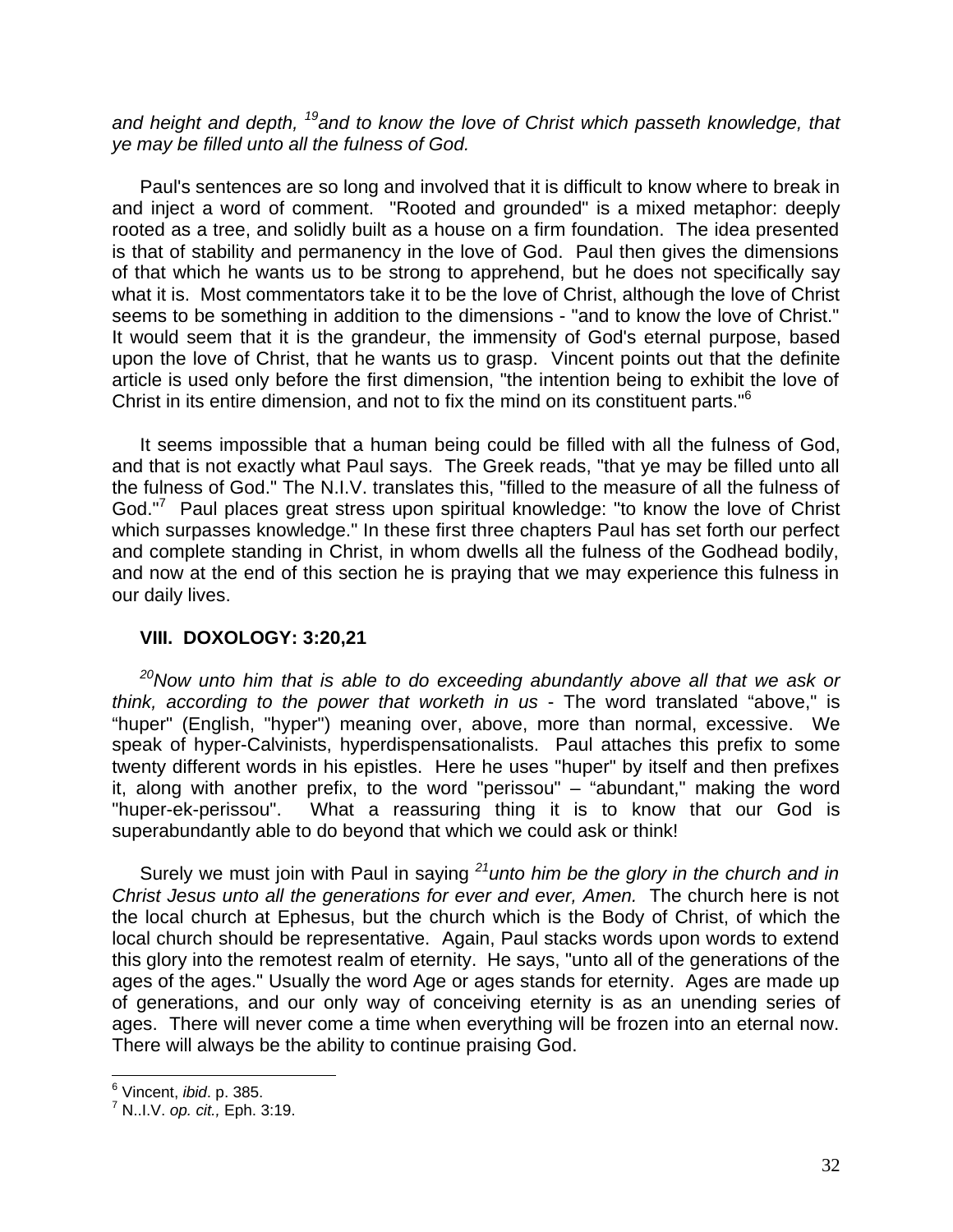*and height and depth, <sup>19</sup>and to know the love of Christ which passeth knowledge, that ye may be filled unto all the fulness of God.*

Paul's sentences are so long and involved that it is difficult to know where to break in and inject a word of comment. "Rooted and grounded" is a mixed metaphor: deeply rooted as a tree, and solidly built as a house on a firm foundation. The idea presented is that of stability and permanency in the love of God. Paul then gives the dimensions of that which he wants us to be strong to apprehend, but he does not specifically say what it is. Most commentators take it to be the love of Christ, although the love of Christ seems to be something in addition to the dimensions - "and to know the love of Christ." It would seem that it is the grandeur, the immensity of God's eternal purpose, based upon the love of Christ, that he wants us to grasp. Vincent points out that the definite article is used only before the first dimension, "the intention being to exhibit the love of Christ in its entire dimension, and not to fix the mind on its constituent parts."<sup>6</sup>

It seems impossible that a human being could be filled with all the fulness of God, and that is not exactly what Paul says. The Greek reads, "that ye may be filled unto all the fulness of God." The N.I.V. translates this, "filled to the measure of all the fulness of God."<sup>7</sup> Paul places great stress upon spiritual knowledge: "to know the love of Christ which surpasses knowledge." In these first three chapters Paul has set forth our perfect and complete standing in Christ, in whom dwells all the fulness of the Godhead bodily, and now at the end of this section he is praying that we may experience this fulness in our daily lives.

#### **VIII. DOXOLOGY: 3:20,21**

*<sup>20</sup>Now unto him that is able to do exceeding abundantly above all that we ask or think, according to the power that worketh in us* - The word translated "above," is "huper" (English, "hyper") meaning over, above, more than normal, excessive. We speak of hyper-Calvinists, hyperdispensationalists. Paul attaches this prefix to some twenty different words in his epistles. Here he uses "huper" by itself and then prefixes it, along with another prefix, to the word "perissou" – "abundant," making the word "huper-ek-perissou". What a reassuring thing it is to know that our God is superabundantly able to do beyond that which we could ask or think!

Surely we must join with Paul in saying *<sup>21</sup>unto him be the glory in the church and in Christ Jesus unto all the generations for ever and ever, Amen.* The church here is not the local church at Ephesus, but the church which is the Body of Christ, of which the local church should be representative. Again, Paul stacks words upon words to extend this glory into the remotest realm of eternity. He says, "unto all of the generations of the ages of the ages." Usually the word Age or ages stands for eternity. Ages are made up of generations, and our only way of conceiving eternity is as an unending series of ages. There will never come a time when everything will be frozen into an eternal now. There will always be the ability to continue praising God.

 6 Vincent, *ibid*. p. 385.

<sup>7</sup> N..I.V. *op. cit.,* Eph. 3:19.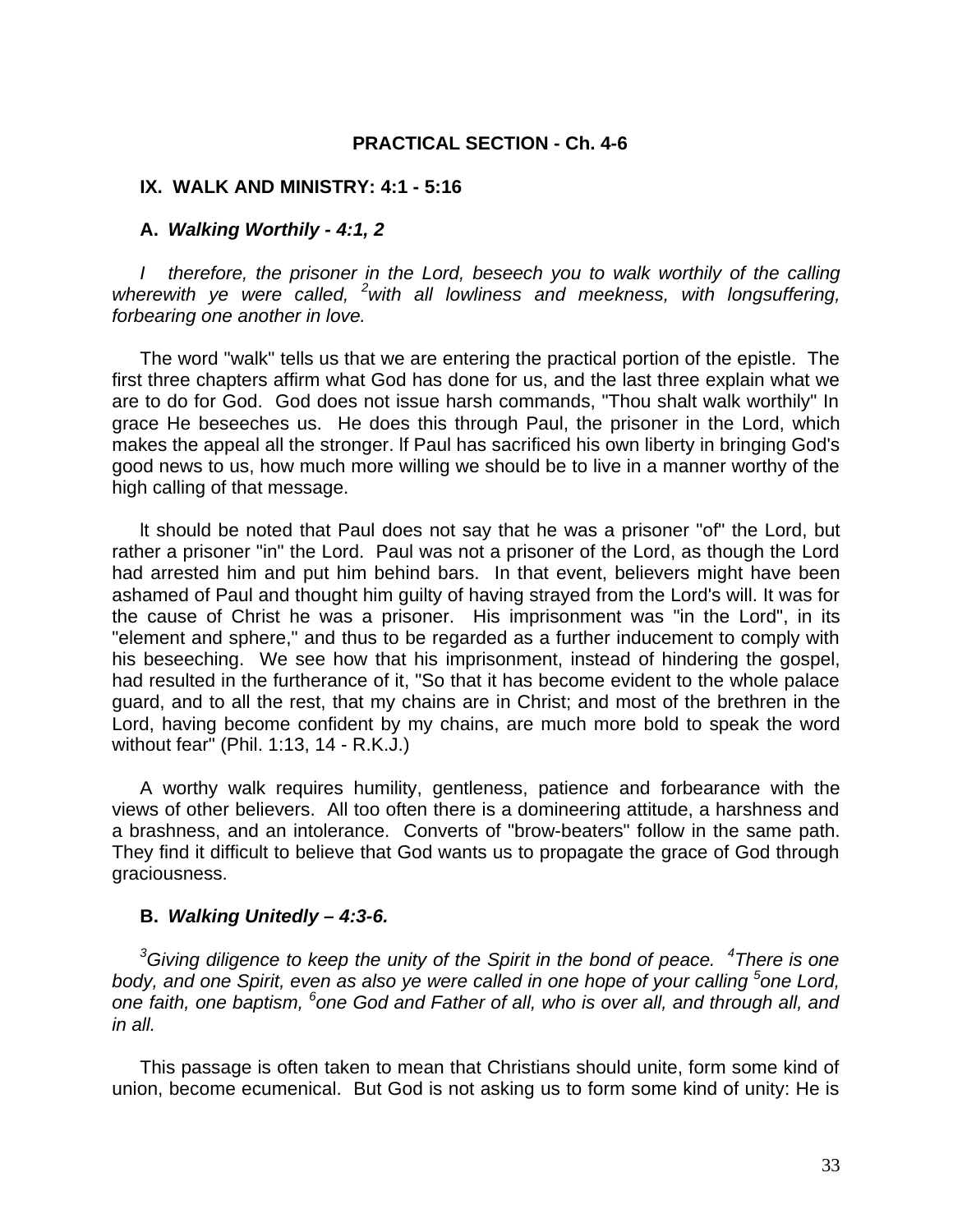#### **PRACTICAL SECTION - Ch. 4-6**

#### **IX. WALK AND MINISTRY: 4:1 - 5:16**

#### **A.** *Walking Worthily - 4:1, 2*

*I therefore, the prisoner in the Lord, beseech you to walk worthily of the calling wherewith ye were called, <sup>2</sup>with all lowliness and meekness, with longsuffering, forbearing one another in love.*

The word "walk" tells us that we are entering the practical portion of the epistle. The first three chapters affirm what God has done for us, and the last three explain what we are to do for God. God does not issue harsh commands, "Thou shalt walk worthily" In grace He beseeches us. He does this through Paul, the prisoner in the Lord, which makes the appeal all the stronger. lf Paul has sacrificed his own liberty in bringing God's good news to us, how much more willing we should be to live in a manner worthy of the high calling of that message.

lt should be noted that Paul does not say that he was a prisoner "of" the Lord, but rather a prisoner "in" the Lord. Paul was not a prisoner of the Lord, as though the Lord had arrested him and put him behind bars. In that event, believers might have been ashamed of Paul and thought him guilty of having strayed from the Lord's will. It was for the cause of Christ he was a prisoner. His imprisonment was "in the Lord", in its "element and sphere," and thus to be regarded as a further inducement to comply with his beseeching. We see how that his imprisonment, instead of hindering the gospel, had resulted in the furtherance of it, "So that it has become evident to the whole palace guard, and to all the rest, that my chains are in Christ; and most of the brethren in the Lord, having become confident by my chains, are much more bold to speak the word without fear" (Phil. 1:13, 14 - R.K.J.)

A worthy walk requires humility, gentleness, patience and forbearance with the views of other believers. All too often there is a domineering attitude, a harshness and a brashness, and an intolerance. Converts of "brow-beaters" follow in the same path. They find it difficult to believe that God wants us to propagate the grace of God through graciousness.

#### **B.** *Walking Unitedly – 4:3-6.*

*<sup>3</sup>Giving diligence to keep the unity of the Spirit in the bond of peace. <sup>4</sup> There is one*  body, and one Spirit, even as also ye were called in one hope of your calling <sup>5</sup>one Lord, *one faith, one baptism, <sup>6</sup> one God and Father of all, who is over all, and through all, and in all.*

This passage is often taken to mean that Christians should unite, form some kind of union, become ecumenical. But God is not asking us to form some kind of unity: He is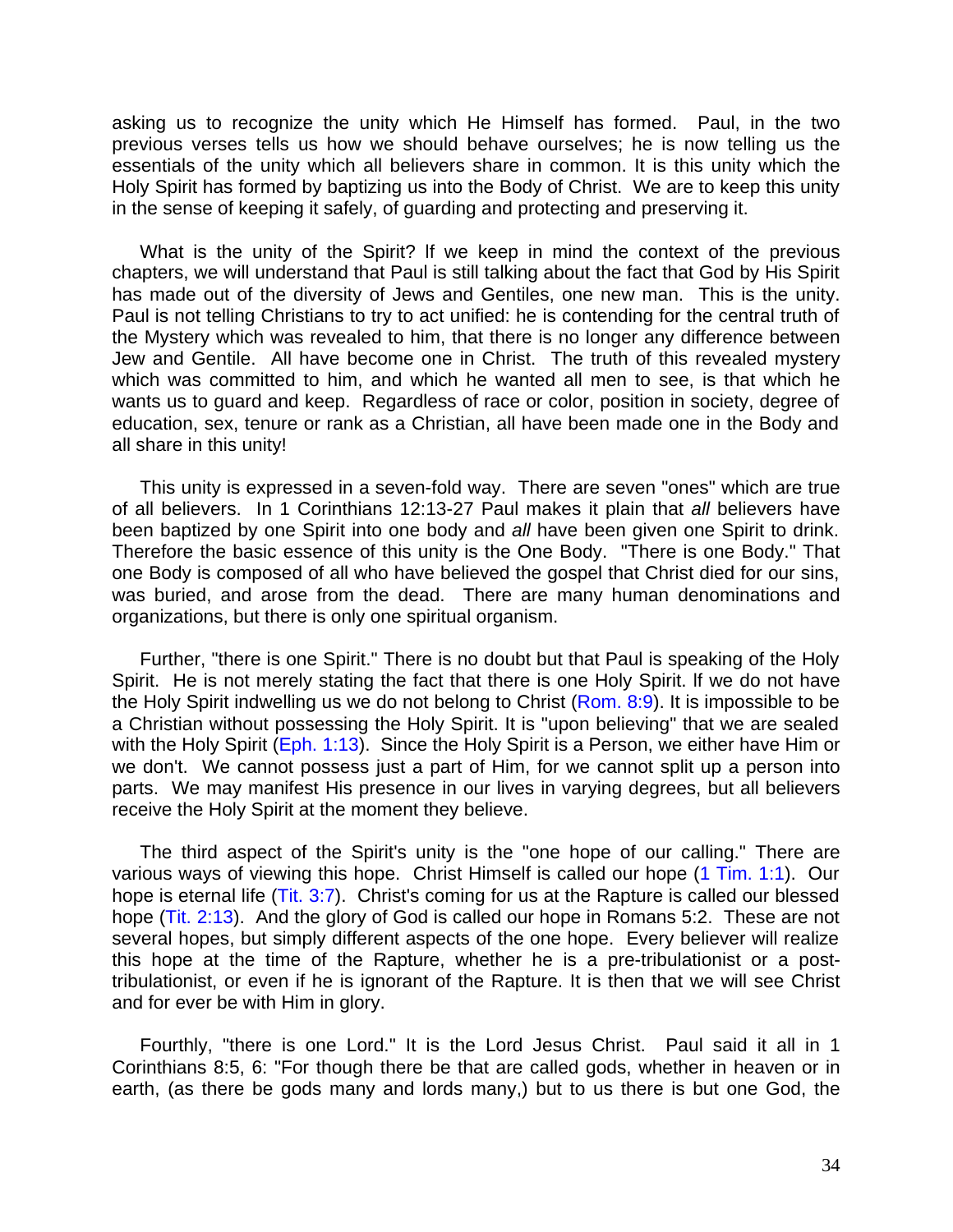asking us to recognize the unity which He Himself has formed. Paul, in the two previous verses tells us how we should behave ourselves; he is now telling us the essentials of the unity which all believers share in common. It is this unity which the Holy Spirit has formed by baptizing us into the Body of Christ. We are to keep this unity in the sense of keeping it safely, of guarding and protecting and preserving it.

What is the unity of the Spirit? lf we keep in mind the context of the previous chapters, we will understand that Paul is still talking about the fact that God by His Spirit has made out of the diversity of Jews and Gentiles, one new man. This is the unity. Paul is not telling Christians to try to act unified: he is contending for the central truth of the Mystery which was revealed to him, that there is no longer any difference between Jew and Gentile. All have become one in Christ. The truth of this revealed mystery which was committed to him, and which he wanted all men to see, is that which he wants us to guard and keep. Regardless of race or color, position in society, degree of education, sex, tenure or rank as a Christian, all have been made one in the Body and all share in this unity!

This unity is expressed in a seven-fold way. There are seven "ones" which are true of all believers. In 1 Corinthians 12:13-27 Paul makes it plain that *all* believers have been baptized by one Spirit into one body and *all* have been given one Spirit to drink. Therefore the basic essence of this unity is the One Body. "There is one Body." That one Body is composed of all who have believed the gospel that Christ died for our sins, was buried, and arose from the dead. There are many human denominations and organizations, but there is only one spiritual organism.

Further, "there is one Spirit." There is no doubt but that Paul is speaking of the Holy Spirit. He is not merely stating the fact that there is one Holy Spirit. lf we do not have the Holy Spirit indwelling us we do not belong to Christ (Rom. 8:9). It is impossible to be a Christian without possessing the Holy Spirit. It is "upon believing" that we are sealed with the Holy Spirit (Eph. 1:13). Since the Holy Spirit is a Person, we either have Him or we don't. We cannot possess just a part of Him, for we cannot split up a person into parts. We may manifest His presence in our lives in varying degrees, but all believers receive the Holy Spirit at the moment they believe.

The third aspect of the Spirit's unity is the "one hope of our calling." There are various ways of viewing this hope. Christ Himself is called our hope (1 Tim. 1:1). Our hope is eternal life (Tit. 3:7). Christ's coming for us at the Rapture is called our blessed hope (Tit. 2:13). And the glory of God is called our hope in Romans 5:2. These are not several hopes, but simply different aspects of the one hope. Every believer will realize this hope at the time of the Rapture, whether he is a pre-tribulationist or a posttribulationist, or even if he is ignorant of the Rapture. It is then that we will see Christ and for ever be with Him in glory.

Fourthly, "there is one Lord." It is the Lord Jesus Christ. Paul said it all in 1 Corinthians 8:5, 6: "For though there be that are called gods, whether in heaven or in earth, (as there be gods many and lords many,) but to us there is but one God, the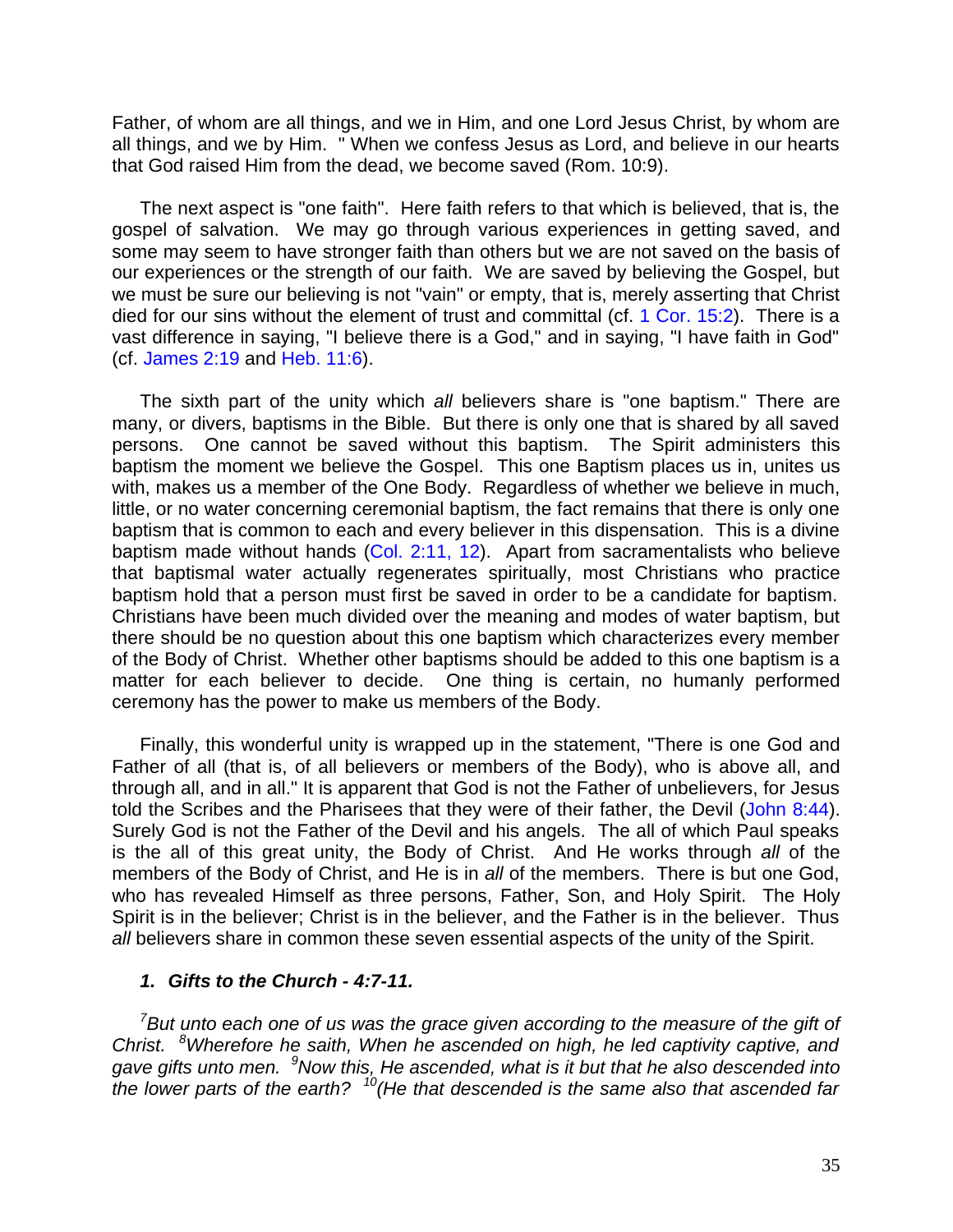Father, of whom are all things, and we in Him, and one Lord Jesus Christ, by whom are all things, and we by Him. " When we confess Jesus as Lord, and believe in our hearts that God raised Him from the dead, we become saved (Rom. 10:9).

The next aspect is "one faith". Here faith refers to that which is believed, that is, the gospel of salvation. We may go through various experiences in getting saved, and some may seem to have stronger faith than others but we are not saved on the basis of our experiences or the strength of our faith. We are saved by believing the Gospel, but we must be sure our believing is not "vain" or empty, that is, merely asserting that Christ died for our sins without the element of trust and committal (cf. 1 Cor. 15:2). There is a vast difference in saying, "I believe there is a God," and in saying, "I have faith in God" (cf. James 2:19 and Heb. 11:6).

The sixth part of the unity which *all* believers share is "one baptism." There are many, or divers, baptisms in the Bible. But there is only one that is shared by all saved persons. One cannot be saved without this baptism. The Spirit administers this baptism the moment we believe the Gospel. This one Baptism places us in, unites us with, makes us a member of the One Body. Regardless of whether we believe in much, little, or no water concerning ceremonial baptism, the fact remains that there is only one baptism that is common to each and every believer in this dispensation. This is a divine baptism made without hands (Col. 2:11, 12). Apart from sacramentalists who believe that baptismal water actually regenerates spiritually, most Christians who practice baptism hold that a person must first be saved in order to be a candidate for baptism. Christians have been much divided over the meaning and modes of water baptism, but there should be no question about this one baptism which characterizes every member of the Body of Christ. Whether other baptisms should be added to this one baptism is a matter for each believer to decide. One thing is certain, no humanly performed ceremony has the power to make us members of the Body.

Finally, this wonderful unity is wrapped up in the statement, "There is one God and Father of all (that is, of all believers or members of the Body), who is above all, and through all, and in all." It is apparent that God is not the Father of unbelievers, for Jesus told the Scribes and the Pharisees that they were of their father, the Devil (John 8:44). Surely God is not the Father of the Devil and his angels. The all of which Paul speaks is the all of this great unity, the Body of Christ. And He works through *all* of the members of the Body of Christ, and He is in *all* of the members. There is but one God, who has revealed Himself as three persons, Father, Son, and Holy Spirit. The Holy Spirit is in the believer; Christ is in the believer, and the Father is in the believer. Thus *all* believers share in common these seven essential aspects of the unity of the Spirit.

#### *1. Gifts to the Church - 4:7-11.*

*<sup>7</sup>But unto each one of us was the grace given according to the measure of the gift of Christ. <sup>8</sup>Wherefore he saith, When he ascended on high, he led captivity captive, and gave gifts unto men. <sup>9</sup>Now this, He ascended, what is it but that he also descended into the lower parts of the earth? <sup>10</sup>(He that descended is the same also that ascended far*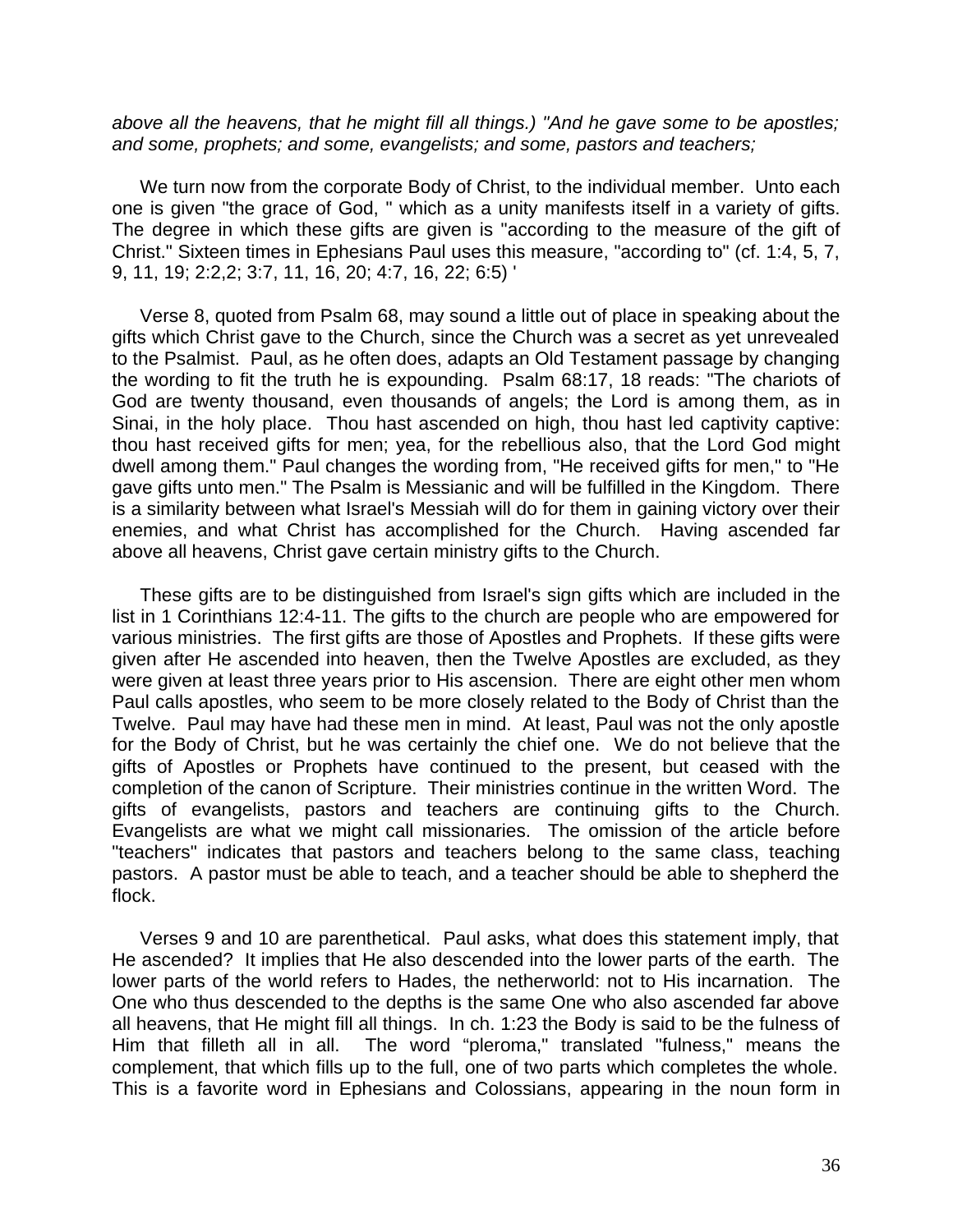*above all the heavens, that he might fill all things.) "And he gave some to be apostles; and some, prophets; and some, evangelists; and some, pastors and teachers;*

We turn now from the corporate Body of Christ, to the individual member. Unto each one is given "the grace of God, " which as a unity manifests itself in a variety of gifts. The degree in which these gifts are given is "according to the measure of the gift of Christ." Sixteen times in Ephesians Paul uses this measure, "according to" (cf. 1:4, 5, 7, 9, 11, 19; 2:2,2; 3:7, 11, 16, 20; 4:7, 16, 22; 6:5) '

Verse 8, quoted from Psalm 68, may sound a little out of place in speaking about the gifts which Christ gave to the Church, since the Church was a secret as yet unrevealed to the Psalmist. Paul, as he often does, adapts an Old Testament passage by changing the wording to fit the truth he is expounding. Psalm 68:17, 18 reads: "The chariots of God are twenty thousand, even thousands of angels; the Lord is among them, as in Sinai, in the holy place. Thou hast ascended on high, thou hast led captivity captive: thou hast received gifts for men; yea, for the rebellious also, that the Lord God might dwell among them." Paul changes the wording from, "He received gifts for men," to "He gave gifts unto men." The Psalm is Messianic and will be fulfilled in the Kingdom. There is a similarity between what Israel's Messiah will do for them in gaining victory over their enemies, and what Christ has accomplished for the Church. Having ascended far above all heavens, Christ gave certain ministry gifts to the Church.

These gifts are to be distinguished from Israel's sign gifts which are included in the list in 1 Corinthians 12:4-11. The gifts to the church are people who are empowered for various ministries. The first gifts are those of Apostles and Prophets. If these gifts were given after He ascended into heaven, then the Twelve Apostles are excluded, as they were given at least three years prior to His ascension. There are eight other men whom Paul calls apostles, who seem to be more closely related to the Body of Christ than the Twelve. Paul may have had these men in mind. At least, Paul was not the only apostle for the Body of Christ, but he was certainly the chief one. We do not believe that the gifts of Apostles or Prophets have continued to the present, but ceased with the completion of the canon of Scripture. Their ministries continue in the written Word. The gifts of evangelists, pastors and teachers are continuing gifts to the Church. Evangelists are what we might call missionaries. The omission of the article before "teachers" indicates that pastors and teachers belong to the same class, teaching pastors. A pastor must be able to teach, and a teacher should be able to shepherd the flock.

Verses 9 and 10 are parenthetical. Paul asks, what does this statement imply, that He ascended? It implies that He also descended into the lower parts of the earth. The lower parts of the world refers to Hades, the netherworld: not to His incarnation. The One who thus descended to the depths is the same One who also ascended far above all heavens, that He might fill all things. In ch. 1:23 the Body is said to be the fulness of Him that filleth all in all. The word "pleroma," translated "fulness," means the complement, that which fills up to the full, one of two parts which completes the whole. This is a favorite word in Ephesians and Colossians, appearing in the noun form in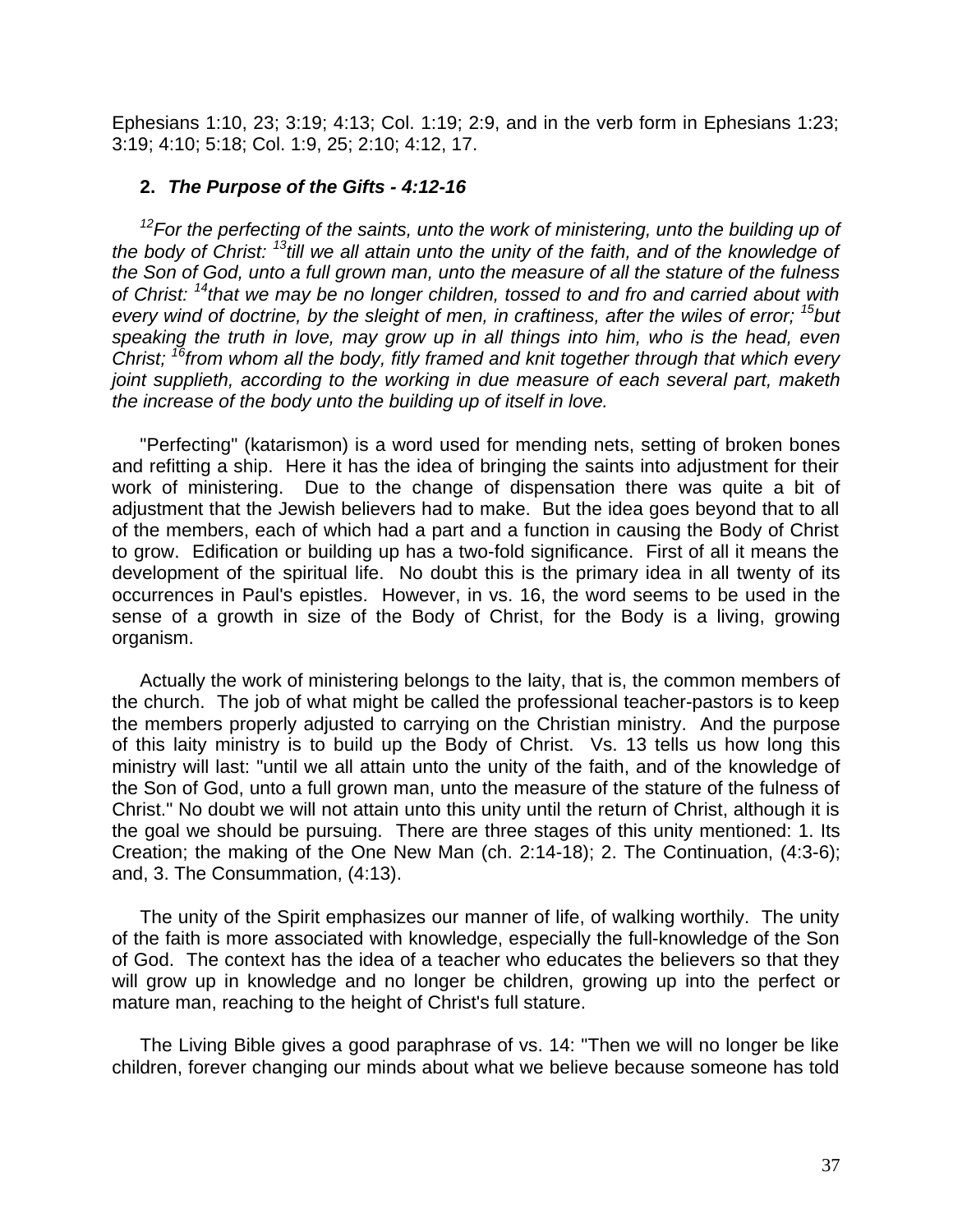Ephesians 1:10, 23; 3:19; 4:13; Col. 1:19; 2:9, and in the verb form in Ephesians 1:23; 3:19; 4:10; 5:18; Col. 1:9, 25; 2:10; 4:12, 17.

### **2.** *The Purpose of the Gifts - 4:12-16*

*<sup>12</sup>For the perfecting of the saints, unto the work of ministering, unto the building up of the body of Christ: <sup>13</sup>till we all attain unto the unity of the faith, and of the knowledge of the Son of God, unto a full grown man, unto the measure of all the stature of the fulness of Christ: <sup>14</sup>that we may be no longer children, tossed to and fro and carried about with every wind of doctrine, by the sleight of men, in craftiness, after the wiles of error; <sup>15</sup>but speaking the truth in love, may grow up in all things into him, who is the head, even Christ; <sup>16</sup>from whom all the body, fitly framed and knit together through that which every joint supplieth, according to the working in due measure of each several part, maketh the increase of the body unto the building up of itself in love.*

"Perfecting" (katarismon) is a word used for mending nets, setting of broken bones and refitting a ship. Here it has the idea of bringing the saints into adjustment for their work of ministering. Due to the change of dispensation there was quite a bit of adjustment that the Jewish believers had to make. But the idea goes beyond that to all of the members, each of which had a part and a function in causing the Body of Christ to grow. Edification or building up has a two-fold significance. First of all it means the development of the spiritual life. No doubt this is the primary idea in all twenty of its occurrences in Paul's epistles. However, in vs. 16, the word seems to be used in the sense of a growth in size of the Body of Christ, for the Body is a living, growing organism.

Actually the work of ministering belongs to the laity, that is, the common members of the church. The job of what might be called the professional teacher-pastors is to keep the members properly adjusted to carrying on the Christian ministry. And the purpose of this laity ministry is to build up the Body of Christ. Vs. 13 tells us how long this ministry will last: "until we all attain unto the unity of the faith, and of the knowledge of the Son of God, unto a full grown man, unto the measure of the stature of the fulness of Christ." No doubt we will not attain unto this unity until the return of Christ, although it is the goal we should be pursuing. There are three stages of this unity mentioned: 1. Its Creation; the making of the One New Man (ch. 2:14-18); 2. The Continuation, (4:3-6); and, 3. The Consummation, (4:13).

The unity of the Spirit emphasizes our manner of life, of walking worthily. The unity of the faith is more associated with knowledge, especially the full-knowledge of the Son of God. The context has the idea of a teacher who educates the believers so that they will grow up in knowledge and no longer be children, growing up into the perfect or mature man, reaching to the height of Christ's full stature.

The Living Bible gives a good paraphrase of vs. 14: "Then we will no longer be like children, forever changing our minds about what we believe because someone has told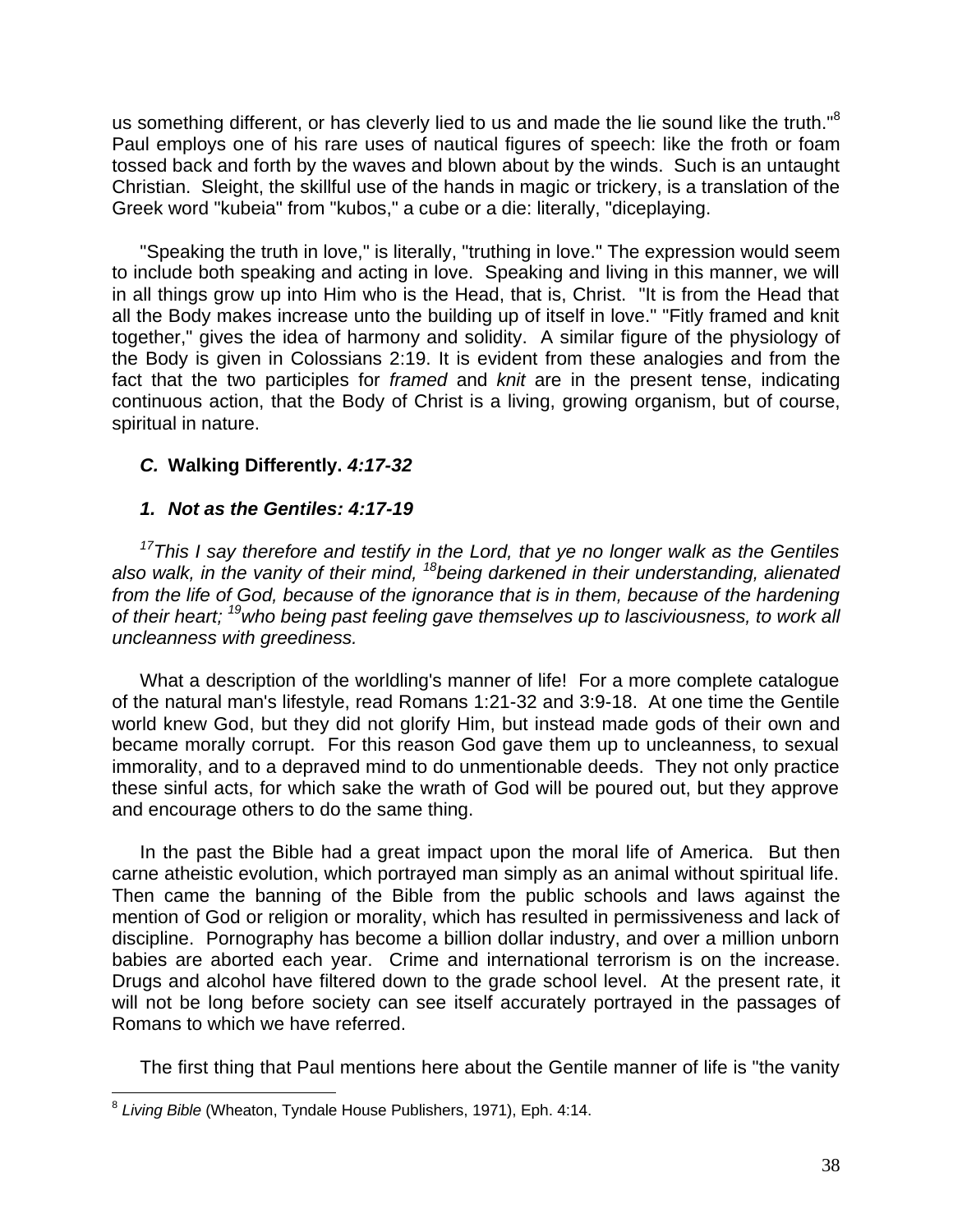us something different, or has cleverly lied to us and made the lie sound like the truth."<sup>8</sup> Paul employs one of his rare uses of nautical figures of speech: like the froth or foam tossed back and forth by the waves and blown about by the winds. Such is an untaught Christian. Sleight, the skillful use of the hands in magic or trickery, is a translation of the Greek word "kubeia" from "kubos," a cube or a die: literally, "diceplaying.

"Speaking the truth in love," is literally, "truthing in love." The expression would seem to include both speaking and acting in love. Speaking and living in this manner, we will in all things grow up into Him who is the Head, that is, Christ. "It is from the Head that all the Body makes increase unto the building up of itself in love." "Fitly framed and knit together," gives the idea of harmony and solidity. A similar figure of the physiology of the Body is given in Colossians 2:19. It is evident from these analogies and from the fact that the two participles for *framed* and *knit* are in the present tense, indicating continuous action, that the Body of Christ is a living, growing organism, but of course, spiritual in nature.

## *C.* **Walking Differently.** *4:17-32*

## *1. Not as the Gentiles: 4:17-19*

*<sup>17</sup>This I say therefore and testify in the Lord, that ye no longer walk as the Gentiles also walk, in the vanity of their mind, <sup>18</sup>being darkened in their understanding, alienated from the life of God, because of the ignorance that is in them, because of the hardening of their heart; <sup>19</sup>who being past feeling gave themselves up to lasciviousness, to work all uncleanness with greediness.*

What a description of the worldling's manner of life! For a more complete catalogue of the natural man's lifestyle, read Romans 1:21-32 and 3:9-18. At one time the Gentile world knew God, but they did not glorify Him, but instead made gods of their own and became morally corrupt. For this reason God gave them up to uncleanness, to sexual immorality, and to a depraved mind to do unmentionable deeds. They not only practice these sinful acts, for which sake the wrath of God will be poured out, but they approve and encourage others to do the same thing.

In the past the Bible had a great impact upon the moral life of America. But then carne atheistic evolution, which portrayed man simply as an animal without spiritual life. Then came the banning of the Bible from the public schools and laws against the mention of God or religion or morality, which has resulted in permissiveness and lack of discipline. Pornography has become a billion dollar industry, and over a million unborn babies are aborted each year. Crime and international terrorism is on the increase. Drugs and alcohol have filtered down to the grade school level. At the present rate, it will not be long before society can see itself accurately portrayed in the passages of Romans to which we have referred.

The first thing that Paul mentions here about the Gentile manner of life is "the vanity

 8 *Living Bible* (Wheaton, Tyndale House Publishers, 1971), Eph. 4:14.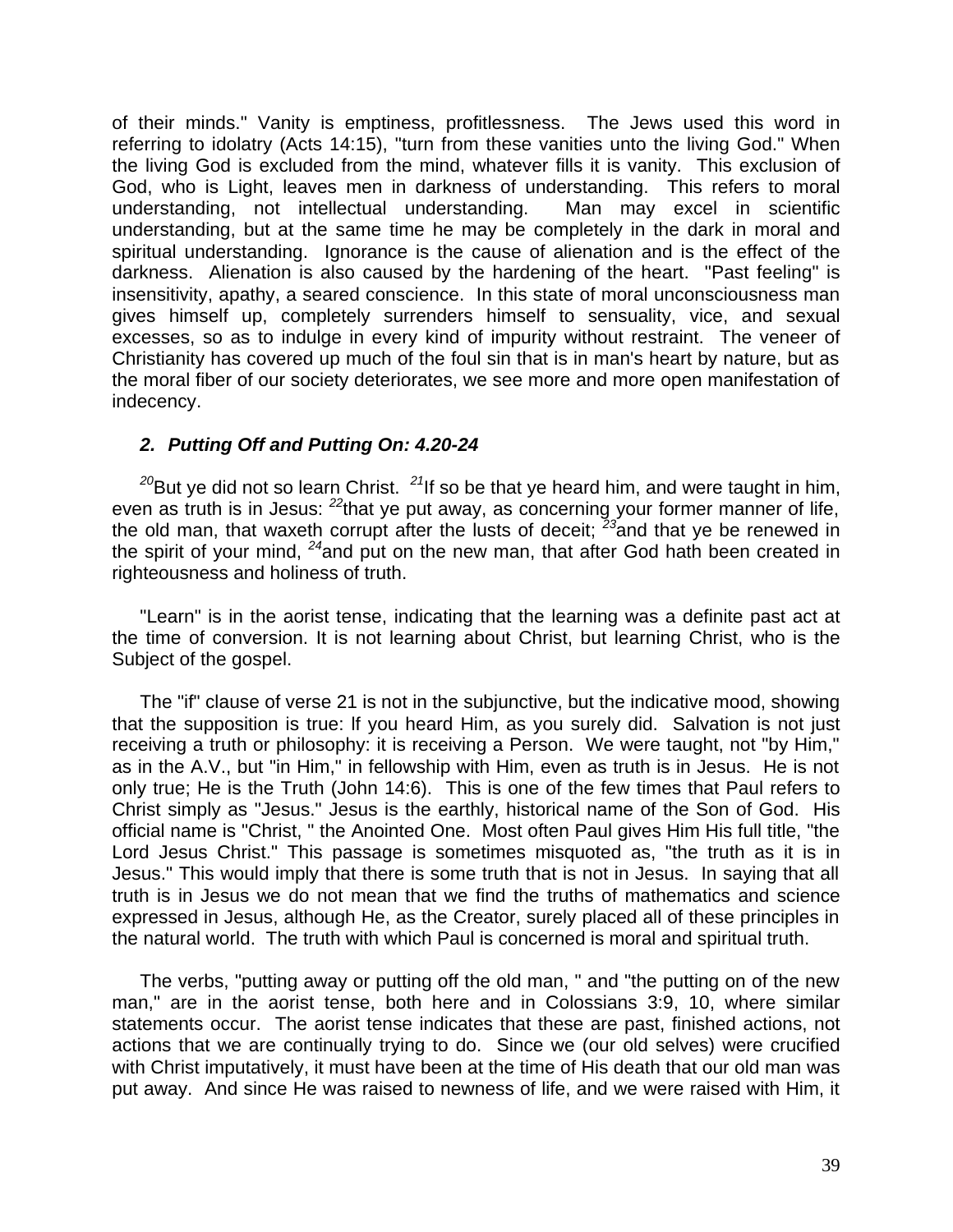of their minds." Vanity is emptiness, profitlessness. The Jews used this word in referring to idolatry (Acts 14:15), "turn from these vanities unto the living God." When the living God is excluded from the mind, whatever fills it is vanity. This exclusion of God, who is Light, leaves men in darkness of understanding. This refers to moral understanding, not intellectual understanding. Man may excel in scientific understanding, but at the same time he may be completely in the dark in moral and spiritual understanding. Ignorance is the cause of alienation and is the effect of the darkness. Alienation is also caused by the hardening of the heart. "Past feeling" is insensitivity, apathy, a seared conscience. In this state of moral unconsciousness man gives himself up, completely surrenders himself to sensuality, vice, and sexual excesses, so as to indulge in every kind of impurity without restraint. The veneer of Christianity has covered up much of the foul sin that is in man's heart by nature, but as the moral fiber of our society deteriorates, we see more and more open manifestation of indecency.

## *2. Putting Off and Putting On: 4.20-24*

*<sup>20</sup>*But ye did not so learn Christ. *<sup>21</sup>*If so be that ye heard him, and were taught in him, even as truth is in Jesus: *<sup>22</sup>*that ye put away, as concerning your former manner of life, the old man, that waxeth corrupt after the lusts of deceit; *<sup>23</sup>*and that ye be renewed in the spirit of your mind, *<sup>24</sup>*and put on the new man, that after God hath been created in righteousness and holiness of truth.

"Learn" is in the aorist tense, indicating that the learning was a definite past act at the time of conversion. It is not learning about Christ, but learning Christ, who is the Subject of the gospel.

The "if" clause of verse 21 is not in the subjunctive, but the indicative mood, showing that the supposition is true: lf you heard Him, as you surely did. Salvation is not just receiving a truth or philosophy: it is receiving a Person. We were taught, not "by Him," as in the A.V., but "in Him," in fellowship with Him, even as truth is in Jesus. He is not only true; He is the Truth (John 14:6). This is one of the few times that Paul refers to Christ simply as "Jesus." Jesus is the earthly, historical name of the Son of God. His official name is "Christ, " the Anointed One. Most often Paul gives Him His full title, "the Lord Jesus Christ." This passage is sometimes misquoted as, "the truth as it is in Jesus." This would imply that there is some truth that is not in Jesus. In saying that all truth is in Jesus we do not mean that we find the truths of mathematics and science expressed in Jesus, although He, as the Creator, surely placed all of these principles in the natural world. The truth with which Paul is concerned is moral and spiritual truth.

The verbs, "putting away or putting off the old man, " and "the putting on of the new man," are in the aorist tense, both here and in Colossians 3:9, 10, where similar statements occur. The aorist tense indicates that these are past, finished actions, not actions that we are continually trying to do. Since we (our old selves) were crucified with Christ imputatively, it must have been at the time of His death that our old man was put away. And since He was raised to newness of life, and we were raised with Him, it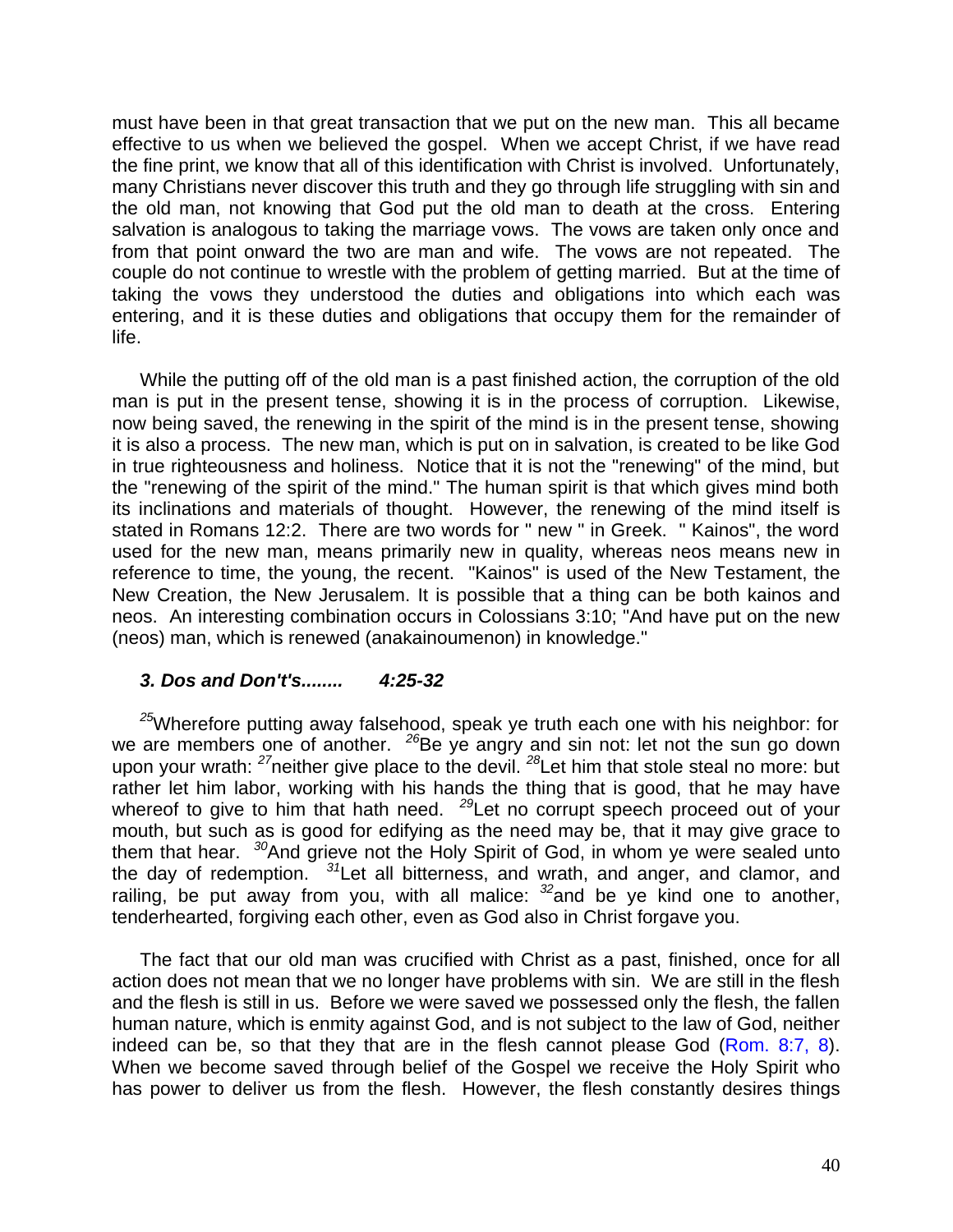must have been in that great transaction that we put on the new man. This all became effective to us when we believed the gospel. When we accept Christ, if we have read the fine print, we know that all of this identification with Christ is involved. Unfortunately, many Christians never discover this truth and they go through life struggling with sin and the old man, not knowing that God put the old man to death at the cross. Entering salvation is analogous to taking the marriage vows. The vows are taken only once and from that point onward the two are man and wife. The vows are not repeated. The couple do not continue to wrestle with the problem of getting married. But at the time of taking the vows they understood the duties and obligations into which each was entering, and it is these duties and obligations that occupy them for the remainder of life.

While the putting off of the old man is a past finished action, the corruption of the old man is put in the present tense, showing it is in the process of corruption. Likewise, now being saved, the renewing in the spirit of the mind is in the present tense, showing it is also a process. The new man, which is put on in salvation, is created to be like God in true righteousness and holiness. Notice that it is not the "renewing" of the mind, but the "renewing of the spirit of the mind." The human spirit is that which gives mind both its inclinations and materials of thought. However, the renewing of the mind itself is stated in Romans 12:2. There are two words for " new " in Greek. " Kainos", the word used for the new man, means primarily new in quality, whereas neos means new in reference to time, the young, the recent. "Kainos" is used of the New Testament, the New Creation, the New Jerusalem. It is possible that a thing can be both kainos and neos. An interesting combination occurs in Colossians 3:10; "And have put on the new (neos) man, which is renewed (anakainoumenon) in knowledge."

## *3. Dos and Don't's........**4:25-32*

*<sup>25</sup>*Wherefore putting away falsehood, speak ye truth each one with his neighbor: for we are members one of another. <sup>26</sup>Be ye angry and sin not: let not the sun go down upon your wrath: *<sup>27</sup>*neither give place to the devil. *<sup>28</sup>*Let him that stole steal no more: but rather let him labor, working with his hands the thing that is good, that he may have whereof to give to him that hath need. <sup>29</sup>Let no corrupt speech proceed out of your mouth, but such as is good for edifying as the need may be, that it may give grace to them that hear. *<sup>30</sup>*And grieve not the Holy Spirit of God, in whom ye were sealed unto the day of redemption. *<sup>31</sup>*Let all bitterness, and wrath, and anger, and clamor, and railing, be put away from you, with all malice: *<sup>32</sup>*and be ye kind one to another, tenderhearted, forgiving each other, even as God also in Christ forgave you.

The fact that our old man was crucified with Christ as a past, finished, once for all action does not mean that we no longer have problems with sin. We are still in the flesh and the flesh is still in us. Before we were saved we possessed only the flesh, the fallen human nature, which is enmity against God, and is not subject to the law of God, neither indeed can be, so that they that are in the flesh cannot please God (Rom. 8:7, 8). When we become saved through belief of the Gospel we receive the Holy Spirit who has power to deliver us from the flesh. However, the flesh constantly desires things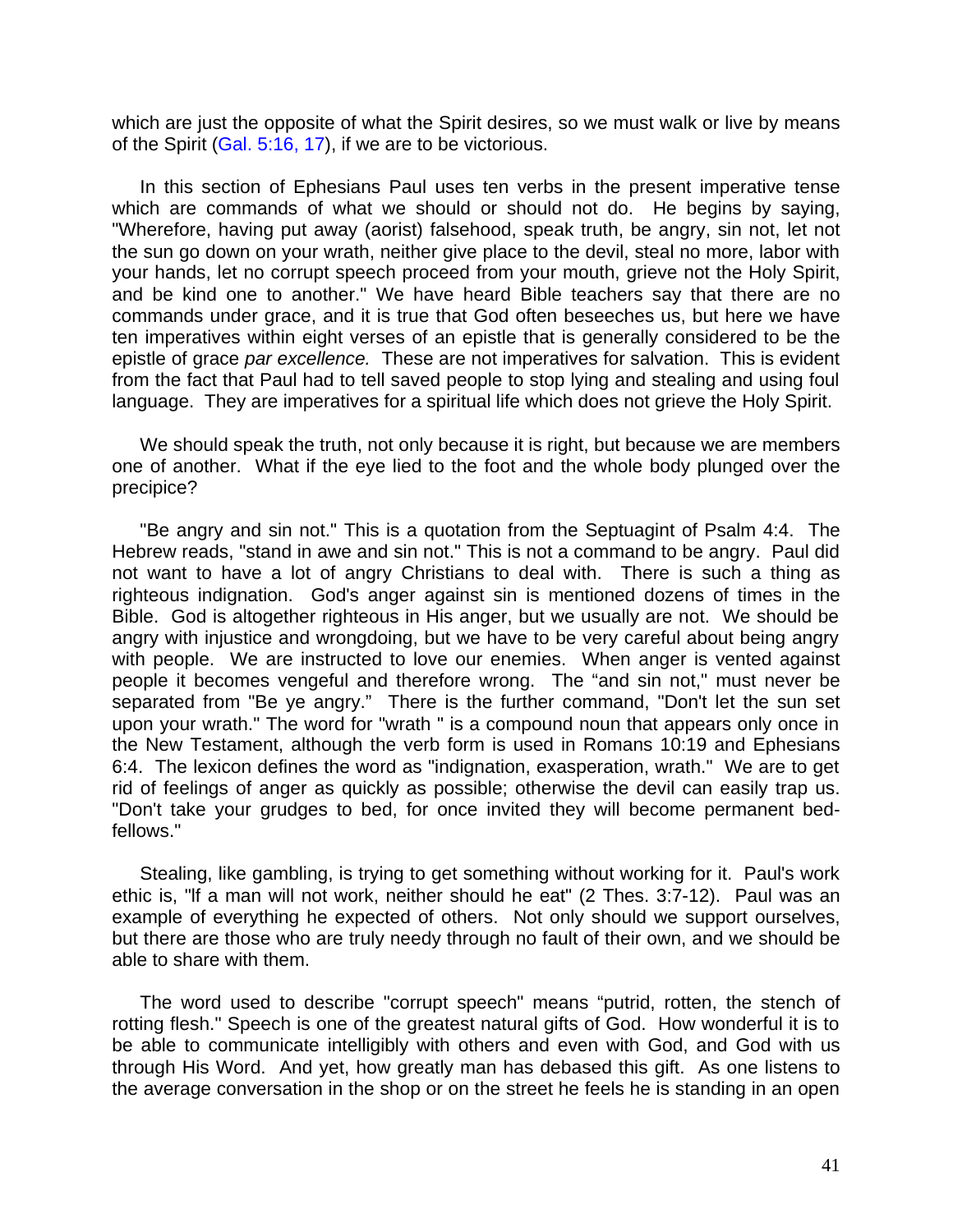which are just the opposite of what the Spirit desires, so we must walk or live by means of the Spirit (Gal. 5:16, 17), if we are to be victorious.

In this section of Ephesians Paul uses ten verbs in the present imperative tense which are commands of what we should or should not do. He begins by saying, "Wherefore, having put away (aorist) falsehood, speak truth, be angry, sin not, let not the sun go down on your wrath, neither give place to the devil, steal no more, labor with your hands, let no corrupt speech proceed from your mouth, grieve not the Holy Spirit, and be kind one to another." We have heard Bible teachers say that there are no commands under grace, and it is true that God often beseeches us, but here we have ten imperatives within eight verses of an epistle that is generally considered to be the epistle of grace *par excellence.* These are not imperatives for salvation. This is evident from the fact that Paul had to tell saved people to stop lying and stealing and using foul language. They are imperatives for a spiritual life which does not grieve the Holy Spirit.

We should speak the truth, not only because it is right, but because we are members one of another. What if the eye lied to the foot and the whole body plunged over the precipice?

"Be angry and sin not." This is a quotation from the Septuagint of Psalm 4:4. The Hebrew reads, "stand in awe and sin not." This is not a command to be angry. Paul did not want to have a lot of angry Christians to deal with. There is such a thing as righteous indignation. God's anger against sin is mentioned dozens of times in the Bible. God is altogether righteous in His anger, but we usually are not. We should be angry with injustice and wrongdoing, but we have to be very careful about being angry with people. We are instructed to love our enemies. When anger is vented against people it becomes vengeful and therefore wrong. The "and sin not," must never be separated from "Be ye angry." There is the further command, "Don't let the sun set upon your wrath." The word for "wrath " is a compound noun that appears only once in the New Testament, although the verb form is used in Romans 10:19 and Ephesians 6:4. The lexicon defines the word as "indignation, exasperation, wrath." We are to get rid of feelings of anger as quickly as possible; otherwise the devil can easily trap us. "Don't take your grudges to bed, for once invited they will become permanent bedfellows."

Stealing, like gambling, is trying to get something without working for it. Paul's work ethic is, "lf a man will not work, neither should he eat" (2 Thes. 3:7-12). Paul was an example of everything he expected of others. Not only should we support ourselves, but there are those who are truly needy through no fault of their own, and we should be able to share with them.

The word used to describe "corrupt speech" means "putrid, rotten, the stench of rotting flesh." Speech is one of the greatest natural gifts of God. How wonderful it is to be able to communicate intelligibly with others and even with God, and God with us through His Word. And yet, how greatly man has debased this gift. As one listens to the average conversation in the shop or on the street he feels he is standing in an open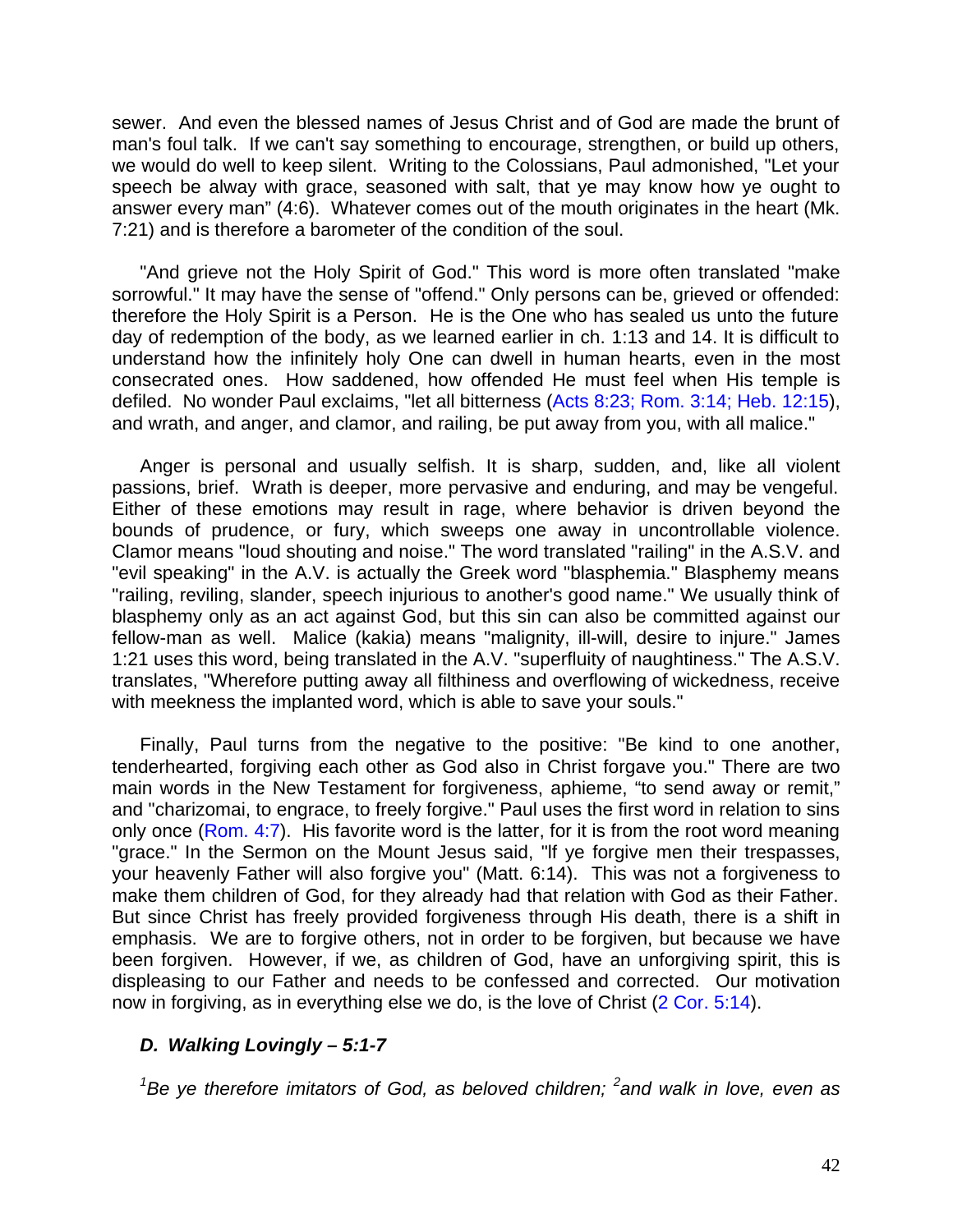sewer. And even the blessed names of Jesus Christ and of God are made the brunt of man's foul talk. If we can't say something to encourage, strengthen, or build up others, we would do well to keep silent. Writing to the Colossians, Paul admonished, "Let your speech be alway with grace, seasoned with salt, that ye may know how ye ought to answer every man" (4:6). Whatever comes out of the mouth originates in the heart (Mk. 7:21) and is therefore a barometer of the condition of the soul.

"And grieve not the Holy Spirit of God." This word is more often translated "make sorrowful." It may have the sense of "offend." Only persons can be, grieved or offended: therefore the Holy Spirit is a Person. He is the One who has sealed us unto the future day of redemption of the body, as we learned earlier in ch. 1:13 and 14. It is difficult to understand how the infinitely holy One can dwell in human hearts, even in the most consecrated ones. How saddened, how offended He must feel when His temple is defiled. No wonder Paul exclaims, "let all bitterness (Acts 8:23; Rom. 3:14; Heb. 12:15), and wrath, and anger, and clamor, and railing, be put away from you, with all malice."

Anger is personal and usually selfish. It is sharp, sudden, and, like all violent passions, brief. Wrath is deeper, more pervasive and enduring, and may be vengeful. Either of these emotions may result in rage, where behavior is driven beyond the bounds of prudence, or fury, which sweeps one away in uncontrollable violence. Clamor means "loud shouting and noise." The word translated "railing" in the A.S.V. and "evil speaking" in the A.V. is actually the Greek word "blasphemia." Blasphemy means "railing, reviling, slander, speech injurious to another's good name." We usually think of blasphemy only as an act against God, but this sin can also be committed against our fellow-man as well. Malice (kakia) means "malignity, ill-will, desire to injure." James 1:21 uses this word, being translated in the A.V. "superfluity of naughtiness." The A.S.V. translates, "Wherefore putting away all filthiness and overflowing of wickedness, receive with meekness the implanted word, which is able to save your souls."

Finally, Paul turns from the negative to the positive: "Be kind to one another, tenderhearted, forgiving each other as God also in Christ forgave you." There are two main words in the New Testament for forgiveness, aphieme, "to send away or remit," and "charizomai, to engrace, to freely forgive." Paul uses the first word in relation to sins only once (Rom. 4:7). His favorite word is the latter, for it is from the root word meaning "grace." In the Sermon on the Mount Jesus said, "lf ye forgive men their trespasses, your heavenly Father will also forgive you" (Matt. 6:14). This was not a forgiveness to make them children of God, for they already had that relation with God as their Father. But since Christ has freely provided forgiveness through His death, there is a shift in emphasis. We are to forgive others, not in order to be forgiven, but because we have been forgiven. However, if we, as children of God, have an unforgiving spirit, this is displeasing to our Father and needs to be confessed and corrected. Our motivation now in forgiving, as in everything else we do, is the love of Christ (2 Cor. 5:14).

# *D. Walking Lovingly – 5:1-7*

*<sup>1</sup>Be ye therefore imitators of God, as beloved children; <sup>2</sup> and walk in love, even as*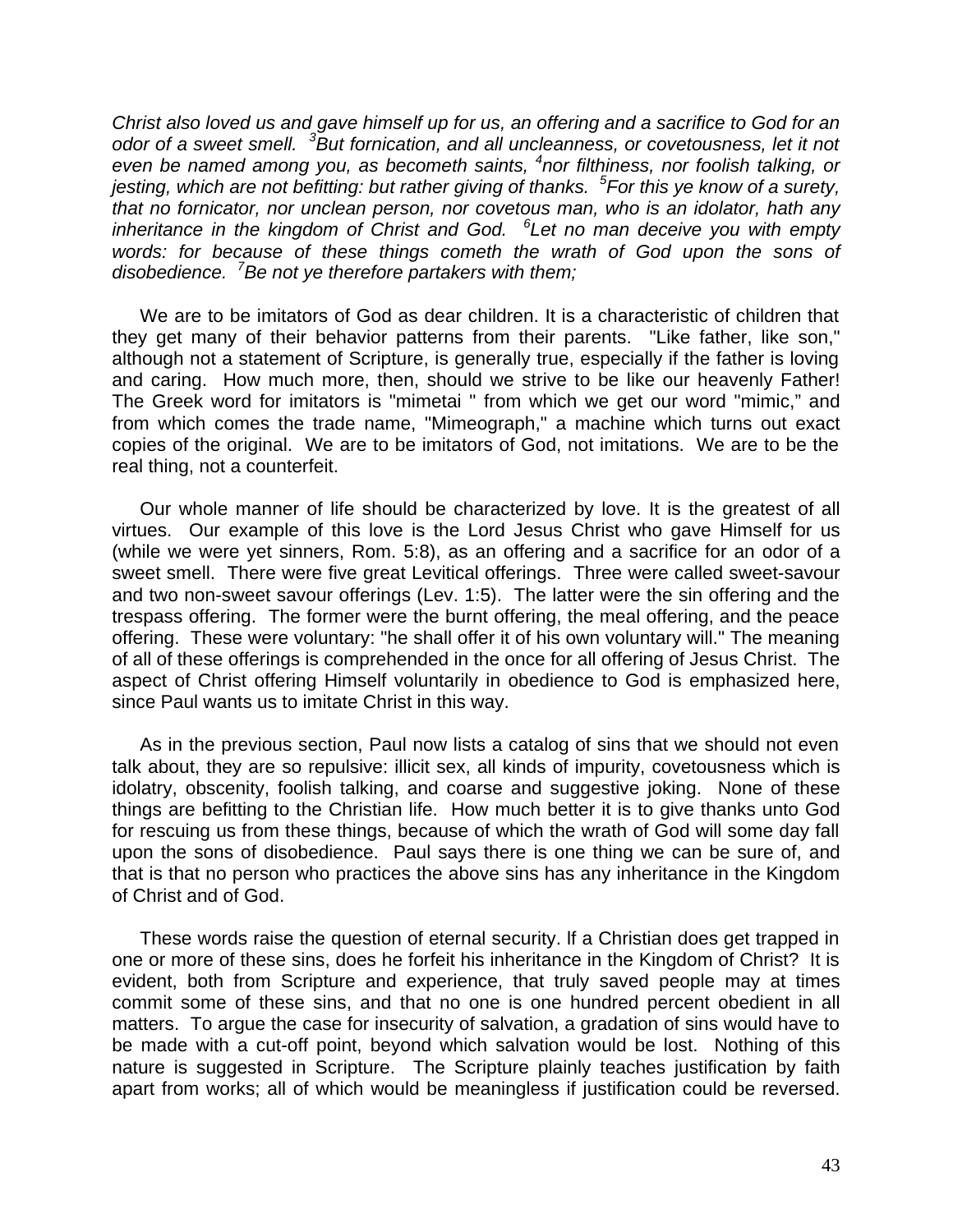*Christ also loved us and gave himself up for us, an offering and a sacrifice to God for an odor of a sweet smell. <sup>3</sup>But fornication, and all uncleanness, or covetousness, let it not even be named among you, as becometh saints, <sup>4</sup> nor filthiness, nor foolish talking, or jesting, which are not befitting: but rather giving of thanks. <sup>5</sup> For this ye know of a surety, that no fornicator, nor unclean person, nor covetous man, who is an idolator, hath any inheritance in the kingdom of Christ and God. <sup>6</sup> Let no man deceive you with empty words: for because of these things cometh the wrath of God upon the sons of disobedience. <sup>7</sup>Be not ye therefore partakers with them;*

We are to be imitators of God as dear children. It is a characteristic of children that they get many of their behavior patterns from their parents. "Like father, like son," although not a statement of Scripture, is generally true, especially if the father is loving and caring. How much more, then, should we strive to be like our heavenly Father! The Greek word for imitators is "mimetai " from which we get our word "mimic," and from which comes the trade name, "Mimeograph," a machine which turns out exact copies of the original. We are to be imitators of God, not imitations. We are to be the real thing, not a counterfeit.

Our whole manner of life should be characterized by love. It is the greatest of all virtues. Our example of this love is the Lord Jesus Christ who gave Himself for us (while we were yet sinners, Rom. 5:8), as an offering and a sacrifice for an odor of a sweet smell. There were five great Levitical offerings. Three were called sweet-savour and two non-sweet savour offerings (Lev. 1:5). The latter were the sin offering and the trespass offering. The former were the burnt offering, the meal offering, and the peace offering. These were voluntary: "he shall offer it of his own voluntary will." The meaning of all of these offerings is comprehended in the once for all offering of Jesus Christ. The aspect of Christ offering Himself voluntarily in obedience to God is emphasized here, since Paul wants us to imitate Christ in this way.

As in the previous section, Paul now lists a catalog of sins that we should not even talk about, they are so repulsive: illicit sex, all kinds of impurity, covetousness which is idolatry, obscenity, foolish talking, and coarse and suggestive joking. None of these things are befitting to the Christian life. How much better it is to give thanks unto God for rescuing us from these things, because of which the wrath of God will some day fall upon the sons of disobedience. Paul says there is one thing we can be sure of, and that is that no person who practices the above sins has any inheritance in the Kingdom of Christ and of God.

These words raise the question of eternal security. lf a Christian does get trapped in one or more of these sins, does he forfeit his inheritance in the Kingdom of Christ? It is evident, both from Scripture and experience, that truly saved people may at times commit some of these sins, and that no one is one hundred percent obedient in all matters. To argue the case for insecurity of salvation, a gradation of sins would have to be made with a cut-off point, beyond which salvation would be lost. Nothing of this nature is suggested in Scripture. The Scripture plainly teaches justification by faith apart from works; all of which would be meaningless if justification could be reversed.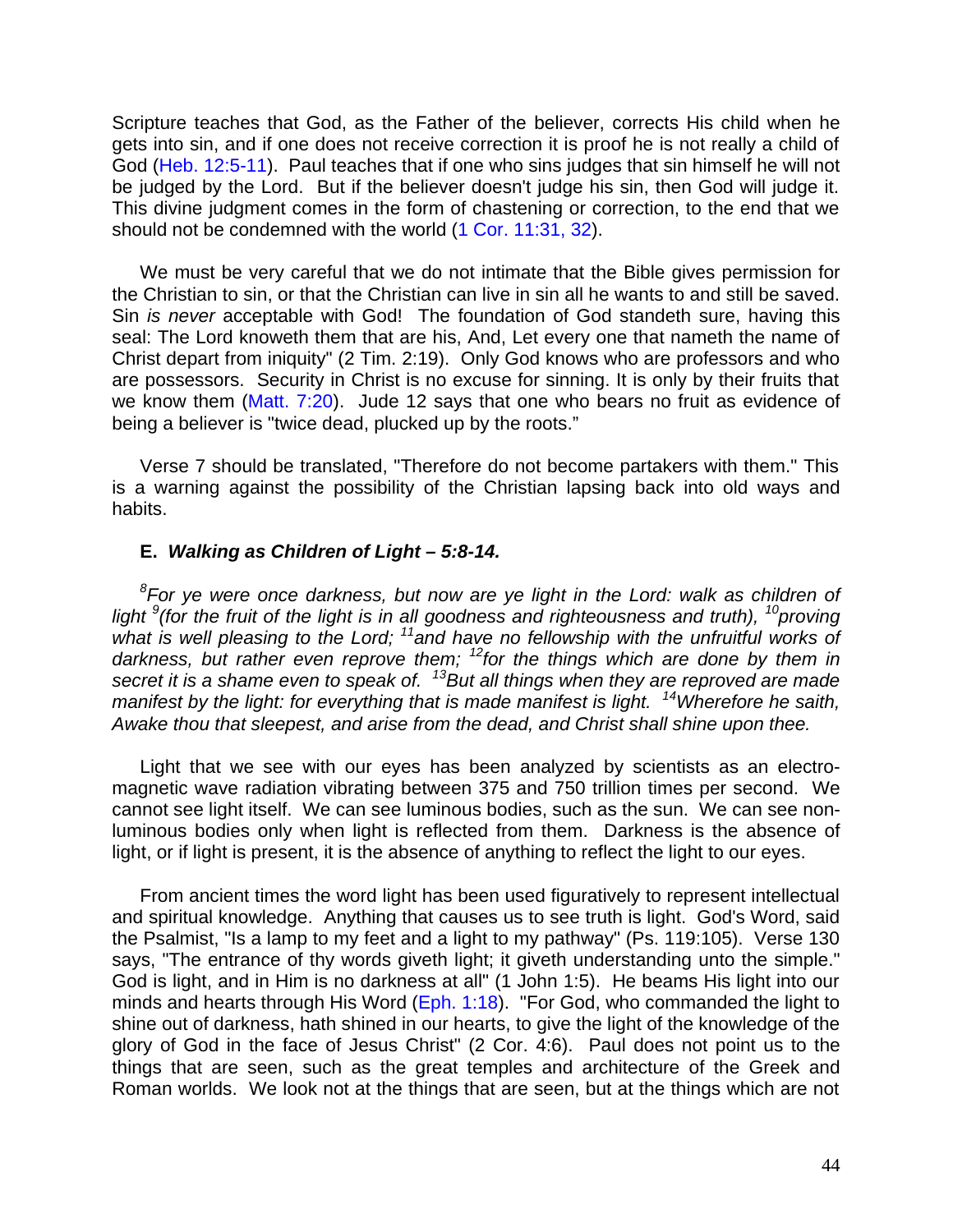Scripture teaches that God, as the Father of the believer, corrects His child when he gets into sin, and if one does not receive correction it is proof he is not really a child of God (Heb. 12:5-11). Paul teaches that if one who sins judges that sin himself he will not be judged by the Lord. But if the believer doesn't judge his sin, then God will judge it. This divine judgment comes in the form of chastening or correction, to the end that we should not be condemned with the world (1 Cor. 11:31, 32).

We must be very careful that we do not intimate that the Bible gives permission for the Christian to sin, or that the Christian can live in sin all he wants to and still be saved. Sin *is never* acceptable with God! The foundation of God standeth sure, having this seal: The Lord knoweth them that are his, And, Let every one that nameth the name of Christ depart from iniquity" (2 Tim. 2:19). Only God knows who are professors and who are possessors. Security in Christ is no excuse for sinning. It is only by their fruits that we know them (Matt. 7:20). Jude 12 says that one who bears no fruit as evidence of being a believer is "twice dead, plucked up by the roots."

Verse 7 should be translated, "Therefore do not become partakers with them." This is a warning against the possibility of the Christian lapsing back into old ways and habits.

### **E.** *Walking as Children of Light – 5:8-14.*

*8 For ye were once darkness, but now are ye light in the Lord: walk as children of* light <sup>9</sup>(for the fruit of the light is in all goodness and righteousness and truth), <sup>10</sup>*proving what is well pleasing to the Lord; <sup>11</sup>and have no fellowship with the unfruitful works of darkness, but rather even reprove them; <sup>12</sup>for the things which are done by them in secret it is a shame even to speak of. <sup>13</sup>But all things when they are reproved are made manifest by the light: for everything that is made manifest is light. <sup>14</sup>Wherefore he saith, Awake thou that sleepest, and arise from the dead, and Christ shall shine upon thee.*

Light that we see with our eyes has been analyzed by scientists as an electromagnetic wave radiation vibrating between 375 and 750 trillion times per second. We cannot see light itself. We can see luminous bodies, such as the sun. We can see nonluminous bodies only when light is reflected from them. Darkness is the absence of light, or if light is present, it is the absence of anything to reflect the light to our eyes.

From ancient times the word light has been used figuratively to represent intellectual and spiritual knowledge. Anything that causes us to see truth is light. God's Word, said the Psalmist, "Is a lamp to my feet and a light to my pathway" (Ps. 119:105). Verse 130 says, "The entrance of thy words giveth light; it giveth understanding unto the simple." God is light, and in Him is no darkness at all" (1 John 1:5). He beams His light into our minds and hearts through His Word (Eph. 1:18). "For God, who commanded the light to shine out of darkness, hath shined in our hearts, to give the light of the knowledge of the glory of God in the face of Jesus Christ" (2 Cor. 4:6). Paul does not point us to the things that are seen, such as the great temples and architecture of the Greek and Roman worlds. We look not at the things that are seen, but at the things which are not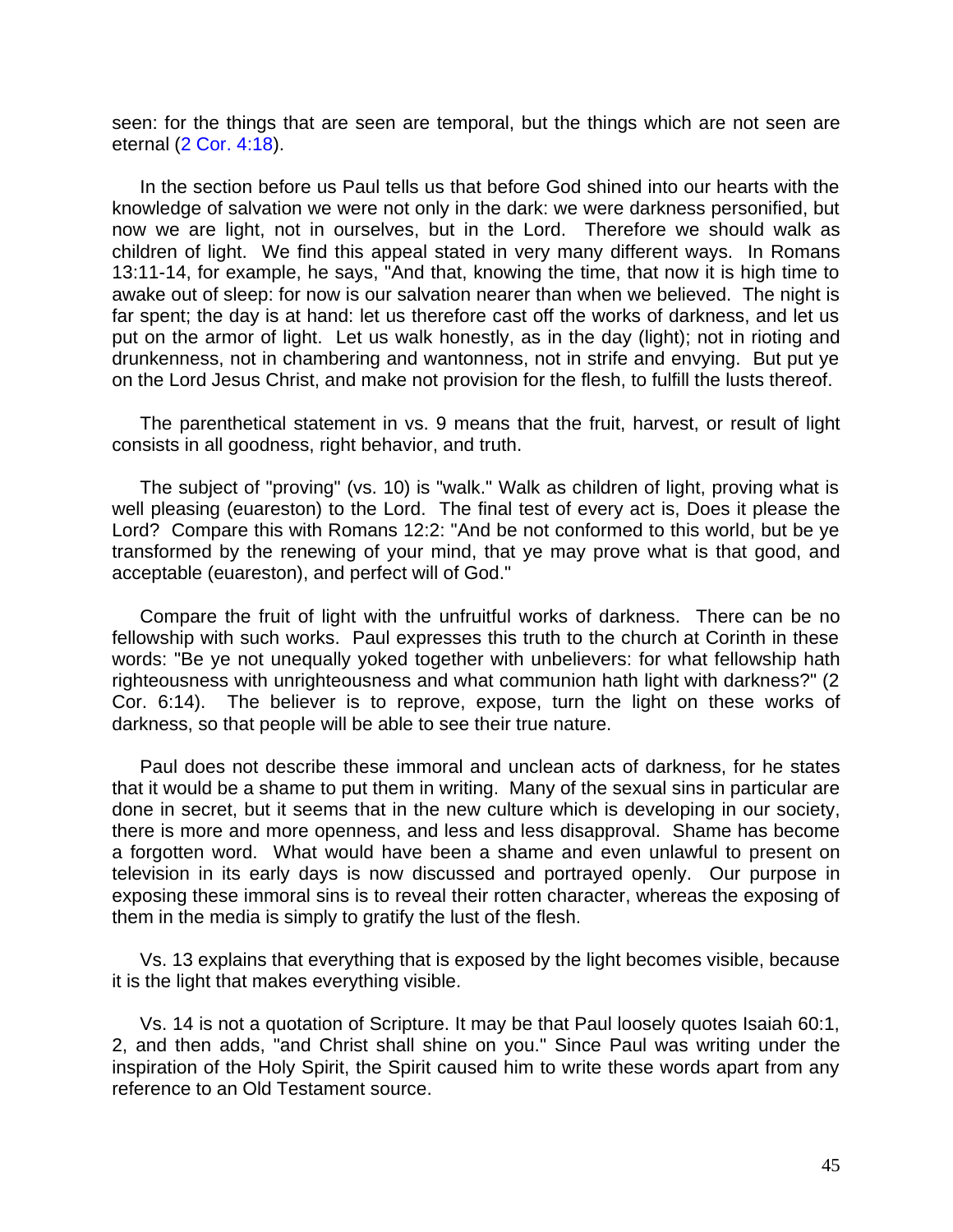seen: for the things that are seen are temporal, but the things which are not seen are eternal (2 Cor. 4:18).

In the section before us Paul tells us that before God shined into our hearts with the knowledge of salvation we were not only in the dark: we were darkness personified, but now we are light, not in ourselves, but in the Lord. Therefore we should walk as children of light. We find this appeal stated in very many different ways. In Romans 13:11-14, for example, he says, "And that, knowing the time, that now it is high time to awake out of sleep: for now is our salvation nearer than when we believed. The night is far spent; the day is at hand: let us therefore cast off the works of darkness, and let us put on the armor of light. Let us walk honestly, as in the day (light); not in rioting and drunkenness, not in chambering and wantonness, not in strife and envying. But put ye on the Lord Jesus Christ, and make not provision for the flesh, to fulfill the lusts thereof.

The parenthetical statement in vs. 9 means that the fruit, harvest, or result of light consists in all goodness, right behavior, and truth.

The subject of "proving" (vs. 10) is "walk." Walk as children of light, proving what is well pleasing (euareston) to the Lord. The final test of every act is, Does it please the Lord? Compare this with Romans 12:2: "And be not conformed to this world, but be ye transformed by the renewing of your mind, that ye may prove what is that good, and acceptable (euareston), and perfect will of God."

Compare the fruit of light with the unfruitful works of darkness. There can be no fellowship with such works. Paul expresses this truth to the church at Corinth in these words: "Be ye not unequally yoked together with unbelievers: for what fellowship hath righteousness with unrighteousness and what communion hath light with darkness?" (2 Cor. 6:14). The believer is to reprove, expose, turn the light on these works of darkness, so that people will be able to see their true nature.

Paul does not describe these immoral and unclean acts of darkness, for he states that it would be a shame to put them in writing. Many of the sexual sins in particular are done in secret, but it seems that in the new culture which is developing in our society, there is more and more openness, and less and less disapproval. Shame has become a forgotten word. What would have been a shame and even unlawful to present on television in its early days is now discussed and portrayed openly. Our purpose in exposing these immoral sins is to reveal their rotten character, whereas the exposing of them in the media is simply to gratify the lust of the flesh.

Vs. 13 explains that everything that is exposed by the light becomes visible, because it is the light that makes everything visible.

Vs. 14 is not a quotation of Scripture. It may be that Paul loosely quotes Isaiah 60:1, 2, and then adds, "and Christ shall shine on you." Since Paul was writing under the inspiration of the Holy Spirit, the Spirit caused him to write these words apart from any reference to an Old Testament source.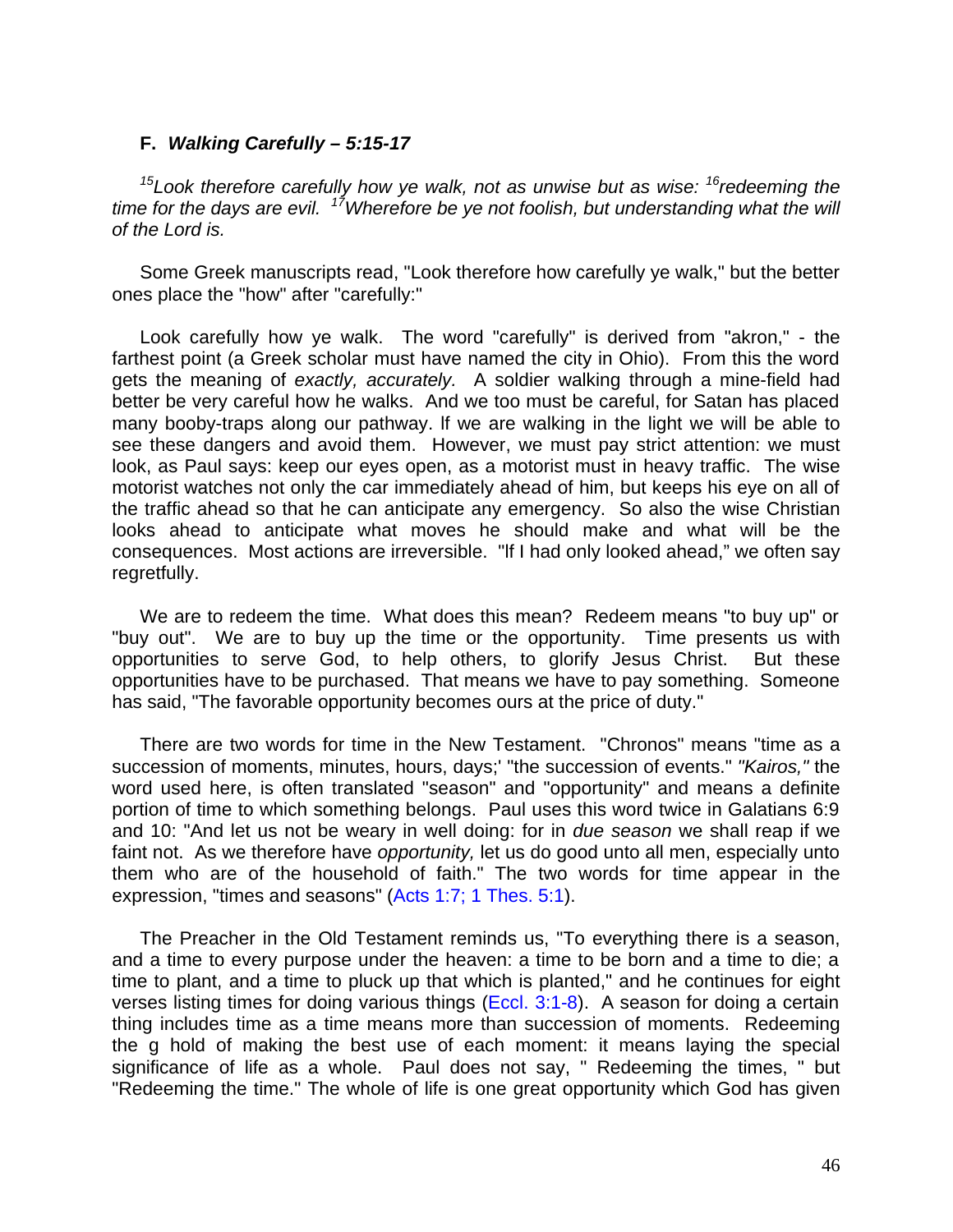### **F.** *Walking Carefully – 5:15-17*

*<sup>15</sup>Look therefore carefully how ye walk, not as unwise but as wise: <sup>16</sup>redeeming the time for the days are evil. <sup>17</sup>Wherefore be ye not foolish, but understanding what the will of the Lord is.*

Some Greek manuscripts read, "Look therefore how carefully ye walk," but the better ones place the "how" after "carefully:"

Look carefully how ye walk. The word "carefully" is derived from "akron," - the farthest point (a Greek scholar must have named the city in Ohio). From this the word gets the meaning of *exactly, accurately.* A soldier walking through a mine-field had better be very careful how he walks. And we too must be careful, for Satan has placed many booby-traps along our pathway. lf we are walking in the light we will be able to see these dangers and avoid them. However, we must pay strict attention: we must look, as Paul says: keep our eyes open, as a motorist must in heavy traffic. The wise motorist watches not only the car immediately ahead of him, but keeps his eye on all of the traffic ahead so that he can anticipate any emergency. So also the wise Christian looks ahead to anticipate what moves he should make and what will be the consequences. Most actions are irreversible. "lf I had only looked ahead," we often say regretfully.

We are to redeem the time. What does this mean? Redeem means "to buy up" or "buy out". We are to buy up the time or the opportunity. Time presents us with opportunities to serve God, to help others, to glorify Jesus Christ. But these opportunities have to be purchased. That means we have to pay something. Someone has said, "The favorable opportunity becomes ours at the price of duty."

There are two words for time in the New Testament. "Chronos" means "time as a succession of moments, minutes, hours, days;' "the succession of events." *"Kairos,"* the word used here, is often translated "season" and "opportunity" and means a definite portion of time to which something belongs. Paul uses this word twice in Galatians 6:9 and 10: "And let us not be weary in well doing: for in *due season* we shall reap if we faint not. As we therefore have *opportunity,* let us do good unto all men, especially unto them who are of the household of faith." The two words for time appear in the expression, "times and seasons" (Acts 1:7; 1 Thes. 5:1).

The Preacher in the Old Testament reminds us, "To everything there is a season, and a time to every purpose under the heaven: a time to be born and a time to die; a time to plant, and a time to pluck up that which is planted," and he continues for eight verses listing times for doing various things (Eccl. 3:1-8). A season for doing a certain thing includes time as a time means more than succession of moments. Redeeming the g hold of making the best use of each moment: it means laying the special significance of life as a whole. Paul does not say, " Redeeming the times, " but "Redeeming the time." The whole of life is one great opportunity which God has given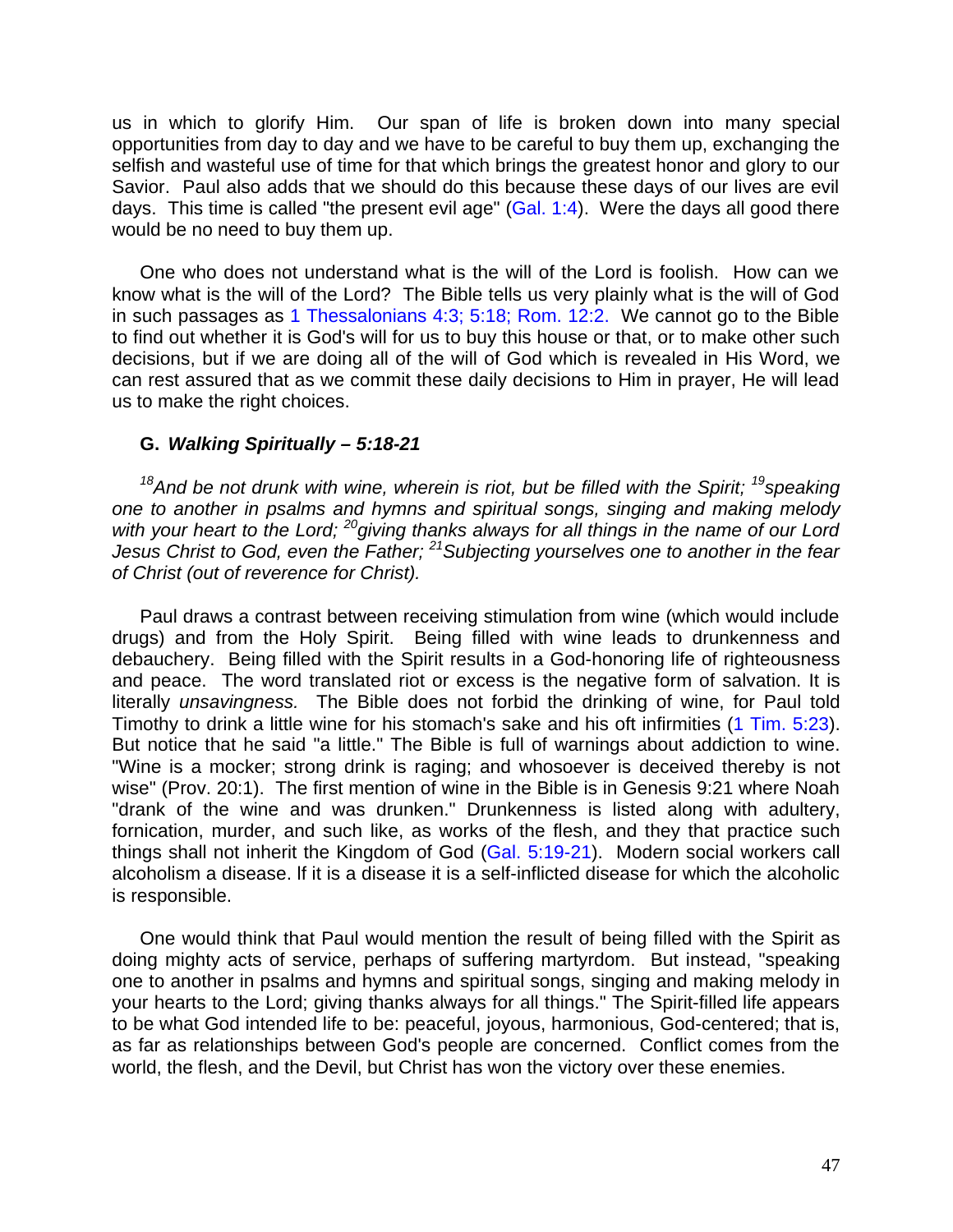us in which to glorify Him. Our span of life is broken down into many special opportunities from day to day and we have to be careful to buy them up, exchanging the selfish and wasteful use of time for that which brings the greatest honor and glory to our Savior. Paul also adds that we should do this because these days of our lives are evil days. This time is called "the present evil age" (Gal. 1:4). Were the days all good there would be no need to buy them up.

One who does not understand what is the will of the Lord is foolish. How can we know what is the will of the Lord? The Bible tells us very plainly what is the will of God in such passages as 1 Thessalonians 4:3; 5:18; Rom. 12:2. We cannot go to the Bible to find out whether it is God's will for us to buy this house or that, or to make other such decisions, but if we are doing all of the will of God which is revealed in His Word, we can rest assured that as we commit these daily decisions to Him in prayer, He will lead us to make the right choices.

### **G.** *Walking Spiritually – 5:18-21*

<sup>18</sup>And be not drunk with wine, wherein is riot, but be filled with the Spirit; <sup>19</sup>speaking *one to another in psalms and hymns and spiritual songs, singing and making melody with your heart to the Lord; <sup>20</sup>giving thanks always for all things in the name of our Lord Jesus Christ to God, even the Father; <sup>21</sup>Subjecting yourselves one to another in the fear of Christ (out of reverence for Christ).*

Paul draws a contrast between receiving stimulation from wine (which would include drugs) and from the Holy Spirit. Being filled with wine leads to drunkenness and debauchery. Being filled with the Spirit results in a God-honoring life of righteousness and peace. The word translated riot or excess is the negative form of salvation. It is literally *unsavingness.* The Bible does not forbid the drinking of wine, for Paul told Timothy to drink a little wine for his stomach's sake and his oft infirmities (1 Tim. 5:23). But notice that he said "a little." The Bible is full of warnings about addiction to wine. "Wine is a mocker; strong drink is raging; and whosoever is deceived thereby is not wise" (Prov. 20:1). The first mention of wine in the Bible is in Genesis 9:21 where Noah "drank of the wine and was drunken." Drunkenness is listed along with adultery, fornication, murder, and such like, as works of the flesh, and they that practice such things shall not inherit the Kingdom of God (Gal. 5:19-21). Modern social workers call alcoholism a disease. lf it is a disease it is a self-inflicted disease for which the alcoholic is responsible.

One would think that Paul would mention the result of being filled with the Spirit as doing mighty acts of service, perhaps of suffering martyrdom. But instead, "speaking one to another in psalms and hymns and spiritual songs, singing and making melody in your hearts to the Lord; giving thanks always for all things." The Spirit-filled life appears to be what God intended life to be: peaceful, joyous, harmonious, God-centered; that is, as far as relationships between God's people are concerned. Conflict comes from the world, the flesh, and the Devil, but Christ has won the victory over these enemies.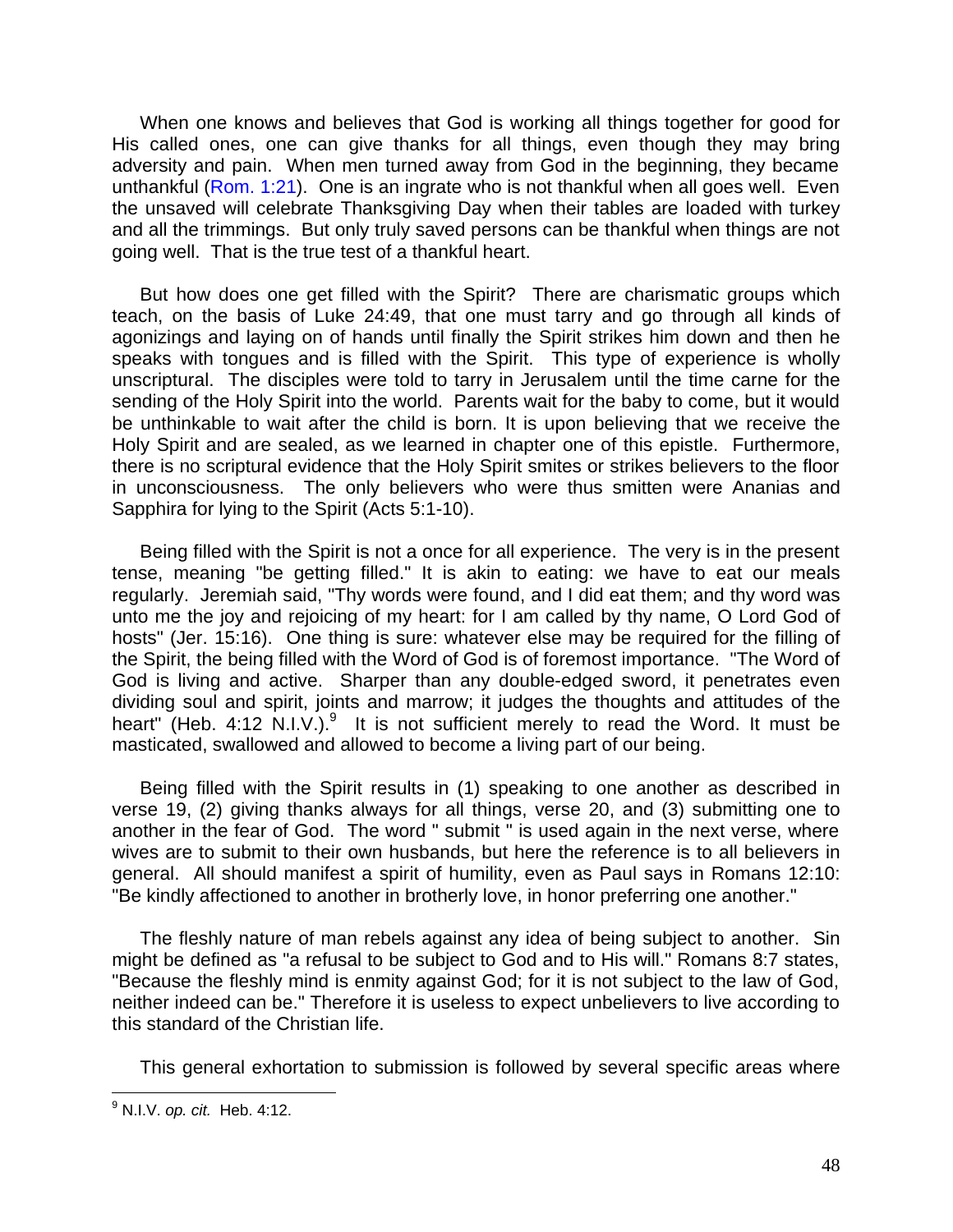When one knows and believes that God is working all things together for good for His called ones, one can give thanks for all things, even though they may bring adversity and pain. When men turned away from God in the beginning, they became unthankful (Rom. 1:21). One is an ingrate who is not thankful when all goes well. Even the unsaved will celebrate Thanksgiving Day when their tables are loaded with turkey and all the trimmings. But only truly saved persons can be thankful when things are not going well. That is the true test of a thankful heart.

But how does one get filled with the Spirit? There are charismatic groups which teach, on the basis of Luke 24:49, that one must tarry and go through all kinds of agonizings and laying on of hands until finally the Spirit strikes him down and then he speaks with tongues and is filled with the Spirit. This type of experience is wholly unscriptural. The disciples were told to tarry in Jerusalem until the time carne for the sending of the Holy Spirit into the world. Parents wait for the baby to come, but it would be unthinkable to wait after the child is born. It is upon believing that we receive the Holy Spirit and are sealed, as we learned in chapter one of this epistle. Furthermore, there is no scriptural evidence that the Holy Spirit smites or strikes believers to the floor in unconsciousness. The only believers who were thus smitten were Ananias and Sapphira for lying to the Spirit (Acts 5:1-10).

Being filled with the Spirit is not a once for all experience. The very is in the present tense, meaning "be getting filled." It is akin to eating: we have to eat our meals regularly. Jeremiah said, "Thy words were found, and I did eat them; and thy word was unto me the joy and rejoicing of my heart: for I am called by thy name, O Lord God of hosts" (Jer. 15:16). One thing is sure: whatever else may be required for the filling of the Spirit, the being filled with the Word of God is of foremost importance. "The Word of God is living and active. Sharper than any double-edged sword, it penetrates even dividing soul and spirit, joints and marrow; it judges the thoughts and attitudes of the heart" (Heb.  $4:12 \text{ N.I.V.}$ ). $9$  It is not sufficient merely to read the Word. It must be masticated, swallowed and allowed to become a living part of our being.

Being filled with the Spirit results in (1) speaking to one another as described in verse 19, (2) giving thanks always for all things, verse 20, and (3) submitting one to another in the fear of God. The word " submit " is used again in the next verse, where wives are to submit to their own husbands, but here the reference is to all believers in general. All should manifest a spirit of humility, even as Paul says in Romans 12:10: "Be kindly affectioned to another in brotherly love, in honor preferring one another."

The fleshly nature of man rebels against any idea of being subject to another. Sin might be defined as "a refusal to be subject to God and to His will." Romans 8:7 states, "Because the fleshly mind is enmity against God; for it is not subject to the law of God, neither indeed can be." Therefore it is useless to expect unbelievers to live according to this standard of the Christian life.

This general exhortation to submission is followed by several specific areas where

 $\overline{a}$ 9 N.I.V. *op. cit.* Heb. 4:12.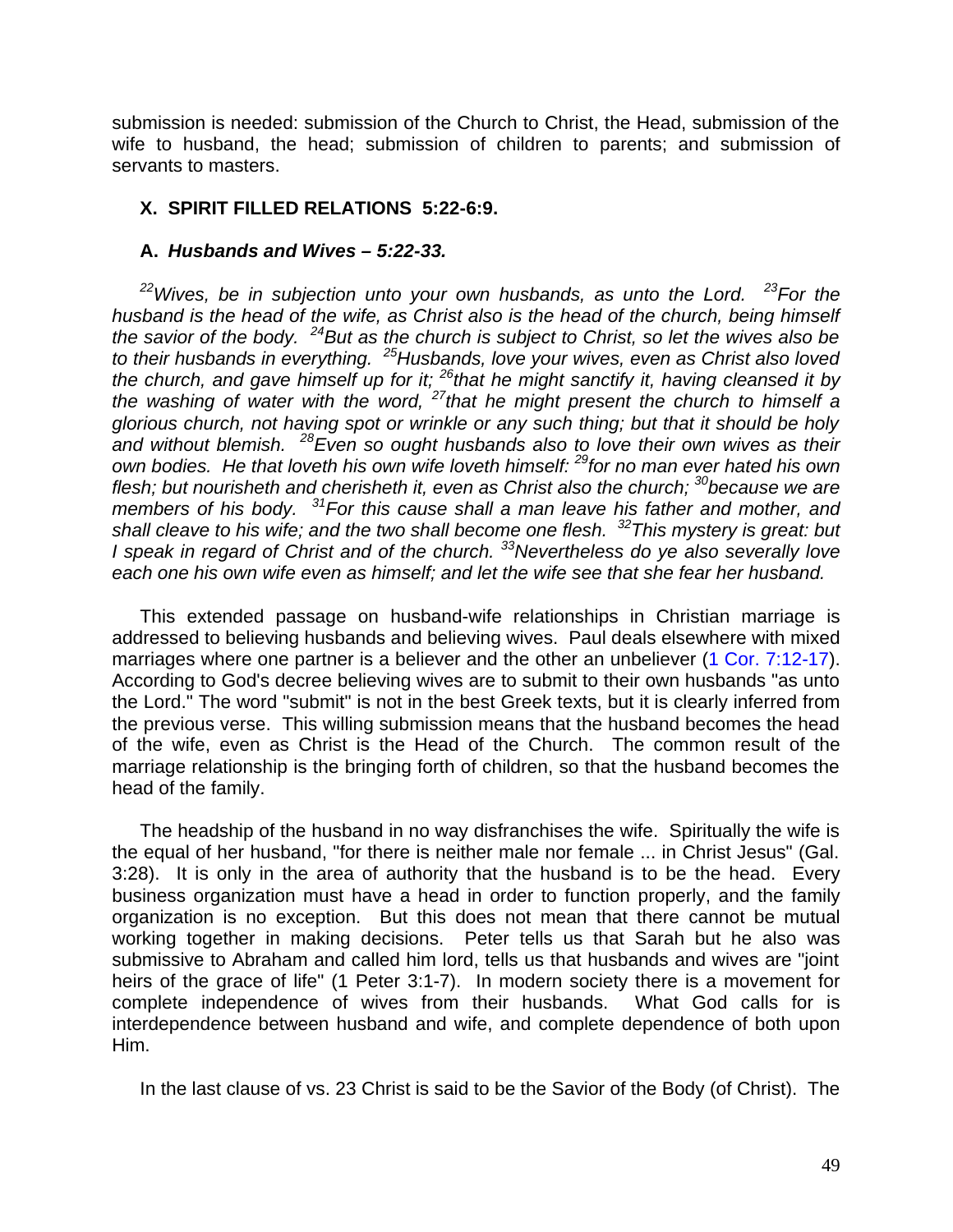submission is needed: submission of the Church to Christ, the Head, submission of the wife to husband, the head; submission of children to parents; and submission of servants to masters.

## **X. SPIRIT FILLED RELATIONS 5:22-6:9.**

## **A.** *Husbands and Wives – 5:22-33.*

*<sup>22</sup>Wives, be in subjection unto your own husbands, as unto the Lord. <sup>23</sup>For the husband is the head of the wife, as Christ also is the head of the church, being himself the savior of the body. <sup>24</sup>But as the church is subject to Christ, so let the wives also be to their husbands in everything. <sup>25</sup>Husbands, love your wives, even as Christ also loved the church, and gave himself up for it; <sup>26</sup>that he might sanctify it, having cleansed it by the washing of water with the word, <sup>27</sup>that he might present the church to himself a glorious church, not having spot or wrinkle or any such thing; but that it should be holy and without blemish. <sup>28</sup>Even so ought husbands also to love their own wives as their own bodies. He that loveth his own wife loveth himself: <sup>29</sup>for no man ever hated his own flesh; but nourisheth and cherisheth it, even as Christ also the church; <sup>30</sup>because we are members of his body. <sup>31</sup>For this cause shall a man leave his father and mother, and shall cleave to his wife; and the two shall become one flesh. <sup>32</sup>This mystery is great: but I speak in regard of Christ and of the church. <sup>33</sup>Nevertheless do ye also severally love each one his own wife even as himself; and let the wife see that she fear her husband.*

This extended passage on husband-wife relationships in Christian marriage is addressed to believing husbands and believing wives. Paul deals elsewhere with mixed marriages where one partner is a believer and the other an unbeliever (1 Cor. 7:12-17). According to God's decree believing wives are to submit to their own husbands "as unto the Lord." The word "submit" is not in the best Greek texts, but it is clearly inferred from the previous verse. This willing submission means that the husband becomes the head of the wife, even as Christ is the Head of the Church. The common result of the marriage relationship is the bringing forth of children, so that the husband becomes the head of the family.

The headship of the husband in no way disfranchises the wife. Spiritually the wife is the equal of her husband, "for there is neither male nor female ... in Christ Jesus" (Gal. 3:28). It is only in the area of authority that the husband is to be the head. Every business organization must have a head in order to function properly, and the family organization is no exception. But this does not mean that there cannot be mutual working together in making decisions. Peter tells us that Sarah but he also was submissive to Abraham and called him lord, tells us that husbands and wives are "joint heirs of the grace of life" (1 Peter 3:1-7). In modern society there is a movement for complete independence of wives from their husbands. What God calls for is interdependence between husband and wife, and complete dependence of both upon Him.

In the last clause of vs. 23 Christ is said to be the Savior of the Body (of Christ). The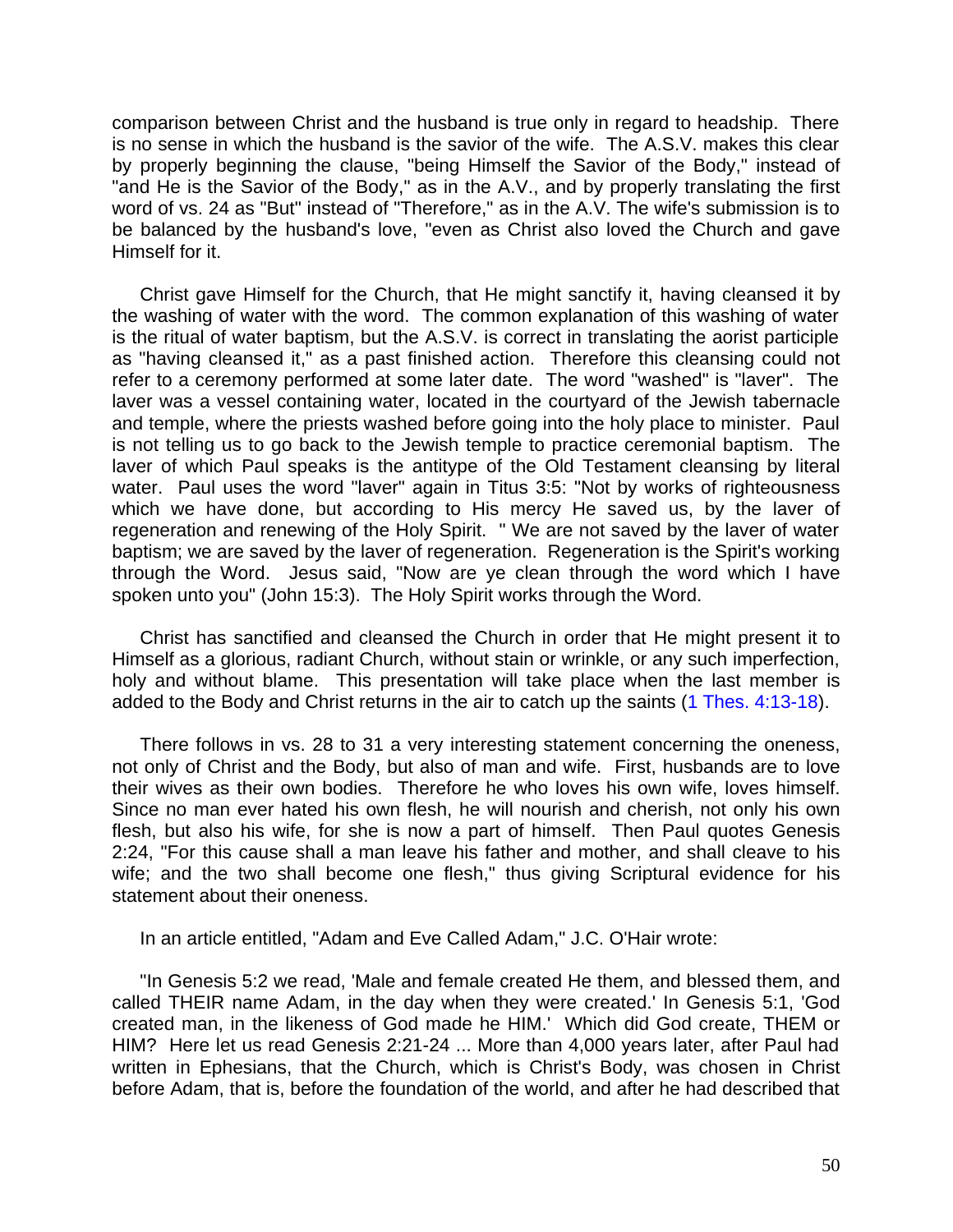comparison between Christ and the husband is true only in regard to headship. There is no sense in which the husband is the savior of the wife. The A.S.V. makes this clear by properly beginning the clause, "being Himself the Savior of the Body," instead of "and He is the Savior of the Body," as in the A.V., and by properly translating the first word of vs. 24 as "But" instead of "Therefore," as in the A.V. The wife's submission is to be balanced by the husband's love, "even as Christ also loved the Church and gave Himself for it.

Christ gave Himself for the Church, that He might sanctify it, having cleansed it by the washing of water with the word. The common explanation of this washing of water is the ritual of water baptism, but the A.S.V. is correct in translating the aorist participle as "having cleansed it," as a past finished action. Therefore this cleansing could not refer to a ceremony performed at some later date. The word "washed" is "laver". The laver was a vessel containing water, located in the courtyard of the Jewish tabernacle and temple, where the priests washed before going into the holy place to minister. Paul is not telling us to go back to the Jewish temple to practice ceremonial baptism. The laver of which Paul speaks is the antitype of the Old Testament cleansing by literal water. Paul uses the word "laver" again in Titus 3:5: "Not by works of righteousness which we have done, but according to His mercy He saved us, by the laver of regeneration and renewing of the Holy Spirit. " We are not saved by the laver of water baptism; we are saved by the laver of regeneration. Regeneration is the Spirit's working through the Word. Jesus said, "Now are ye clean through the word which I have spoken unto you" (John 15:3). The Holy Spirit works through the Word.

Christ has sanctified and cleansed the Church in order that He might present it to Himself as a glorious, radiant Church, without stain or wrinkle, or any such imperfection, holy and without blame. This presentation will take place when the last member is added to the Body and Christ returns in the air to catch up the saints (1 Thes. 4:13-18).

There follows in vs. 28 to 31 a very interesting statement concerning the oneness, not only of Christ and the Body, but also of man and wife. First, husbands are to love their wives as their own bodies. Therefore he who loves his own wife, loves himself. Since no man ever hated his own flesh, he will nourish and cherish, not only his own flesh, but also his wife, for she is now a part of himself. Then Paul quotes Genesis 2:24, "For this cause shall a man leave his father and mother, and shall cleave to his wife; and the two shall become one flesh," thus giving Scriptural evidence for his statement about their oneness.

In an article entitled, "Adam and Eve Called Adam," J.C. O'Hair wrote:

"In Genesis 5:2 we read, 'Male and female created He them, and blessed them, and called THEIR name Adam, in the day when they were created.' In Genesis 5:1, 'God created man, in the likeness of God made he HIM.' Which did God create, THEM or HIM? Here let us read Genesis 2:21-24 ... More than 4,000 years later, after Paul had written in Ephesians, that the Church, which is Christ's Body, was chosen in Christ before Adam, that is, before the foundation of the world, and after he had described that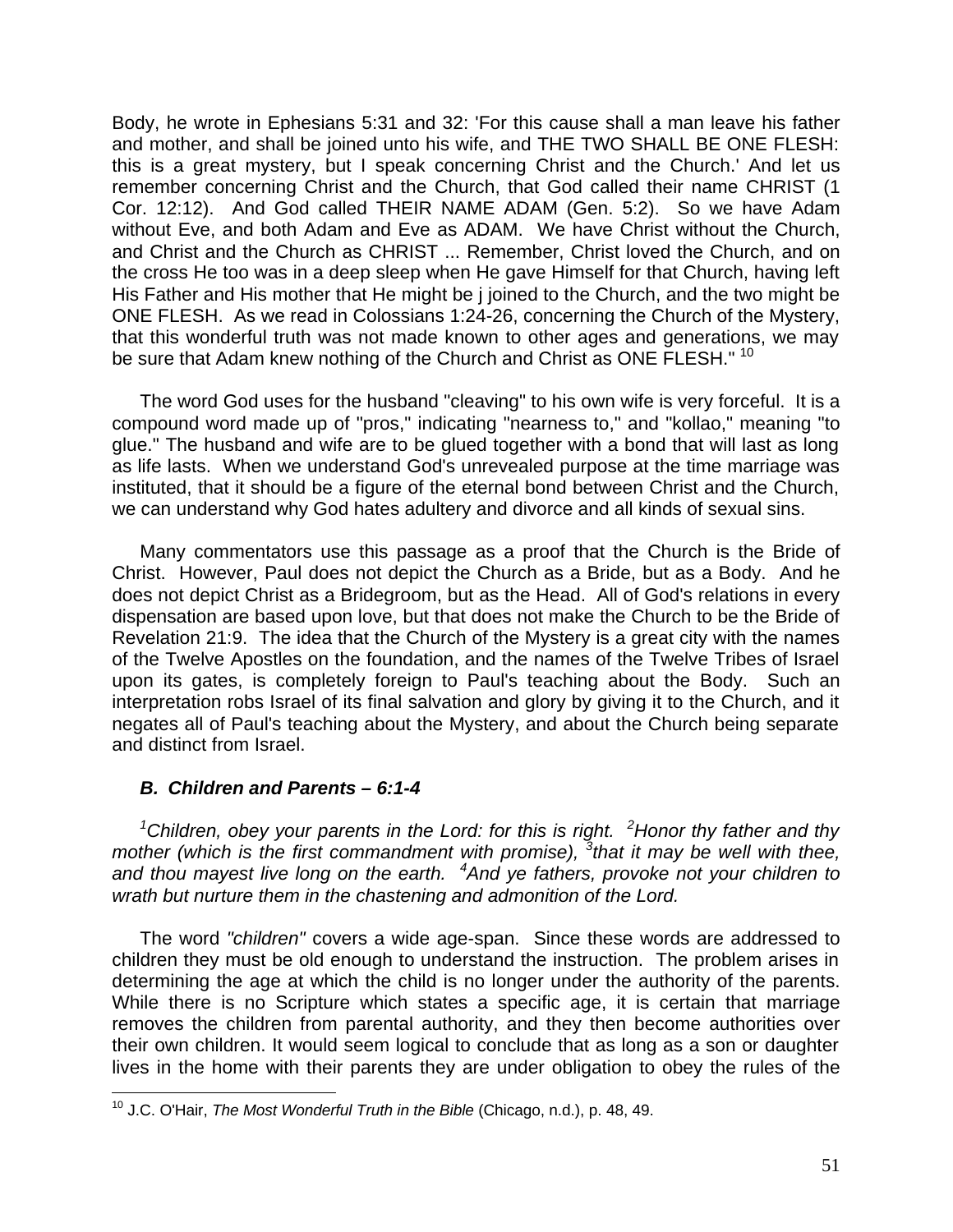Body, he wrote in Ephesians 5:31 and 32: 'For this cause shall a man leave his father and mother, and shall be joined unto his wife, and THE TWO SHALL BE ONE FLESH: this is a great mystery, but I speak concerning Christ and the Church.' And let us remember concerning Christ and the Church, that God called their name CHRIST (1 Cor. 12:12). And God called THEIR NAME ADAM (Gen. 5:2). So we have Adam without Eve, and both Adam and Eve as ADAM. We have Christ without the Church, and Christ and the Church as CHRIST ... Remember, Christ loved the Church, and on the cross He too was in a deep sleep when He gave Himself for that Church, having left His Father and His mother that He might be j joined to the Church, and the two might be ONE FLESH. As we read in Colossians 1:24-26, concerning the Church of the Mystery, that this wonderful truth was not made known to other ages and generations, we may be sure that Adam knew nothing of the Church and Christ as ONE FLESH." <sup>10</sup>

The word God uses for the husband "cleaving" to his own wife is very forceful. It is a compound word made up of "pros," indicating "nearness to," and "kollao," meaning "to glue." The husband and wife are to be glued together with a bond that will last as long as life lasts. When we understand God's unrevealed purpose at the time marriage was instituted, that it should be a figure of the eternal bond between Christ and the Church, we can understand why God hates adultery and divorce and all kinds of sexual sins.

Many commentators use this passage as a proof that the Church is the Bride of Christ. However, Paul does not depict the Church as a Bride, but as a Body. And he does not depict Christ as a Bridegroom, but as the Head. All of God's relations in every dispensation are based upon love, but that does not make the Church to be the Bride of Revelation 21:9. The idea that the Church of the Mystery is a great city with the names of the Twelve Apostles on the foundation, and the names of the Twelve Tribes of Israel upon its gates, is completely foreign to Paul's teaching about the Body. Such an interpretation robs Israel of its final salvation and glory by giving it to the Church, and it negates all of Paul's teaching about the Mystery, and about the Church being separate and distinct from Israel.

## *B. Children and Parents – 6:1-4*

*<sup>1</sup>Children, obey your parents in the Lord: for this is right. <sup>2</sup>Honor thy father and thy mother (which is the first commandment with promise), <sup>3</sup> that it may be well with thee, and thou mayest live long on the earth. <sup>4</sup>And ye fathers, provoke not your children to wrath but nurture them in the chastening and admonition of the Lord.*

The word *"children"* covers a wide age-span. Since these words are addressed to children they must be old enough to understand the instruction. The problem arises in determining the age at which the child is no longer under the authority of the parents. While there is no Scripture which states a specific age, it is certain that marriage removes the children from parental authority, and they then become authorities over their own children. It would seem logical to conclude that as long as a son or daughter lives in the home with their parents they are under obligation to obey the rules of the

 $\overline{\phantom{a}}$ <sup>10</sup> J.C. O'Hair, *The Most Wonderful Truth in the Bible* (Chicago, n.d.), p. 48, 49.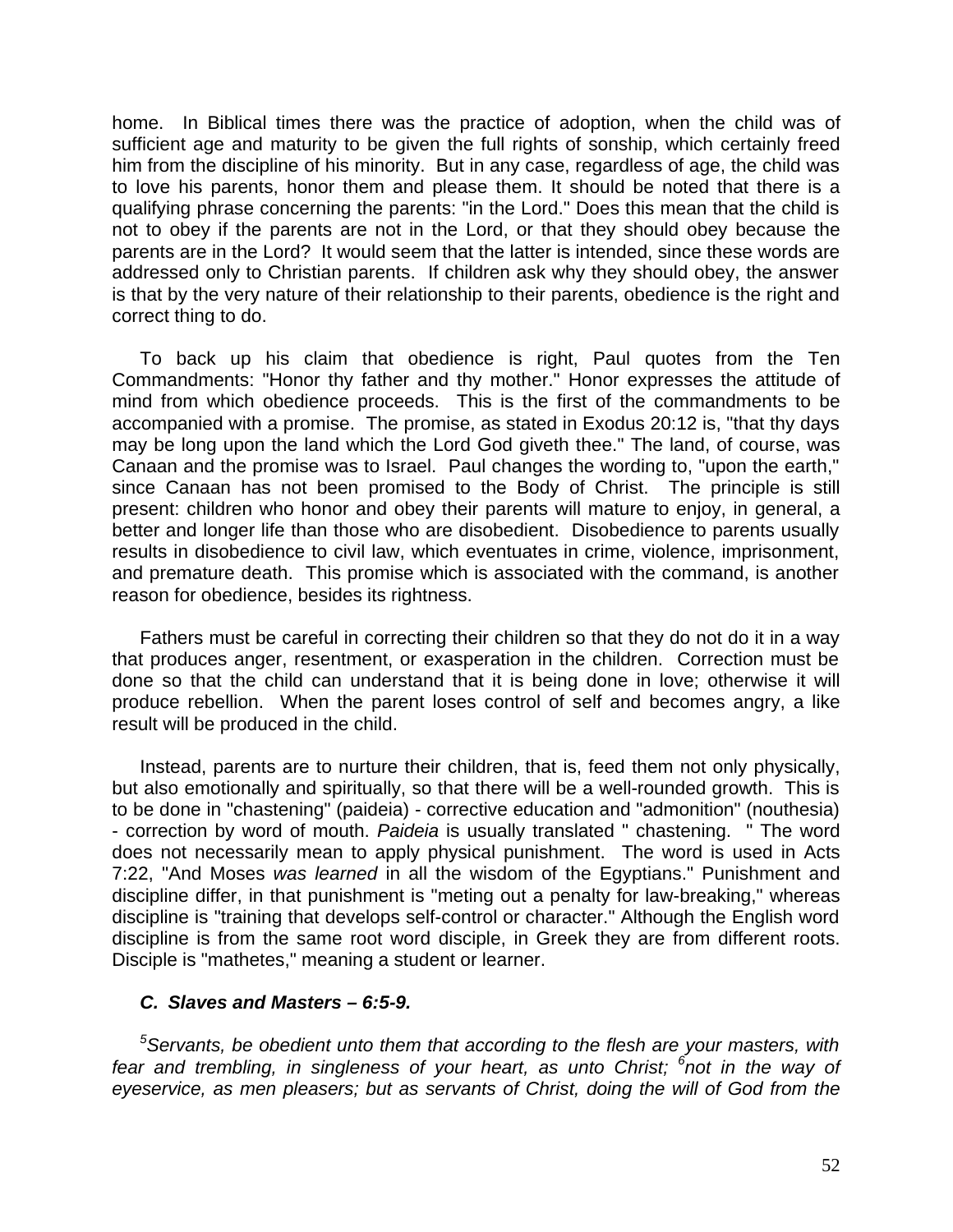home. In Biblical times there was the practice of adoption, when the child was of sufficient age and maturity to be given the full rights of sonship, which certainly freed him from the discipline of his minority. But in any case, regardless of age, the child was to love his parents, honor them and please them. It should be noted that there is a qualifying phrase concerning the parents: "in the Lord." Does this mean that the child is not to obey if the parents are not in the Lord, or that they should obey because the parents are in the Lord? It would seem that the latter is intended, since these words are addressed only to Christian parents. If children ask why they should obey, the answer is that by the very nature of their relationship to their parents, obedience is the right and correct thing to do.

To back up his claim that obedience is right, Paul quotes from the Ten Commandments: "Honor thy father and thy mother." Honor expresses the attitude of mind from which obedience proceeds. This is the first of the commandments to be accompanied with a promise. The promise, as stated in Exodus 20:12 is, "that thy days may be long upon the land which the Lord God giveth thee." The land, of course, was Canaan and the promise was to Israel. Paul changes the wording to, "upon the earth," since Canaan has not been promised to the Body of Christ. The principle is still present: children who honor and obey their parents will mature to enjoy, in general, a better and longer life than those who are disobedient. Disobedience to parents usually results in disobedience to civil law, which eventuates in crime, violence, imprisonment, and premature death. This promise which is associated with the command, is another reason for obedience, besides its rightness.

Fathers must be careful in correcting their children so that they do not do it in a way that produces anger, resentment, or exasperation in the children. Correction must be done so that the child can understand that it is being done in love; otherwise it will produce rebellion. When the parent loses control of self and becomes angry, a like result will be produced in the child.

Instead, parents are to nurture their children, that is, feed them not only physically, but also emotionally and spiritually, so that there will be a well-rounded growth. This is to be done in "chastening" (paideia) - corrective education and "admonition" (nouthesia) - correction by word of mouth. *Paideia* is usually translated " chastening. " The word does not necessarily mean to apply physical punishment. The word is used in Acts 7:22, "And Moses *was learned* in all the wisdom of the Egyptians." Punishment and discipline differ, in that punishment is "meting out a penalty for law-breaking," whereas discipline is "training that develops self-control or character." Although the English word discipline is from the same root word disciple, in Greek they are from different roots. Disciple is "mathetes," meaning a student or learner.

### *C. Slaves and Masters – 6:5-9.*

*<sup>5</sup>Servants, be obedient unto them that according to the flesh are your masters, with fear and trembling, in singleness of your heart, as unto Christ; <sup>6</sup> not in the way of eyeservice, as men pleasers; but as servants of Christ, doing the will of God from the*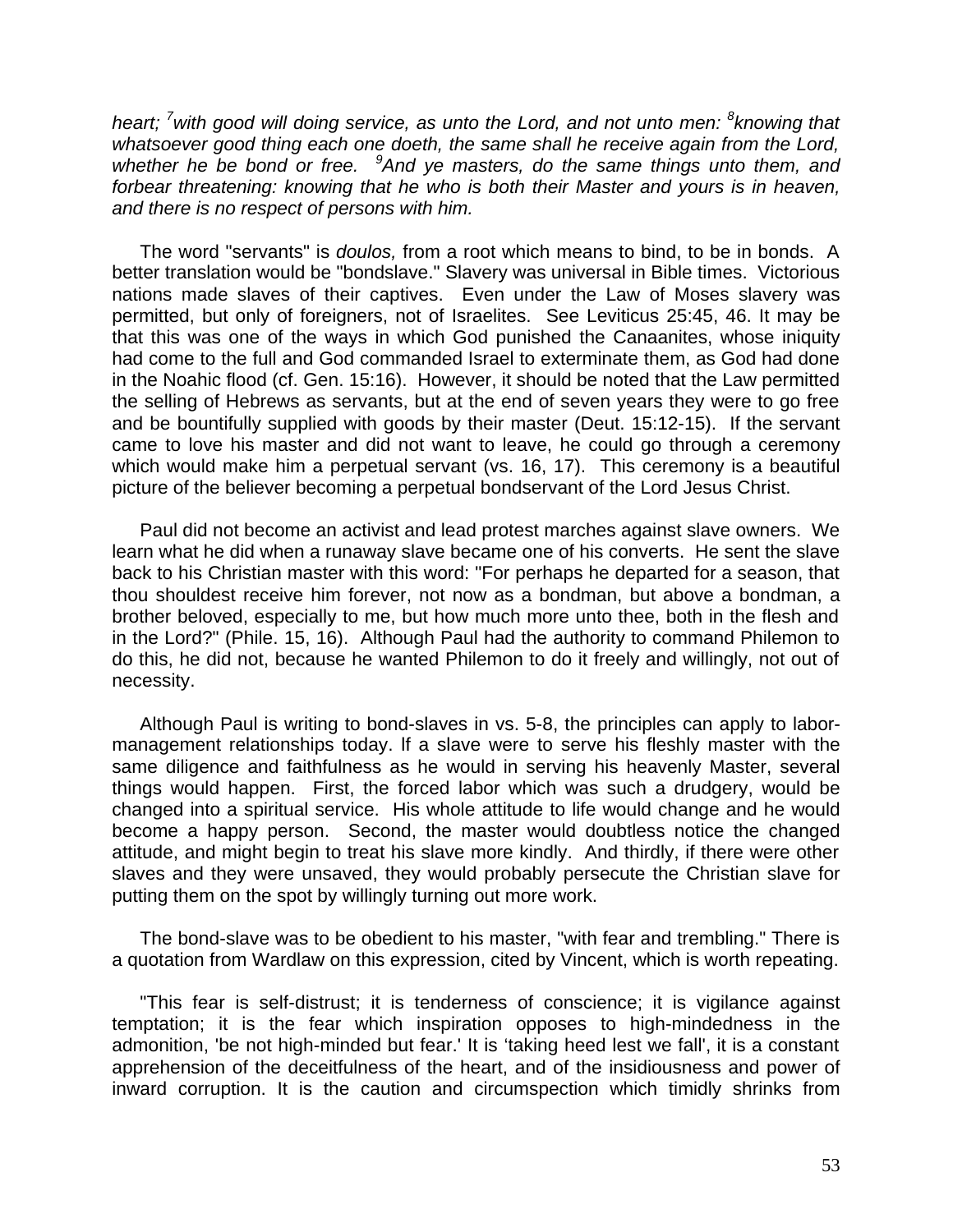*heart; <sup>7</sup>with good will doing service, as unto the Lord, and not unto men: <sup>8</sup> knowing that whatsoever good thing each one doeth, the same shall he receive again from the Lord, whether he be bond or free. <sup>9</sup>And ye masters, do the same things unto them, and forbear threatening: knowing that he who is both their Master and yours is in heaven, and there is no respect of persons with him.*

The word "servants" is *doulos,* from a root which means to bind, to be in bonds. A better translation would be "bondslave." Slavery was universal in Bible times. Victorious nations made slaves of their captives. Even under the Law of Moses slavery was permitted, but only of foreigners, not of Israelites. See Leviticus 25:45, 46. It may be that this was one of the ways in which God punished the Canaanites, whose iniquity had come to the full and God commanded Israel to exterminate them, as God had done in the Noahic flood (cf. Gen. 15:16). However, it should be noted that the Law permitted the selling of Hebrews as servants, but at the end of seven years they were to go free and be bountifully supplied with goods by their master (Deut. 15:12-15). If the servant came to love his master and did not want to leave, he could go through a ceremony which would make him a perpetual servant (vs. 16, 17). This ceremony is a beautiful picture of the believer becoming a perpetual bondservant of the Lord Jesus Christ.

Paul did not become an activist and lead protest marches against slave owners. We learn what he did when a runaway slave became one of his converts. He sent the slave back to his Christian master with this word: "For perhaps he departed for a season, that thou shouldest receive him forever, not now as a bondman, but above a bondman, a brother beloved, especially to me, but how much more unto thee, both in the flesh and in the Lord?" (Phile. 15, 16). Although Paul had the authority to command Philemon to do this, he did not, because he wanted Philemon to do it freely and willingly, not out of necessity.

Although Paul is writing to bond-slaves in vs. 5-8, the principles can apply to labormanagement relationships today. lf a slave were to serve his fleshly master with the same diligence and faithfulness as he would in serving his heavenly Master, several things would happen. First, the forced labor which was such a drudgery, would be changed into a spiritual service. His whole attitude to life would change and he would become a happy person. Second, the master would doubtless notice the changed attitude, and might begin to treat his slave more kindly. And thirdly, if there were other slaves and they were unsaved, they would probably persecute the Christian slave for putting them on the spot by willingly turning out more work.

The bond-slave was to be obedient to his master, "with fear and trembling." There is a quotation from Wardlaw on this expression, cited by Vincent, which is worth repeating.

"This fear is self-distrust; it is tenderness of conscience; it is vigilance against temptation; it is the fear which inspiration opposes to high-mindedness in the admonition, 'be not high-minded but fear.' It is 'taking heed lest we fall', it is a constant apprehension of the deceitfulness of the heart, and of the insidiousness and power of inward corruption. It is the caution and circumspection which timidly shrinks from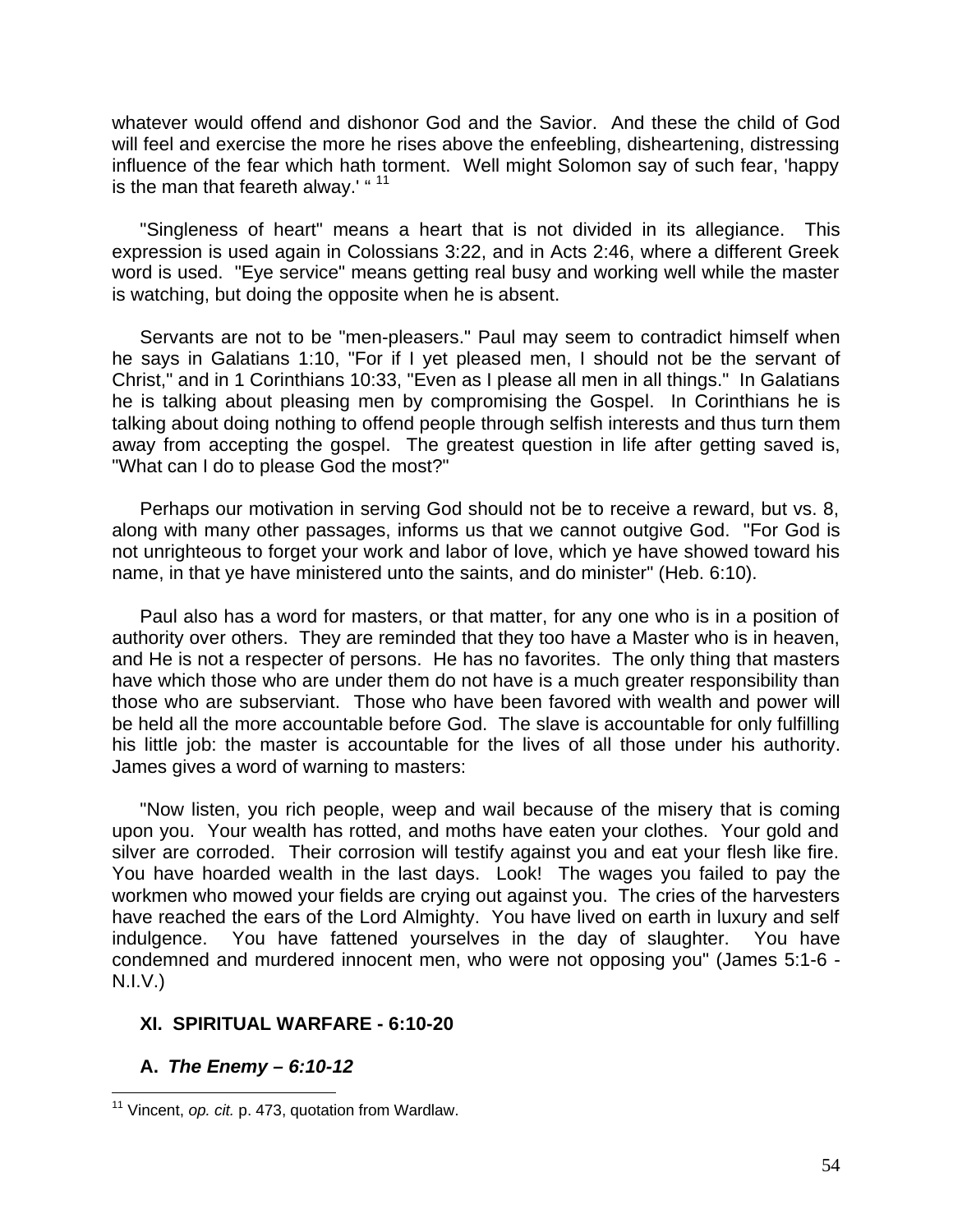whatever would offend and dishonor God and the Savior. And these the child of God will feel and exercise the more he rises above the enfeebling, disheartening, distressing influence of the fear which hath torment. Well might Solomon say of such fear, 'happy is the man that feareth alway.' "<sup>11</sup>

"Singleness of heart" means a heart that is not divided in its allegiance. This expression is used again in Colossians 3:22, and in Acts 2:46, where a different Greek word is used. "Eye service" means getting real busy and working well while the master is watching, but doing the opposite when he is absent.

Servants are not to be "men-pleasers." Paul may seem to contradict himself when he says in Galatians 1:10, "For if I yet pleased men, I should not be the servant of Christ," and in 1 Corinthians 10:33, "Even as I please all men in all things." In Galatians he is talking about pleasing men by compromising the Gospel. In Corinthians he is talking about doing nothing to offend people through selfish interests and thus turn them away from accepting the gospel. The greatest question in life after getting saved is, "What can I do to please God the most?"

Perhaps our motivation in serving God should not be to receive a reward, but vs. 8, along with many other passages, informs us that we cannot outgive God. "For God is not unrighteous to forget your work and labor of love, which ye have showed toward his name, in that ye have ministered unto the saints, and do minister" (Heb. 6:10).

Paul also has a word for masters, or that matter, for any one who is in a position of authority over others. They are reminded that they too have a Master who is in heaven, and He is not a respecter of persons. He has no favorites. The only thing that masters have which those who are under them do not have is a much greater responsibility than those who are subserviant. Those who have been favored with wealth and power will be held all the more accountable before God. The slave is accountable for only fulfilling his little job: the master is accountable for the lives of all those under his authority. James gives a word of warning to masters:

"Now listen, you rich people, weep and wail because of the misery that is coming upon you. Your wealth has rotted, and moths have eaten your clothes. Your gold and silver are corroded. Their corrosion will testify against you and eat your flesh like fire. You have hoarded wealth in the last days. Look! The wages you failed to pay the workmen who mowed your fields are crying out against you. The cries of the harvesters have reached the ears of the Lord Almighty. You have lived on earth in luxury and self indulgence. You have fattened yourselves in the day of slaughter. You have condemned and murdered innocent men, who were not opposing you" (James 5:1-6 - N.I.V.)

## **XI. SPIRITUAL WARFARE - 6:10-20**

### **A.** *The Enemy – 6:10-12*

 $\overline{\phantom{a}}$ <sup>11</sup> Vincent, *op. cit.* p. 473, quotation from Wardlaw.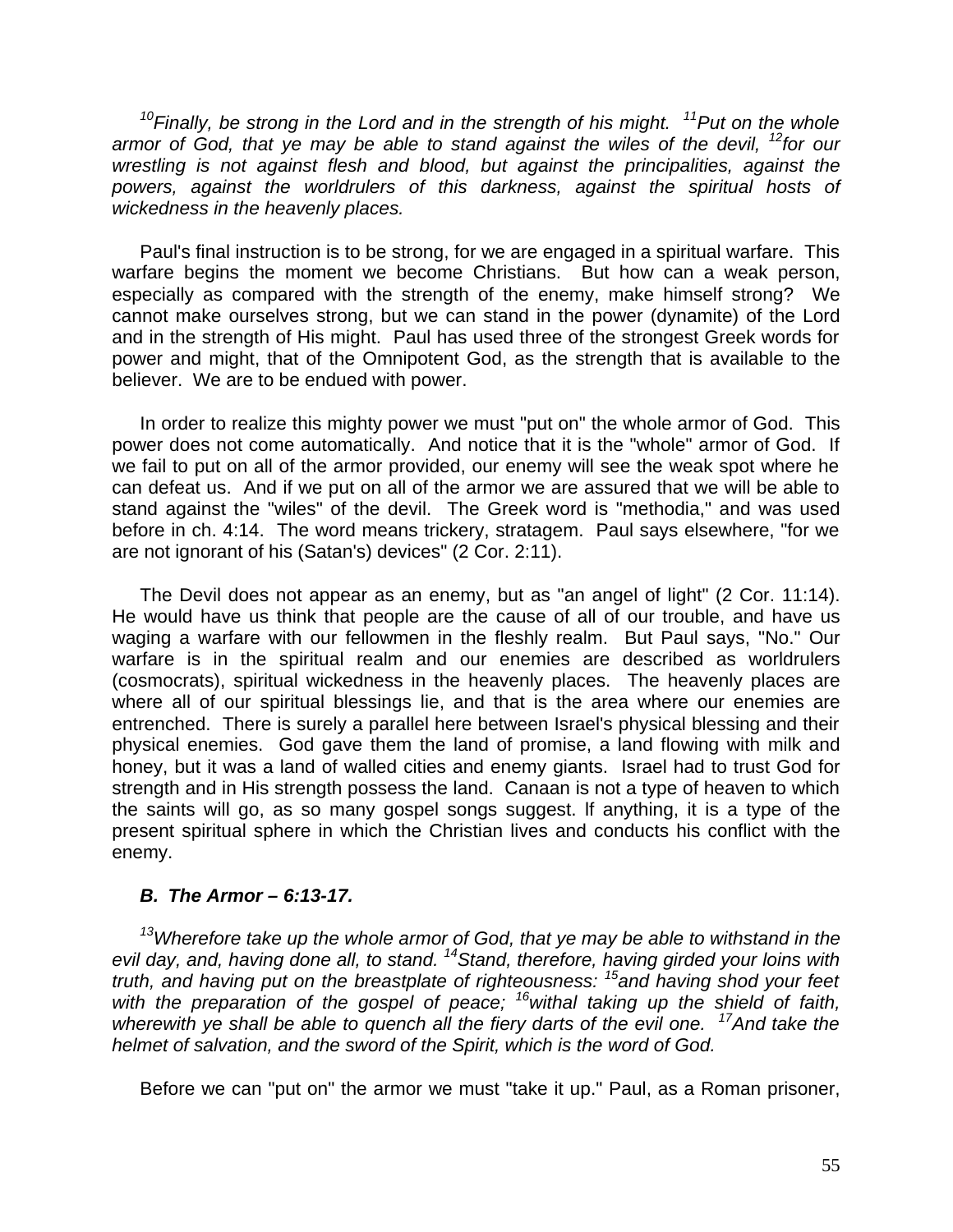*<sup>10</sup>Finally, be strong in the Lord and in the strength of his might. <sup>11</sup>Put on the whole armor of God, that ye may be able to stand against the wiles of the devil, <sup>12</sup>for our wrestling is not against flesh and blood, but against the principalities, against the powers, against the worldrulers of this darkness, against the spiritual hosts of wickedness in the heavenly places.*

Paul's final instruction is to be strong, for we are engaged in a spiritual warfare. This warfare begins the moment we become Christians. But how can a weak person, especially as compared with the strength of the enemy, make himself strong? We cannot make ourselves strong, but we can stand in the power (dynamite) of the Lord and in the strength of His might. Paul has used three of the strongest Greek words for power and might, that of the Omnipotent God, as the strength that is available to the believer. We are to be endued with power.

In order to realize this mighty power we must "put on" the whole armor of God. This power does not come automatically. And notice that it is the "whole" armor of God. If we fail to put on all of the armor provided, our enemy will see the weak spot where he can defeat us. And if we put on all of the armor we are assured that we will be able to stand against the "wiles" of the devil. The Greek word is "methodia," and was used before in ch. 4:14. The word means trickery, stratagem. Paul says elsewhere, "for we are not ignorant of his (Satan's) devices" (2 Cor. 2:11).

The Devil does not appear as an enemy, but as "an angel of light" (2 Cor. 11:14). He would have us think that people are the cause of all of our trouble, and have us waging a warfare with our fellowmen in the fleshly realm. But Paul says, "No." Our warfare is in the spiritual realm and our enemies are described as worldrulers (cosmocrats), spiritual wickedness in the heavenly places. The heavenly places are where all of our spiritual blessings lie, and that is the area where our enemies are entrenched. There is surely a parallel here between Israel's physical blessing and their physical enemies. God gave them the land of promise, a land flowing with milk and honey, but it was a land of walled cities and enemy giants. Israel had to trust God for strength and in His strength possess the land. Canaan is not a type of heaven to which the saints will go, as so many gospel songs suggest. lf anything, it is a type of the present spiritual sphere in which the Christian lives and conducts his conflict with the enemy.

## *B. The Armor – 6:13-17.*

*<sup>13</sup>Wherefore take up the whole armor of God, that ye may be able to withstand in the evil day, and, having done all, to stand. <sup>14</sup>Stand, therefore, having girded your loins with truth, and having put on the breastplate of righteousness: <sup>15</sup>and having shod your feet with the preparation of the gospel of peace; <sup>16</sup>withal taking up the shield of faith, wherewith ye shall be able to quench all the fiery darts of the evil one. <sup>17</sup>And take the helmet of salvation, and the sword of the Spirit, which is the word of God.*

Before we can "put on" the armor we must "take it up." Paul, as a Roman prisoner,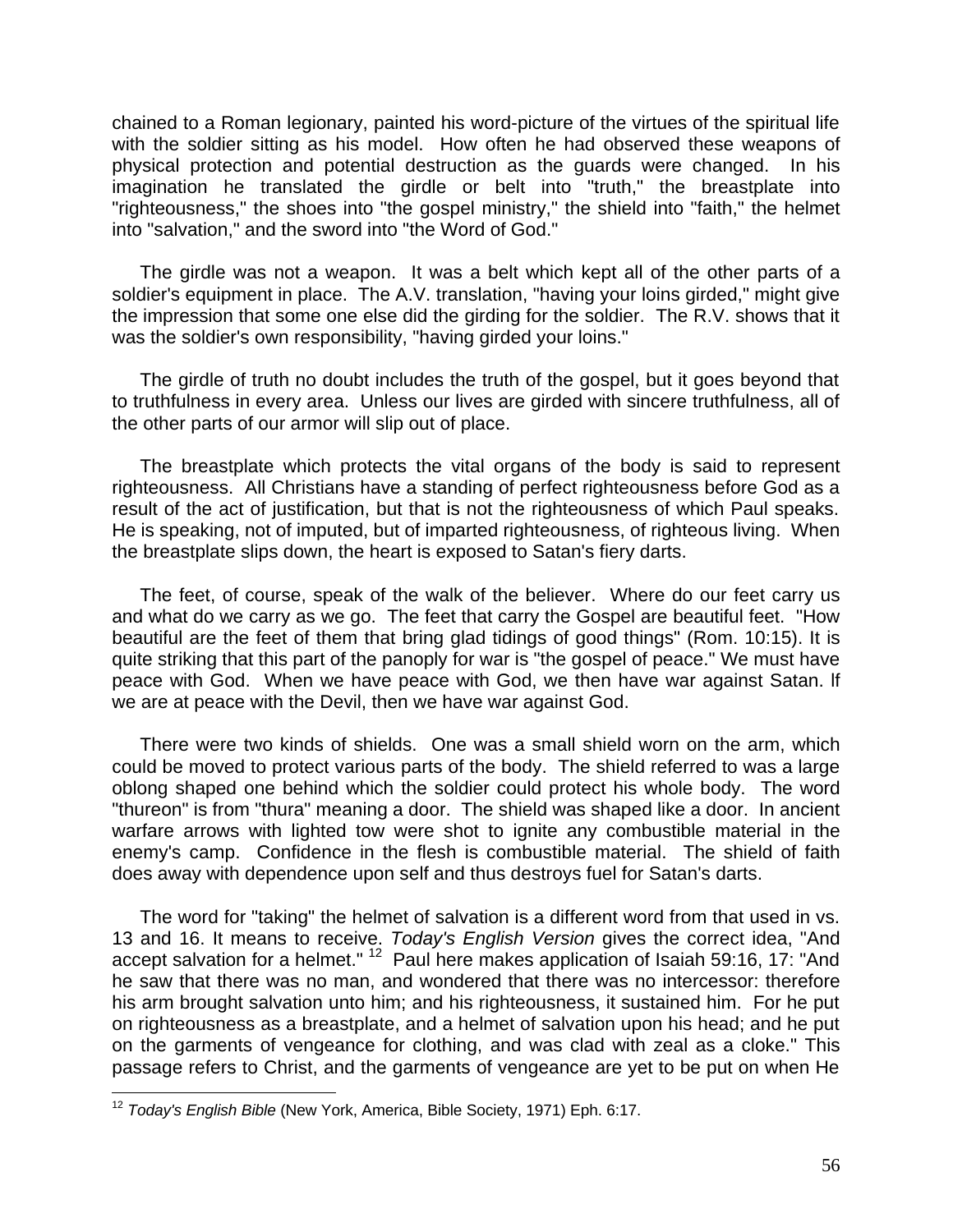chained to a Roman legionary, painted his word-picture of the virtues of the spiritual life with the soldier sitting as his model. How often he had observed these weapons of physical protection and potential destruction as the guards were changed. In his imagination he translated the girdle or belt into "truth," the breastplate into "righteousness," the shoes into "the gospel ministry," the shield into "faith," the helmet into "salvation," and the sword into "the Word of God."

The girdle was not a weapon. It was a belt which kept all of the other parts of a soldier's equipment in place. The A.V. translation, "having your loins girded," might give the impression that some one else did the girding for the soldier. The R.V. shows that it was the soldier's own responsibility, "having girded your loins."

The girdle of truth no doubt includes the truth of the gospel, but it goes beyond that to truthfulness in every area. Unless our lives are girded with sincere truthfulness, all of the other parts of our armor will slip out of place.

The breastplate which protects the vital organs of the body is said to represent righteousness. All Christians have a standing of perfect righteousness before God as a result of the act of justification, but that is not the righteousness of which Paul speaks. He is speaking, not of imputed, but of imparted righteousness, of righteous living. When the breastplate slips down, the heart is exposed to Satan's fiery darts.

The feet, of course, speak of the walk of the believer. Where do our feet carry us and what do we carry as we go. The feet that carry the Gospel are beautiful feet. "How beautiful are the feet of them that bring glad tidings of good things" (Rom. 10:15). It is quite striking that this part of the panoply for war is "the gospel of peace." We must have peace with God. When we have peace with God, we then have war against Satan. lf we are at peace with the Devil, then we have war against God.

There were two kinds of shields. One was a small shield worn on the arm, which could be moved to protect various parts of the body. The shield referred to was a large oblong shaped one behind which the soldier could protect his whole body. The word "thureon" is from "thura" meaning a door. The shield was shaped like a door. In ancient warfare arrows with lighted tow were shot to ignite any combustible material in the enemy's camp. Confidence in the flesh is combustible material. The shield of faith does away with dependence upon self and thus destroys fuel for Satan's darts.

The word for "taking" the helmet of salvation is a different word from that used in vs. 13 and 16. It means to receive. *Today's English Version* gives the correct idea, "And accept salvation for a helmet." <sup>12</sup> Paul here makes application of Isaiah 59:16, 17: "And he saw that there was no man, and wondered that there was no intercessor: therefore his arm brought salvation unto him; and his righteousness, it sustained him. For he put on righteousness as a breastplate, and a helmet of salvation upon his head; and he put on the garments of vengeance for clothing, and was clad with zeal as a cloke." This passage refers to Christ, and the garments of vengeance are yet to be put on when He

 $\overline{\phantom{a}}$ <sup>12</sup> *Today's English Bible* (New York, America, Bible Society, 1971) Eph. 6:17.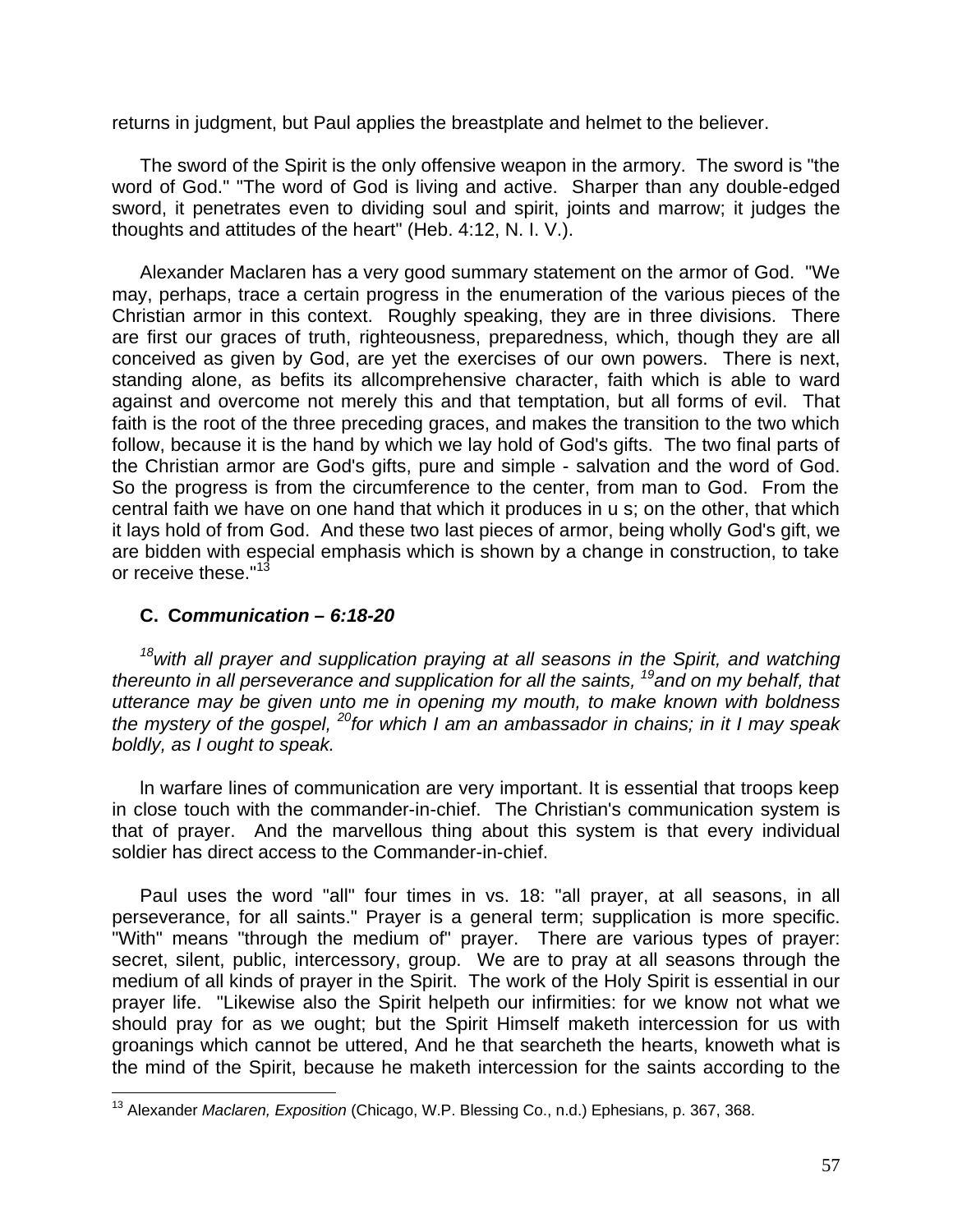returns in judgment, but Paul applies the breastplate and helmet to the believer.

The sword of the Spirit is the only offensive weapon in the armory. The sword is "the word of God." "The word of God is living and active. Sharper than any double-edged sword, it penetrates even to dividing soul and spirit, joints and marrow; it judges the thoughts and attitudes of the heart" (Heb. 4:12, N. I. V.).

Alexander Maclaren has a very good summary statement on the armor of God. "We may, perhaps, trace a certain progress in the enumeration of the various pieces of the Christian armor in this context. Roughly speaking, they are in three divisions. There are first our graces of truth, righteousness, preparedness, which, though they are all conceived as given by God, are yet the exercises of our own powers. There is next, standing alone, as befits its allcomprehensive character, faith which is able to ward against and overcome not merely this and that temptation, but all forms of evil. That faith is the root of the three preceding graces, and makes the transition to the two which follow, because it is the hand by which we lay hold of God's gifts. The two final parts of the Christian armor are God's gifts, pure and simple - salvation and the word of God. So the progress is from the circumference to the center, from man to God. From the central faith we have on one hand that which it produces in u s; on the other, that which it lays hold of from God. And these two last pieces of armor, being wholly God's gift, we are bidden with especial emphasis which is shown by a change in construction, to take or receive these."<sup>13</sup>

## **C. C***ommunication – 6:18-20*

*<sup>18</sup>with all prayer and supplication praying at all seasons in the Spirit, and watching thereunto in all perseverance and supplication for all the saints, <sup>19</sup>and on my behalf, that utterance may be given unto me in opening my mouth, to make known with boldness the mystery of the gospel, <sup>20</sup>for which I am an ambassador in chains; in it I may speak boldly, as I ought to speak.*

ln warfare lines of communication are very important. It is essential that troops keep in close touch with the commander-in-chief. The Christian's communication system is that of prayer. And the marvellous thing about this system is that every individual soldier has direct access to the Commander-in-chief.

Paul uses the word "all" four times in vs. 18: "all prayer, at all seasons, in all perseverance, for all saints." Prayer is a general term; supplication is more specific. "With" means "through the medium of" prayer. There are various types of prayer: secret, silent, public, intercessory, group. We are to pray at all seasons through the medium of all kinds of prayer in the Spirit. The work of the Holy Spirit is essential in our prayer life. "Likewise also the Spirit helpeth our infirmities: for we know not what we should pray for as we ought; but the Spirit Himself maketh intercession for us with groanings which cannot be uttered, And he that searcheth the hearts, knoweth what is the mind of the Spirit, because he maketh intercession for the saints according to the

 $\overline{\phantom{a}}$ <sup>13</sup> Alexander *Maclaren, Exposition* (Chicago, W.P. Blessing Co., n.d.) Ephesians, p. 367, 368.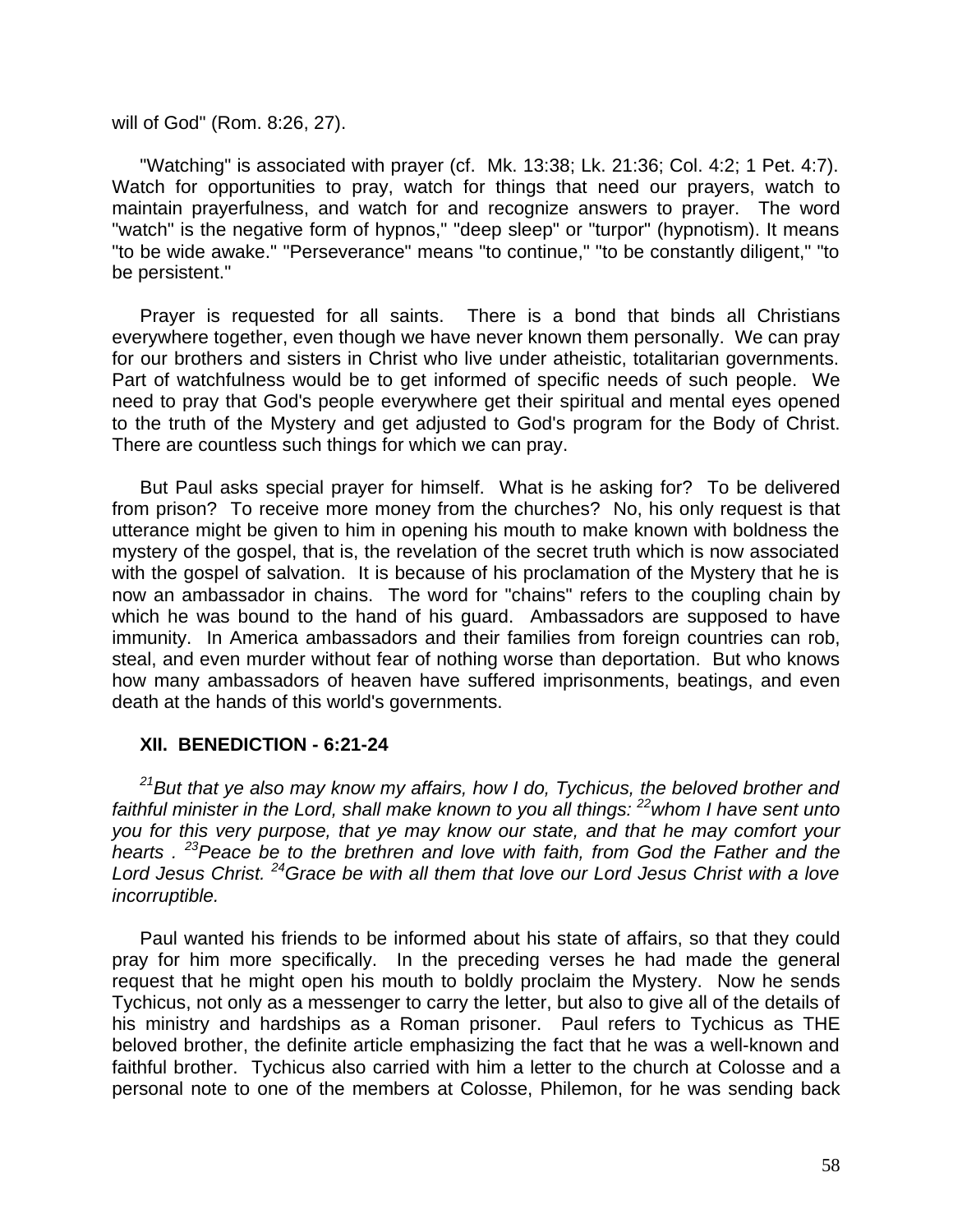will of God" (Rom. 8:26, 27).

"Watching" is associated with prayer (cf. Mk. 13:38; Lk. 21:36; Col. 4:2; 1 Pet. 4:7). Watch for opportunities to pray, watch for things that need our prayers, watch to maintain prayerfulness, and watch for and recognize answers to prayer. The word "watch" is the negative form of hypnos," "deep sleep" or "turpor" (hypnotism). It means "to be wide awake." "Perseverance" means "to continue," "to be constantly diligent," "to be persistent."

Prayer is requested for all saints. There is a bond that binds all Christians everywhere together, even though we have never known them personally. We can pray for our brothers and sisters in Christ who live under atheistic, totalitarian governments. Part of watchfulness would be to get informed of specific needs of such people. We need to pray that God's people everywhere get their spiritual and mental eyes opened to the truth of the Mystery and get adjusted to God's program for the Body of Christ. There are countless such things for which we can pray.

But Paul asks special prayer for himself. What is he asking for? To be delivered from prison? To receive more money from the churches? No, his only request is that utterance might be given to him in opening his mouth to make known with boldness the mystery of the gospel, that is, the revelation of the secret truth which is now associated with the gospel of salvation. It is because of his proclamation of the Mystery that he is now an ambassador in chains. The word for "chains" refers to the coupling chain by which he was bound to the hand of his guard. Ambassadors are supposed to have immunity. In America ambassadors and their families from foreign countries can rob, steal, and even murder without fear of nothing worse than deportation. But who knows how many ambassadors of heaven have suffered imprisonments, beatings, and even death at the hands of this world's governments.

### **XII. BENEDICTION - 6:21-24**

*<sup>21</sup>But that ye also may know my affairs, how I do, Tychicus, the beloved brother and faithful minister in the Lord, shall make known to you all things: <sup>22</sup>whom I have sent unto you for this very purpose, that ye may know our state, and that he may comfort your hearts . <sup>23</sup>Peace be to the brethren and love with faith, from God the Father and the Lord Jesus Christ. <sup>24</sup>Grace be with all them that love our Lord Jesus Christ with a love incorruptible.*

Paul wanted his friends to be informed about his state of affairs, so that they could pray for him more specifically. In the preceding verses he had made the general request that he might open his mouth to boldly proclaim the Mystery. Now he sends Tychicus, not only as a messenger to carry the letter, but also to give all of the details of his ministry and hardships as a Roman prisoner. Paul refers to Tychicus as THE beloved brother, the definite article emphasizing the fact that he was a well-known and faithful brother. Tychicus also carried with him a letter to the church at Colosse and a personal note to one of the members at Colosse, Philemon, for he was sending back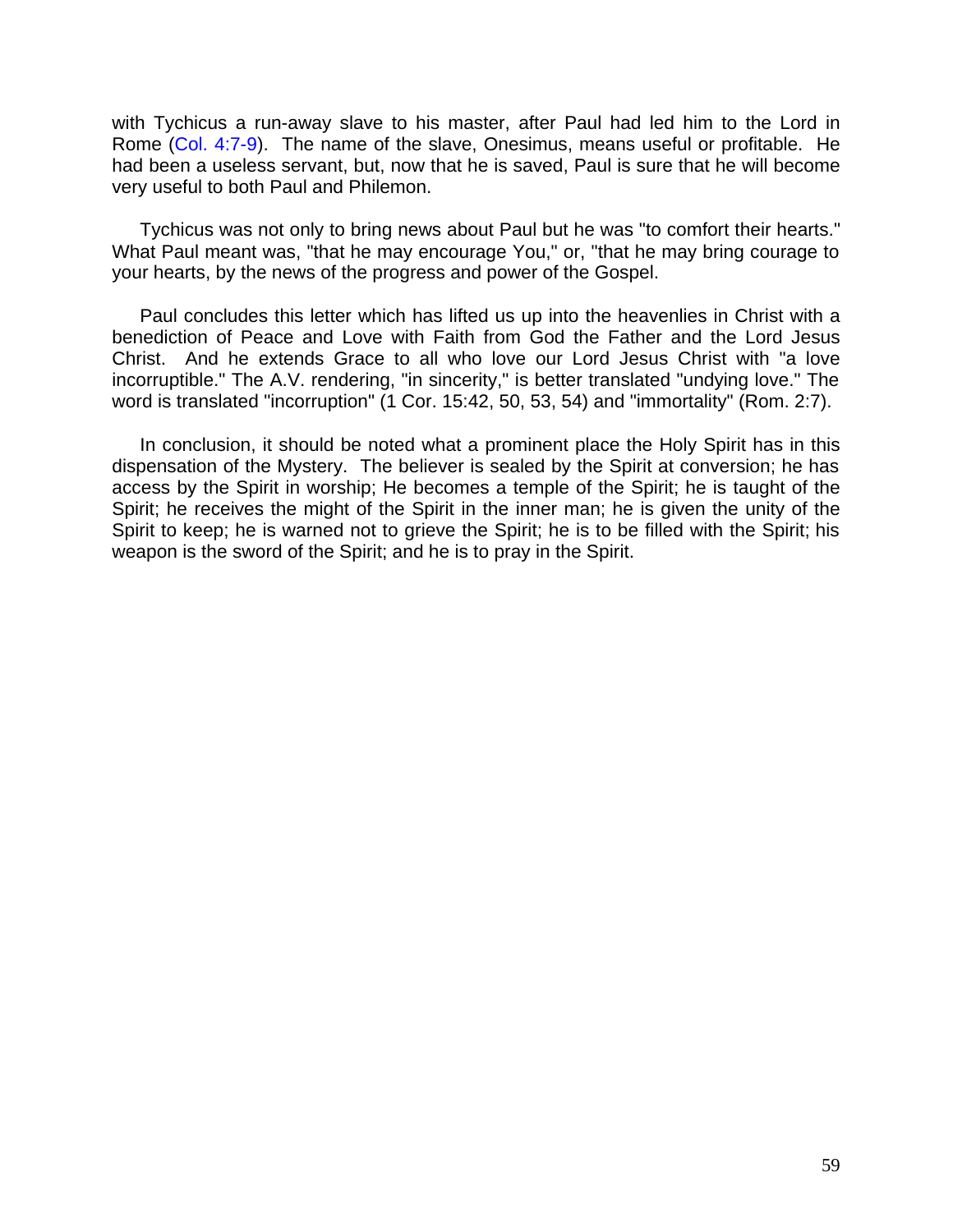with Tychicus a run-away slave to his master, after Paul had led him to the Lord in Rome (Col. 4:7-9). The name of the slave, Onesimus, means useful or profitable. He had been a useless servant, but, now that he is saved, Paul is sure that he will become very useful to both Paul and Philemon.

Tychicus was not only to bring news about Paul but he was "to comfort their hearts." What Paul meant was, "that he may encourage You," or, "that he may bring courage to your hearts, by the news of the progress and power of the Gospel.

Paul concludes this letter which has lifted us up into the heavenlies in Christ with a benediction of Peace and Love with Faith from God the Father and the Lord Jesus Christ. And he extends Grace to all who love our Lord Jesus Christ with "a love incorruptible." The A.V. rendering, "in sincerity," is better translated "undying love." The word is translated "incorruption" (1 Cor. 15:42, 50, 53, 54) and "immortality" (Rom. 2:7).

In conclusion, it should be noted what a prominent place the Holy Spirit has in this dispensation of the Mystery. The believer is sealed by the Spirit at conversion; he has access by the Spirit in worship; He becomes a temple of the Spirit; he is taught of the Spirit; he receives the might of the Spirit in the inner man; he is given the unity of the Spirit to keep; he is warned not to grieve the Spirit; he is to be filled with the Spirit; his weapon is the sword of the Spirit; and he is to pray in the Spirit.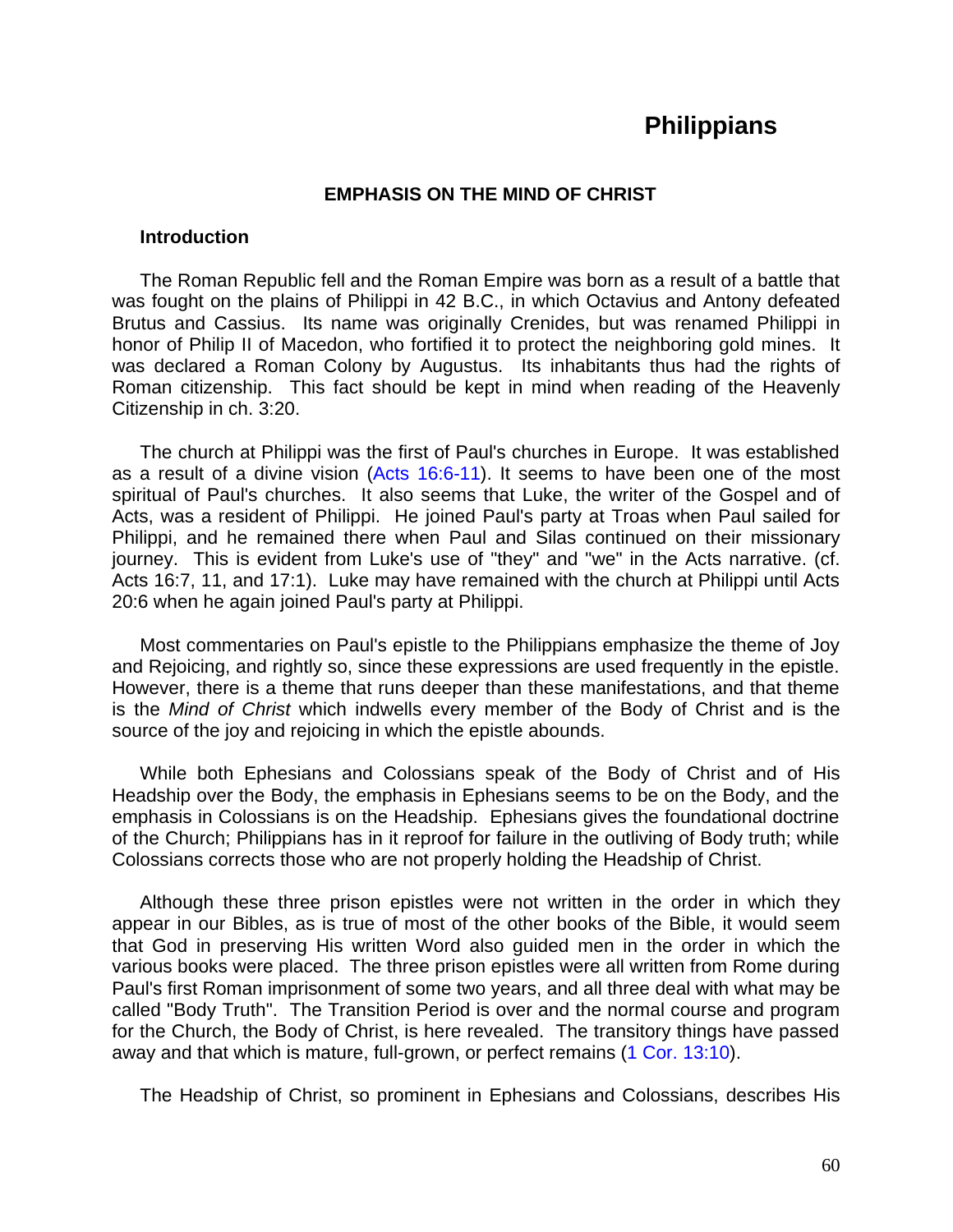# **Philippians**

### **EMPHASIS ON THE MIND OF CHRIST**

#### **Introduction**

The Roman Republic fell and the Roman Empire was born as a result of a battle that was fought on the plains of Philippi in 42 B.C., in which Octavius and Antony defeated Brutus and Cassius. Its name was originally Crenides, but was renamed Philippi in honor of Philip II of Macedon, who fortified it to protect the neighboring gold mines. It was declared a Roman Colony by Augustus. Its inhabitants thus had the rights of Roman citizenship. This fact should be kept in mind when reading of the Heavenly Citizenship in ch. 3:20.

The church at Philippi was the first of Paul's churches in Europe. It was established as a result of a divine vision (Acts 16:6-11). It seems to have been one of the most spiritual of Paul's churches. It also seems that Luke, the writer of the Gospel and of Acts, was a resident of Philippi. He joined Paul's party at Troas when Paul sailed for Philippi, and he remained there when Paul and Silas continued on their missionary journey. This is evident from Luke's use of "they" and "we" in the Acts narrative. (cf. Acts 16:7, 11, and 17:1). Luke may have remained with the church at Philippi until Acts 20:6 when he again joined Paul's party at Philippi.

Most commentaries on Paul's epistle to the Philippians emphasize the theme of Joy and Rejoicing, and rightly so, since these expressions are used frequently in the epistle. However, there is a theme that runs deeper than these manifestations, and that theme is the *Mind of Christ* which indwells every member of the Body of Christ and is the source of the joy and rejoicing in which the epistle abounds.

While both Ephesians and Colossians speak of the Body of Christ and of His Headship over the Body, the emphasis in Ephesians seems to be on the Body, and the emphasis in Colossians is on the Headship. Ephesians gives the foundational doctrine of the Church; Philippians has in it reproof for failure in the outliving of Body truth; while Colossians corrects those who are not properly holding the Headship of Christ.

Although these three prison epistles were not written in the order in which they appear in our Bibles, as is true of most of the other books of the Bible, it would seem that God in preserving His written Word also guided men in the order in which the various books were placed. The three prison epistles were all written from Rome during Paul's first Roman imprisonment of some two years, and all three deal with what may be called "Body Truth". The Transition Period is over and the normal course and program for the Church, the Body of Christ, is here revealed. The transitory things have passed away and that which is mature, full-grown, or perfect remains (1 Cor. 13:10).

The Headship of Christ, so prominent in Ephesians and Colossians, describes His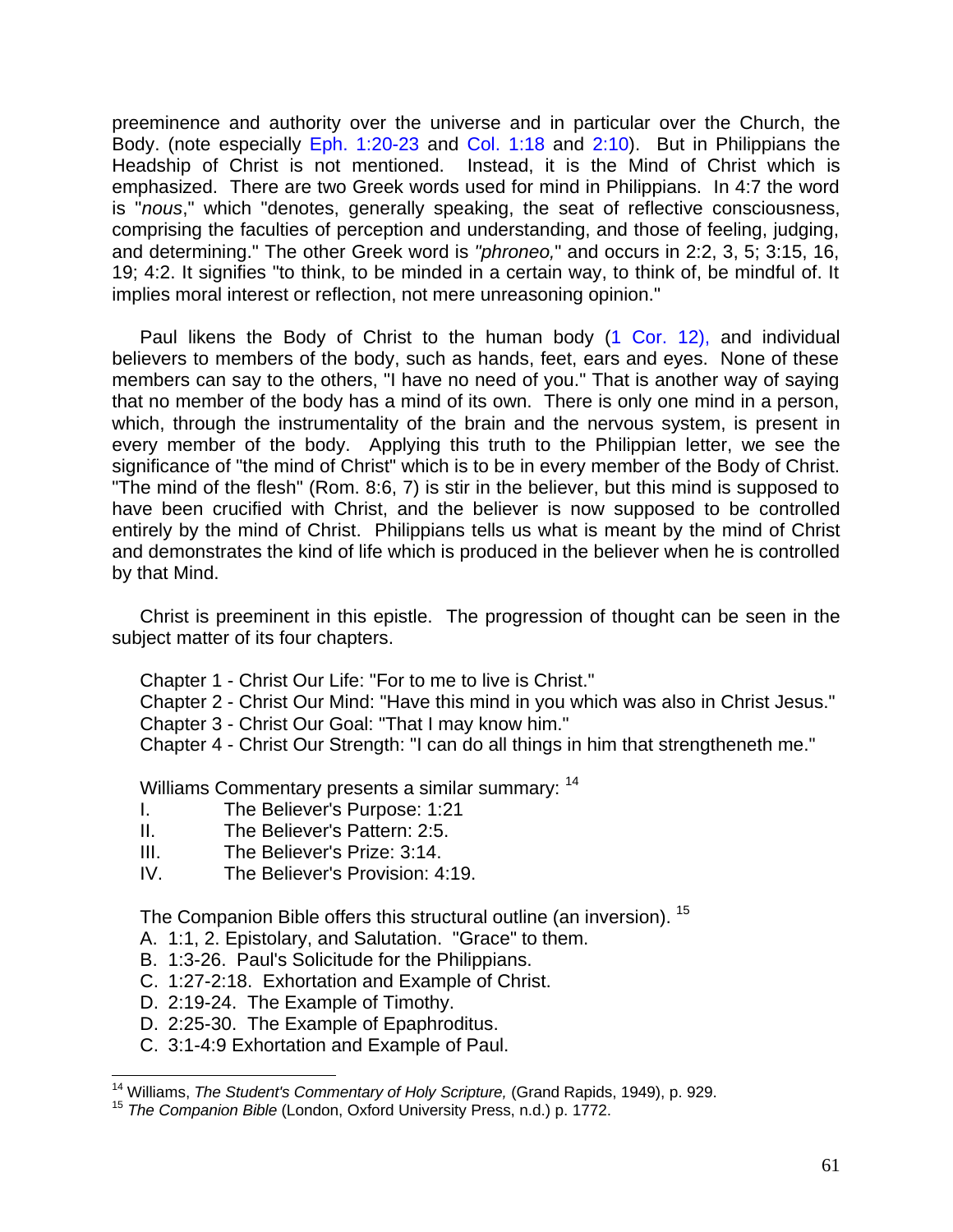preeminence and authority over the universe and in particular over the Church, the Body. (note especially Eph. 1:20-23 and Col. 1:18 and 2:10). But in Philippians the Headship of Christ is not mentioned. Instead, it is the Mind of Christ which is emphasized. There are two Greek words used for mind in Philippians. In 4:7 the word is "*nous*," which "denotes, generally speaking, the seat of reflective consciousness, comprising the faculties of perception and understanding, and those of feeling, judging, and determining." The other Greek word is *"phroneo,*" and occurs in 2:2, 3, 5; 3:15, 16, 19; 4:2. It signifies "to think, to be minded in a certain way, to think of, be mindful of. It implies moral interest or reflection, not mere unreasoning opinion."

Paul likens the Body of Christ to the human body (1 Cor. 12), and individual believers to members of the body, such as hands, feet, ears and eyes. None of these members can say to the others, "I have no need of you." That is another way of saying that no member of the body has a mind of its own. There is only one mind in a person, which, through the instrumentality of the brain and the nervous system, is present in every member of the body. Applying this truth to the Philippian letter, we see the significance of "the mind of Christ" which is to be in every member of the Body of Christ. "The mind of the flesh" (Rom. 8:6, 7) is stir in the believer, but this mind is supposed to have been crucified with Christ, and the believer is now supposed to be controlled entirely by the mind of Christ. Philippians tells us what is meant by the mind of Christ and demonstrates the kind of life which is produced in the believer when he is controlled by that Mind.

Christ is preeminent in this epistle. The progression of thought can be seen in the subject matter of its four chapters.

Chapter 1 - Christ Our Life: "For to me to live is Christ."

Chapter 2 - Christ Our Mind: "Have this mind in you which was also in Christ Jesus."

- Chapter 3 Christ Our Goal: "That I may know him."
- Chapter 4 Christ Our Strength: "I can do all things in him that strengtheneth me."

Williams Commentary presents a similar summary: <sup>14</sup>

- I. The Believer's Purpose: 1:21
- II. The Believer's Pattern: 2:5.
- III. The Believer's Prize: 3:14.
- IV. The Believer's Provision: 4:19.

The Companion Bible offers this structural outline (an inversion). <sup>15</sup>

- A. 1:1, 2. Epistolary, and Salutation. "Grace" to them.
- B. 1:3-26. Paul's Solicitude for the Philippians.
- C. 1:27-2:18. Exhortation and Example of Christ.
- D. 2:19-24. The Example of Timothy.
- D. 2:25-30. The Example of Epaphroditus.
- C. 3:1-4:9 Exhortation and Example of Paul.

 $\overline{a}$ <sup>14</sup> Williams, *The Student's Commentary of Holy Scripture,* (Grand Rapids, 1949), p. 929.

<sup>15</sup> *The Companion Bible* (London, Oxford University Press, n.d.) p. 1772.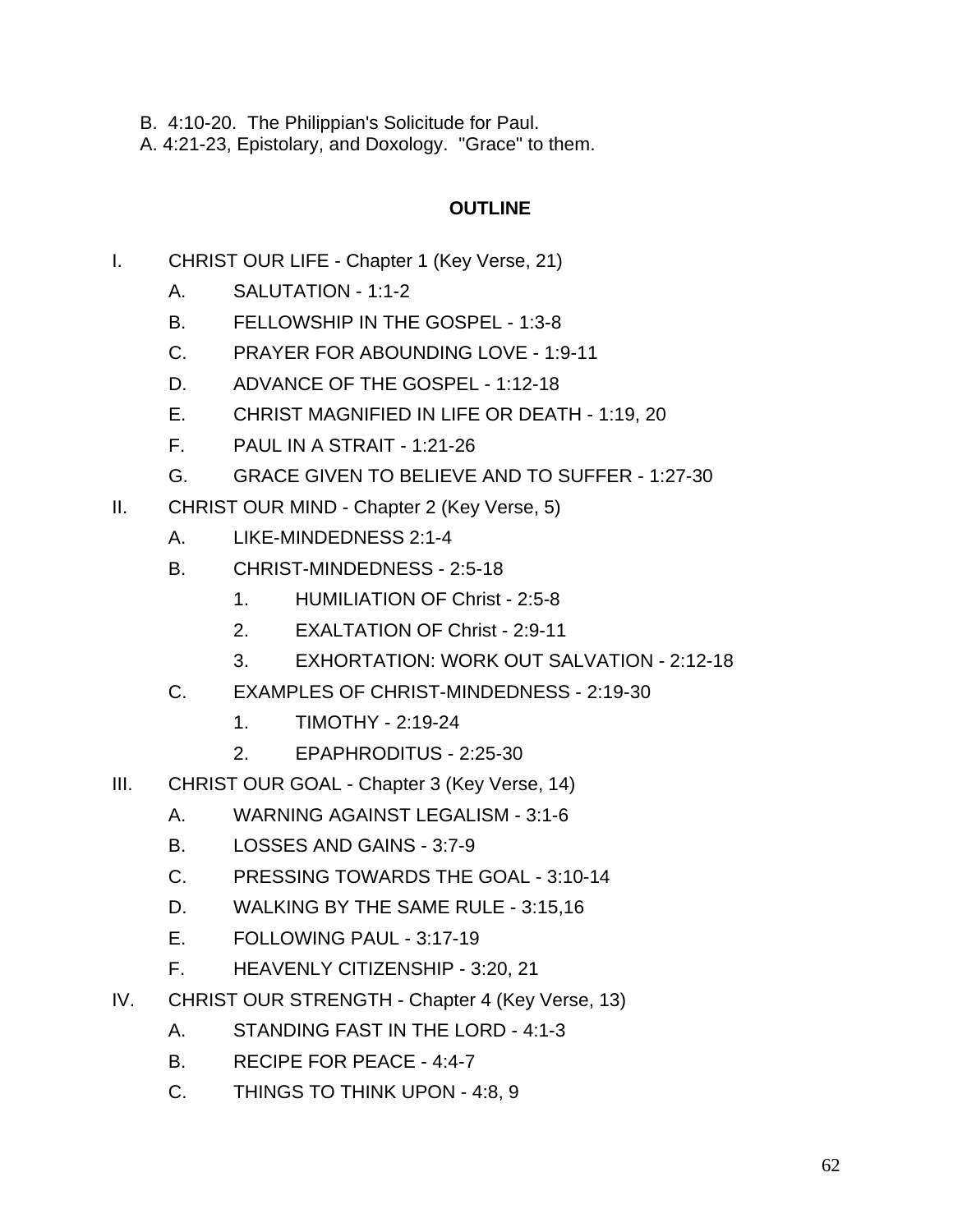B. 4:10-20. The Philippian's Solicitude for Paul.

A. 4:21-23, Epistolary, and Doxology. "Grace" to them.

# **OUTLINE**

- I. CHRIST OUR LIFE Chapter 1 (Key Verse, 21)
	- A. SALUTATION 1:1-2
	- B. FELLOWSHIP IN THE GOSPEL 1:3-8
	- C. PRAYER FOR ABOUNDING LOVE 1:9-11
	- D. ADVANCE OF THE GOSPEL 1:12-18
	- E. CHRIST MAGNIFIED IN LIFE OR DEATH 1:19, 20
	- F. PAUL IN A STRAIT 1:21-26
	- G. GRACE GIVEN TO BELIEVE AND TO SUFFER 1:27-30
- II. CHRIST OUR MIND Chapter 2 (Key Verse, 5)
	- A. LIKE-MINDEDNESS 2:1-4
	- B. CHRIST-MINDEDNESS 2:5-18
		- 1. HUMILIATION OF Christ 2:5-8
		- 2. EXALTATION OF Christ 2:9-11
		- 3. EXHORTATION: WORK OUT SALVATION 2:12-18
	- C. EXAMPLES OF CHRIST-MINDEDNESS 2:19-30
		- 1. TIMOTHY 2:19-24
		- 2. EPAPHRODITUS 2:25-30
- III. CHRIST OUR GOAL Chapter 3 (Key Verse, 14)
	- A. WARNING AGAINST LEGALISM 3:1-6
	- B. LOSSES AND GAINS 3:7-9
	- C. PRESSING TOWARDS THE GOAL 3:10-14
	- D. WALKING BY THE SAME RULE 3:15,16
	- E. FOLLOWING PAUL 3:17-19
	- F. HEAVENLY CITIZENSHIP 3:20, 21
- IV. CHRIST OUR STRENGTH Chapter 4 (Key Verse, 13)
	- A. STANDING FAST IN THE LORD 4:1-3
	- B. RECIPE FOR PEACE 4:4-7
	- C. THINGS TO THINK UPON 4:8, 9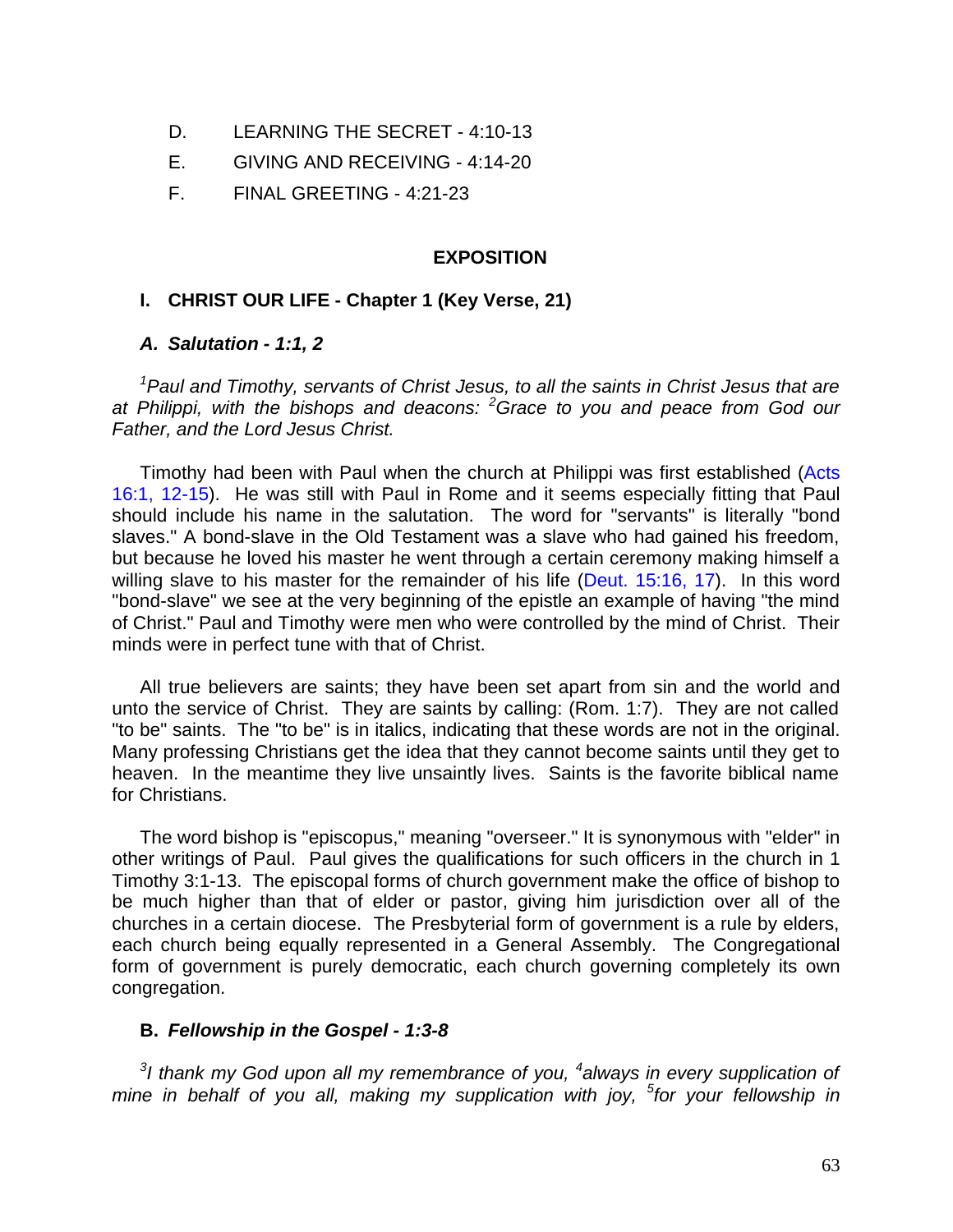- D. LEARNING THE SECRET 4:10-13
- E. GIVING AND RECEIVING 4:14-20
- F. FINAL GREETING 4:21-23

### **EXPOSITION**

### **I. CHRIST OUR LIFE - Chapter 1 (Key Verse, 21)**

### *A. Salutation - 1:1, 2*

*<sup>1</sup>Paul and Timothy, servants of Christ Jesus, to all the saints in Christ Jesus that are at Philippi, with the bishops and deacons: <sup>2</sup>Grace to you and peace from God our Father, and the Lord Jesus Christ.*

Timothy had been with Paul when the church at Philippi was first established (Acts 16:1, 12-15). He was still with Paul in Rome and it seems especially fitting that Paul should include his name in the salutation. The word for "servants" is literally "bond slaves." A bond-slave in the Old Testament was a slave who had gained his freedom, but because he loved his master he went through a certain ceremony making himself a willing slave to his master for the remainder of his life (Deut. 15:16, 17). In this word "bond-slave" we see at the very beginning of the epistle an example of having "the mind of Christ." Paul and Timothy were men who were controlled by the mind of Christ. Their minds were in perfect tune with that of Christ.

All true believers are saints; they have been set apart from sin and the world and unto the service of Christ. They are saints by calling: (Rom. 1:7). They are not called "to be" saints. The "to be" is in italics, indicating that these words are not in the original. Many professing Christians get the idea that they cannot become saints until they get to heaven. In the meantime they live unsaintly lives. Saints is the favorite biblical name for Christians.

The word bishop is "episcopus," meaning "overseer." It is synonymous with "elder" in other writings of Paul. Paul gives the qualifications for such officers in the church in 1 Timothy 3:1-13. The episcopal forms of church government make the office of bishop to be much higher than that of elder or pastor, giving him jurisdiction over all of the churches in a certain diocese. The Presbyterial form of government is a rule by elders, each church being equally represented in a General Assembly. The Congregational form of government is purely democratic, each church governing completely its own congregation.

### **B.** *Fellowship in the Gospel - 1:3-8*

<sup>3</sup>I thank my God upon all my remembrance of you, <sup>4</sup>always in every supplication of *mine in behalf of you all, making my supplication with joy, <sup>5</sup> for your fellowship in*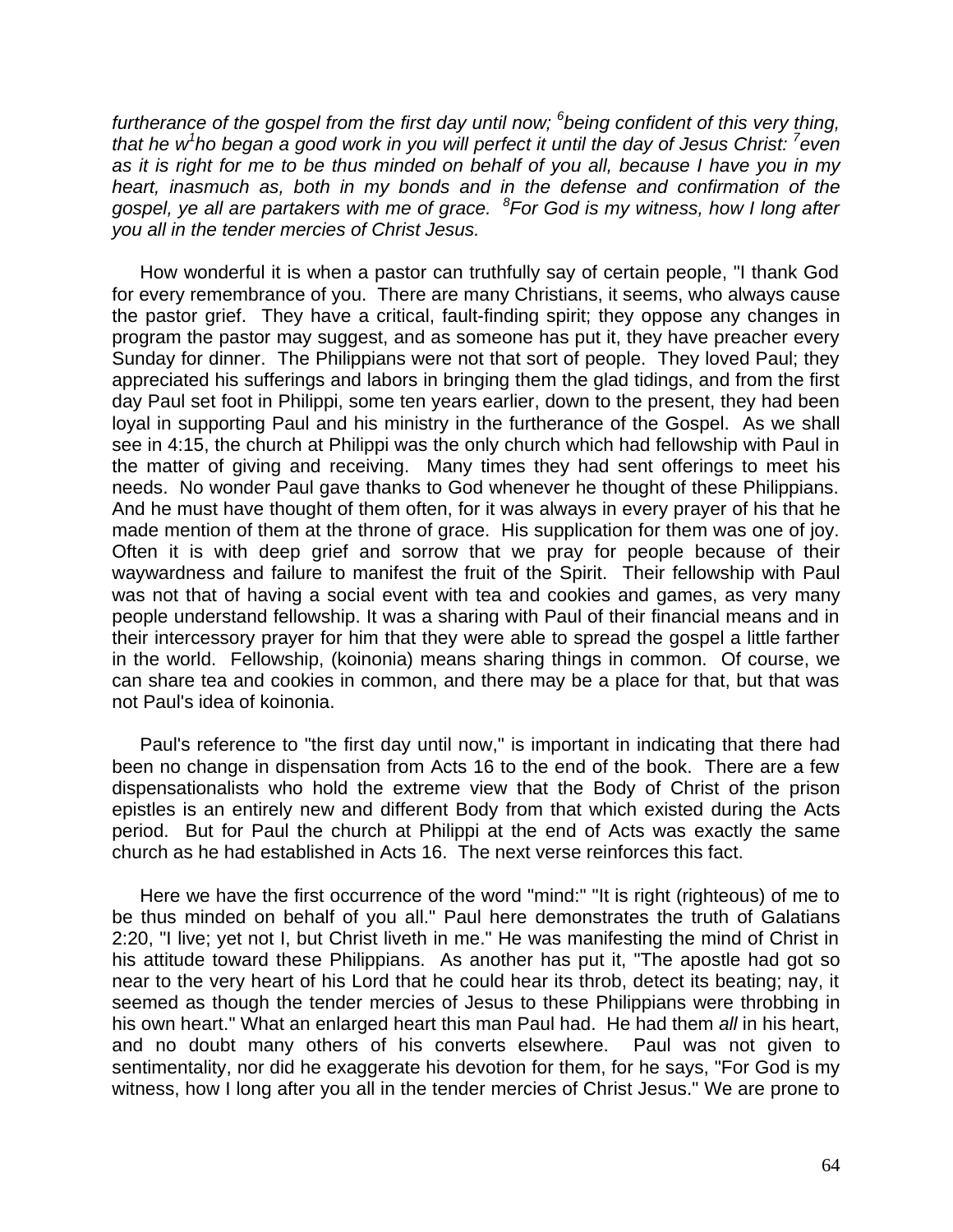*furtherance of the gospel from the first day until now; <sup>6</sup> being confident of this very thing, that he w<sup>1</sup> ho began a good work in you will perfect it until the day of Jesus Christ: <sup>7</sup> even as it is right for me to be thus minded on behalf of you all, because I have you in my heart, inasmuch as, both in my bonds and in the defense and confirmation of the gospel, ye all are partakers with me of grace. <sup>8</sup> For God is my witness, how I long after you all in the tender mercies of Christ Jesus.*

How wonderful it is when a pastor can truthfully say of certain people, "I thank God for every remembrance of you. There are many Christians, it seems, who always cause the pastor grief. They have a critical, fault-finding spirit; they oppose any changes in program the pastor may suggest, and as someone has put it, they have preacher every Sunday for dinner. The Philippians were not that sort of people. They loved Paul; they appreciated his sufferings and labors in bringing them the glad tidings, and from the first day Paul set foot in Philippi, some ten years earlier, down to the present, they had been loyal in supporting Paul and his ministry in the furtherance of the Gospel. As we shall see in 4:15, the church at Philippi was the only church which had fellowship with Paul in the matter of giving and receiving. Many times they had sent offerings to meet his needs. No wonder Paul gave thanks to God whenever he thought of these Philippians. And he must have thought of them often, for it was always in every prayer of his that he made mention of them at the throne of grace. His supplication for them was one of joy. Often it is with deep grief and sorrow that we pray for people because of their waywardness and failure to manifest the fruit of the Spirit. Their fellowship with Paul was not that of having a social event with tea and cookies and games, as very many people understand fellowship. It was a sharing with Paul of their financial means and in their intercessory prayer for him that they were able to spread the gospel a little farther in the world. Fellowship, (koinonia) means sharing things in common. Of course, we can share tea and cookies in common, and there may be a place for that, but that was not Paul's idea of koinonia.

Paul's reference to "the first day until now," is important in indicating that there had been no change in dispensation from Acts 16 to the end of the book. There are a few dispensationalists who hold the extreme view that the Body of Christ of the prison epistles is an entirely new and different Body from that which existed during the Acts period. But for Paul the church at Philippi at the end of Acts was exactly the same church as he had established in Acts 16. The next verse reinforces this fact.

Here we have the first occurrence of the word "mind:" "It is right (righteous) of me to be thus minded on behalf of you all." Paul here demonstrates the truth of Galatians 2:20, "I live; yet not I, but Christ liveth in me." He was manifesting the mind of Christ in his attitude toward these Philippians. As another has put it, "The apostle had got so near to the very heart of his Lord that he could hear its throb, detect its beating; nay, it seemed as though the tender mercies of Jesus to these Philippians were throbbing in his own heart." What an enlarged heart this man Paul had. He had them *all* in his heart, and no doubt many others of his converts elsewhere. Paul was not given to sentimentality, nor did he exaggerate his devotion for them, for he says, "For God is my witness, how I long after you all in the tender mercies of Christ Jesus." We are prone to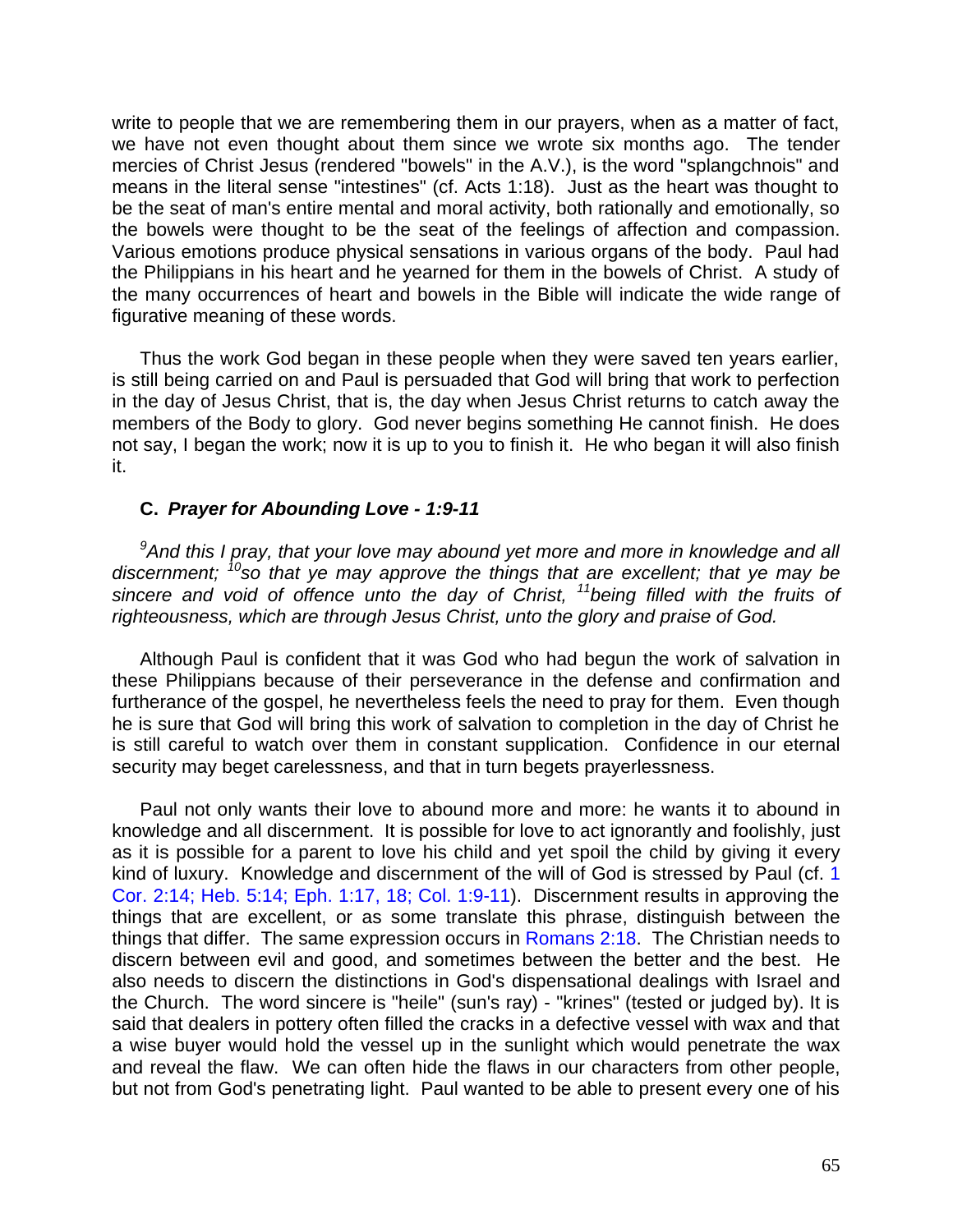write to people that we are remembering them in our prayers, when as a matter of fact, we have not even thought about them since we wrote six months ago. The tender mercies of Christ Jesus (rendered "bowels" in the A.V.), is the word "splangchnois" and means in the literal sense "intestines" (cf. Acts 1:18). Just as the heart was thought to be the seat of man's entire mental and moral activity, both rationally and emotionally, so the bowels were thought to be the seat of the feelings of affection and compassion. Various emotions produce physical sensations in various organs of the body. Paul had the Philippians in his heart and he yearned for them in the bowels of Christ. A study of the many occurrences of heart and bowels in the Bible will indicate the wide range of figurative meaning of these words.

Thus the work God began in these people when they were saved ten years earlier, is still being carried on and Paul is persuaded that God will bring that work to perfection in the day of Jesus Christ, that is, the day when Jesus Christ returns to catch away the members of the Body to glory. God never begins something He cannot finish. He does not say, I began the work; now it is up to you to finish it. He who began it will also finish it.

### **C.** *Prayer for Abounding Love - 1:9-11*

*<sup>9</sup>And this I pray, that your love may abound yet more and more in knowledge and all discernment; <sup>10</sup>so that ye may approve the things that are excellent; that ye may be sincere and void of offence unto the day of Christ, <sup>11</sup>being filled with the fruits of righteousness, which are through Jesus Christ, unto the glory and praise of God.*

Although Paul is confident that it was God who had begun the work of salvation in these Philippians because of their perseverance in the defense and confirmation and furtherance of the gospel, he nevertheless feels the need to pray for them. Even though he is sure that God will bring this work of salvation to completion in the day of Christ he is still careful to watch over them in constant supplication. Confidence in our eternal security may beget carelessness, and that in turn begets prayerlessness.

Paul not only wants their love to abound more and more: he wants it to abound in knowledge and all discernment. It is possible for love to act ignorantly and foolishly, just as it is possible for a parent to love his child and yet spoil the child by giving it every kind of luxury. Knowledge and discernment of the will of God is stressed by Paul (cf. 1 Cor. 2:14; Heb. 5:14; Eph. 1:17, 18; Col. 1:9-11). Discernment results in approving the things that are excellent, or as some translate this phrase, distinguish between the things that differ. The same expression occurs in Romans 2:18. The Christian needs to discern between evil and good, and sometimes between the better and the best. He also needs to discern the distinctions in God's dispensational dealings with Israel and the Church. The word sincere is "heile" (sun's ray) - "krines" (tested or judged by). It is said that dealers in pottery often filled the cracks in a defective vessel with wax and that a wise buyer would hold the vessel up in the sunlight which would penetrate the wax and reveal the flaw. We can often hide the flaws in our characters from other people, but not from God's penetrating light. Paul wanted to be able to present every one of his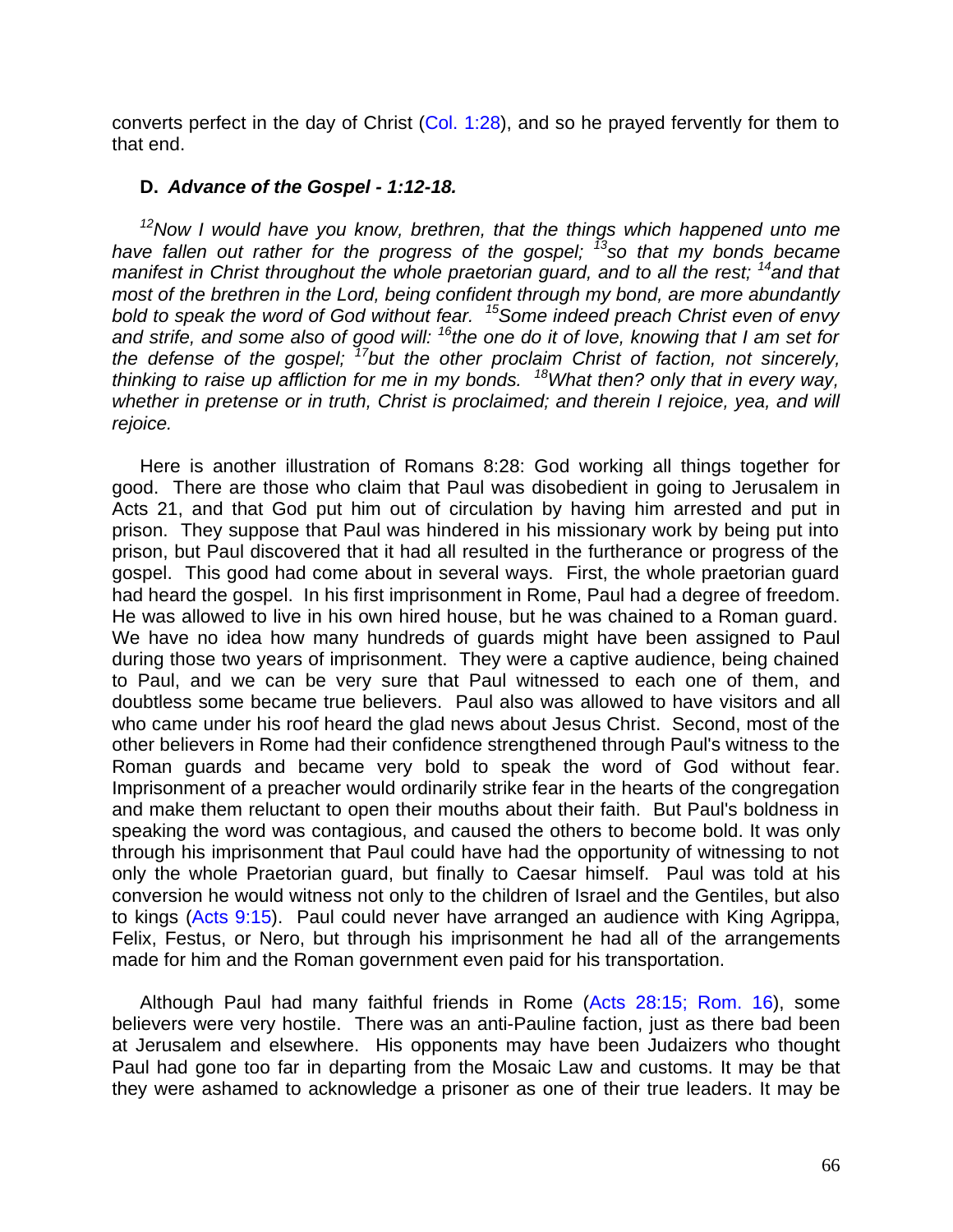converts perfect in the day of Christ (Col. 1:28), and so he prayed fervently for them to that end.

### **D.** *Advance of the Gospel - 1:12-18.*

*<sup>12</sup>Now I would have you know, brethren, that the things which happened unto me have fallen out rather for the progress of the gospel; <sup>13</sup>so that my bonds became manifest in Christ throughout the whole praetorian guard, and to all the rest; <sup>14</sup>and that most of the brethren in the Lord, being confident through my bond, are more abundantly bold to speak the word of God without fear. <sup>15</sup>Some indeed preach Christ even of envy and strife, and some also of good will: <sup>16</sup>the one do it of love, knowing that I am set for the defense of the gospel; <sup>17</sup>but the other proclaim Christ of faction, not sincerely, thinking to raise up affliction for me in my bonds. <sup>18</sup>What then? only that in every way, whether in pretense or in truth, Christ is proclaimed; and therein I rejoice, yea, and will rejoice.*

Here is another illustration of Romans 8:28: God working all things together for good. There are those who claim that Paul was disobedient in going to Jerusalem in Acts 21, and that God put him out of circulation by having him arrested and put in prison. They suppose that Paul was hindered in his missionary work by being put into prison, but Paul discovered that it had all resulted in the furtherance or progress of the gospel. This good had come about in several ways. First, the whole praetorian guard had heard the gospel. In his first imprisonment in Rome, Paul had a degree of freedom. He was allowed to live in his own hired house, but he was chained to a Roman guard. We have no idea how many hundreds of guards might have been assigned to Paul during those two years of imprisonment. They were a captive audience, being chained to Paul, and we can be very sure that Paul witnessed to each one of them, and doubtless some became true believers. Paul also was allowed to have visitors and all who came under his roof heard the glad news about Jesus Christ. Second, most of the other believers in Rome had their confidence strengthened through Paul's witness to the Roman guards and became very bold to speak the word of God without fear. Imprisonment of a preacher would ordinarily strike fear in the hearts of the congregation and make them reluctant to open their mouths about their faith. But Paul's boldness in speaking the word was contagious, and caused the others to become bold. It was only through his imprisonment that Paul could have had the opportunity of witnessing to not only the whole Praetorian guard, but finally to Caesar himself. Paul was told at his conversion he would witness not only to the children of Israel and the Gentiles, but also to kings (Acts 9:15). Paul could never have arranged an audience with King Agrippa, Felix, Festus, or Nero, but through his imprisonment he had all of the arrangements made for him and the Roman government even paid for his transportation.

Although Paul had many faithful friends in Rome (Acts 28:15; Rom. 16), some believers were very hostile. There was an anti-Pauline faction, just as there bad been at Jerusalem and elsewhere. His opponents may have been Judaizers who thought Paul had gone too far in departing from the Mosaic Law and customs. It may be that they were ashamed to acknowledge a prisoner as one of their true leaders. It may be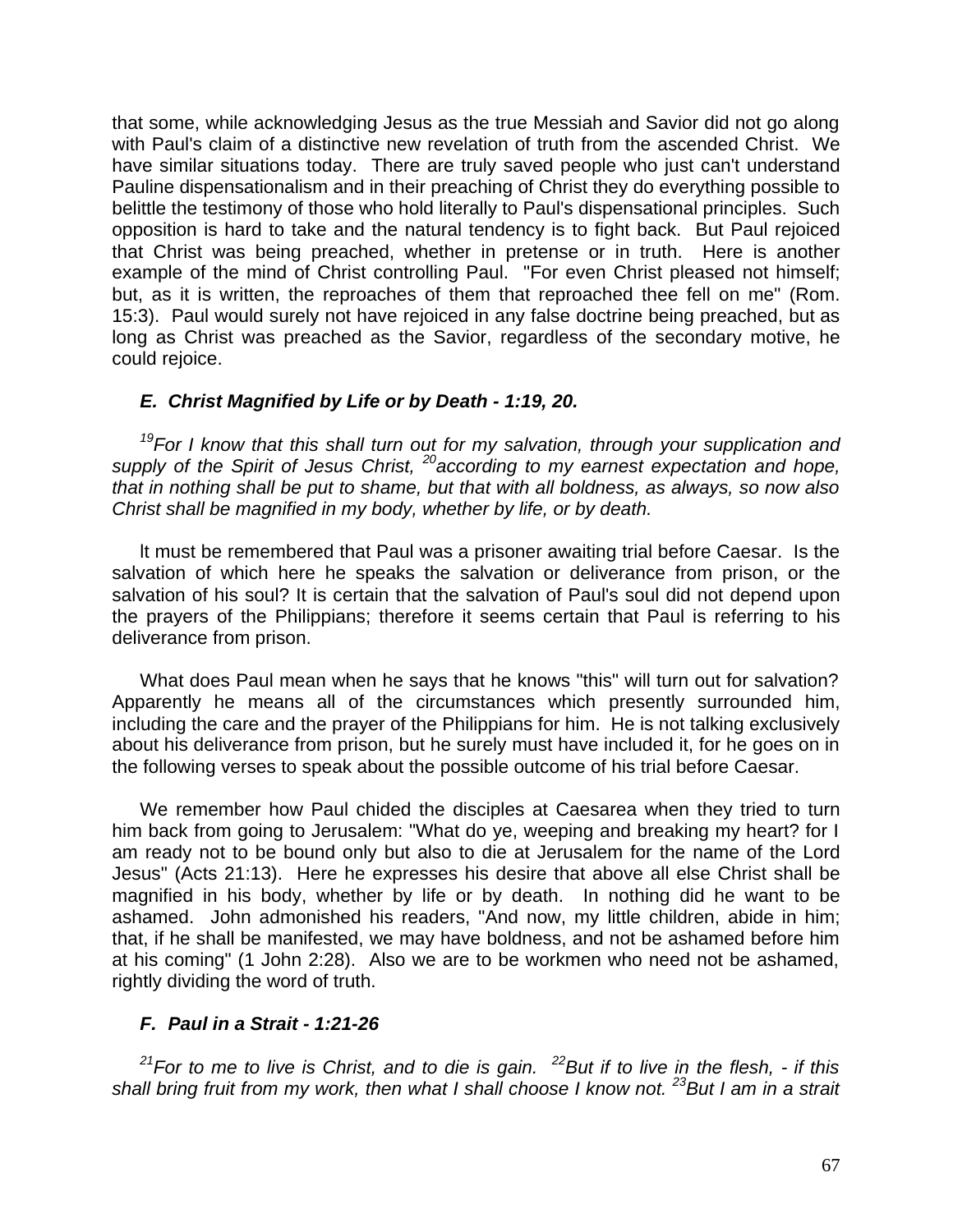that some, while acknowledging Jesus as the true Messiah and Savior did not go along with Paul's claim of a distinctive new revelation of truth from the ascended Christ. We have similar situations today. There are truly saved people who just can't understand Pauline dispensationalism and in their preaching of Christ they do everything possible to belittle the testimony of those who hold literally to Paul's dispensational principles. Such opposition is hard to take and the natural tendency is to fight back. But Paul rejoiced that Christ was being preached, whether in pretense or in truth. Here is another example of the mind of Christ controlling Paul. "For even Christ pleased not himself; but, as it is written, the reproaches of them that reproached thee fell on me" (Rom. 15:3). Paul would surely not have rejoiced in any false doctrine being preached, but as long as Christ was preached as the Savior, regardless of the secondary motive, he could rejoice.

## *E. Christ Magnified by Life or by Death - 1:19, 20.*

*<sup>19</sup>For I know that this shall turn out for my salvation, through your supplication and supply of the Spirit of Jesus Christ, <sup>20</sup>according to my earnest expectation and hope, that in nothing shall be put to shame, but that with all boldness, as always, so now also Christ shall be magnified in my body, whether by life, or by death.*

lt must be remembered that Paul was a prisoner awaiting trial before Caesar. Is the salvation of which here he speaks the salvation or deliverance from prison, or the salvation of his soul? It is certain that the salvation of Paul's soul did not depend upon the prayers of the Philippians; therefore it seems certain that Paul is referring to his deliverance from prison.

What does Paul mean when he says that he knows "this" will turn out for salvation? Apparently he means all of the circumstances which presently surrounded him, including the care and the prayer of the Philippians for him. He is not talking exclusively about his deliverance from prison, but he surely must have included it, for he goes on in the following verses to speak about the possible outcome of his trial before Caesar.

We remember how Paul chided the disciples at Caesarea when they tried to turn him back from going to Jerusalem: "What do ye, weeping and breaking my heart? for I am ready not to be bound only but also to die at Jerusalem for the name of the Lord Jesus" (Acts 21:13). Here he expresses his desire that above all else Christ shall be magnified in his body, whether by life or by death. In nothing did he want to be ashamed. John admonished his readers, "And now, my little children, abide in him; that, if he shall be manifested, we may have boldness, and not be ashamed before him at his coming" (1 John 2:28). Also we are to be workmen who need not be ashamed, rightly dividing the word of truth.

# *F. Paul in a Strait - 1:21-26*

*<sup>21</sup>For to me to live is Christ, and to die is gain. <sup>22</sup>But if to live in the flesh, - if this shall bring fruit from my work, then what I shall choose I know not. <sup>23</sup>But I am in a strait*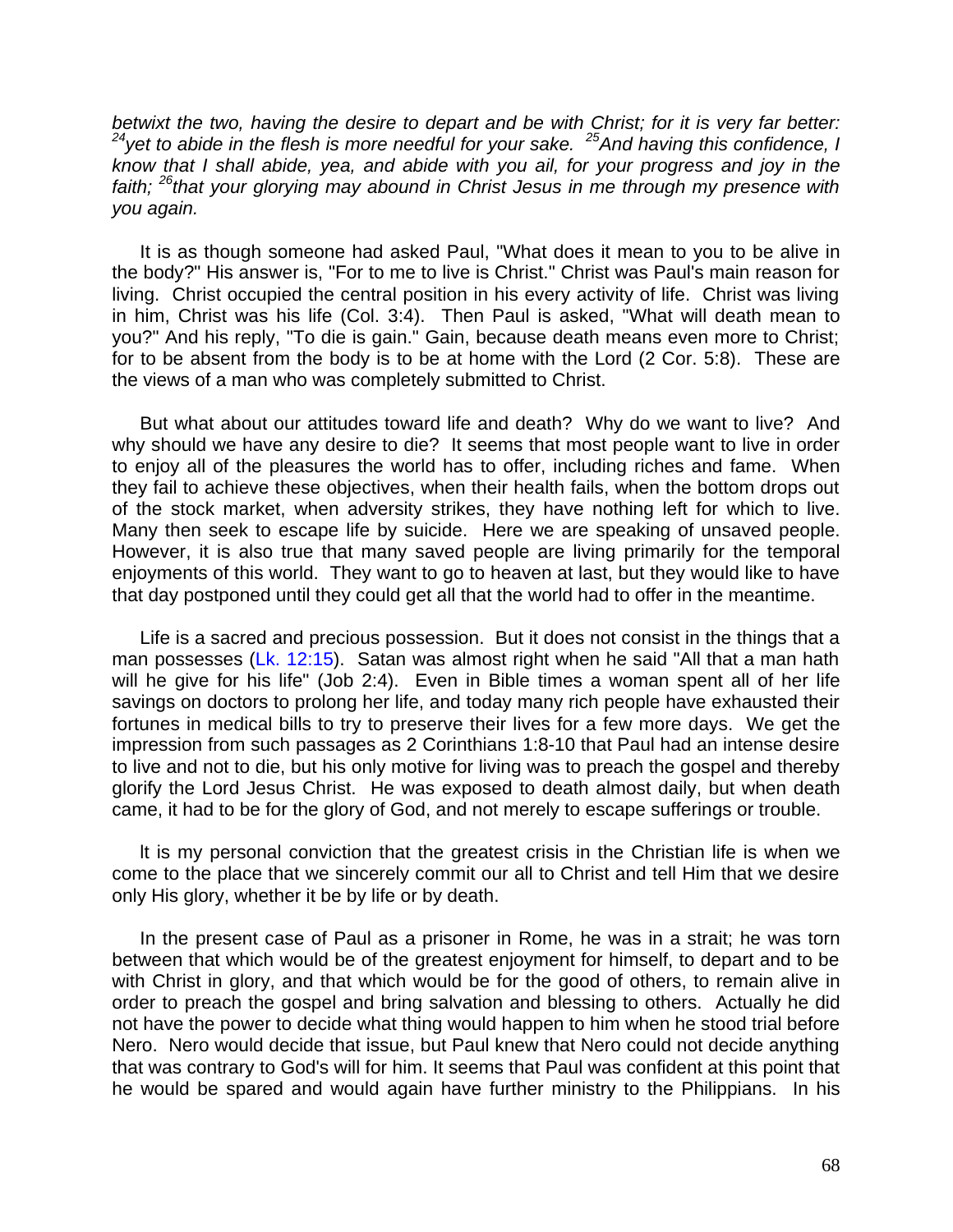*betwixt the two, having the desire to depart and be with Christ; for it is very far better: <sup>24</sup>yet to abide in the flesh is more needful for your sake. <sup>25</sup>And having this confidence, I know that I shall abide, yea, and abide with you ail, for your progress and joy in the faith; <sup>26</sup>that your glorying may abound in Christ Jesus in me through my presence with you again.*

It is as though someone had asked Paul, "What does it mean to you to be alive in the body?" His answer is, "For to me to live is Christ." Christ was Paul's main reason for living. Christ occupied the central position in his every activity of life. Christ was living in him, Christ was his life (Col. 3:4). Then Paul is asked, "What will death mean to you?" And his reply, "To die is gain." Gain, because death means even more to Christ; for to be absent from the body is to be at home with the Lord (2 Cor. 5:8). These are the views of a man who was completely submitted to Christ.

But what about our attitudes toward life and death? Why do we want to live? And why should we have any desire to die? It seems that most people want to live in order to enjoy all of the pleasures the world has to offer, including riches and fame. When they fail to achieve these objectives, when their health fails, when the bottom drops out of the stock market, when adversity strikes, they have nothing left for which to live. Many then seek to escape life by suicide. Here we are speaking of unsaved people. However, it is also true that many saved people are living primarily for the temporal enjoyments of this world. They want to go to heaven at last, but they would like to have that day postponed until they could get all that the world had to offer in the meantime.

Life is a sacred and precious possession. But it does not consist in the things that a man possesses (Lk. 12:15). Satan was almost right when he said "All that a man hath will he give for his life" (Job 2:4). Even in Bible times a woman spent all of her life savings on doctors to prolong her life, and today many rich people have exhausted their fortunes in medical bills to try to preserve their lives for a few more days. We get the impression from such passages as 2 Corinthians 1:8-10 that Paul had an intense desire to live and not to die, but his only motive for living was to preach the gospel and thereby glorify the Lord Jesus Christ. He was exposed to death almost daily, but when death came, it had to be for the glory of God, and not merely to escape sufferings or trouble.

lt is my personal conviction that the greatest crisis in the Christian life is when we come to the place that we sincerely commit our all to Christ and tell Him that we desire only His glory, whether it be by life or by death.

In the present case of Paul as a prisoner in Rome, he was in a strait; he was torn between that which would be of the greatest enjoyment for himself, to depart and to be with Christ in glory, and that which would be for the good of others, to remain alive in order to preach the gospel and bring salvation and blessing to others. Actually he did not have the power to decide what thing would happen to him when he stood trial before Nero. Nero would decide that issue, but Paul knew that Nero could not decide anything that was contrary to God's will for him. It seems that Paul was confident at this point that he would be spared and would again have further ministry to the Philippians. In his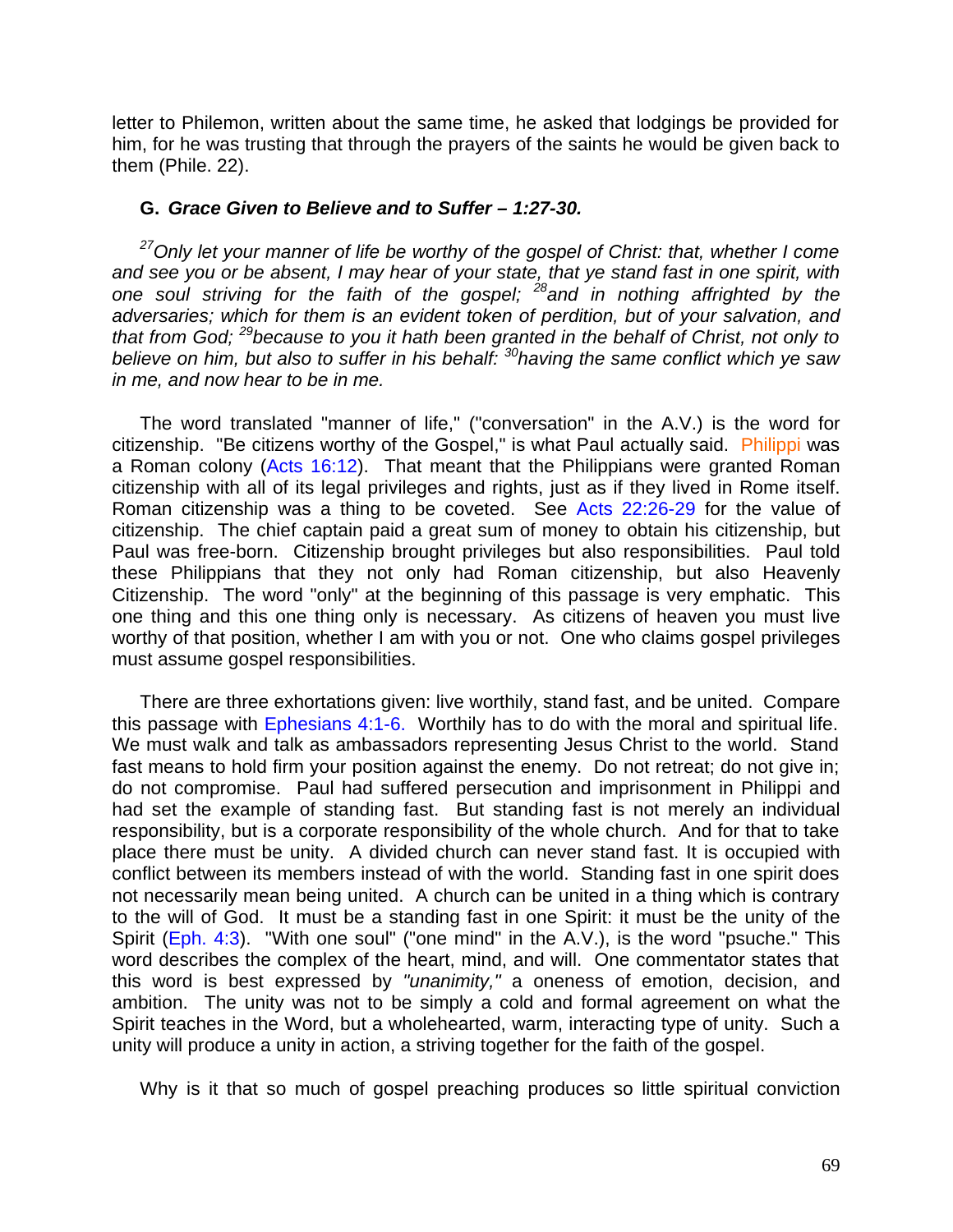letter to Philemon, written about the same time, he asked that lodgings be provided for him, for he was trusting that through the prayers of the saints he would be given back to them (Phile. 22).

### **G.** *Grace Given to Believe and to Suffer – 1:27-30.*

*<sup>27</sup>Only let your manner of life be worthy of the gospel of Christ: that, whether I come and see you or be absent, I may hear of your state, that ye stand fast in one spirit, with one soul striving for the faith of the gospel; <sup>28</sup>and in nothing affrighted by the adversaries; which for them is an evident token of perdition, but of your salvation, and that from God; <sup>29</sup>because to you it hath been granted in the behalf of Christ, not only to believe on him, but also to suffer in his behalf: <sup>30</sup>having the same conflict which ye saw in me, and now hear to be in me.*

The word translated "manner of life," ("conversation" in the A.V.) is the word for citizenship. "Be citizens worthy of the Gospel," is what Paul actually said. Philippi was a Roman colony (Acts 16:12). That meant that the Philippians were granted Roman citizenship with all of its legal privileges and rights, just as if they lived in Rome itself. Roman citizenship was a thing to be coveted. See Acts 22:26-29 for the value of citizenship. The chief captain paid a great sum of money to obtain his citizenship, but Paul was free-born. Citizenship brought privileges but also responsibilities. Paul told these Philippians that they not only had Roman citizenship, but also Heavenly Citizenship. The word "only" at the beginning of this passage is very emphatic. This one thing and this one thing only is necessary. As citizens of heaven you must live worthy of that position, whether I am with you or not. One who claims gospel privileges must assume gospel responsibilities.

There are three exhortations given: live worthily, stand fast, and be united. Compare this passage with Ephesians 4:1-6. Worthily has to do with the moral and spiritual life. We must walk and talk as ambassadors representing Jesus Christ to the world. Stand fast means to hold firm your position against the enemy. Do not retreat; do not give in; do not compromise. Paul had suffered persecution and imprisonment in Philippi and had set the example of standing fast. But standing fast is not merely an individual responsibility, but is a corporate responsibility of the whole church. And for that to take place there must be unity. A divided church can never stand fast. It is occupied with conflict between its members instead of with the world. Standing fast in one spirit does not necessarily mean being united. A church can be united in a thing which is contrary to the will of God. It must be a standing fast in one Spirit: it must be the unity of the Spirit (Eph. 4:3). "With one soul" ("one mind" in the A.V.), is the word "psuche." This word describes the complex of the heart, mind, and will. One commentator states that this word is best expressed by *"unanimity,"* a oneness of emotion, decision, and ambition. The unity was not to be simply a cold and formal agreement on what the Spirit teaches in the Word, but a wholehearted, warm, interacting type of unity. Such a unity will produce a unity in action, a striving together for the faith of the gospel.

Why is it that so much of gospel preaching produces so little spiritual conviction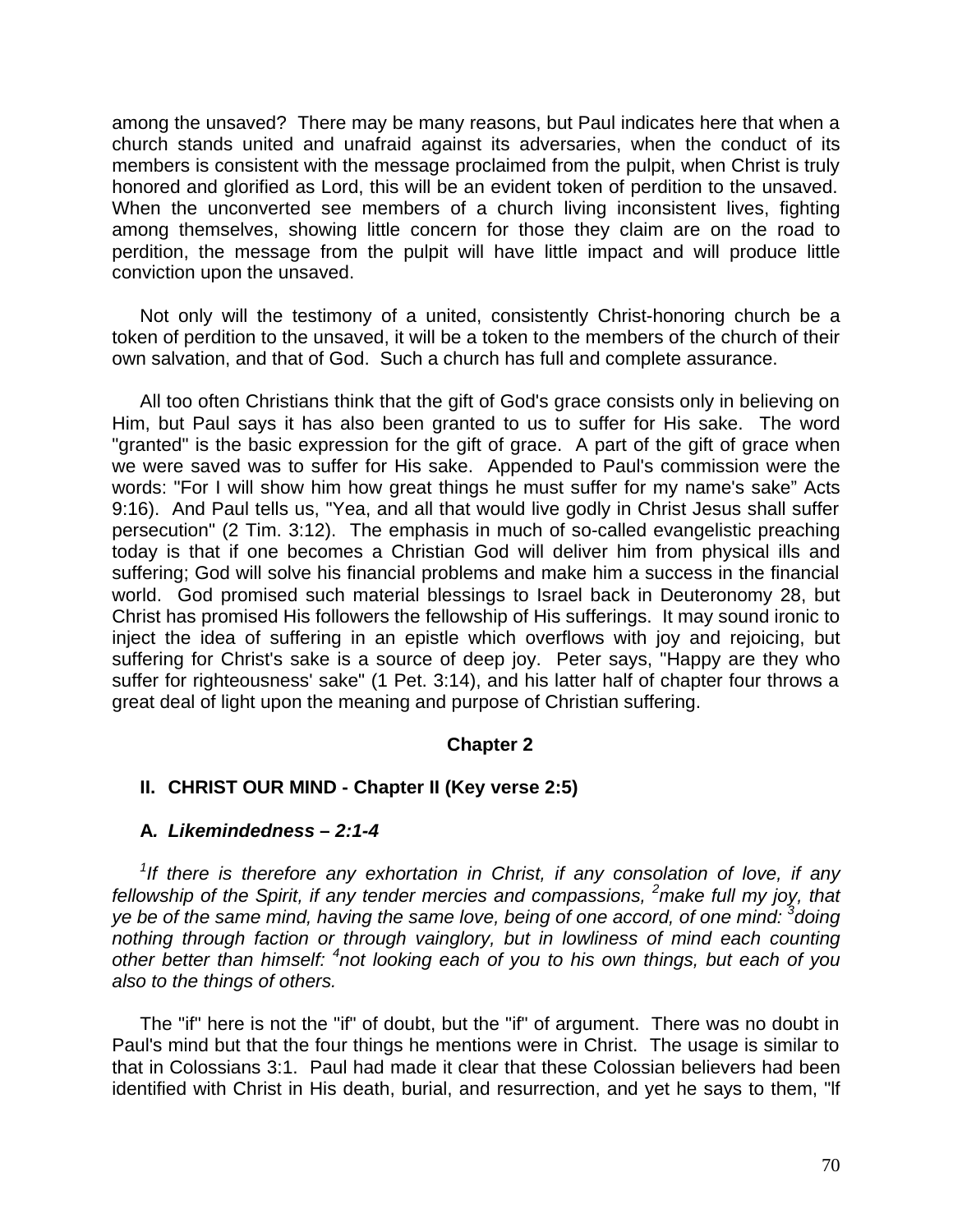among the unsaved? There may be many reasons, but Paul indicates here that when a church stands united and unafraid against its adversaries, when the conduct of its members is consistent with the message proclaimed from the pulpit, when Christ is truly honored and glorified as Lord, this will be an evident token of perdition to the unsaved. When the unconverted see members of a church living inconsistent lives, fighting among themselves, showing little concern for those they claim are on the road to perdition, the message from the pulpit will have little impact and will produce little conviction upon the unsaved.

Not only will the testimony of a united, consistently Christ-honoring church be a token of perdition to the unsaved, it will be a token to the members of the church of their own salvation, and that of God. Such a church has full and complete assurance.

All too often Christians think that the gift of God's grace consists only in believing on Him, but Paul says it has also been granted to us to suffer for His sake. The word "granted" is the basic expression for the gift of grace. A part of the gift of grace when we were saved was to suffer for His sake. Appended to Paul's commission were the words: "For I will show him how great things he must suffer for my name's sake" Acts 9:16). And Paul tells us, "Yea, and all that would live godly in Christ Jesus shall suffer persecution" (2 Tim. 3:12). The emphasis in much of so-called evangelistic preaching today is that if one becomes a Christian God will deliver him from physical ills and suffering; God will solve his financial problems and make him a success in the financial world. God promised such material blessings to Israel back in Deuteronomy 28, but Christ has promised His followers the fellowship of His sufferings. It may sound ironic to inject the idea of suffering in an epistle which overflows with joy and rejoicing, but suffering for Christ's sake is a source of deep joy. Peter says, "Happy are they who suffer for righteousness' sake" (1 Pet. 3:14), and his latter half of chapter four throws a great deal of light upon the meaning and purpose of Christian suffering.

## **Chapter 2**

## **II. CHRIST OUR MIND - Chapter II (Key verse 2:5)**

### **A***. Likemindedness* **–** *2:1-4*

*1 If there is therefore any exhortation in Christ, if any consolation of love, if any fellowship of the Spirit, if any tender mercies and compassions, <sup>2</sup>make full my joy, that ye be of the same mind, having the same love, being of one accord, of one mind: <sup>3</sup> doing nothing through faction or through vainglory, but in lowliness of mind each counting other better than himself: <sup>4</sup> not looking each of you to his own things, but each of you also to the things of others.*

The "if" here is not the "if" of doubt, but the "if" of argument. There was no doubt in Paul's mind but that the four things he mentions were in Christ. The usage is similar to that in Colossians 3:1. Paul had made it clear that these Colossian believers had been identified with Christ in His death, burial, and resurrection, and yet he says to them, "lf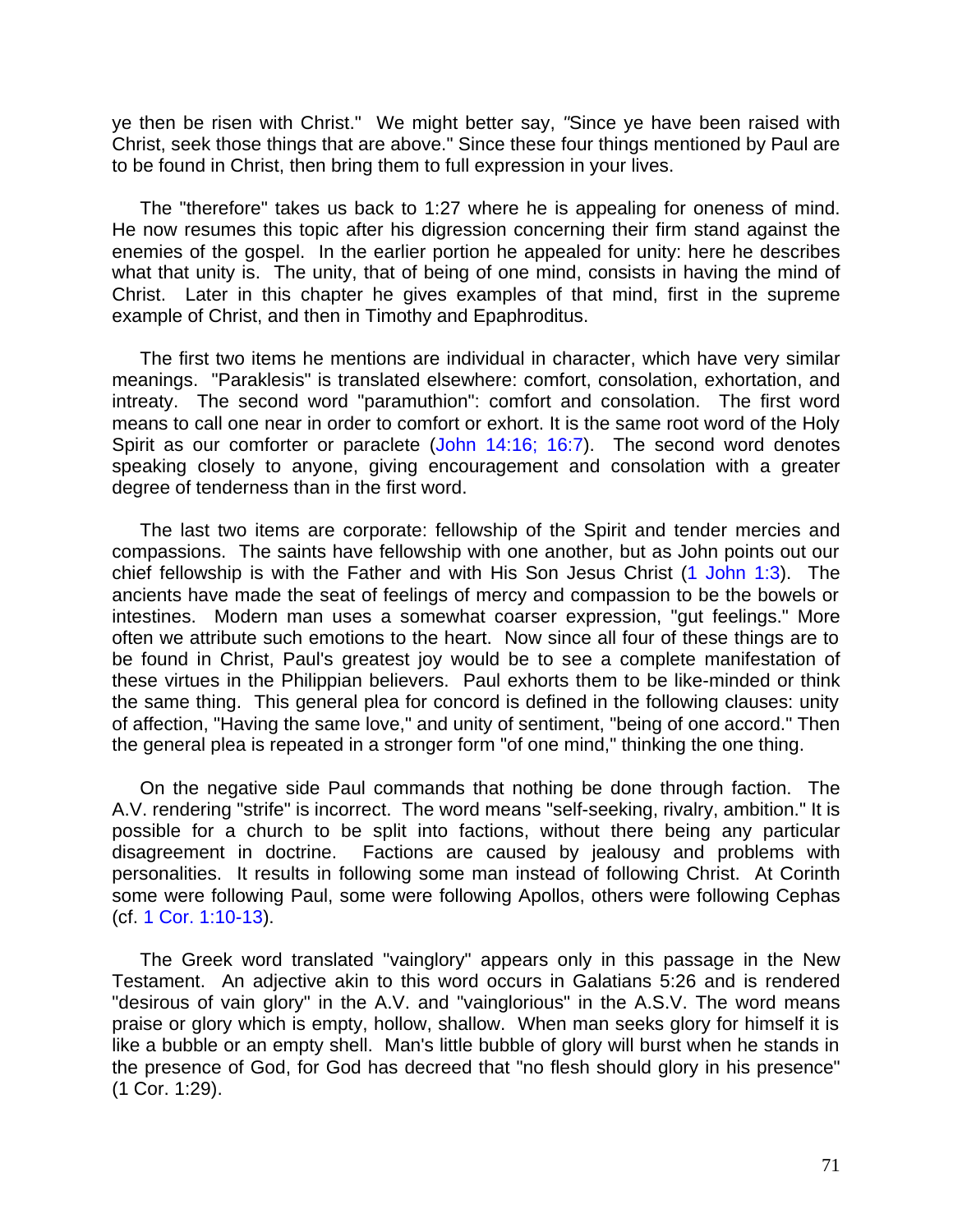ye then be risen with Christ." We might better say, *"*Since ye have been raised with Christ, seek those things that are above." Since these four things mentioned by Paul are to be found in Christ, then bring them to full expression in your lives.

The "therefore" takes us back to 1:27 where he is appealing for oneness of mind. He now resumes this topic after his digression concerning their firm stand against the enemies of the gospel. In the earlier portion he appealed for unity: here he describes what that unity is. The unity, that of being of one mind, consists in having the mind of Christ. Later in this chapter he gives examples of that mind, first in the supreme example of Christ, and then in Timothy and Epaphroditus.

The first two items he mentions are individual in character, which have very similar meanings. "Paraklesis" is translated elsewhere: comfort, consolation, exhortation, and intreaty. The second word "paramuthion": comfort and consolation. The first word means to call one near in order to comfort or exhort. It is the same root word of the Holy Spirit as our comforter or paraclete (John 14:16; 16:7). The second word denotes speaking closely to anyone, giving encouragement and consolation with a greater degree of tenderness than in the first word.

The last two items are corporate: fellowship of the Spirit and tender mercies and compassions. The saints have fellowship with one another, but as John points out our chief fellowship is with the Father and with His Son Jesus Christ (1 John 1:3). The ancients have made the seat of feelings of mercy and compassion to be the bowels or intestines. Modern man uses a somewhat coarser expression, "gut feelings." More often we attribute such emotions to the heart. Now since all four of these things are to be found in Christ, Paul's greatest joy would be to see a complete manifestation of these virtues in the Philippian believers. Paul exhorts them to be like-minded or think the same thing. This general plea for concord is defined in the following clauses: unity of affection, "Having the same love," and unity of sentiment, "being of one accord." Then the general plea is repeated in a stronger form "of one mind," thinking the one thing.

On the negative side Paul commands that nothing be done through faction. The A.V. rendering "strife" is incorrect. The word means "self-seeking, rivalry, ambition." It is possible for a church to be split into factions, without there being any particular disagreement in doctrine. Factions are caused by jealousy and problems with personalities. It results in following some man instead of following Christ. At Corinth some were following Paul, some were following Apollos, others were following Cephas (cf. 1 Cor. 1:10-13).

The Greek word translated "vainglory" appears only in this passage in the New Testament. An adjective akin to this word occurs in Galatians 5:26 and is rendered "desirous of vain glory" in the A.V. and "vainglorious" in the A.S.V. The word means praise or glory which is empty, hollow, shallow. When man seeks glory for himself it is like a bubble or an empty shell. Man's little bubble of glory will burst when he stands in the presence of God, for God has decreed that "no flesh should glory in his presence" (1 Cor. 1:29).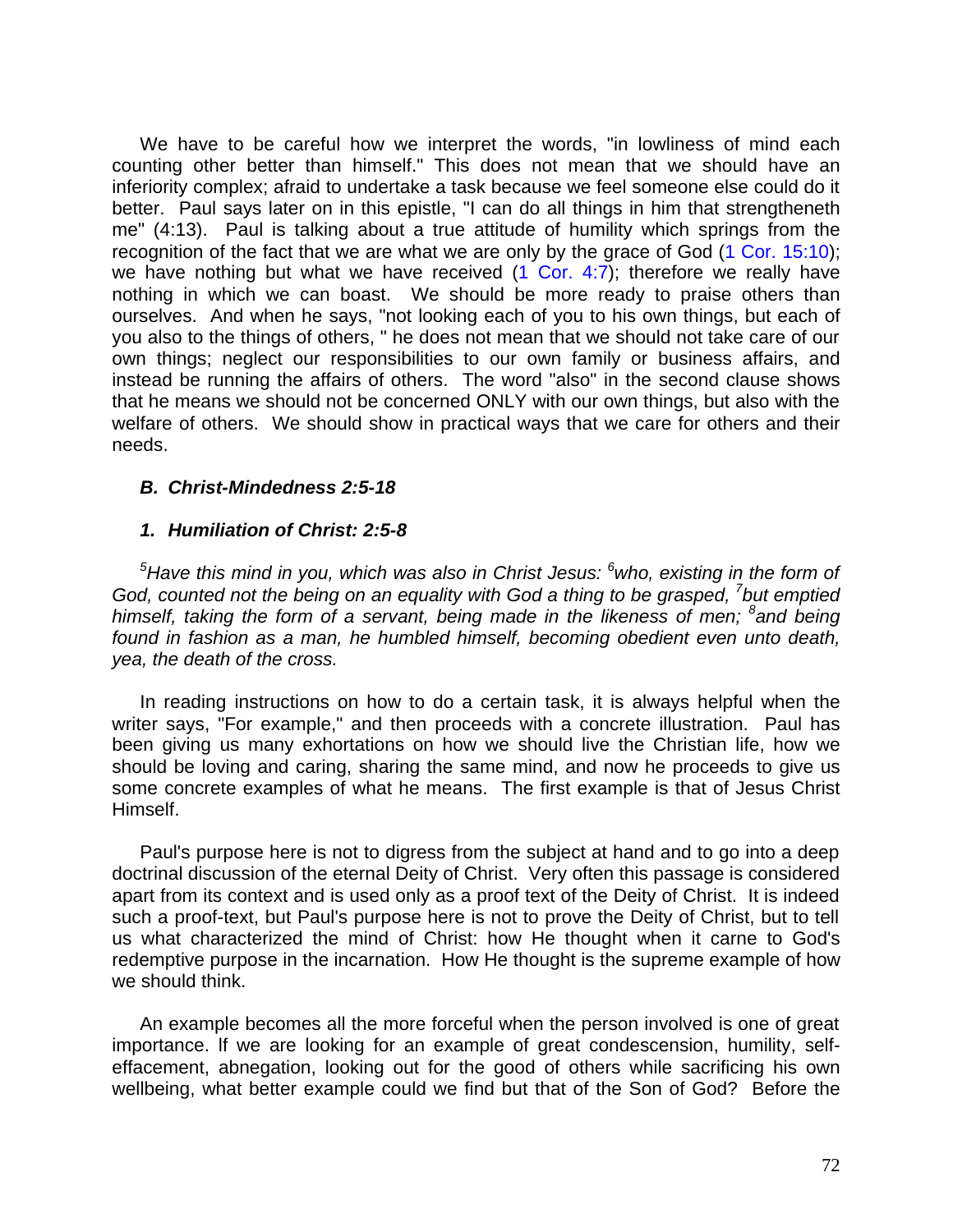We have to be careful how we interpret the words, "in lowliness of mind each counting other better than himself." This does not mean that we should have an inferiority complex; afraid to undertake a task because we feel someone else could do it better. Paul says later on in this epistle, "I can do all things in him that strengtheneth me" (4:13). Paul is talking about a true attitude of humility which springs from the recognition of the fact that we are what we are only by the grace of God (1 Cor. 15:10); we have nothing but what we have received  $(1 \text{ Cor. } 4:7)$ ; therefore we really have nothing in which we can boast. We should be more ready to praise others than ourselves. And when he says, "not looking each of you to his own things, but each of you also to the things of others, " he does not mean that we should not take care of our own things; neglect our responsibilities to our own family or business affairs, and instead be running the affairs of others. The word "also" in the second clause shows that he means we should not be concerned ONLY with our own things, but also with the welfare of others. We should show in practical ways that we care for others and their needs.

# *B. Christ-Mindedness 2:5-18*

# *1. Humiliation of Christ: 2:5-8*

*<sup>5</sup>Have this mind in you, which was also in Christ Jesus: <sup>6</sup>who, existing in the form of*  God, counted not the being on an equality with God a thing to be grasped, <sup>7</sup> but emptied *himself, taking the form of a servant, being made in the likeness of men; <sup>8</sup> and being found in fashion as a man, he humbled himself, becoming obedient even unto death, yea, the death of the cross.*

In reading instructions on how to do a certain task, it is always helpful when the writer says, "For example," and then proceeds with a concrete illustration. Paul has been giving us many exhortations on how we should live the Christian life, how we should be loving and caring, sharing the same mind, and now he proceeds to give us some concrete examples of what he means. The first example is that of Jesus Christ Himself.

Paul's purpose here is not to digress from the subject at hand and to go into a deep doctrinal discussion of the eternal Deity of Christ. Very often this passage is considered apart from its context and is used only as a proof text of the Deity of Christ. It is indeed such a proof-text, but Paul's purpose here is not to prove the Deity of Christ, but to tell us what characterized the mind of Christ: how He thought when it carne to God's redemptive purpose in the incarnation. How He thought is the supreme example of how we should think.

An example becomes all the more forceful when the person involved is one of great importance. lf we are looking for an example of great condescension, humility, selfeffacement, abnegation, looking out for the good of others while sacrificing his own wellbeing, what better example could we find but that of the Son of God? Before the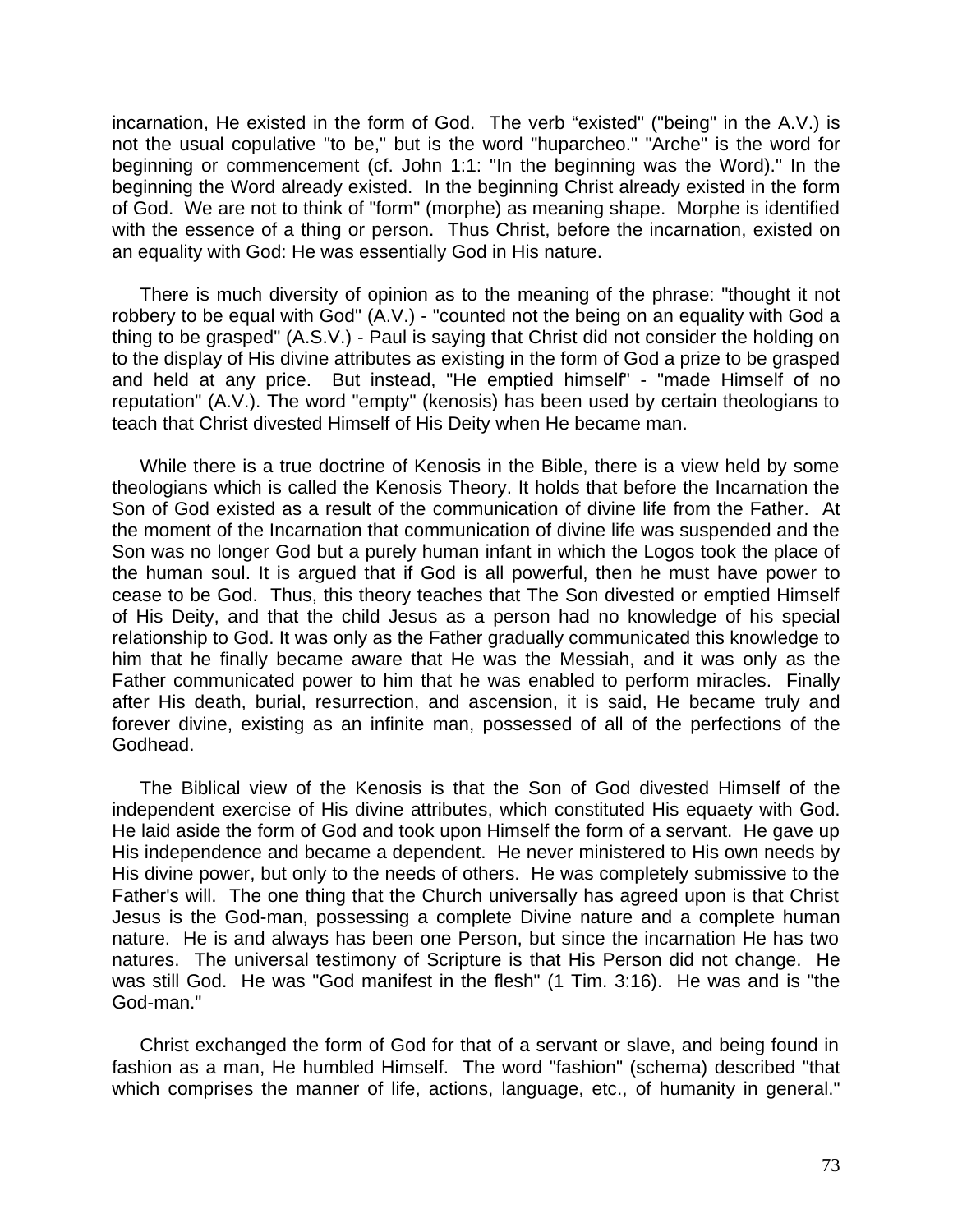incarnation, He existed in the form of God. The verb "existed" ("being" in the A.V.) is not the usual copulative "to be," but is the word "huparcheo." "Arche" is the word for beginning or commencement (cf. John 1:1: "In the beginning was the Word)." In the beginning the Word already existed. In the beginning Christ already existed in the form of God. We are not to think of "form" (morphe) as meaning shape. Morphe is identified with the essence of a thing or person. Thus Christ, before the incarnation, existed on an equality with God: He was essentially God in His nature.

There is much diversity of opinion as to the meaning of the phrase: "thought it not robbery to be equal with God" (A.V.) - "counted not the being on an equality with God a thing to be grasped" (A.S.V.) - Paul is saying that Christ did not consider the holding on to the display of His divine attributes as existing in the form of God a prize to be grasped and held at any price. But instead, "He emptied himself" - "made Himself of no reputation" (A.V.). The word "empty" (kenosis) has been used by certain theologians to teach that Christ divested Himself of His Deity when He became man.

While there is a true doctrine of Kenosis in the Bible, there is a view held by some theologians which is called the Kenosis Theory. It holds that before the Incarnation the Son of God existed as a result of the communication of divine life from the Father. At the moment of the Incarnation that communication of divine life was suspended and the Son was no longer God but a purely human infant in which the Logos took the place of the human soul. It is argued that if God is all powerful, then he must have power to cease to be God. Thus, this theory teaches that The Son divested or emptied Himself of His Deity, and that the child Jesus as a person had no knowledge of his special relationship to God. It was only as the Father gradually communicated this knowledge to him that he finally became aware that He was the Messiah, and it was only as the Father communicated power to him that he was enabled to perform miracles. Finally after His death, burial, resurrection, and ascension, it is said, He became truly and forever divine, existing as an infinite man, possessed of all of the perfections of the Godhead.

The Biblical view of the Kenosis is that the Son of God divested Himself of the independent exercise of His divine attributes, which constituted His equaety with God. He laid aside the form of God and took upon Himself the form of a servant. He gave up His independence and became a dependent. He never ministered to His own needs by His divine power, but only to the needs of others. He was completely submissive to the Father's will. The one thing that the Church universally has agreed upon is that Christ Jesus is the God-man, possessing a complete Divine nature and a complete human nature. He is and always has been one Person, but since the incarnation He has two natures. The universal testimony of Scripture is that His Person did not change. He was still God. He was "God manifest in the flesh" (1 Tim. 3:16). He was and is "the God-man."

Christ exchanged the form of God for that of a servant or slave, and being found in fashion as a man, He humbled Himself. The word "fashion" (schema) described "that which comprises the manner of life, actions, language, etc., of humanity in general."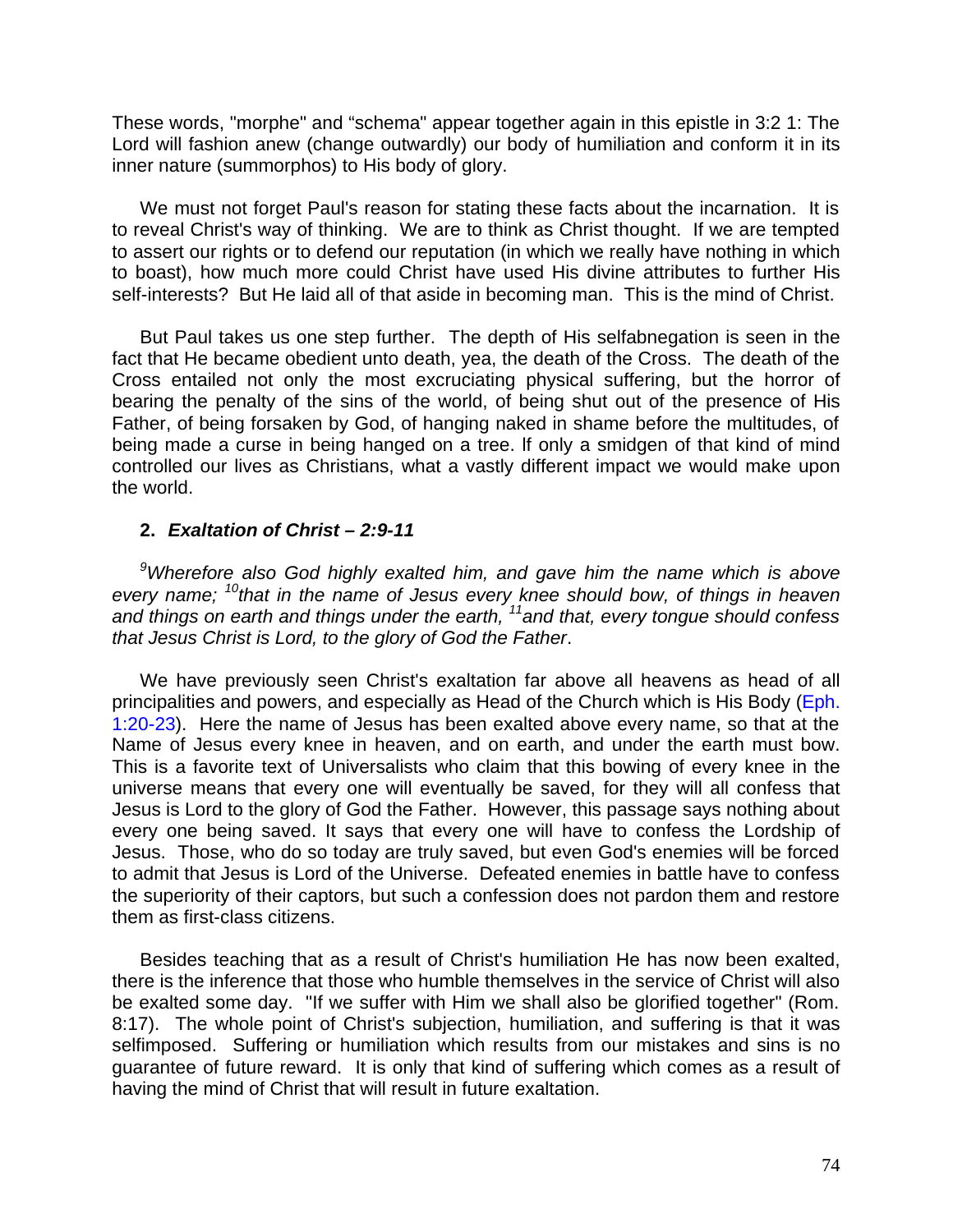These words, "morphe" and "schema" appear together again in this epistle in 3:2 1: The Lord will fashion anew (change outwardly) our body of humiliation and conform it in its inner nature (summorphos) to His body of glory.

We must not forget Paul's reason for stating these facts about the incarnation. It is to reveal Christ's way of thinking. We are to think as Christ thought. If we are tempted to assert our rights or to defend our reputation (in which we really have nothing in which to boast), how much more could Christ have used His divine attributes to further His self-interests? But He laid all of that aside in becoming man. This is the mind of Christ.

But Paul takes us one step further. The depth of His selfabnegation is seen in the fact that He became obedient unto death, yea, the death of the Cross. The death of the Cross entailed not only the most excruciating physical suffering, but the horror of bearing the penalty of the sins of the world, of being shut out of the presence of His Father, of being forsaken by God, of hanging naked in shame before the multitudes, of being made a curse in being hanged on a tree. lf only a smidgen of that kind of mind controlled our lives as Christians, what a vastly different impact we would make upon the world.

# **2.** *Exaltation of Christ – 2:9-11*

*<sup>9</sup>Wherefore also God highly exalted him, and gave him the name which is above every name; <sup>10</sup>that in the name of Jesus every knee should bow, of things in heaven and things on earth and things under the earth, <sup>11</sup>and that, every tongue should confess that Jesus Christ is Lord, to the glory of God the Father*.

We have previously seen Christ's exaltation far above all heavens as head of all principalities and powers, and especially as Head of the Church which is His Body (Eph. 1:20-23). Here the name of Jesus has been exalted above every name, so that at the Name of Jesus every knee in heaven, and on earth, and under the earth must bow. This is a favorite text of Universalists who claim that this bowing of every knee in the universe means that every one will eventually be saved, for they will all confess that Jesus is Lord to the glory of God the Father. However, this passage says nothing about every one being saved. It says that every one will have to confess the Lordship of Jesus. Those, who do so today are truly saved, but even God's enemies will be forced to admit that Jesus is Lord of the Universe. Defeated enemies in battle have to confess the superiority of their captors, but such a confession does not pardon them and restore them as first-class citizens.

Besides teaching that as a result of Christ's humiliation He has now been exalted, there is the inference that those who humble themselves in the service of Christ will also be exalted some day. "If we suffer with Him we shall also be glorified together" (Rom. 8:17). The whole point of Christ's subjection, humiliation, and suffering is that it was selfimposed. Suffering or humiliation which results from our mistakes and sins is no guarantee of future reward. It is only that kind of suffering which comes as a result of having the mind of Christ that will result in future exaltation.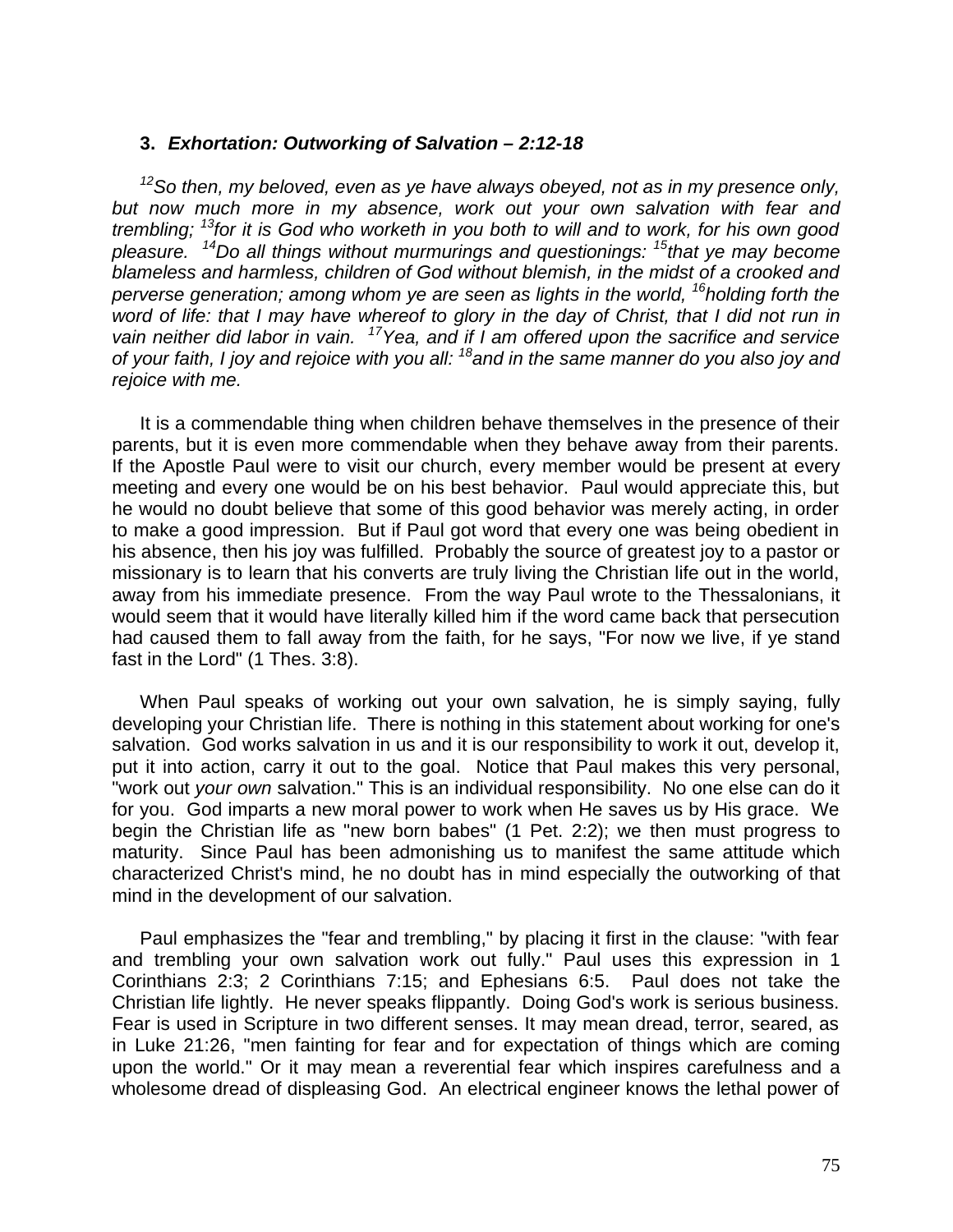## **3.** *Exhortation: Outworking of Salvation – 2:12-18*

*<sup>12</sup>So then, my beloved, even as ye have always obeyed, not as in my presence only, but now much more in my absence, work out your own salvation with fear and trembling; <sup>13</sup>for it is God who worketh in you both to will and to work, for his own good pleasure. <sup>14</sup>Do all things without murmurings and questionings: <sup>15</sup>that ye may become blameless and harmless, children of God without blemish, in the midst of a crooked and perverse generation; among whom ye are seen as lights in the world, <sup>16</sup><i>holding forth the word of life: that I may have whereof to glory in the day of Christ, that I did not run in vain neither did labor in vain. <sup>17</sup>Yea, and if I am offered upon the sacrifice and service of your faith, I joy and rejoice with you all: <sup>18</sup>and in the same manner do you also joy and rejoice with me.*

It is a commendable thing when children behave themselves in the presence of their parents, but it is even more commendable when they behave away from their parents. If the Apostle Paul were to visit our church, every member would be present at every meeting and every one would be on his best behavior. Paul would appreciate this, but he would no doubt believe that some of this good behavior was merely acting, in order to make a good impression. But if Paul got word that every one was being obedient in his absence, then his joy was fulfilled. Probably the source of greatest joy to a pastor or missionary is to learn that his converts are truly living the Christian life out in the world, away from his immediate presence. From the way Paul wrote to the Thessalonians, it would seem that it would have literally killed him if the word came back that persecution had caused them to fall away from the faith, for he says, "For now we live, if ye stand fast in the Lord" (1 Thes. 3:8).

When Paul speaks of working out your own salvation, he is simply saying, fully developing your Christian life. There is nothing in this statement about working for one's salvation. God works salvation in us and it is our responsibility to work it out, develop it, put it into action, carry it out to the goal. Notice that Paul makes this very personal, "work out *your own* salvation." This is an individual responsibility. No one else can do it for you. God imparts a new moral power to work when He saves us by His grace. We begin the Christian life as "new born babes" (1 Pet. 2:2); we then must progress to maturity. Since Paul has been admonishing us to manifest the same attitude which characterized Christ's mind, he no doubt has in mind especially the outworking of that mind in the development of our salvation.

Paul emphasizes the "fear and trembling," by placing it first in the clause: "with fear and trembling your own salvation work out fully." Paul uses this expression in 1 Corinthians 2:3; 2 Corinthians 7:15; and Ephesians 6:5. Paul does not take the Christian life lightly. He never speaks flippantly. Doing God's work is serious business. Fear is used in Scripture in two different senses. It may mean dread, terror, seared, as in Luke 21:26, "men fainting for fear and for expectation of things which are coming upon the world." Or it may mean a reverential fear which inspires carefulness and a wholesome dread of displeasing God. An electrical engineer knows the lethal power of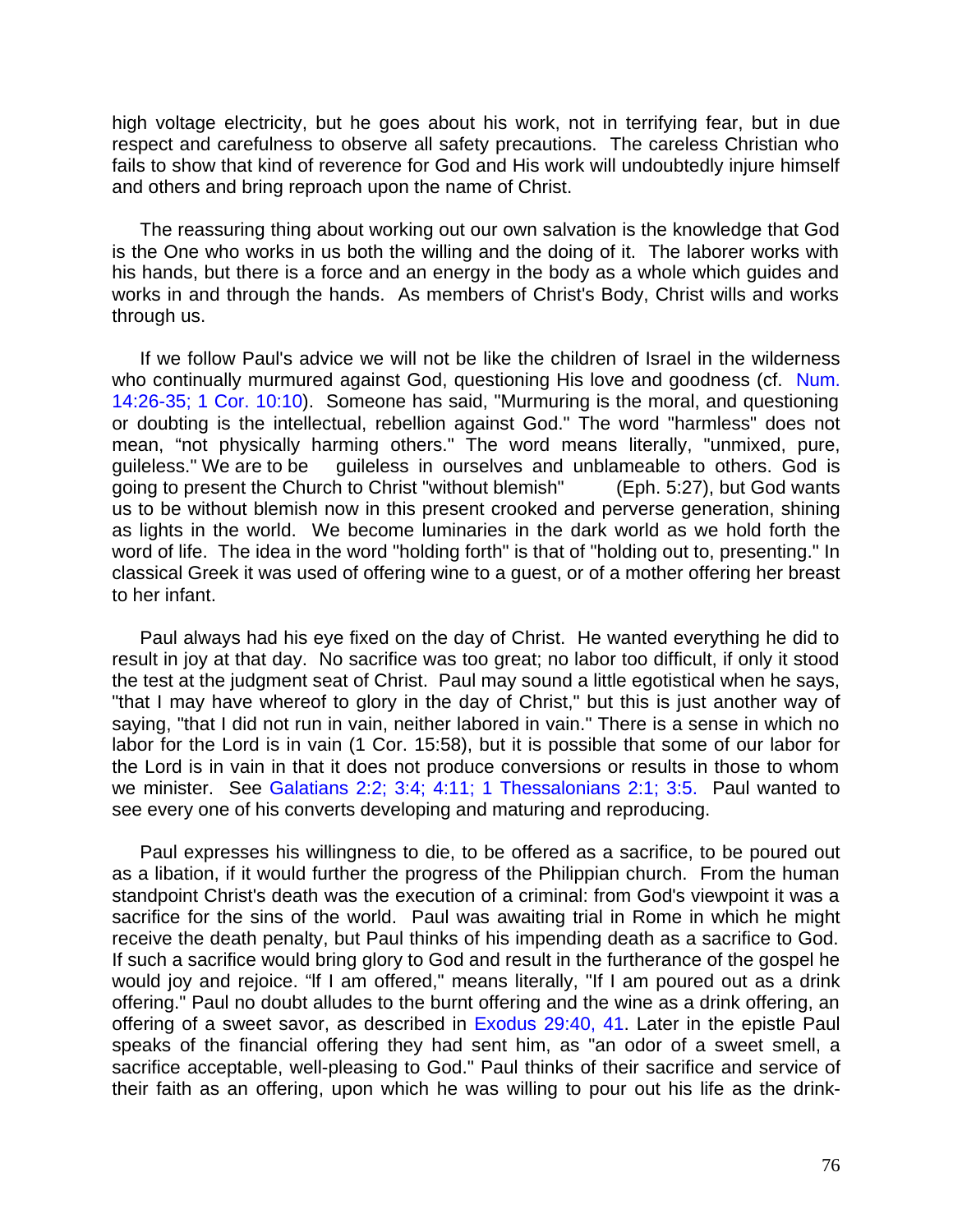high voltage electricity, but he goes about his work, not in terrifying fear, but in due respect and carefulness to observe all safety precautions. The careless Christian who fails to show that kind of reverence for God and His work will undoubtedly injure himself and others and bring reproach upon the name of Christ.

The reassuring thing about working out our own salvation is the knowledge that God is the One who works in us both the willing and the doing of it. The laborer works with his hands, but there is a force and an energy in the body as a whole which guides and works in and through the hands. As members of Christ's Body, Christ wills and works through us.

If we follow Paul's advice we will not be like the children of Israel in the wilderness who continually murmured against God, questioning His love and goodness (cf. Num. 14:26-35; 1 Cor. 10:10). Someone has said, "Murmuring is the moral, and questioning or doubting is the intellectual, rebellion against God." The word "harmless" does not mean, "not physically harming others." The word means literally, "unmixed, pure, guileless." We are to be guileless in ourselves and unblameable to others. God is going to present the Church to Christ "without blemish" (Eph. 5:27), but God wants us to be without blemish now in this present crooked and perverse generation, shining as lights in the world. We become luminaries in the dark world as we hold forth the word of life. The idea in the word "holding forth" is that of "holding out to, presenting." In classical Greek it was used of offering wine to a guest, or of a mother offering her breast to her infant.

Paul always had his eye fixed on the day of Christ. He wanted everything he did to result in joy at that day. No sacrifice was too great; no labor too difficult, if only it stood the test at the judgment seat of Christ. Paul may sound a little egotistical when he says, "that I may have whereof to glory in the day of Christ," but this is just another way of saying, "that I did not run in vain, neither labored in vain." There is a sense in which no labor for the Lord is in vain (1 Cor. 15:58), but it is possible that some of our labor for the Lord is in vain in that it does not produce conversions or results in those to whom we minister. See Galatians 2:2; 3:4; 4:11; 1 Thessalonians 2:1; 3:5. Paul wanted to see every one of his converts developing and maturing and reproducing.

Paul expresses his willingness to die, to be offered as a sacrifice, to be poured out as a libation, if it would further the progress of the Philippian church. From the human standpoint Christ's death was the execution of a criminal: from God's viewpoint it was a sacrifice for the sins of the world. Paul was awaiting trial in Rome in which he might receive the death penalty, but Paul thinks of his impending death as a sacrifice to God. If such a sacrifice would bring glory to God and result in the furtherance of the gospel he would joy and rejoice. "lf I am offered," means literally, "If I am poured out as a drink offering." Paul no doubt alludes to the burnt offering and the wine as a drink offering, an offering of a sweet savor, as described in Exodus 29:40, 41. Later in the epistle Paul speaks of the financial offering they had sent him, as "an odor of a sweet smell, a sacrifice acceptable, well-pleasing to God." Paul thinks of their sacrifice and service of their faith as an offering, upon which he was willing to pour out his life as the drink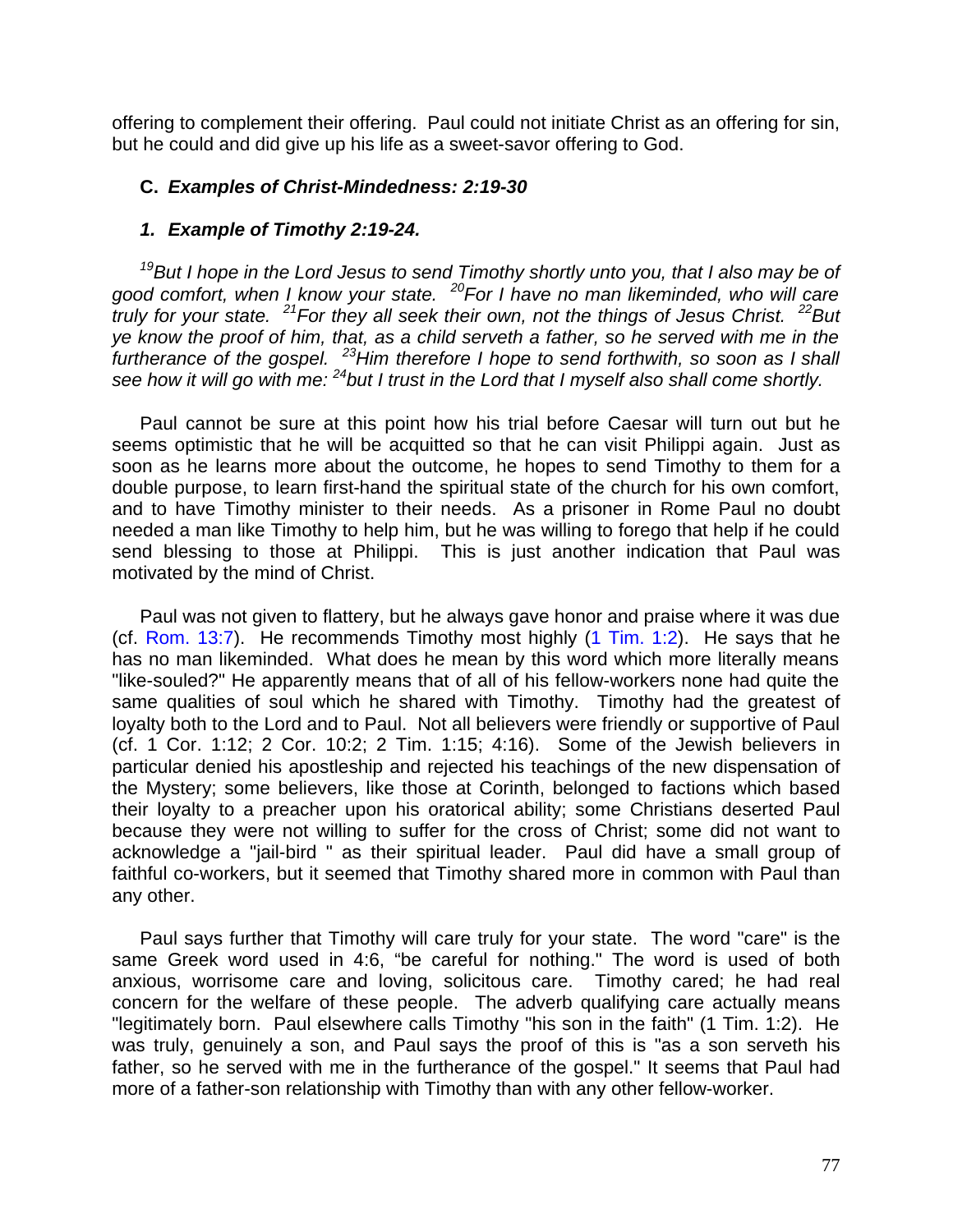offering to complement their offering. Paul could not initiate Christ as an offering for sin, but he could and did give up his life as a sweet-savor offering to God.

# **C.** *Examples of Christ-Mindedness: 2:19-30*

## *1. Example of Timothy 2:19-24.*

*<sup>19</sup>But I hope in the Lord Jesus to send Timothy shortly unto you, that I also may be of good comfort, when I know your state. <sup>20</sup>For I have no man likeminded, who will care truly for your state. <sup>21</sup>For they all seek their own, not the things of Jesus Christ. <sup>22</sup>But ye know the proof of him, that, as a child serveth a father, so he served with me in the furtherance of the gospel. <sup>23</sup>Him therefore I hope to send forthwith, so soon as I shall see how it will go with me: <sup>24</sup>but I trust in the Lord that I myself also shall come shortly.*

Paul cannot be sure at this point how his trial before Caesar will turn out but he seems optimistic that he will be acquitted so that he can visit Philippi again. Just as soon as he learns more about the outcome, he hopes to send Timothy to them for a double purpose, to learn first-hand the spiritual state of the church for his own comfort, and to have Timothy minister to their needs. As a prisoner in Rome Paul no doubt needed a man like Timothy to help him, but he was willing to forego that help if he could send blessing to those at Philippi. This is just another indication that Paul was motivated by the mind of Christ.

Paul was not given to flattery, but he always gave honor and praise where it was due (cf. Rom. 13:7). He recommends Timothy most highly (1 Tim. 1:2). He says that he has no man likeminded. What does he mean by this word which more literally means "like-souled?" He apparently means that of all of his fellow-workers none had quite the same qualities of soul which he shared with Timothy. Timothy had the greatest of loyalty both to the Lord and to Paul. Not all believers were friendly or supportive of Paul (cf. 1 Cor. 1:12; 2 Cor. 10:2; 2 Tim. 1:15; 4:16). Some of the Jewish believers in particular denied his apostleship and rejected his teachings of the new dispensation of the Mystery; some believers, like those at Corinth, belonged to factions which based their loyalty to a preacher upon his oratorical ability; some Christians deserted Paul because they were not willing to suffer for the cross of Christ; some did not want to acknowledge a "jail-bird " as their spiritual leader. Paul did have a small group of faithful co-workers, but it seemed that Timothy shared more in common with Paul than any other.

Paul says further that Timothy will care truly for your state. The word "care" is the same Greek word used in 4:6, "be careful for nothing." The word is used of both anxious, worrisome care and loving, solicitous care. Timothy cared; he had real concern for the welfare of these people. The adverb qualifying care actually means "legitimately born. Paul elsewhere calls Timothy "his son in the faith" (1 Tim. 1:2). He was truly, genuinely a son, and Paul says the proof of this is "as a son serveth his father, so he served with me in the furtherance of the gospel." It seems that Paul had more of a father-son relationship with Timothy than with any other fellow-worker.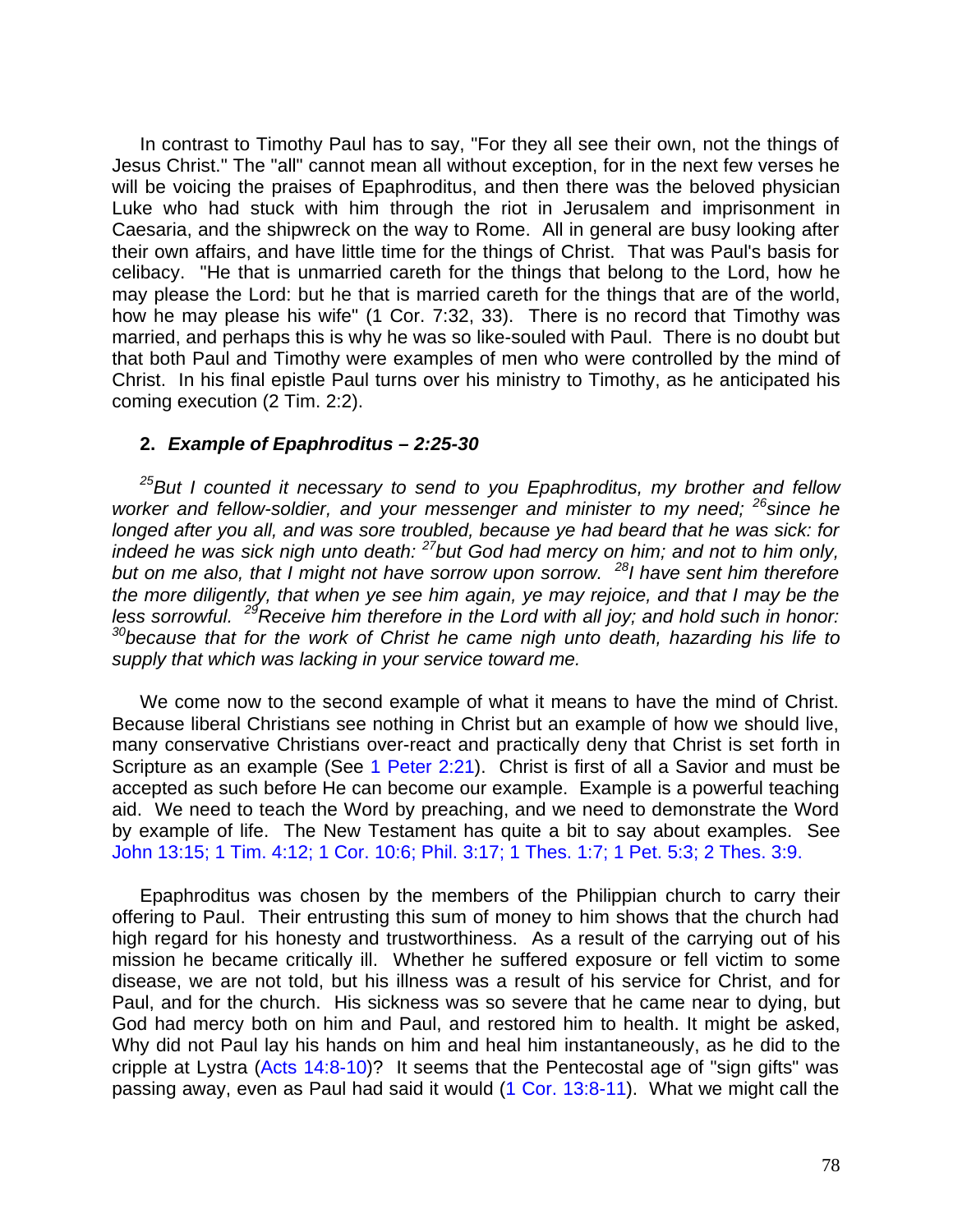In contrast to Timothy Paul has to say, "For they all see their own, not the things of Jesus Christ." The "all" cannot mean all without exception, for in the next few verses he will be voicing the praises of Epaphroditus, and then there was the beloved physician Luke who had stuck with him through the riot in Jerusalem and imprisonment in Caesaria, and the shipwreck on the way to Rome. All in general are busy looking after their own affairs, and have little time for the things of Christ. That was Paul's basis for celibacy. "He that is unmarried careth for the things that belong to the Lord, how he may please the Lord: but he that is married careth for the things that are of the world, how he may please his wife" (1 Cor. 7:32, 33). There is no record that Timothy was married, and perhaps this is why he was so like-souled with Paul. There is no doubt but that both Paul and Timothy were examples of men who were controlled by the mind of Christ. In his final epistle Paul turns over his ministry to Timothy, as he anticipated his coming execution (2 Tim. 2:2).

## **2.** *Example of Epaphroditus – 2:25-30*

*<sup>25</sup>But I counted it necessary to send to you Epaphroditus, my brother and fellow worker and fellow-soldier, and your messenger and minister to my need; <sup>26</sup>since he longed after you all, and was sore troubled, because ye had beard that he was sick: for indeed he was sick nigh unto death: <sup>27</sup>but God had mercy on him; and not to him only, but on me also, that I might not have sorrow upon sorrow. <sup>28</sup>I have sent him therefore the more diligently, that when ye see him again, ye may rejoice, and that I may be the less sorrowful. <sup>29</sup>Receive him therefore in the Lord with all joy; and hold such in honor: <sup>30</sup>because that for the work of Christ he came nigh unto death, hazarding his life to supply that which was lacking in your service toward me.*

We come now to the second example of what it means to have the mind of Christ. Because liberal Christians see nothing in Christ but an example of how we should live, many conservative Christians over-react and practically deny that Christ is set forth in Scripture as an example (See 1 Peter 2:21). Christ is first of all a Savior and must be accepted as such before He can become our example. Example is a powerful teaching aid. We need to teach the Word by preaching, and we need to demonstrate the Word by example of life. The New Testament has quite a bit to say about examples. See John 13:15; 1 Tim. 4:12; 1 Cor. 10:6; Phil. 3:17; 1 Thes. 1:7; 1 Pet. 5:3; 2 Thes. 3:9.

Epaphroditus was chosen by the members of the Philippian church to carry their offering to Paul. Their entrusting this sum of money to him shows that the church had high regard for his honesty and trustworthiness. As a result of the carrying out of his mission he became critically ill. Whether he suffered exposure or fell victim to some disease, we are not told, but his illness was a result of his service for Christ, and for Paul, and for the church. His sickness was so severe that he came near to dying, but God had mercy both on him and Paul, and restored him to health. It might be asked, Why did not Paul lay his hands on him and heal him instantaneously, as he did to the cripple at Lystra (Acts 14:8-10)? It seems that the Pentecostal age of "sign gifts" was passing away, even as Paul had said it would (1 Cor. 13:8-11). What we might call the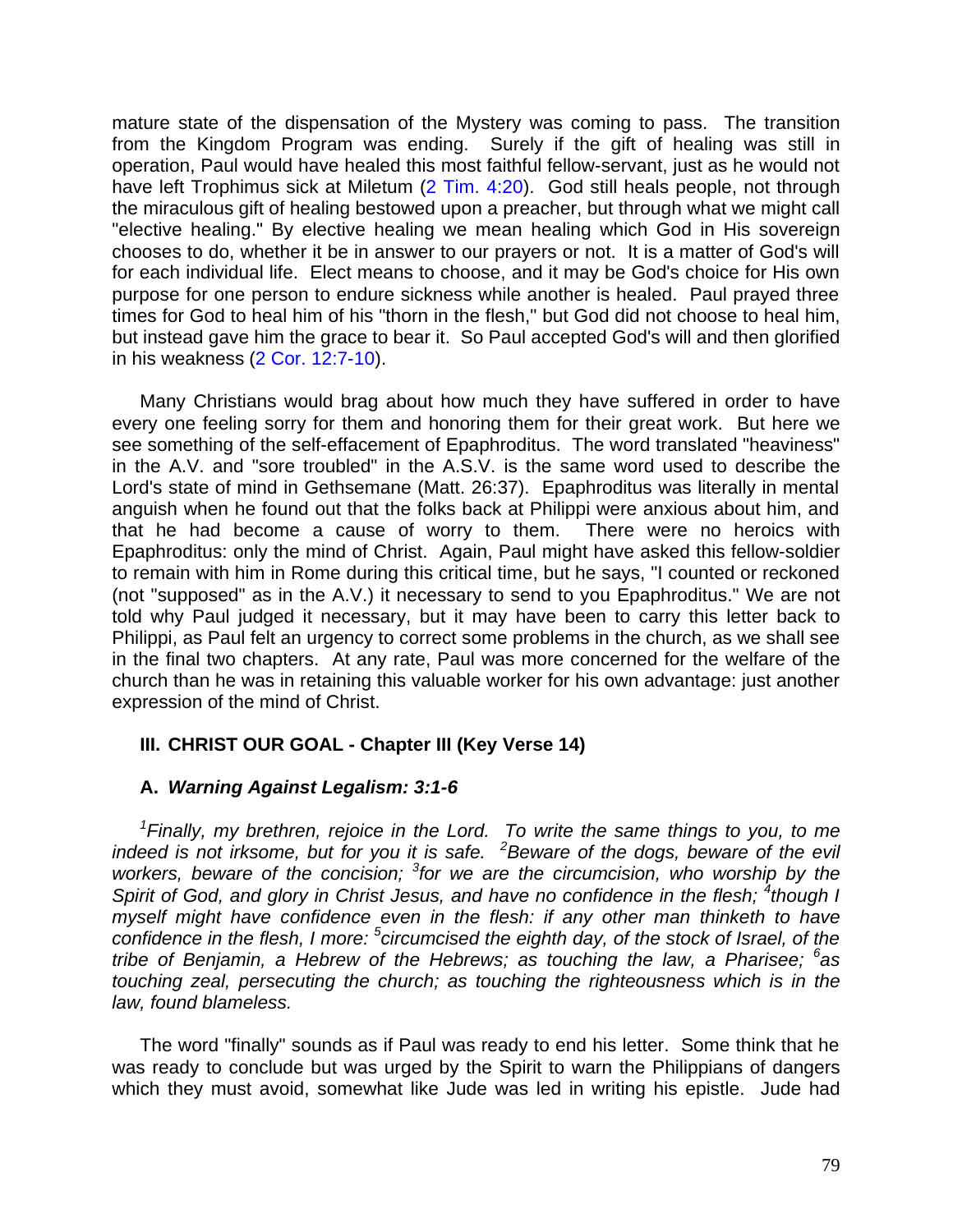mature state of the dispensation of the Mystery was coming to pass. The transition from the Kingdom Program was ending. Surely if the gift of healing was still in operation, Paul would have healed this most faithful fellow-servant, just as he would not have left Trophimus sick at Miletum (2 Tim. 4:20). God still heals people, not through the miraculous gift of healing bestowed upon a preacher, but through what we might call "elective healing." By elective healing we mean healing which God in His sovereign chooses to do, whether it be in answer to our prayers or not. It is a matter of God's will for each individual life. Elect means to choose, and it may be God's choice for His own purpose for one person to endure sickness while another is healed. Paul prayed three times for God to heal him of his "thorn in the flesh," but God did not choose to heal him, but instead gave him the grace to bear it. So Paul accepted God's will and then glorified in his weakness (2 Cor. 12:7-10).

Many Christians would brag about how much they have suffered in order to have every one feeling sorry for them and honoring them for their great work. But here we see something of the self-effacement of Epaphroditus. The word translated "heaviness" in the A.V. and "sore troubled" in the A.S.V. is the same word used to describe the Lord's state of mind in Gethsemane (Matt. 26:37). Epaphroditus was literally in mental anguish when he found out that the folks back at Philippi were anxious about him, and that he had become a cause of worry to them. There were no heroics with Epaphroditus: only the mind of Christ. Again, Paul might have asked this fellow-soldier to remain with him in Rome during this critical time, but he says, "I counted or reckoned (not "supposed" as in the A.V.) it necessary to send to you Epaphroditus." We are not told why Paul judged it necessary, but it may have been to carry this letter back to Philippi, as Paul felt an urgency to correct some problems in the church, as we shall see in the final two chapters. At any rate, Paul was more concerned for the welfare of the church than he was in retaining this valuable worker for his own advantage: just another expression of the mind of Christ.

# **III. CHRIST OUR GOAL - Chapter III (Key Verse 14)**

# **A.** *Warning Against Legalism: 3:1-6*

*1 Finally, my brethren, rejoice in the Lord. To write the same things to you, to me indeed is not irksome, but for you it is safe. <sup>2</sup>Beware of the dogs, beware of the evil* workers, beware of the concision; <sup>3</sup> for we are the circumcision, who worship by the Spirit of God, and glory in Christ Jesus, and have no confidence in the flesh; <sup>4</sup>though I *myself might have confidence even in the flesh: if any other man thinketh to have confidence in the flesh, I more: <sup>5</sup> circumcised the eighth day, of the stock of Israel, of the tribe of Benjamin, a Hebrew of the Hebrews; as touching the law, a Pharisee; <sup>6</sup> as touching zeal, persecuting the church; as touching the righteousness which is in the law, found blameless.*

The word "finally" sounds as if Paul was ready to end his letter. Some think that he was ready to conclude but was urged by the Spirit to warn the Philippians of dangers which they must avoid, somewhat like Jude was led in writing his epistle. Jude had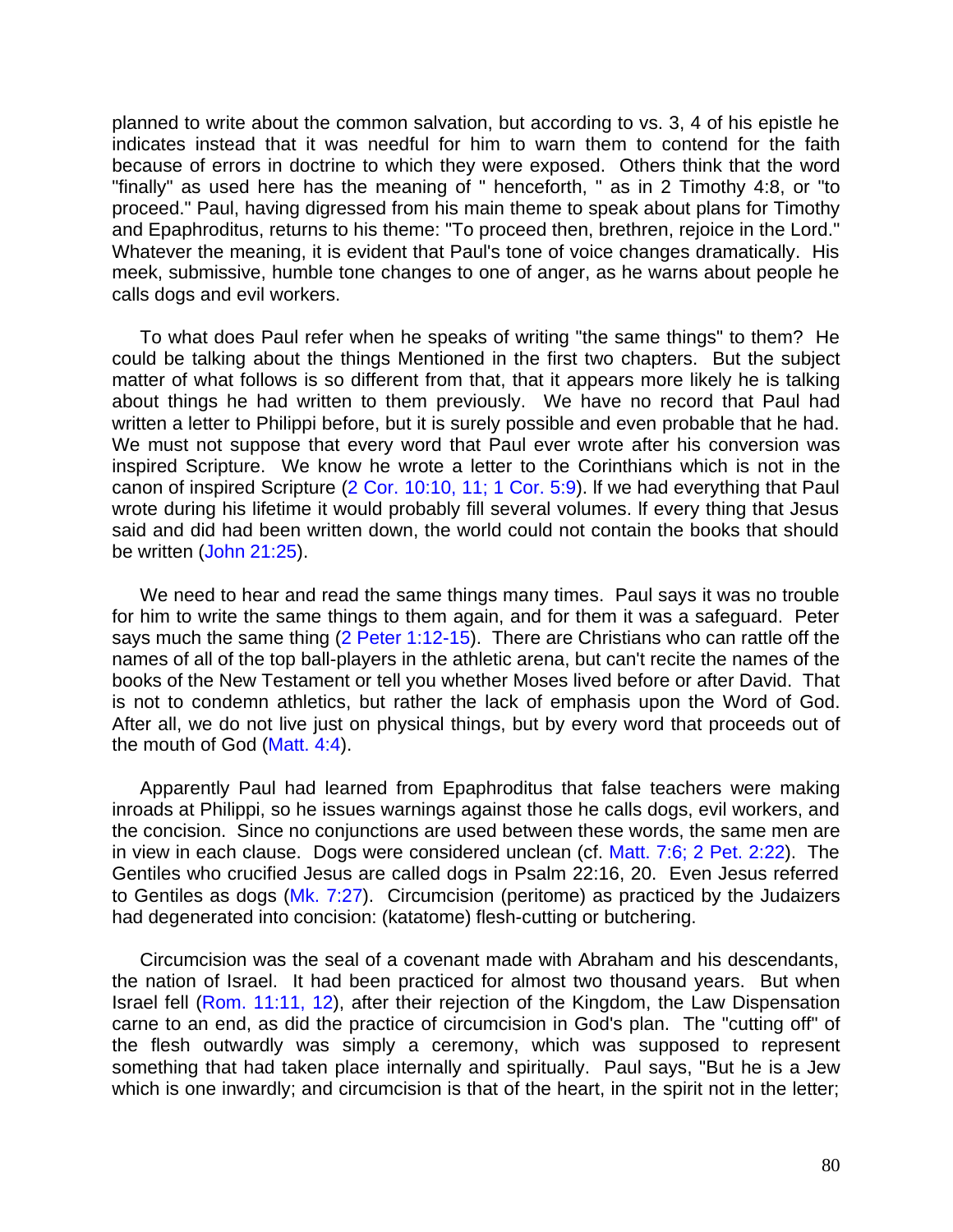planned to write about the common salvation, but according to vs. 3, 4 of his epistle he indicates instead that it was needful for him to warn them to contend for the faith because of errors in doctrine to which they were exposed. Others think that the word "finally" as used here has the meaning of " henceforth, " as in 2 Timothy 4:8, or "to proceed." Paul, having digressed from his main theme to speak about plans for Timothy and Epaphroditus, returns to his theme: "To proceed then, brethren, rejoice in the Lord." Whatever the meaning, it is evident that Paul's tone of voice changes dramatically. His meek, submissive, humble tone changes to one of anger, as he warns about people he calls dogs and evil workers.

To what does Paul refer when he speaks of writing "the same things" to them? He could be talking about the things Mentioned in the first two chapters. But the subject matter of what follows is so different from that, that it appears more likely he is talking about things he had written to them previously. We have no record that Paul had written a letter to Philippi before, but it is surely possible and even probable that he had. We must not suppose that every word that Paul ever wrote after his conversion was inspired Scripture. We know he wrote a letter to the Corinthians which is not in the canon of inspired Scripture (2 Cor. 10:10, 11; 1 Cor. 5:9). lf we had everything that Paul wrote during his lifetime it would probably fill several volumes. lf every thing that Jesus said and did had been written down, the world could not contain the books that should be written (John 21:25).

We need to hear and read the same things many times. Paul says it was no trouble for him to write the same things to them again, and for them it was a safeguard. Peter says much the same thing (2 Peter 1:12-15). There are Christians who can rattle off the names of all of the top ball-players in the athletic arena, but can't recite the names of the books of the New Testament or tell you whether Moses lived before or after David. That is not to condemn athletics, but rather the lack of emphasis upon the Word of God. After all, we do not live just on physical things, but by every word that proceeds out of the mouth of God (Matt. 4:4).

Apparently Paul had learned from Epaphroditus that false teachers were making inroads at Philippi, so he issues warnings against those he calls dogs, evil workers, and the concision. Since no conjunctions are used between these words, the same men are in view in each clause. Dogs were considered unclean (cf. Matt. 7:6; 2 Pet. 2:22). The Gentiles who crucified Jesus are called dogs in Psalm 22:16, 20. Even Jesus referred to Gentiles as dogs (Mk. 7:27). Circumcision (peritome) as practiced by the Judaizers had degenerated into concision: (katatome) flesh-cutting or butchering.

Circumcision was the seal of a covenant made with Abraham and his descendants, the nation of Israel. It had been practiced for almost two thousand years. But when Israel fell (Rom. 11:11, 12), after their rejection of the Kingdom, the Law Dispensation carne to an end, as did the practice of circumcision in God's plan. The "cutting off" of the flesh outwardly was simply a ceremony, which was supposed to represent something that had taken place internally and spiritually. Paul says, "But he is a Jew which is one inwardly; and circumcision is that of the heart, in the spirit not in the letter;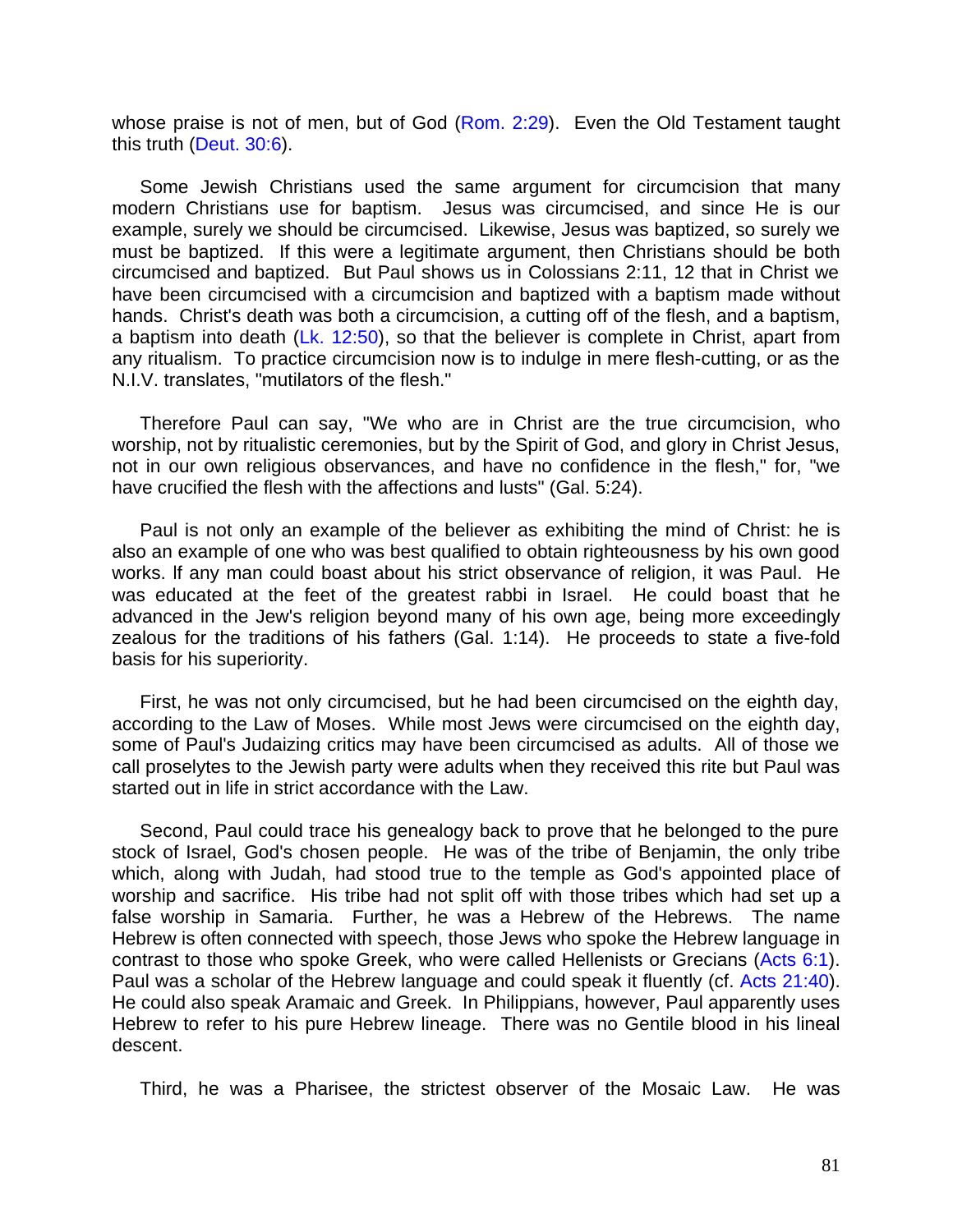whose praise is not of men, but of God (Rom. 2:29). Even the Old Testament taught this truth (Deut. 30:6).

Some Jewish Christians used the same argument for circumcision that many modern Christians use for baptism. Jesus was circumcised, and since He is our example, surely we should be circumcised. Likewise, Jesus was baptized, so surely we must be baptized. If this were a legitimate argument, then Christians should be both circumcised and baptized. But Paul shows us in Colossians 2:11, 12 that in Christ we have been circumcised with a circumcision and baptized with a baptism made without hands. Christ's death was both a circumcision, a cutting off of the flesh, and a baptism, a baptism into death (Lk. 12:50), so that the believer is complete in Christ, apart from any ritualism. To practice circumcision now is to indulge in mere flesh-cutting, or as the N.I.V. translates, "mutilators of the flesh."

Therefore Paul can say, "We who are in Christ are the true circumcision, who worship, not by ritualistic ceremonies, but by the Spirit of God, and glory in Christ Jesus, not in our own religious observances, and have no confidence in the flesh," for, "we have crucified the flesh with the affections and lusts" (Gal. 5:24).

Paul is not only an example of the believer as exhibiting the mind of Christ: he is also an example of one who was best qualified to obtain righteousness by his own good works. lf any man could boast about his strict observance of religion, it was Paul. He was educated at the feet of the greatest rabbi in Israel. He could boast that he advanced in the Jew's religion beyond many of his own age, being more exceedingly zealous for the traditions of his fathers (Gal. 1:14). He proceeds to state a five-fold basis for his superiority.

First, he was not only circumcised, but he had been circumcised on the eighth day, according to the Law of Moses. While most Jews were circumcised on the eighth day, some of Paul's Judaizing critics may have been circumcised as adults. All of those we call proselytes to the Jewish party were adults when they received this rite but Paul was started out in life in strict accordance with the Law.

Second, Paul could trace his genealogy back to prove that he belonged to the pure stock of Israel, God's chosen people. He was of the tribe of Benjamin, the only tribe which, along with Judah, had stood true to the temple as God's appointed place of worship and sacrifice. His tribe had not split off with those tribes which had set up a false worship in Samaria. Further, he was a Hebrew of the Hebrews. The name Hebrew is often connected with speech, those Jews who spoke the Hebrew language in contrast to those who spoke Greek, who were called Hellenists or Grecians (Acts 6:1). Paul was a scholar of the Hebrew language and could speak it fluently (cf. Acts 21:40). He could also speak Aramaic and Greek. In Philippians, however, Paul apparently uses Hebrew to refer to his pure Hebrew lineage. There was no Gentile blood in his lineal descent.

Third, he was a Pharisee, the strictest observer of the Mosaic Law. He was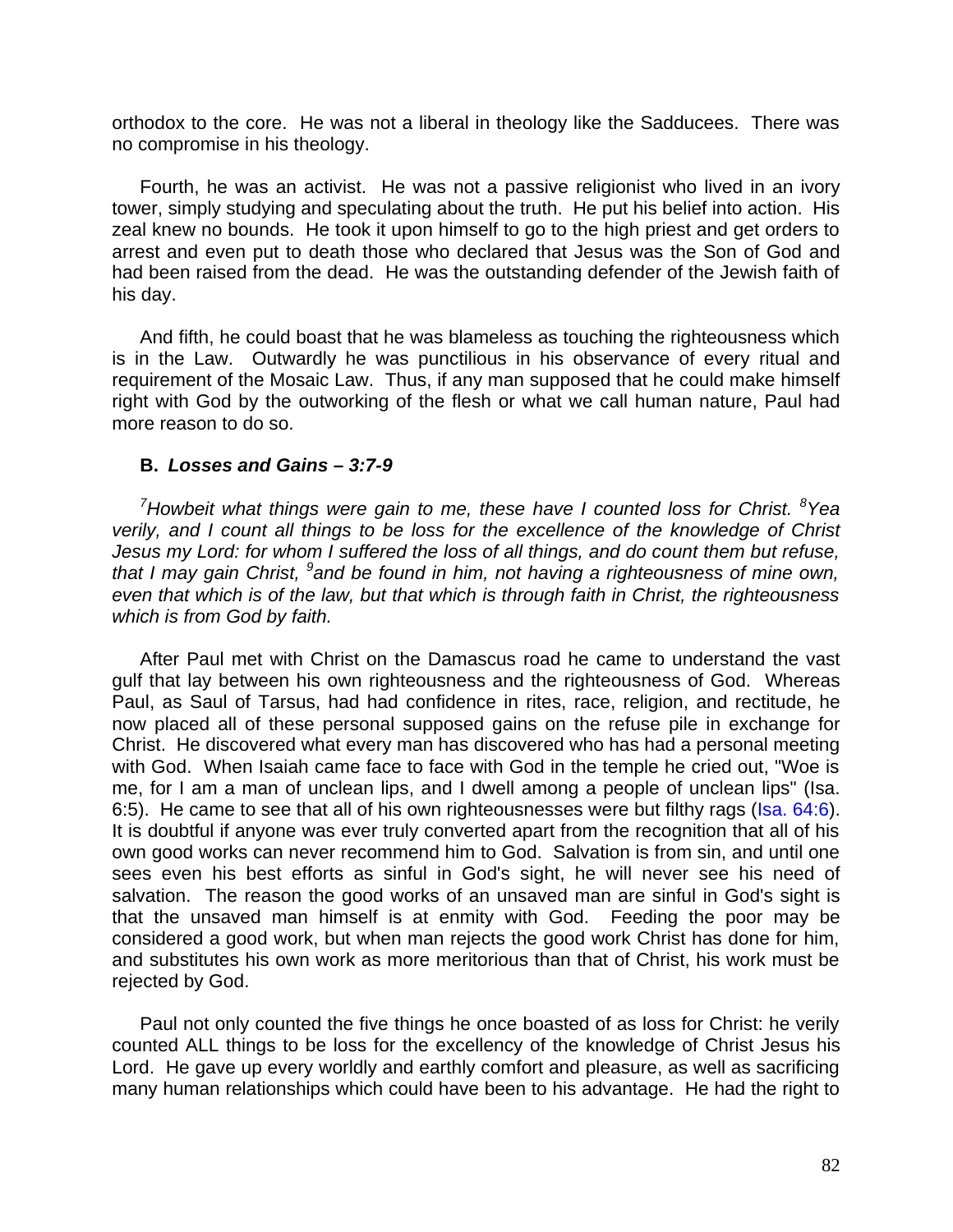orthodox to the core. He was not a liberal in theology like the Sadducees. There was no compromise in his theology.

Fourth, he was an activist. He was not a passive religionist who lived in an ivory tower, simply studying and speculating about the truth. He put his belief into action. His zeal knew no bounds. He took it upon himself to go to the high priest and get orders to arrest and even put to death those who declared that Jesus was the Son of God and had been raised from the dead. He was the outstanding defender of the Jewish faith of his day.

And fifth, he could boast that he was blameless as touching the righteousness which is in the Law. Outwardly he was punctilious in his observance of every ritual and requirement of the Mosaic Law. Thus, if any man supposed that he could make himself right with God by the outworking of the flesh or what we call human nature, Paul had more reason to do so.

## **B.** *Losses and Gains – 3:7-9*

*<sup>7</sup>Howbeit what things were gain to me, these have I counted loss for Christ. <sup>8</sup>Yea verily, and I count all things to be loss for the excellence of the knowledge of Christ Jesus my Lord: for whom I suffered the loss of all things, and do count them but refuse,*  that I may gain Christ, <sup>9</sup> and be found in him, not having a righteousness of mine own, *even that which is of the law, but that which is through faith in Christ, the righteousness which is from God by faith.*

After Paul met with Christ on the Damascus road he came to understand the vast gulf that lay between his own righteousness and the righteousness of God. Whereas Paul, as Saul of Tarsus, had had confidence in rites, race, religion, and rectitude, he now placed all of these personal supposed gains on the refuse pile in exchange for Christ. He discovered what every man has discovered who has had a personal meeting with God. When Isaiah came face to face with God in the temple he cried out, "Woe is me, for I am a man of unclean lips, and I dwell among a people of unclean lips" (Isa. 6:5). He came to see that all of his own righteousnesses were but filthy rags (Isa. 64:6). It is doubtful if anyone was ever truly converted apart from the recognition that all of his own good works can never recommend him to God. Salvation is from sin, and until one sees even his best efforts as sinful in God's sight, he will never see his need of salvation. The reason the good works of an unsaved man are sinful in God's sight is that the unsaved man himself is at enmity with God. Feeding the poor may be considered a good work, but when man rejects the good work Christ has done for him, and substitutes his own work as more meritorious than that of Christ, his work must be rejected by God.

Paul not only counted the five things he once boasted of as loss for Christ: he verily counted ALL things to be loss for the excellency of the knowledge of Christ Jesus his Lord. He gave up every worldly and earthly comfort and pleasure, as well as sacrificing many human relationships which could have been to his advantage. He had the right to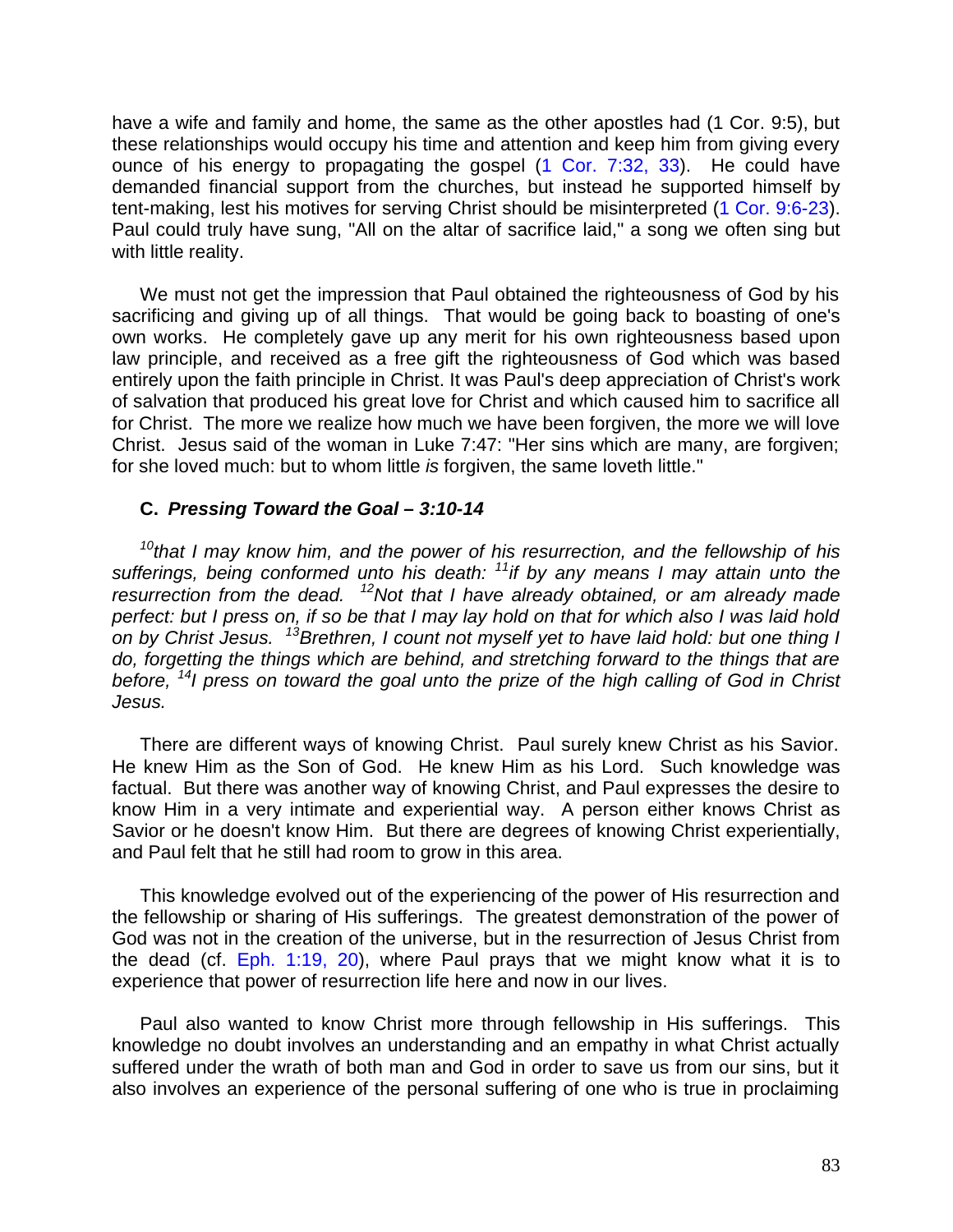have a wife and family and home, the same as the other apostles had (1 Cor. 9:5), but these relationships would occupy his time and attention and keep him from giving every ounce of his energy to propagating the gospel (1 Cor. 7:32, 33). He could have demanded financial support from the churches, but instead he supported himself by tent-making, lest his motives for serving Christ should be misinterpreted (1 Cor. 9:6-23). Paul could truly have sung, "All on the altar of sacrifice laid," a song we often sing but with little reality.

We must not get the impression that Paul obtained the righteousness of God by his sacrificing and giving up of all things. That would be going back to boasting of one's own works. He completely gave up any merit for his own righteousness based upon law principle, and received as a free gift the righteousness of God which was based entirely upon the faith principle in Christ. It was Paul's deep appreciation of Christ's work of salvation that produced his great love for Christ and which caused him to sacrifice all for Christ. The more we realize how much we have been forgiven, the more we will love Christ. Jesus said of the woman in Luke 7:47: "Her sins which are many, are forgiven; for she loved much: but to whom little *is* forgiven, the same loveth little."

## **C.** *Pressing Toward the Goal – 3:10-14*

*<sup>10</sup>that I may know him, and the power of his resurrection, and the fellowship of his sufferings, being conformed unto his death: <sup>11</sup>if by any means I may attain unto the resurrection from the dead. <sup>12</sup>Not that I have already obtained, or am already made perfect: but I press on, if so be that I may lay hold on that for which also I was laid hold on by Christ Jesus. <sup>13</sup>Brethren, I count not myself yet to have laid hold: but one thing I do, forgetting the things which are behind, and stretching forward to the things that are before, <sup>14</sup>I press on toward the goal unto the prize of the high calling of God in Christ Jesus.*

There are different ways of knowing Christ. Paul surely knew Christ as his Savior. He knew Him as the Son of God. He knew Him as his Lord. Such knowledge was factual. But there was another way of knowing Christ, and Paul expresses the desire to know Him in a very intimate and experiential way. A person either knows Christ as Savior or he doesn't know Him. But there are degrees of knowing Christ experientially, and Paul felt that he still had room to grow in this area.

This knowledge evolved out of the experiencing of the power of His resurrection and the fellowship or sharing of His sufferings. The greatest demonstration of the power of God was not in the creation of the universe, but in the resurrection of Jesus Christ from the dead (cf. Eph. 1:19, 20), where Paul prays that we might know what it is to experience that power of resurrection life here and now in our lives.

Paul also wanted to know Christ more through fellowship in His sufferings. This knowledge no doubt involves an understanding and an empathy in what Christ actually suffered under the wrath of both man and God in order to save us from our sins, but it also involves an experience of the personal suffering of one who is true in proclaiming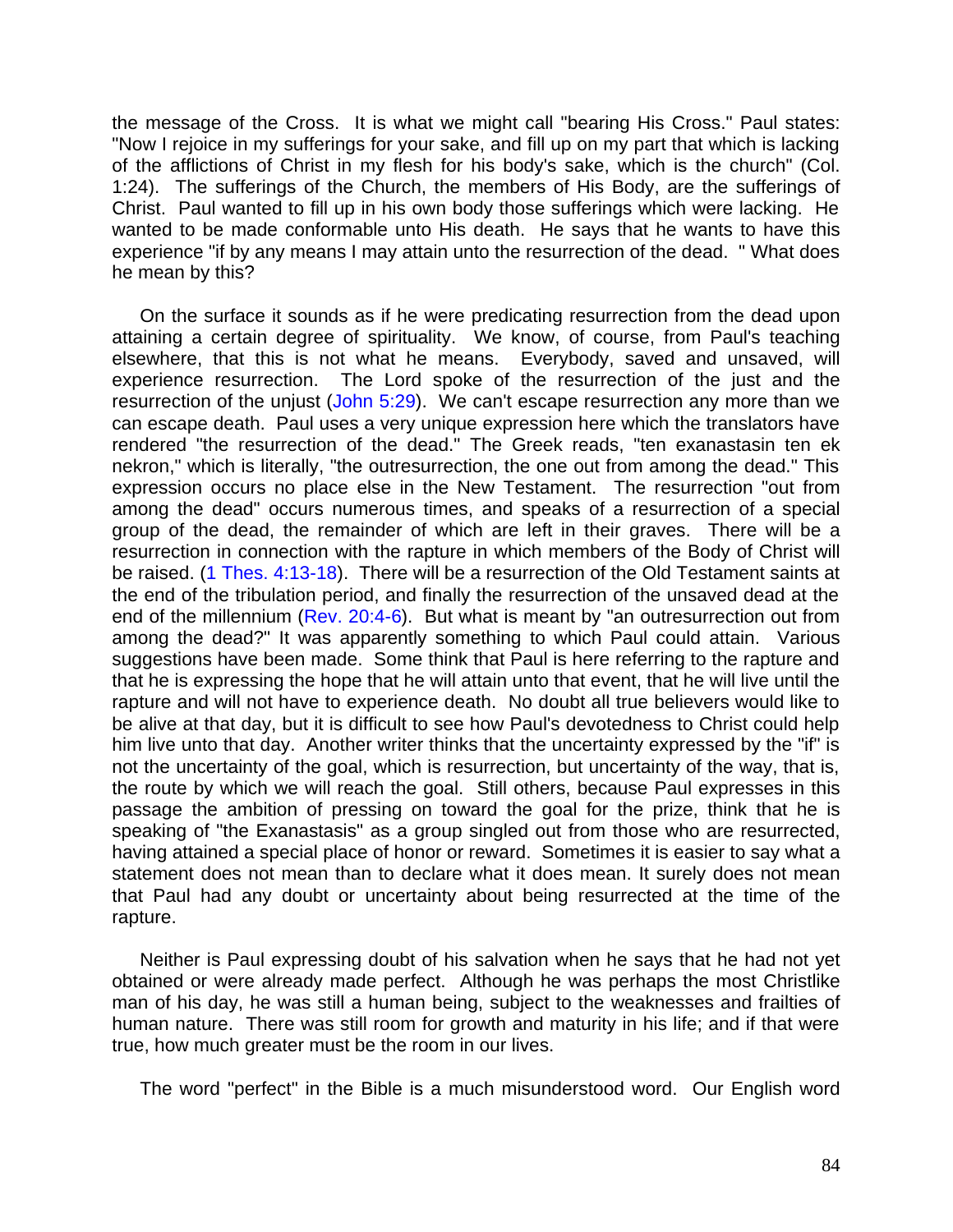the message of the Cross. It is what we might call "bearing His Cross." Paul states: "Now I rejoice in my sufferings for your sake, and fill up on my part that which is lacking of the afflictions of Christ in my flesh for his body's sake, which is the church" (Col. 1:24). The sufferings of the Church, the members of His Body, are the sufferings of Christ. Paul wanted to fill up in his own body those sufferings which were lacking. He wanted to be made conformable unto His death. He says that he wants to have this experience "if by any means I may attain unto the resurrection of the dead. " What does he mean by this?

On the surface it sounds as if he were predicating resurrection from the dead upon attaining a certain degree of spirituality. We know, of course, from Paul's teaching elsewhere, that this is not what he means. Everybody, saved and unsaved, will experience resurrection. The Lord spoke of the resurrection of the just and the resurrection of the unjust (John 5:29). We can't escape resurrection any more than we can escape death. Paul uses a very unique expression here which the translators have rendered "the resurrection of the dead." The Greek reads, "ten exanastasin ten ek nekron," which is literally, "the outresurrection, the one out from among the dead." This expression occurs no place else in the New Testament. The resurrection "out from among the dead" occurs numerous times, and speaks of a resurrection of a special group of the dead, the remainder of which are left in their graves. There will be a resurrection in connection with the rapture in which members of the Body of Christ will be raised. (1 Thes. 4:13-18). There will be a resurrection of the Old Testament saints at the end of the tribulation period, and finally the resurrection of the unsaved dead at the end of the millennium (Rev. 20:4-6). But what is meant by "an outresurrection out from among the dead?" It was apparently something to which Paul could attain. Various suggestions have been made. Some think that Paul is here referring to the rapture and that he is expressing the hope that he will attain unto that event, that he will live until the rapture and will not have to experience death. No doubt all true believers would like to be alive at that day, but it is difficult to see how Paul's devotedness to Christ could help him live unto that day. Another writer thinks that the uncertainty expressed by the "if" is not the uncertainty of the goal, which is resurrection, but uncertainty of the way, that is, the route by which we will reach the goal. Still others, because Paul expresses in this passage the ambition of pressing on toward the goal for the prize, think that he is speaking of "the Exanastasis" as a group singled out from those who are resurrected, having attained a special place of honor or reward. Sometimes it is easier to say what a statement does not mean than to declare what it does mean. It surely does not mean that Paul had any doubt or uncertainty about being resurrected at the time of the rapture.

Neither is Paul expressing doubt of his salvation when he says that he had not yet obtained or were already made perfect. Although he was perhaps the most Christlike man of his day, he was still a human being, subject to the weaknesses and frailties of human nature. There was still room for growth and maturity in his life; and if that were true, how much greater must be the room in our lives.

The word "perfect" in the Bible is a much misunderstood word. Our English word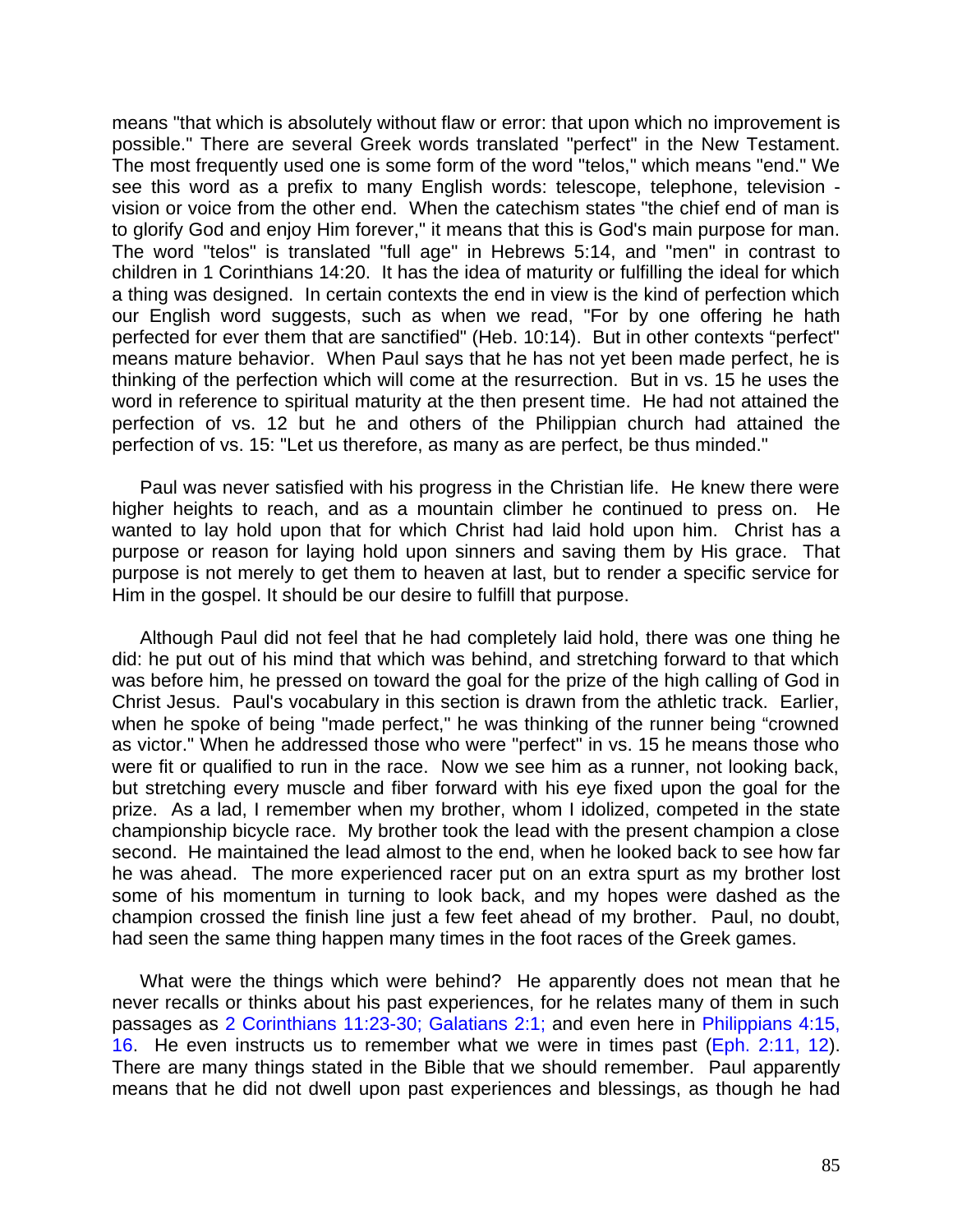means "that which is absolutely without flaw or error: that upon which no improvement is possible." There are several Greek words translated "perfect" in the New Testament. The most frequently used one is some form of the word "telos," which means "end." We see this word as a prefix to many English words: telescope, telephone, television vision or voice from the other end. When the catechism states "the chief end of man is to glorify God and enjoy Him forever," it means that this is God's main purpose for man. The word "telos" is translated "full age" in Hebrews 5:14, and "men" in contrast to children in 1 Corinthians 14:20. It has the idea of maturity or fulfilling the ideal for which a thing was designed. In certain contexts the end in view is the kind of perfection which our English word suggests, such as when we read, "For by one offering he hath perfected for ever them that are sanctified" (Heb. 10:14). But in other contexts "perfect" means mature behavior. When Paul says that he has not yet been made perfect, he is thinking of the perfection which will come at the resurrection. But in vs. 15 he uses the word in reference to spiritual maturity at the then present time. He had not attained the perfection of vs. 12 but he and others of the Philippian church had attained the perfection of vs. 15: "Let us therefore, as many as are perfect, be thus minded."

Paul was never satisfied with his progress in the Christian life. He knew there were higher heights to reach, and as a mountain climber he continued to press on. He wanted to lay hold upon that for which Christ had laid hold upon him. Christ has a purpose or reason for laying hold upon sinners and saving them by His grace. That purpose is not merely to get them to heaven at last, but to render a specific service for Him in the gospel. It should be our desire to fulfill that purpose.

Although Paul did not feel that he had completely laid hold, there was one thing he did: he put out of his mind that which was behind, and stretching forward to that which was before him, he pressed on toward the goal for the prize of the high calling of God in Christ Jesus. Paul's vocabulary in this section is drawn from the athletic track. Earlier, when he spoke of being "made perfect," he was thinking of the runner being "crowned as victor." When he addressed those who were "perfect" in vs. 15 he means those who were fit or qualified to run in the race. Now we see him as a runner, not looking back, but stretching every muscle and fiber forward with his eye fixed upon the goal for the prize. As a lad, I remember when my brother, whom I idolized, competed in the state championship bicycle race. My brother took the lead with the present champion a close second. He maintained the lead almost to the end, when he looked back to see how far he was ahead. The more experienced racer put on an extra spurt as my brother lost some of his momentum in turning to look back, and my hopes were dashed as the champion crossed the finish line just a few feet ahead of my brother. Paul, no doubt, had seen the same thing happen many times in the foot races of the Greek games.

What were the things which were behind? He apparently does not mean that he never recalls or thinks about his past experiences, for he relates many of them in such passages as 2 Corinthians 11:23-30; Galatians 2:1; and even here in Philippians 4:15, 16. He even instructs us to remember what we were in times past (Eph. 2:11, 12). There are many things stated in the Bible that we should remember. Paul apparently means that he did not dwell upon past experiences and blessings, as though he had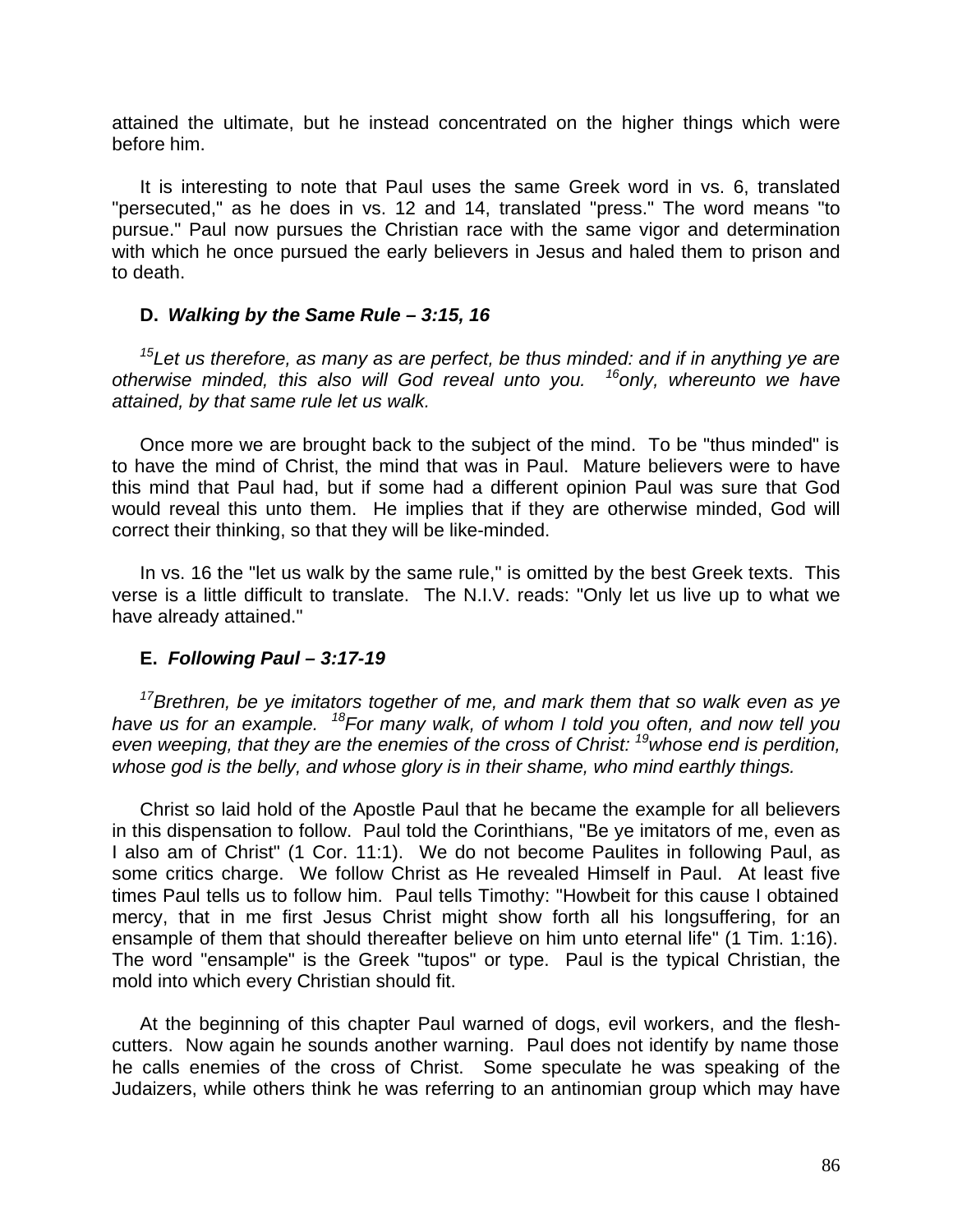attained the ultimate, but he instead concentrated on the higher things which were before him.

It is interesting to note that Paul uses the same Greek word in vs. 6, translated "persecuted," as he does in vs. 12 and 14, translated "press." The word means "to pursue." Paul now pursues the Christian race with the same vigor and determination with which he once pursued the early believers in Jesus and haled them to prison and to death.

## **D.** *Walking by the Same Rule – 3:15, 16*

*<sup>15</sup>Let us therefore, as many as are perfect, be thus minded: and if in anything ye are otherwise minded, this also will God reveal unto you. <sup>16</sup>only, whereunto we have attained, by that same rule let us walk.*

Once more we are brought back to the subject of the mind. To be "thus minded" is to have the mind of Christ, the mind that was in Paul. Mature believers were to have this mind that Paul had, but if some had a different opinion Paul was sure that God would reveal this unto them. He implies that if they are otherwise minded, God will correct their thinking, so that they will be like-minded.

In vs. 16 the "let us walk by the same rule," is omitted by the best Greek texts. This verse is a little difficult to translate. The N.I.V. reads: "Only let us live up to what we have already attained."

# **E.** *Following Paul – 3:17-19*

*<sup>17</sup>Brethren, be ye imitators together of me, and mark them that so walk even as ye have us for an example. <sup>18</sup> For many walk, of whom I told you often, and now tell you even weeping, that they are the enemies of the cross of Christ: <sup>19</sup>whose end is perdition, whose god is the belly, and whose glory is in their shame, who mind earthly things.*

Christ so laid hold of the Apostle Paul that he became the example for all believers in this dispensation to follow. Paul told the Corinthians, "Be ye imitators of me, even as I also am of Christ" (1 Cor. 11:1). We do not become Paulites in following Paul, as some critics charge. We follow Christ as He revealed Himself in Paul. At least five times Paul tells us to follow him. Paul tells Timothy: "Howbeit for this cause I obtained mercy, that in me first Jesus Christ might show forth all his longsuffering, for an ensample of them that should thereafter believe on him unto eternal life" (1 Tim. 1:16). The word "ensample" is the Greek "tupos" or type. Paul is the typical Christian, the mold into which every Christian should fit.

At the beginning of this chapter Paul warned of dogs, evil workers, and the fleshcutters. Now again he sounds another warning. Paul does not identify by name those he calls enemies of the cross of Christ. Some speculate he was speaking of the Judaizers, while others think he was referring to an antinomian group which may have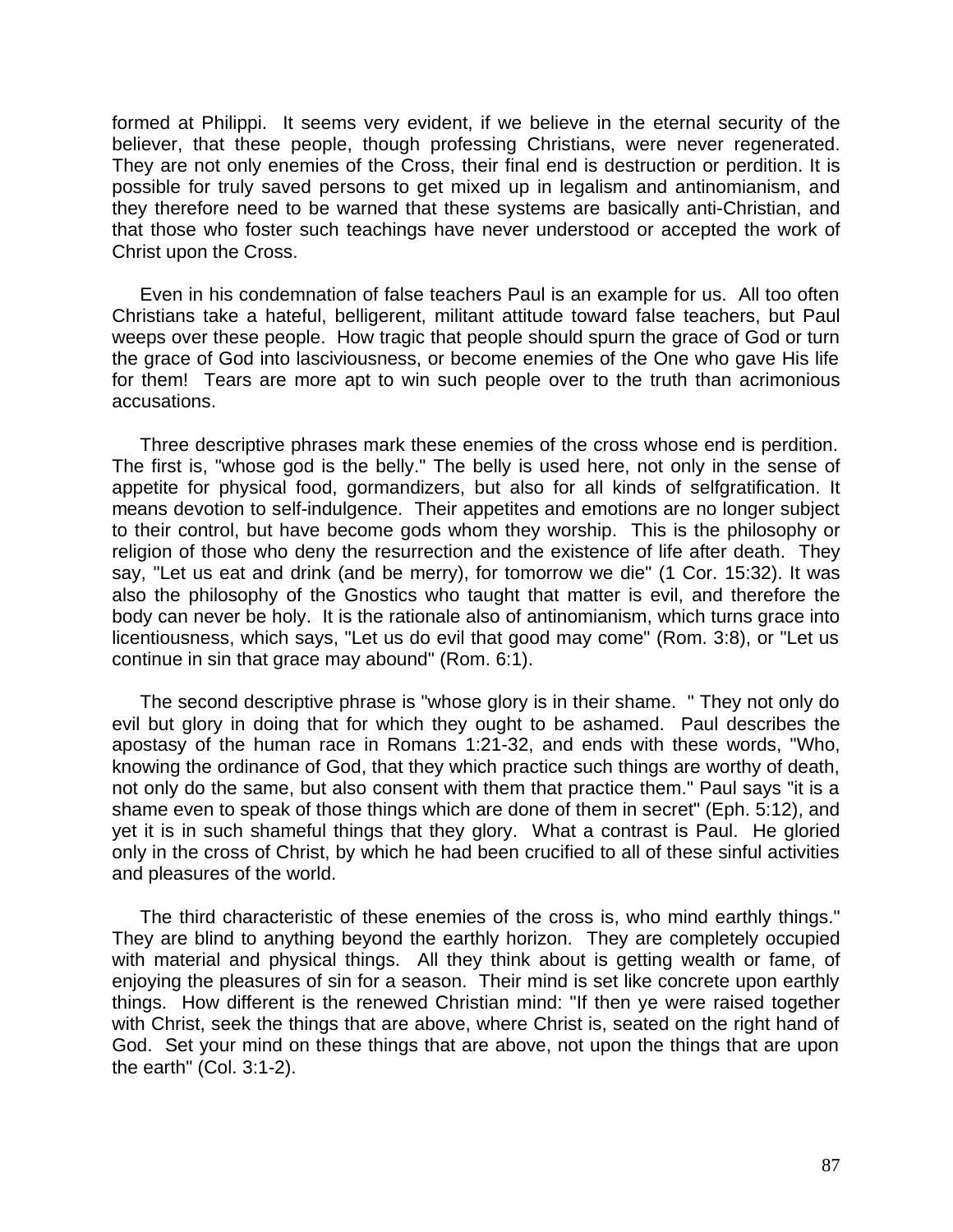formed at Philippi. It seems very evident, if we believe in the eternal security of the believer, that these people, though professing Christians, were never regenerated. They are not only enemies of the Cross, their final end is destruction or perdition. It is possible for truly saved persons to get mixed up in legalism and antinomianism, and they therefore need to be warned that these systems are basically anti-Christian, and that those who foster such teachings have never understood or accepted the work of Christ upon the Cross.

Even in his condemnation of false teachers Paul is an example for us. All too often Christians take a hateful, belligerent, militant attitude toward false teachers, but Paul weeps over these people. How tragic that people should spurn the grace of God or turn the grace of God into lasciviousness, or become enemies of the One who gave His life for them! Tears are more apt to win such people over to the truth than acrimonious accusations.

Three descriptive phrases mark these enemies of the cross whose end is perdition. The first is, "whose god is the belly." The belly is used here, not only in the sense of appetite for physical food, gormandizers, but also for all kinds of selfgratification. It means devotion to self-indulgence. Their appetites and emotions are no longer subject to their control, but have become gods whom they worship. This is the philosophy or religion of those who deny the resurrection and the existence of life after death. They say, "Let us eat and drink (and be merry), for tomorrow we die" (1 Cor. 15:32). It was also the philosophy of the Gnostics who taught that matter is evil, and therefore the body can never be holy. It is the rationale also of antinomianism, which turns grace into licentiousness, which says, "Let us do evil that good may come" (Rom. 3:8), or "Let us continue in sin that grace may abound" (Rom. 6:1).

The second descriptive phrase is "whose glory is in their shame. " They not only do evil but glory in doing that for which they ought to be ashamed. Paul describes the apostasy of the human race in Romans 1:21-32, and ends with these words, "Who, knowing the ordinance of God, that they which practice such things are worthy of death, not only do the same, but also consent with them that practice them." Paul says "it is a shame even to speak of those things which are done of them in secret" (Eph. 5:12), and yet it is in such shameful things that they glory. What a contrast is Paul. He gloried only in the cross of Christ, by which he had been crucified to all of these sinful activities and pleasures of the world.

The third characteristic of these enemies of the cross is, who mind earthly things." They are blind to anything beyond the earthly horizon. They are completely occupied with material and physical things. All they think about is getting wealth or fame, of enjoying the pleasures of sin for a season. Their mind is set like concrete upon earthly things. How different is the renewed Christian mind: "If then ye were raised together with Christ, seek the things that are above, where Christ is, seated on the right hand of God. Set your mind on these things that are above, not upon the things that are upon the earth" (Col. 3:1-2).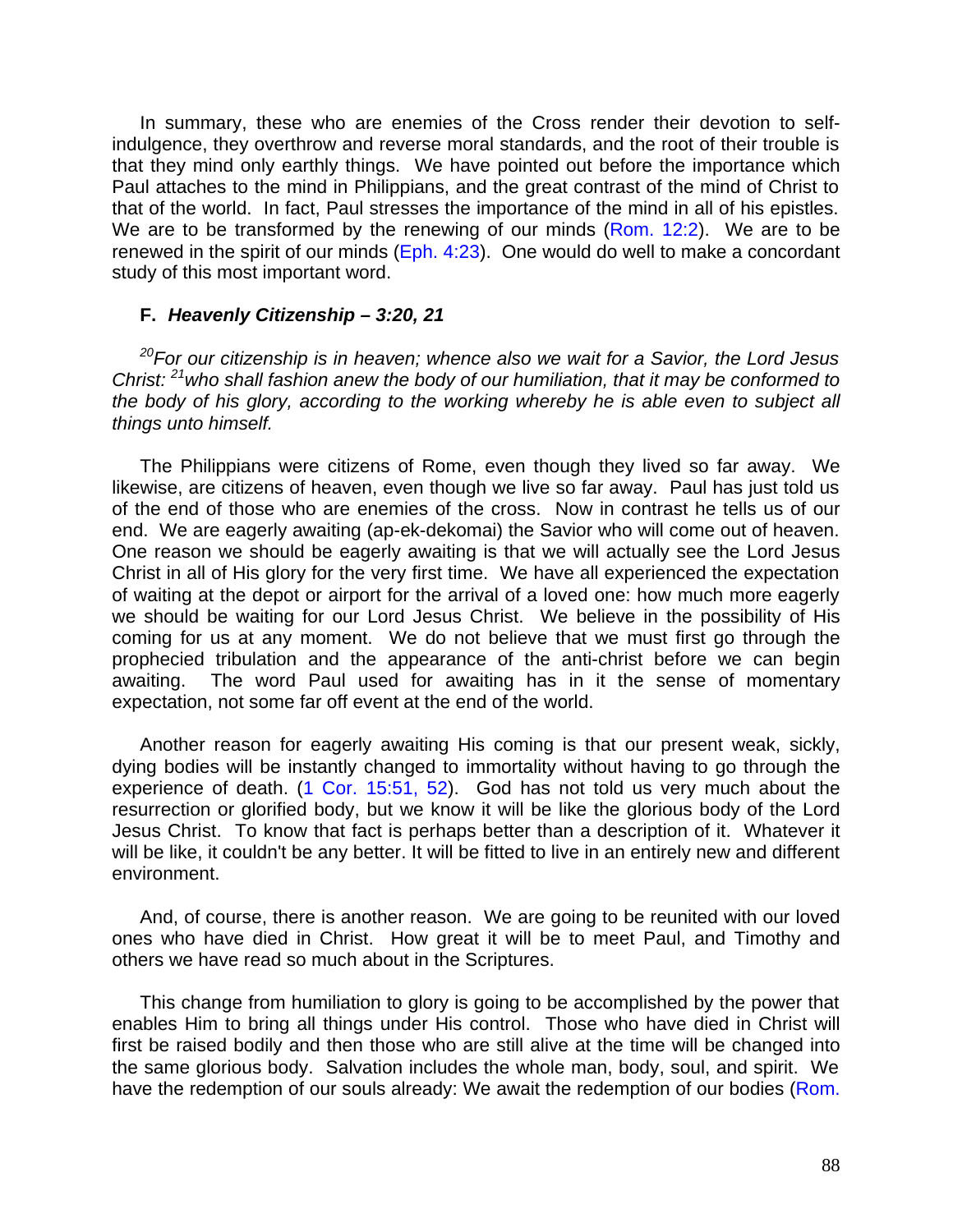In summary, these who are enemies of the Cross render their devotion to selfindulgence, they overthrow and reverse moral standards, and the root of their trouble is that they mind only earthly things. We have pointed out before the importance which Paul attaches to the mind in Philippians, and the great contrast of the mind of Christ to that of the world. In fact, Paul stresses the importance of the mind in all of his epistles. We are to be transformed by the renewing of our minds (Rom. 12:2). We are to be renewed in the spirit of our minds (Eph. 4:23). One would do well to make a concordant study of this most important word.

#### **F.** *Heavenly Citizenship – 3:20, 21*

*<sup>20</sup>For our citizenship is in heaven; whence also we wait for a Savior, the Lord Jesus Christ: <sup>21</sup>who shall fashion anew the body of our humiliation, that it may be conformed to the body of his glory, according to the working whereby he is able even to subject all things unto himself.*

The Philippians were citizens of Rome, even though they lived so far away. We likewise, are citizens of heaven, even though we live so far away. Paul has just told us of the end of those who are enemies of the cross. Now in contrast he tells us of our end. We are eagerly awaiting (ap-ek-dekomai) the Savior who will come out of heaven. One reason we should be eagerly awaiting is that we will actually see the Lord Jesus Christ in all of His glory for the very first time. We have all experienced the expectation of waiting at the depot or airport for the arrival of a loved one: how much more eagerly we should be waiting for our Lord Jesus Christ. We believe in the possibility of His coming for us at any moment. We do not believe that we must first go through the prophecied tribulation and the appearance of the anti-christ before we can begin awaiting. The word Paul used for awaiting has in it the sense of momentary expectation, not some far off event at the end of the world.

Another reason for eagerly awaiting His coming is that our present weak, sickly, dying bodies will be instantly changed to immortality without having to go through the experience of death. (1 Cor. 15:51, 52). God has not told us very much about the resurrection or glorified body, but we know it will be like the glorious body of the Lord Jesus Christ. To know that fact is perhaps better than a description of it. Whatever it will be like, it couldn't be any better. It will be fitted to live in an entirely new and different environment.

And, of course, there is another reason. We are going to be reunited with our loved ones who have died in Christ. How great it will be to meet Paul, and Timothy and others we have read so much about in the Scriptures.

This change from humiliation to glory is going to be accomplished by the power that enables Him to bring all things under His control. Those who have died in Christ will first be raised bodily and then those who are still alive at the time will be changed into the same glorious body. Salvation includes the whole man, body, soul, and spirit. We have the redemption of our souls already: We await the redemption of our bodies (Rom.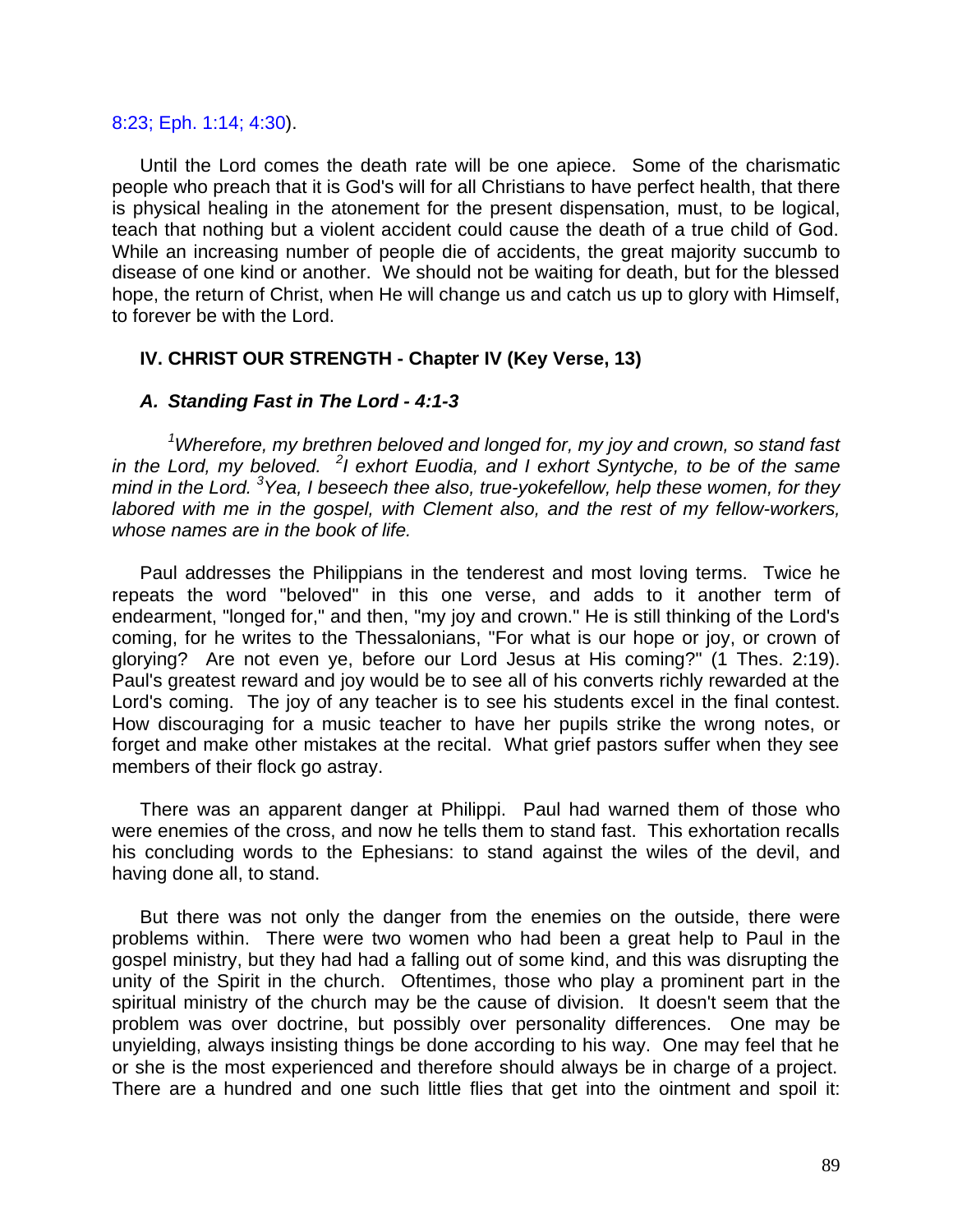#### 8:23; Eph. 1:14; 4:30).

Until the Lord comes the death rate will be one apiece. Some of the charismatic people who preach that it is God's will for all Christians to have perfect health, that there is physical healing in the atonement for the present dispensation, must, to be logical, teach that nothing but a violent accident could cause the death of a true child of God. While an increasing number of people die of accidents, the great majority succumb to disease of one kind or another. We should not be waiting for death, but for the blessed hope, the return of Christ, when He will change us and catch us up to glory with Himself, to forever be with the Lord.

## **IV. CHRIST OUR STRENGTH - Chapter IV (Key Verse, 13)**

#### *A. Standing Fast in The Lord - 4:1-3*

*<sup>1</sup>Wherefore, my brethren beloved and longed for, my joy and crown, so stand fast in the Lord, my beloved. <sup>2</sup> I exhort Euodia, and I exhort Syntyche, to be of the same mind in the Lord. <sup>3</sup>Yea, I beseech thee also, true-yokefellow, help these women, for they labored with me in the gospel, with Clement also, and the rest of my fellow-workers, whose names are in the book of life.*

Paul addresses the Philippians in the tenderest and most loving terms. Twice he repeats the word "beloved" in this one verse, and adds to it another term of endearment, "longed for," and then, "my joy and crown." He is still thinking of the Lord's coming, for he writes to the Thessalonians, "For what is our hope or joy, or crown of glorying? Are not even ye, before our Lord Jesus at His coming?" (1 Thes. 2:19). Paul's greatest reward and joy would be to see all of his converts richly rewarded at the Lord's coming. The joy of any teacher is to see his students excel in the final contest. How discouraging for a music teacher to have her pupils strike the wrong notes, or forget and make other mistakes at the recital. What grief pastors suffer when they see members of their flock go astray.

There was an apparent danger at Philippi. Paul had warned them of those who were enemies of the cross, and now he tells them to stand fast. This exhortation recalls his concluding words to the Ephesians: to stand against the wiles of the devil, and having done all, to stand.

But there was not only the danger from the enemies on the outside, there were problems within. There were two women who had been a great help to Paul in the gospel ministry, but they had had a falling out of some kind, and this was disrupting the unity of the Spirit in the church. Oftentimes, those who play a prominent part in the spiritual ministry of the church may be the cause of division. It doesn't seem that the problem was over doctrine, but possibly over personality differences. One may be unyielding, always insisting things be done according to his way. One may feel that he or she is the most experienced and therefore should always be in charge of a project. There are a hundred and one such little flies that get into the ointment and spoil it: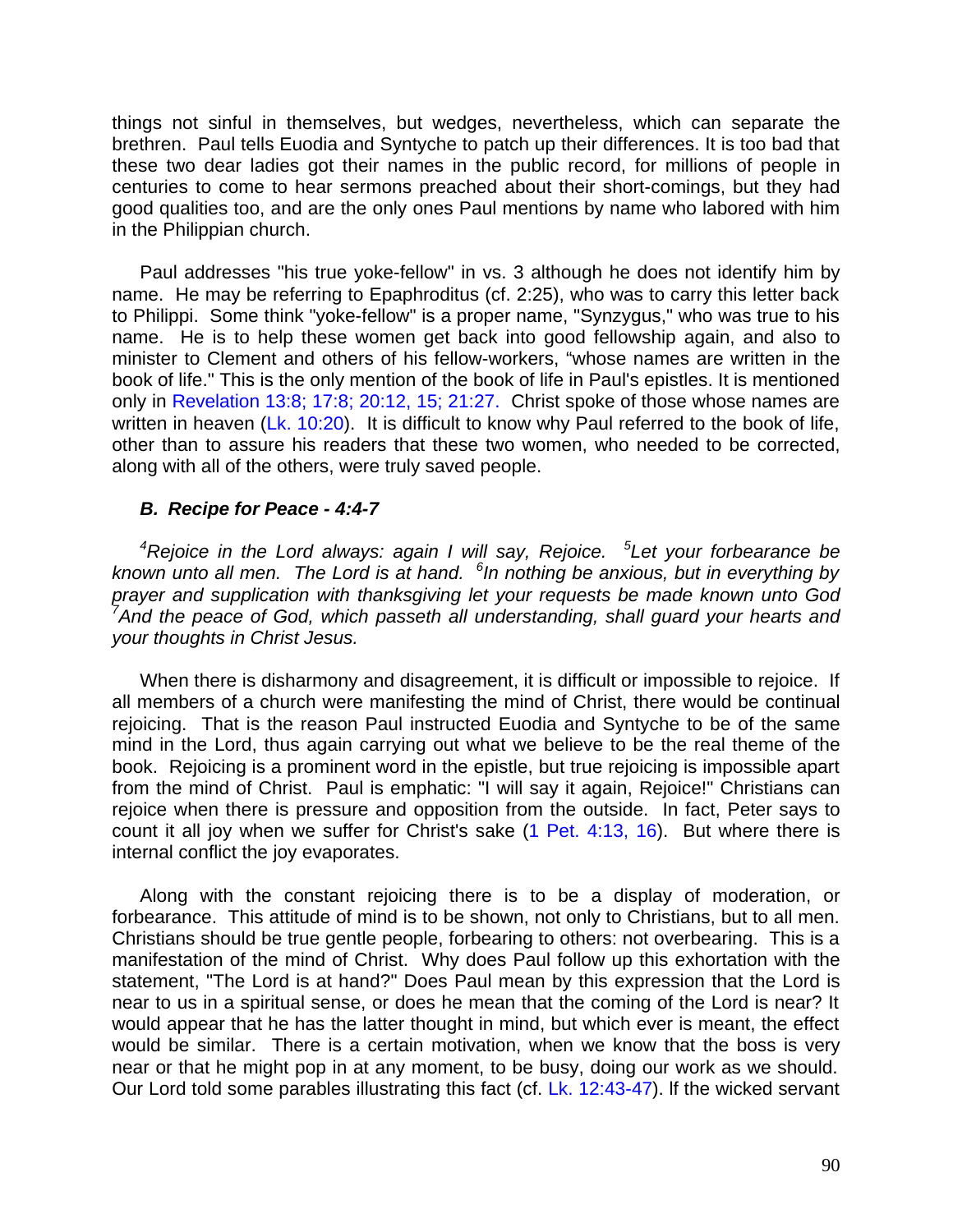things not sinful in themselves, but wedges, nevertheless, which can separate the brethren. Paul tells Euodia and Syntyche to patch up their differences. It is too bad that these two dear ladies got their names in the public record, for millions of people in centuries to come to hear sermons preached about their short-comings, but they had good qualities too, and are the only ones Paul mentions by name who labored with him in the Philippian church.

Paul addresses "his true yoke-fellow" in vs. 3 although he does not identify him by name. He may be referring to Epaphroditus (cf. 2:25), who was to carry this letter back to Philippi. Some think "yoke-fellow" is a proper name, "Synzygus," who was true to his name. He is to help these women get back into good fellowship again, and also to minister to Clement and others of his fellow-workers, "whose names are written in the book of life." This is the only mention of the book of life in Paul's epistles. It is mentioned only in Revelation 13:8; 17:8; 20:12, 15; 21:27. Christ spoke of those whose names are written in heaven (Lk. 10:20). It is difficult to know why Paul referred to the book of life, other than to assure his readers that these two women, who needed to be corrected, along with all of the others, were truly saved people.

#### *B. Recipe for Peace - 4:4-7*

*<sup>4</sup>Rejoice in the Lord always: again I will say, Rejoice. <sup>5</sup> Let your forbearance be known unto all men. The Lord is at hand. <sup>6</sup> In nothing be anxious, but in everything by prayer and supplication with thanksgiving let your requests be made known unto God <sup>7</sup>And the peace of God, which passeth all understanding, shall guard your hearts and your thoughts in Christ Jesus.*

When there is disharmony and disagreement, it is difficult or impossible to rejoice. If all members of a church were manifesting the mind of Christ, there would be continual rejoicing. That is the reason Paul instructed Euodia and Syntyche to be of the same mind in the Lord, thus again carrying out what we believe to be the real theme of the book. Rejoicing is a prominent word in the epistle, but true rejoicing is impossible apart from the mind of Christ. Paul is emphatic: "I will say it again, Rejoice!" Christians can rejoice when there is pressure and opposition from the outside. In fact, Peter says to count it all joy when we suffer for Christ's sake (1 Pet. 4:13, 16). But where there is internal conflict the joy evaporates.

Along with the constant rejoicing there is to be a display of moderation, or forbearance. This attitude of mind is to be shown, not only to Christians, but to all men. Christians should be true gentle people, forbearing to others: not overbearing. This is a manifestation of the mind of Christ. Why does Paul follow up this exhortation with the statement, "The Lord is at hand?" Does Paul mean by this expression that the Lord is near to us in a spiritual sense, or does he mean that the coming of the Lord is near? It would appear that he has the latter thought in mind, but which ever is meant, the effect would be similar. There is a certain motivation, when we know that the boss is very near or that he might pop in at any moment, to be busy, doing our work as we should. Our Lord told some parables illustrating this fact (cf. Lk. 12:43-47). lf the wicked servant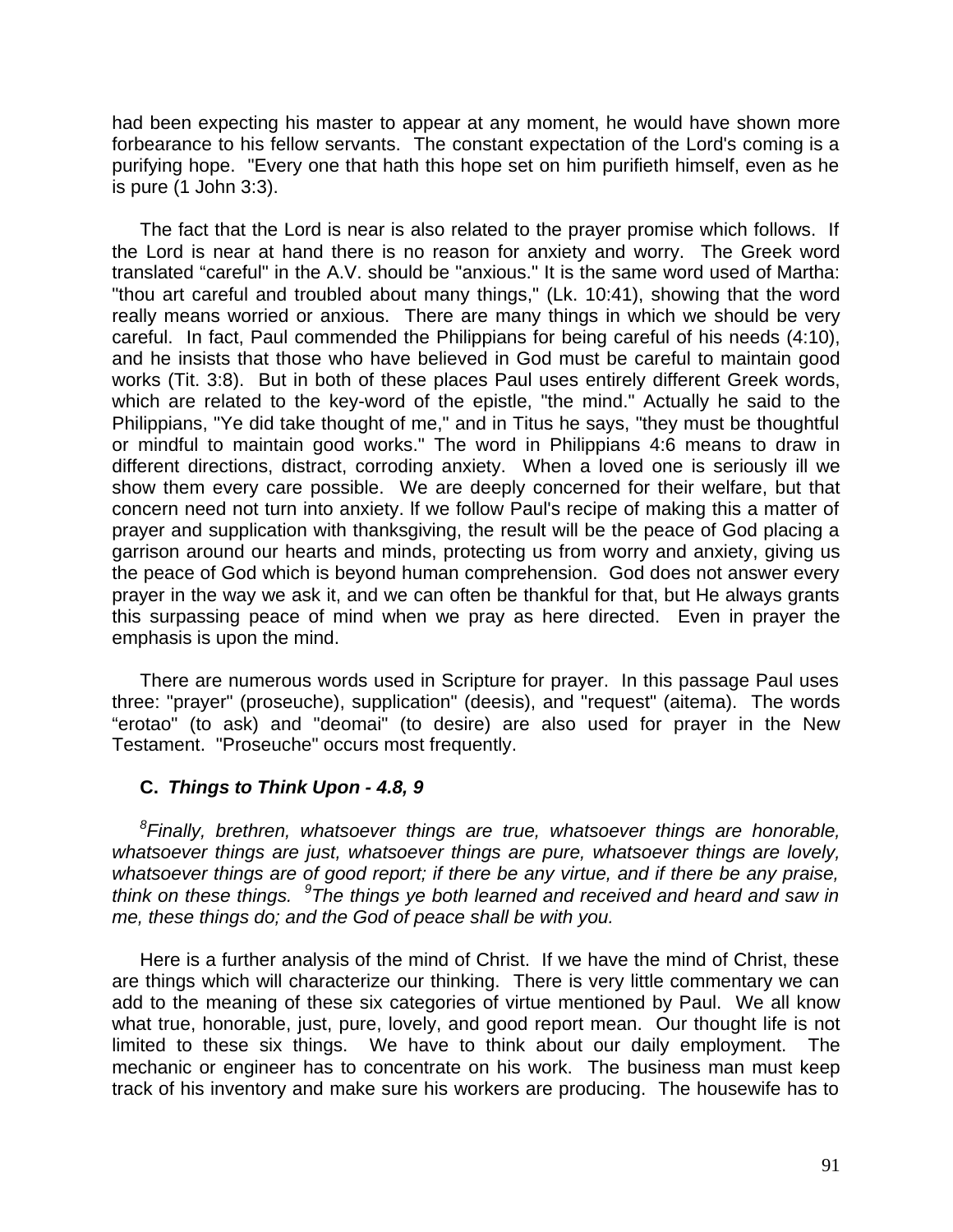had been expecting his master to appear at any moment, he would have shown more forbearance to his fellow servants. The constant expectation of the Lord's coming is a purifying hope. "Every one that hath this hope set on him purifieth himself, even as he is pure (1 John 3:3).

The fact that the Lord is near is also related to the prayer promise which follows. If the Lord is near at hand there is no reason for anxiety and worry. The Greek word translated "careful" in the A.V. should be "anxious." It is the same word used of Martha: "thou art careful and troubled about many things," (Lk. 10:41), showing that the word really means worried or anxious. There are many things in which we should be very careful. In fact, Paul commended the Philippians for being careful of his needs (4:10), and he insists that those who have believed in God must be careful to maintain good works (Tit. 3:8). But in both of these places Paul uses entirely different Greek words, which are related to the key-word of the epistle, "the mind." Actually he said to the Philippians, "Ye did take thought of me," and in Titus he says, "they must be thoughtful or mindful to maintain good works." The word in Philippians 4:6 means to draw in different directions, distract, corroding anxiety. When a loved one is seriously ill we show them every care possible. We are deeply concerned for their welfare, but that concern need not turn into anxiety. lf we follow Paul's recipe of making this a matter of prayer and supplication with thanksgiving, the result will be the peace of God placing a garrison around our hearts and minds, protecting us from worry and anxiety, giving us the peace of God which is beyond human comprehension. God does not answer every prayer in the way we ask it, and we can often be thankful for that, but He always grants this surpassing peace of mind when we pray as here directed. Even in prayer the emphasis is upon the mind.

There are numerous words used in Scripture for prayer. In this passage Paul uses three: "prayer" (proseuche), supplication" (deesis), and "request" (aitema). The words "erotao" (to ask) and "deomai" (to desire) are also used for prayer in the New Testament. "Proseuche" occurs most frequently.

# **C.** *Things to Think Upon - 4.8, 9*

*8 Finally, brethren, whatsoever things are true, whatsoever things are honorable, whatsoever things are just, whatsoever things are pure, whatsoever things are lovely, whatsoever things are of good report; if there be any virtue, and if there be any praise,*  think on these things. <sup>9</sup> The things ye both learned and received and heard and saw in *me, these things do; and the God of peace shall be with you.*

Here is a further analysis of the mind of Christ. If we have the mind of Christ, these are things which will characterize our thinking. There is very little commentary we can add to the meaning of these six categories of virtue mentioned by Paul. We all know what true, honorable, just, pure, lovely, and good report mean. Our thought life is not limited to these six things. We have to think about our daily employment. The mechanic or engineer has to concentrate on his work. The business man must keep track of his inventory and make sure his workers are producing. The housewife has to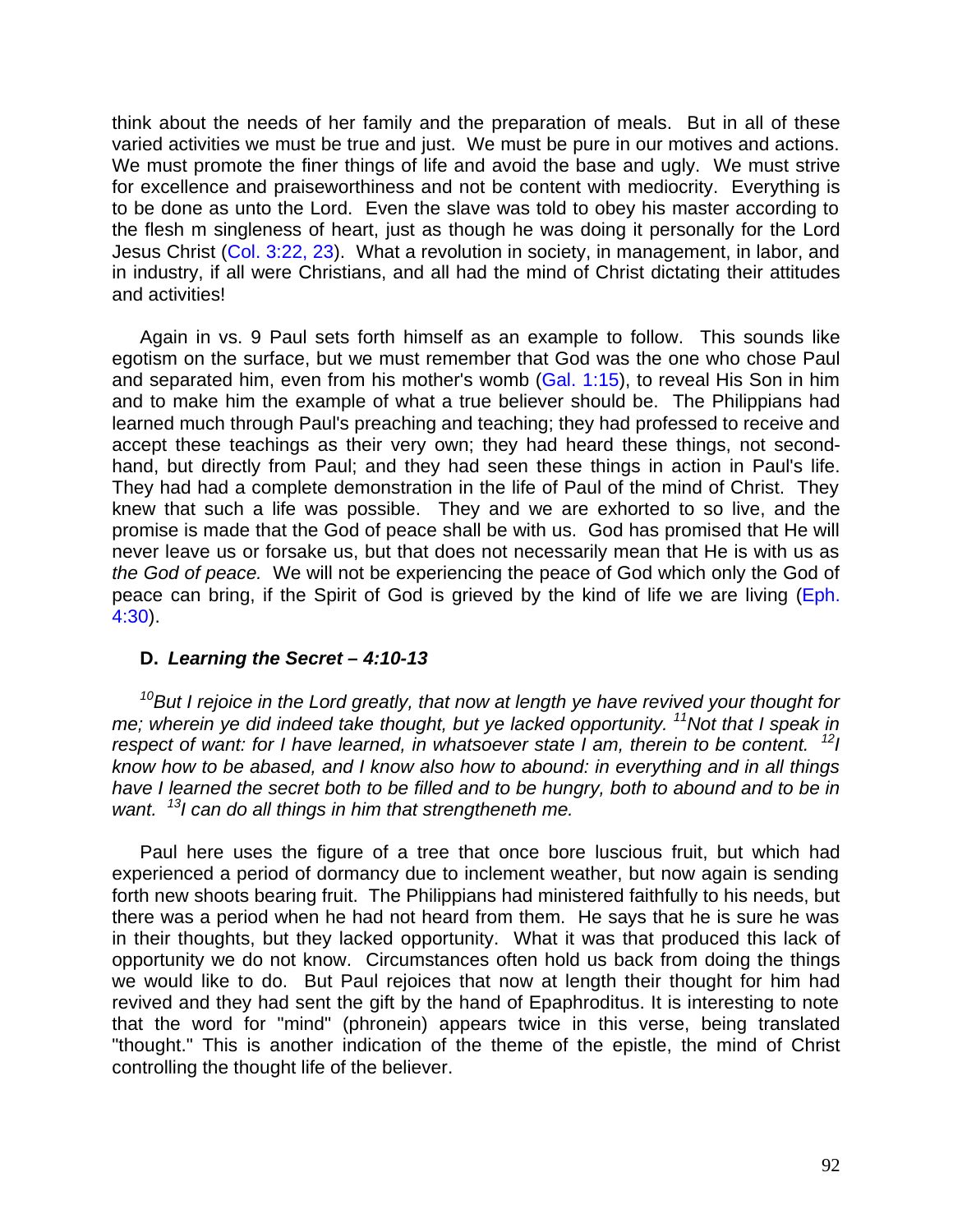think about the needs of her family and the preparation of meals. But in all of these varied activities we must be true and just. We must be pure in our motives and actions. We must promote the finer things of life and avoid the base and ugly. We must strive for excellence and praiseworthiness and not be content with mediocrity. Everything is to be done as unto the Lord. Even the slave was told to obey his master according to the flesh m singleness of heart, just as though he was doing it personally for the Lord Jesus Christ (Col. 3:22, 23). What a revolution in society, in management, in labor, and in industry, if all were Christians, and all had the mind of Christ dictating their attitudes and activities!

Again in vs. 9 Paul sets forth himself as an example to follow. This sounds like egotism on the surface, but we must remember that God was the one who chose Paul and separated him, even from his mother's womb (Gal. 1:15), to reveal His Son in him and to make him the example of what a true believer should be. The Philippians had learned much through Paul's preaching and teaching; they had professed to receive and accept these teachings as their very own; they had heard these things, not secondhand, but directly from Paul; and they had seen these things in action in Paul's life. They had had a complete demonstration in the life of Paul of the mind of Christ. They knew that such a life was possible. They and we are exhorted to so live, and the promise is made that the God of peace shall be with us. God has promised that He will never leave us or forsake us, but that does not necessarily mean that He is with us as *the God of peace.* We will not be experiencing the peace of God which only the God of peace can bring, if the Spirit of God is grieved by the kind of life we are living (Eph. 4:30).

# **D.** *Learning the Secret – 4:10-13*

*<sup>10</sup>But I rejoice in the Lord greatly, that now at length ye have revived your thought for me; wherein ye did indeed take thought, but ye lacked opportunity. <sup>11</sup>Not that I speak in respect of want: for I have learned, in whatsoever state I am, therein to be content.* <sup>12</sup>*I know how to be abased, and I know also how to abound: in everything and in all things have I learned the secret both to be filled and to be hungry, both to abound and to be in want. <sup>13</sup>I can do all things in him that strengtheneth me.*

Paul here uses the figure of a tree that once bore luscious fruit, but which had experienced a period of dormancy due to inclement weather, but now again is sending forth new shoots bearing fruit. The Philippians had ministered faithfully to his needs, but there was a period when he had not heard from them. He says that he is sure he was in their thoughts, but they lacked opportunity. What it was that produced this lack of opportunity we do not know. Circumstances often hold us back from doing the things we would like to do. But Paul rejoices that now at length their thought for him had revived and they had sent the gift by the hand of Epaphroditus. It is interesting to note that the word for "mind" (phronein) appears twice in this verse, being translated "thought." This is another indication of the theme of the epistle, the mind of Christ controlling the thought life of the believer.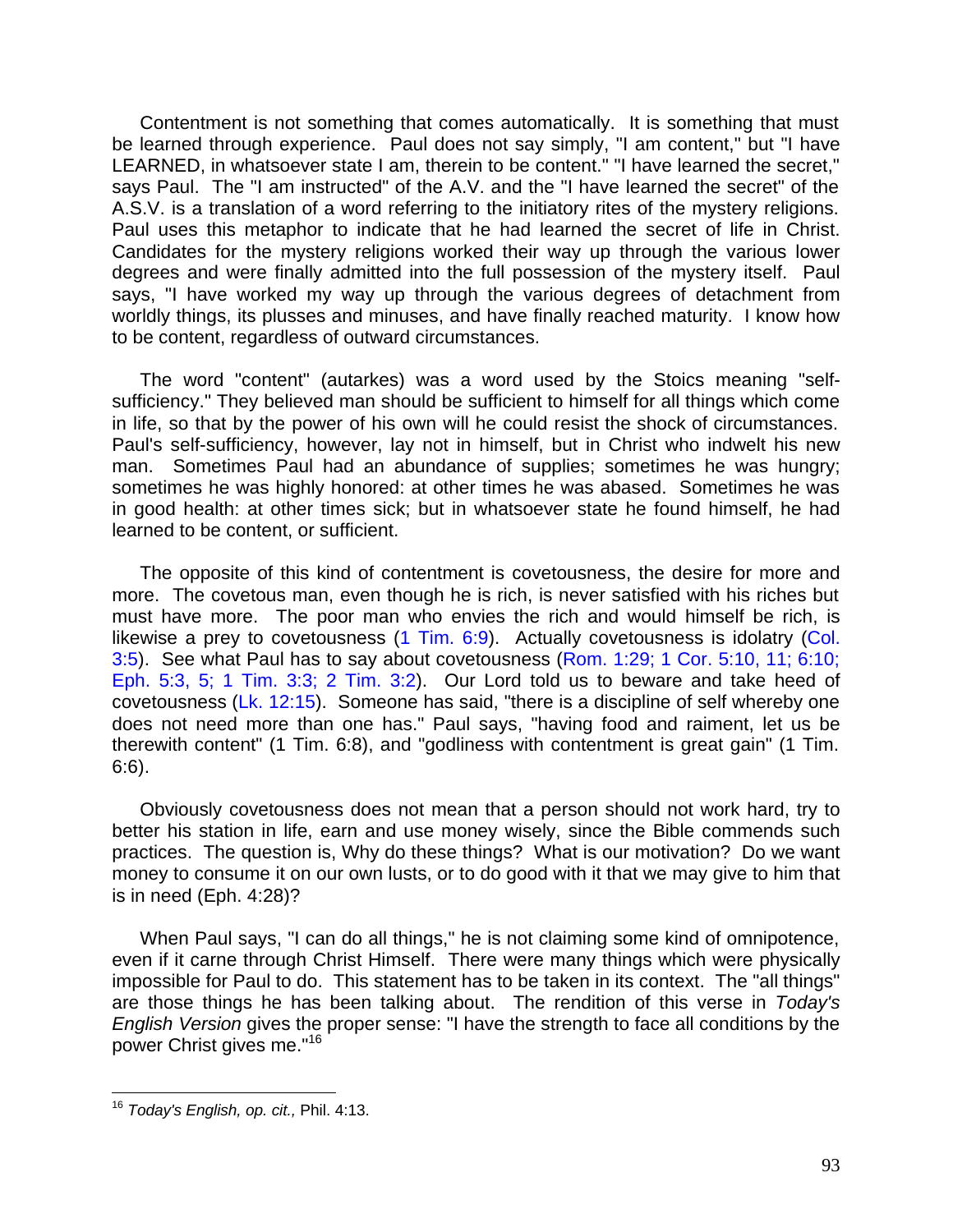Contentment is not something that comes automatically. It is something that must be learned through experience. Paul does not say simply, "I am content," but "I have LEARNED, in whatsoever state I am, therein to be content." "I have learned the secret," says Paul. The "I am instructed" of the A.V. and the "I have learned the secret" of the A.S.V. is a translation of a word referring to the initiatory rites of the mystery religions. Paul uses this metaphor to indicate that he had learned the secret of life in Christ. Candidates for the mystery religions worked their way up through the various lower degrees and were finally admitted into the full possession of the mystery itself. Paul says, "I have worked my way up through the various degrees of detachment from worldly things, its plusses and minuses, and have finally reached maturity. I know how to be content, regardless of outward circumstances.

The word "content" (autarkes) was a word used by the Stoics meaning "selfsufficiency." They believed man should be sufficient to himself for all things which come in life, so that by the power of his own will he could resist the shock of circumstances. Paul's self-sufficiency, however, lay not in himself, but in Christ who indwelt his new man. Sometimes Paul had an abundance of supplies; sometimes he was hungry; sometimes he was highly honored: at other times he was abased. Sometimes he was in good health: at other times sick; but in whatsoever state he found himself, he had learned to be content, or sufficient.

The opposite of this kind of contentment is covetousness, the desire for more and more. The covetous man, even though he is rich, is never satisfied with his riches but must have more. The poor man who envies the rich and would himself be rich, is likewise a prey to covetousness (1 Tim. 6:9). Actually covetousness is idolatry (Col. 3:5). See what Paul has to say about covetousness (Rom. 1:29; 1 Cor. 5:10, 11; 6:10; Eph. 5:3, 5; 1 Tim. 3:3; 2 Tim. 3:2). Our Lord told us to beware and take heed of covetousness (Lk. 12:15). Someone has said, "there is a discipline of self whereby one does not need more than one has." Paul says, "having food and raiment, let us be therewith content" (1 Tim. 6:8), and "godliness with contentment is great gain" (1 Tim. 6:6).

Obviously covetousness does not mean that a person should not work hard, try to better his station in life, earn and use money wisely, since the Bible commends such practices. The question is, Why do these things? What is our motivation? Do we want money to consume it on our own lusts, or to do good with it that we may give to him that is in need (Eph. 4:28)?

When Paul says, "I can do all things," he is not claiming some kind of omnipotence, even if it carne through Christ Himself. There were many things which were physically impossible for Paul to do. This statement has to be taken in its context. The "all things" are those things he has been talking about. The rendition of this verse in *Today's English Version* gives the proper sense: "I have the strength to face all conditions by the power Christ gives me."<sup>16</sup>

 $\overline{\phantom{a}}$ <sup>16</sup> *Today's English, op. cit.,* Phil. 4:13.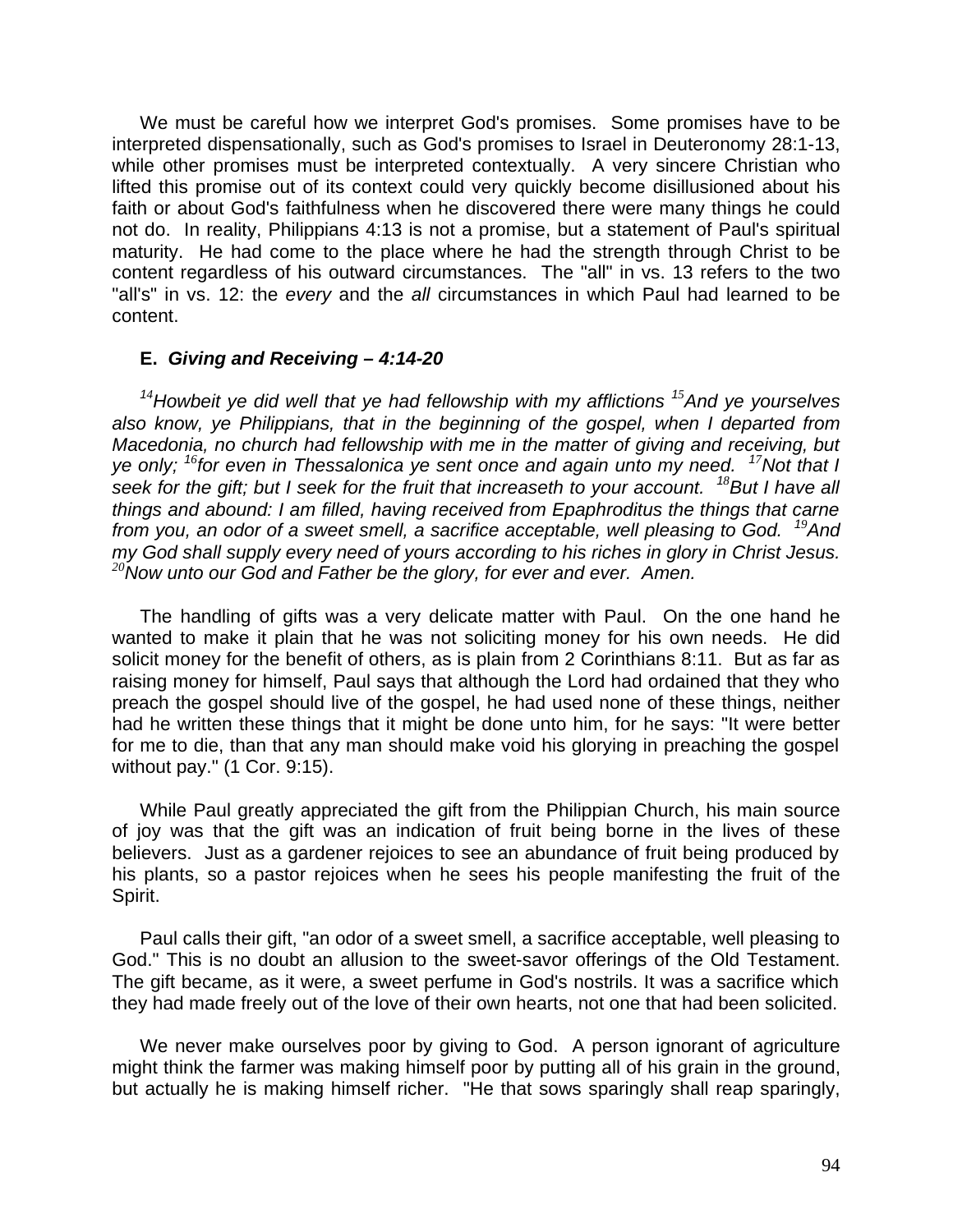We must be careful how we interpret God's promises. Some promises have to be interpreted dispensationally, such as God's promises to Israel in Deuteronomy 28:1-13, while other promises must be interpreted contextually. A very sincere Christian who lifted this promise out of its context could very quickly become disillusioned about his faith or about God's faithfulness when he discovered there were many things he could not do. In reality, Philippians 4:13 is not a promise, but a statement of Paul's spiritual maturity. He had come to the place where he had the strength through Christ to be content regardless of his outward circumstances. The "all" in vs. 13 refers to the two "all's" in vs. 12: the *every* and the *all* circumstances in which Paul had learned to be content.

## **E.** *Giving and Receiving – 4:14-20*

*<sup>1</sup><sup>4</sup>Howbeit ye did well that ye had fellowship with my afflictions <sup>1</sup><sup>5</sup>And ye yourselves also know, ye Philippians, that in the beginning of the gospel, when I departed from Macedonia, no church had fellowship with me in the matter of giving and receiving, but ye only; <sup>1</sup><sup>6</sup> for even in Thessalonica ye sent once and again unto my need. <sup>1</sup><sup>7</sup>Not that I seek for the gift; but I seek for the fruit that increaseth to your account. <sup>1</sup><sup>8</sup>But I have all things and abound: I am filled, having received from Epaphroditus the things that carne from you, an odor of a sweet smell, a sacrifice acceptable, well pleasing to God. <sup>1</sup><sup>9</sup>And my God shall supply every need of yours according to his riches in glory in Christ Jesus. <sup>20</sup>Now unto our God and Father be the glory, for ever and ever. Amen.*

The handling of gifts was a very delicate matter with Paul. On the one hand he wanted to make it plain that he was not soliciting money for his own needs. He did solicit money for the benefit of others, as is plain from 2 Corinthians 8:11. But as far as raising money for himself, Paul says that although the Lord had ordained that they who preach the gospel should live of the gospel, he had used none of these things, neither had he written these things that it might be done unto him, for he says: "It were better for me to die, than that any man should make void his glorying in preaching the gospel without pay." (1 Cor. 9:15).

While Paul greatly appreciated the gift from the Philippian Church, his main source of joy was that the gift was an indication of fruit being borne in the lives of these believers. Just as a gardener rejoices to see an abundance of fruit being produced by his plants, so a pastor rejoices when he sees his people manifesting the fruit of the Spirit.

Paul calls their gift, "an odor of a sweet smell, a sacrifice acceptable, well pleasing to God." This is no doubt an allusion to the sweet-savor offerings of the Old Testament. The gift became, as it were, a sweet perfume in God's nostrils. It was a sacrifice which they had made freely out of the love of their own hearts, not one that had been solicited.

We never make ourselves poor by giving to God. A person ignorant of agriculture might think the farmer was making himself poor by putting all of his grain in the ground, but actually he is making himself richer. "He that sows sparingly shall reap sparingly,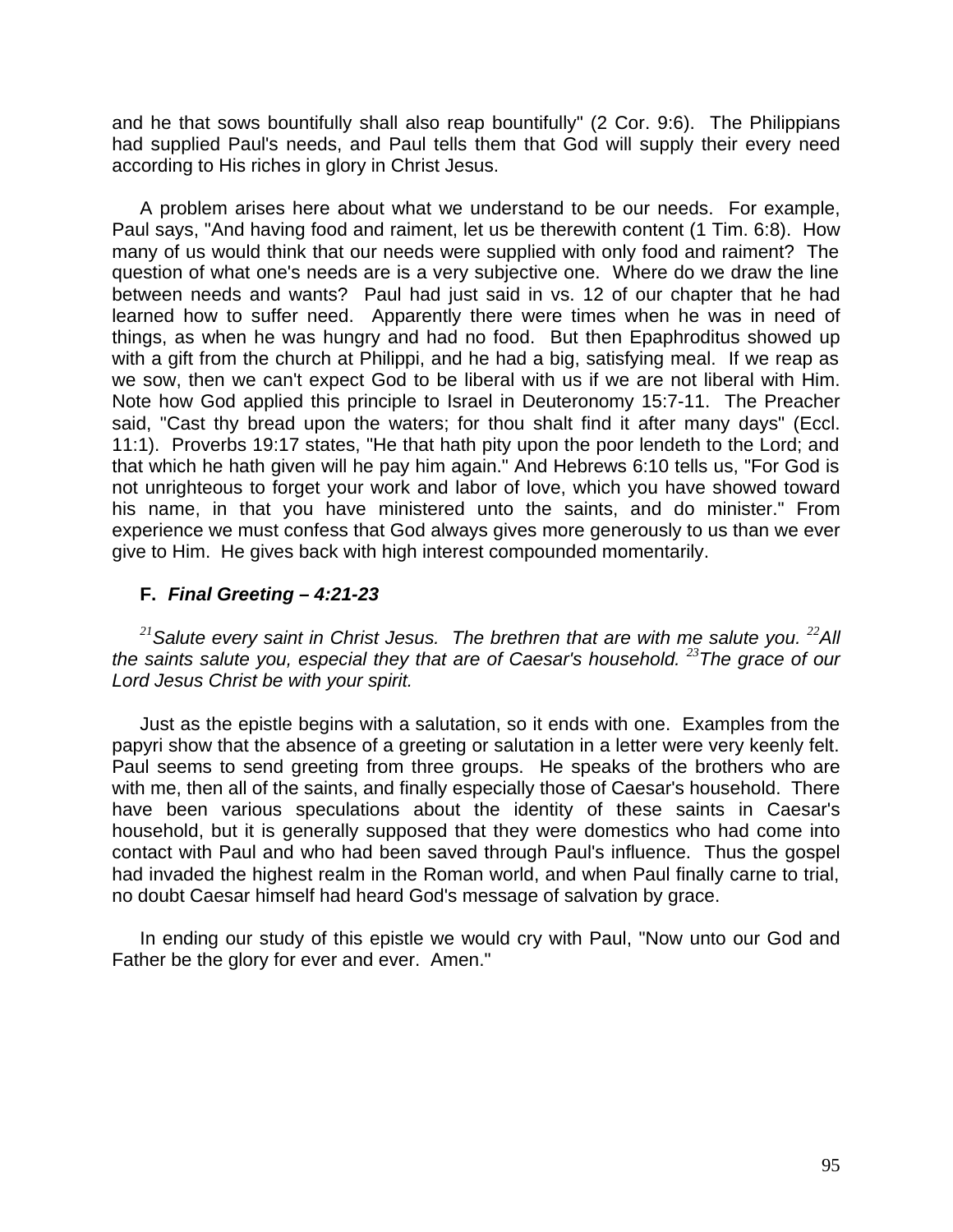and he that sows bountifully shall also reap bountifully" (2 Cor. 9:6). The Philippians had supplied Paul's needs, and Paul tells them that God will supply their every need according to His riches in glory in Christ Jesus.

A problem arises here about what we understand to be our needs. For example, Paul says, "And having food and raiment, let us be therewith content (1 Tim. 6:8). How many of us would think that our needs were supplied with only food and raiment? The question of what one's needs are is a very subjective one. Where do we draw the line between needs and wants? Paul had just said in vs. 12 of our chapter that he had learned how to suffer need. Apparently there were times when he was in need of things, as when he was hungry and had no food. But then Epaphroditus showed up with a gift from the church at Philippi, and he had a big, satisfying meal. If we reap as we sow, then we can't expect God to be liberal with us if we are not liberal with Him. Note how God applied this principle to Israel in Deuteronomy 15:7-11. The Preacher said, "Cast thy bread upon the waters; for thou shalt find it after many days" (Eccl. 11:1). Proverbs 19:17 states, "He that hath pity upon the poor lendeth to the Lord; and that which he hath given will he pay him again." And Hebrews 6:10 tells us, "For God is not unrighteous to forget your work and labor of love, which you have showed toward his name, in that you have ministered unto the saints, and do minister." From experience we must confess that God always gives more generously to us than we ever give to Him. He gives back with high interest compounded momentarily.

# **F.** *Final Greeting – 4:21-23*

<sup>21</sup> Salute every saint in Christ Jesus. The brethren that are with me salute you. <sup>22</sup>All *the saints salute you, especial they that are of Caesar's household. <sup>23</sup>The grace of our Lord Jesus Christ be with your spirit.*

Just as the epistle begins with a salutation, so it ends with one. Examples from the papyri show that the absence of a greeting or salutation in a letter were very keenly felt. Paul seems to send greeting from three groups. He speaks of the brothers who are with me, then all of the saints, and finally especially those of Caesar's household. There have been various speculations about the identity of these saints in Caesar's household, but it is generally supposed that they were domestics who had come into contact with Paul and who had been saved through Paul's influence. Thus the gospel had invaded the highest realm in the Roman world, and when Paul finally carne to trial, no doubt Caesar himself had heard God's message of salvation by grace.

In ending our study of this epistle we would cry with Paul, "Now unto our God and Father be the glory for ever and ever. Amen."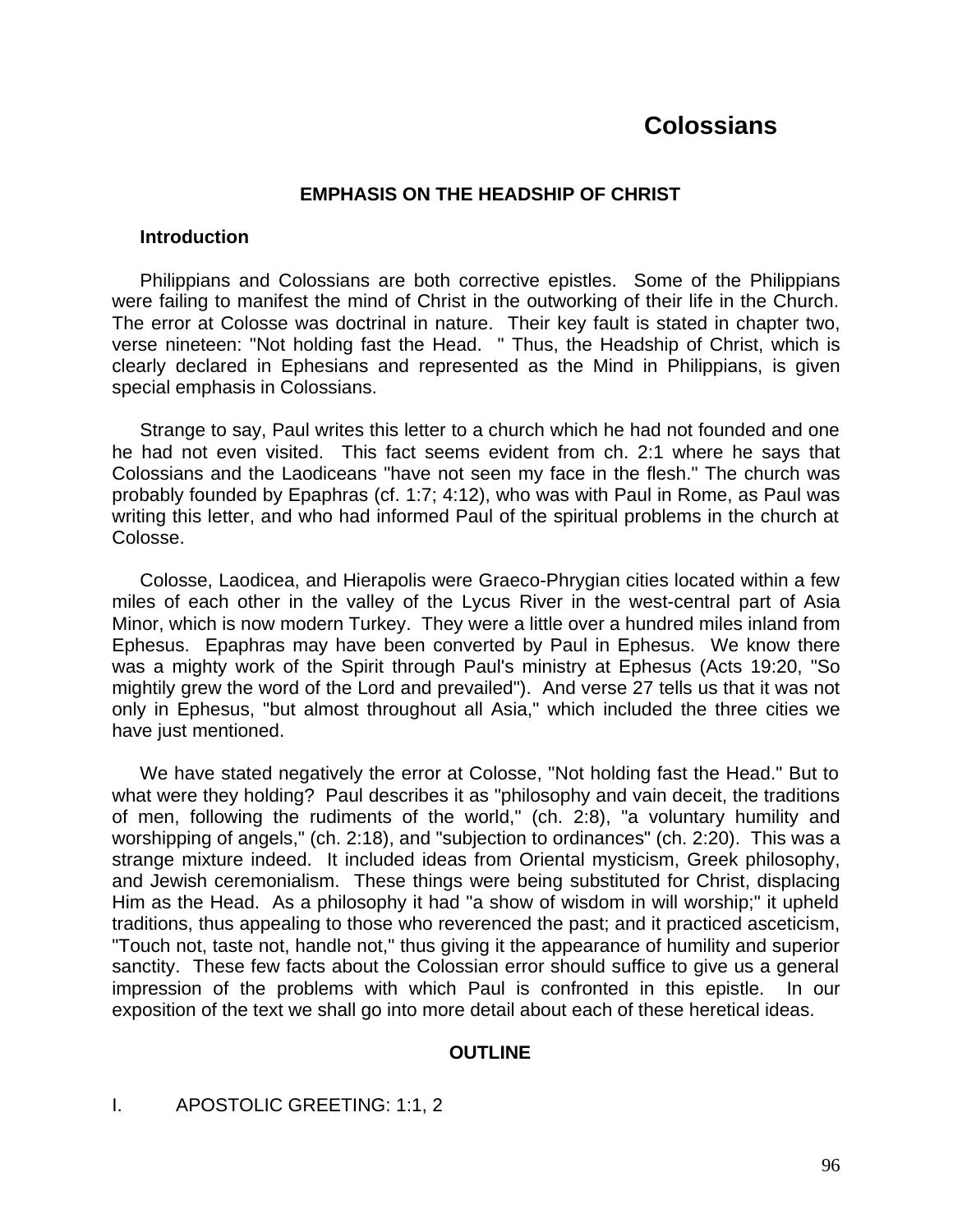# **Colossians**

#### **EMPHASIS ON THE HEADSHIP OF CHRIST**

#### **Introduction**

Philippians and Colossians are both corrective epistles. Some of the Philippians were failing to manifest the mind of Christ in the outworking of their life in the Church. The error at Colosse was doctrinal in nature. Their key fault is stated in chapter two, verse nineteen: "Not holding fast the Head. " Thus, the Headship of Christ, which is clearly declared in Ephesians and represented as the Mind in Philippians, is given special emphasis in Colossians.

Strange to say, Paul writes this letter to a church which he had not founded and one he had not even visited. This fact seems evident from ch. 2:1 where he says that Colossians and the Laodiceans "have not seen my face in the flesh." The church was probably founded by Epaphras (cf. 1:7; 4:12), who was with Paul in Rome, as Paul was writing this letter, and who had informed Paul of the spiritual problems in the church at Colosse.

Colosse, Laodicea, and Hierapolis were Graeco-Phrygian cities located within a few miles of each other in the valley of the Lycus River in the west-central part of Asia Minor, which is now modern Turkey. They were a little over a hundred miles inland from Ephesus. Epaphras may have been converted by Paul in Ephesus. We know there was a mighty work of the Spirit through Paul's ministry at Ephesus (Acts 19:20, "So mightily grew the word of the Lord and prevailed"). And verse 27 tells us that it was not only in Ephesus, "but almost throughout all Asia," which included the three cities we have just mentioned.

We have stated negatively the error at Colosse, "Not holding fast the Head." But to what were they holding? Paul describes it as "philosophy and vain deceit, the traditions of men, following the rudiments of the world," (ch. 2:8), "a voluntary humility and worshipping of angels," (ch. 2:18), and "subjection to ordinances" (ch. 2:20). This was a strange mixture indeed. It included ideas from Oriental mysticism, Greek philosophy, and Jewish ceremonialism. These things were being substituted for Christ, displacing Him as the Head. As a philosophy it had "a show of wisdom in will worship;" it upheld traditions, thus appealing to those who reverenced the past; and it practiced asceticism, "Touch not, taste not, handle not," thus giving it the appearance of humility and superior sanctity. These few facts about the Colossian error should suffice to give us a general impression of the problems with which Paul is confronted in this epistle. In our exposition of the text we shall go into more detail about each of these heretical ideas.

## **OUTLINE**

## I. APOSTOLIC GREETING: 1:1, 2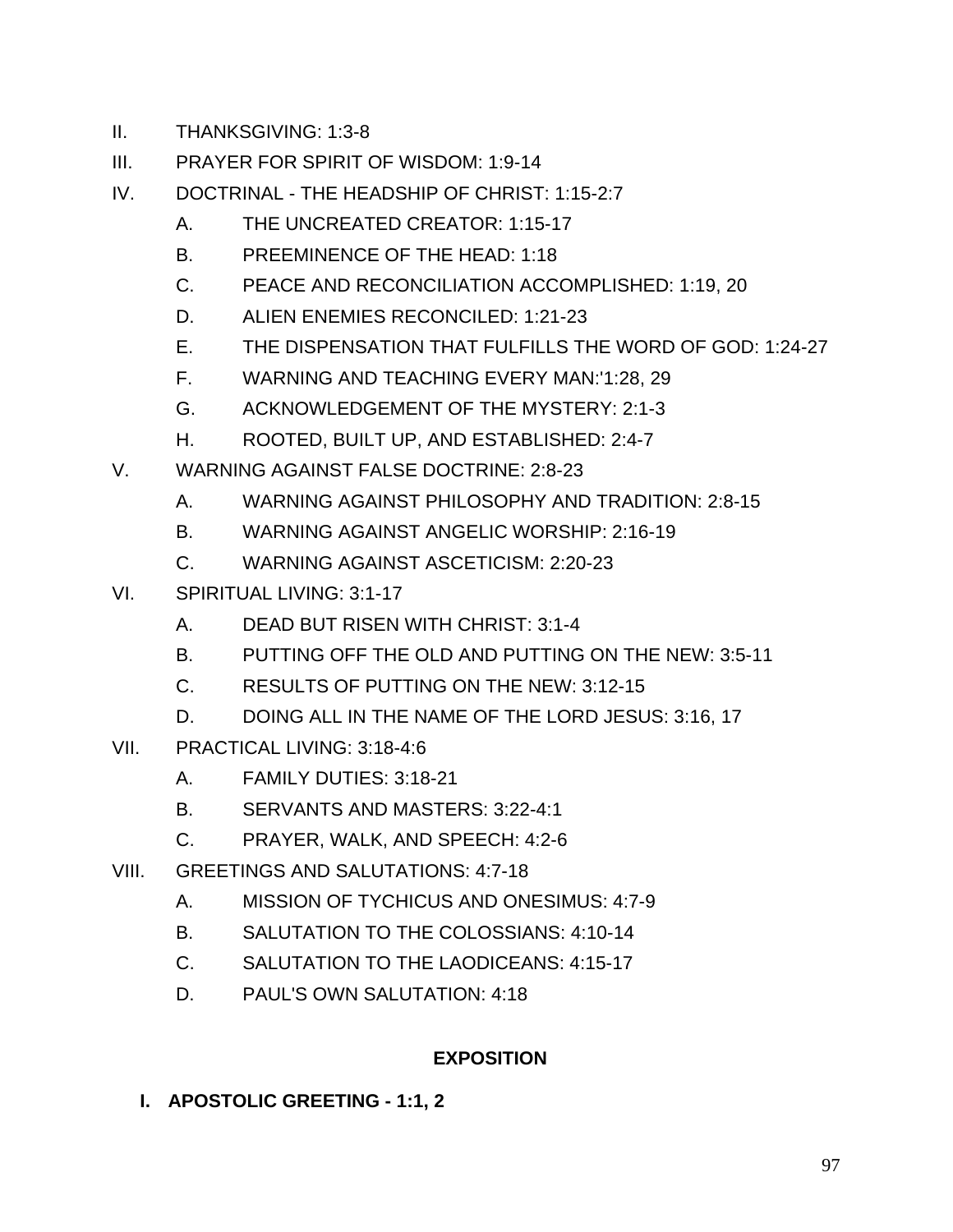- II. THANKSGIVING: 1:3-8
- III. PRAYER FOR SPIRIT OF WISDOM: 1:9-14
- IV. DOCTRINAL THE HEADSHIP OF CHRIST: 1:15-2:7
	- A. THE UNCREATED CREATOR: 1:15-17
	- B. PREEMINENCE OF THE HEAD: 1:18
	- C. PEACE AND RECONCILIATION ACCOMPLISHED: 1:19, 20
	- D. ALIEN ENEMIES RECONCILED: 1:21-23
	- E. THE DISPENSATION THAT FULFILLS THE WORD OF GOD: 1:24-27
	- F. WARNING AND TEACHING EVERY MAN:'1:28, 29
	- G. ACKNOWLEDGEMENT OF THE MYSTERY: 2:1-3
	- H. ROOTED, BUILT UP, AND ESTABLISHED: 2:4-7
- V. WARNING AGAINST FALSE DOCTRINE: 2:8-23
	- A. WARNING AGAINST PHILOSOPHY AND TRADITION: 2:8-15
	- B. WARNING AGAINST ANGELIC WORSHIP: 2:16-19
	- C. WARNING AGAINST ASCETICISM: 2:20-23
- VI. SPIRITUAL LIVING: 3:1-17
	- A. DEAD BUT RISEN WITH CHRIST: 3:1-4
	- B. PUTTING OFF THE OLD AND PUTTING ON THE NEW: 3:5-11
	- C. RESULTS OF PUTTING ON THE NEW: 3:12-15
	- D. DOING ALL IN THE NAME OF THE LORD JESUS: 3:16, 17
- VII. PRACTICAL LIVING: 3:18-4:6
	- A. FAMILY DUTIES: 3:18-21
	- B. SERVANTS AND MASTERS: 3:22-4:1
	- C. PRAYER, WALK, AND SPEECH: 4:2-6
- VIII. GREETINGS AND SALUTATIONS: 4:7-18
	- A. MISSION OF TYCHICUS AND ONESIMUS: 4:7-9
	- B. SALUTATION TO THE COLOSSIANS: 4:10-14
	- C. SALUTATION TO THE LAODICEANS: 4:15-17
	- D. PAUL'S OWN SALUTATION: 4:18

# **EXPOSITION**

**I. APOSTOLIC GREETING - 1:1, 2**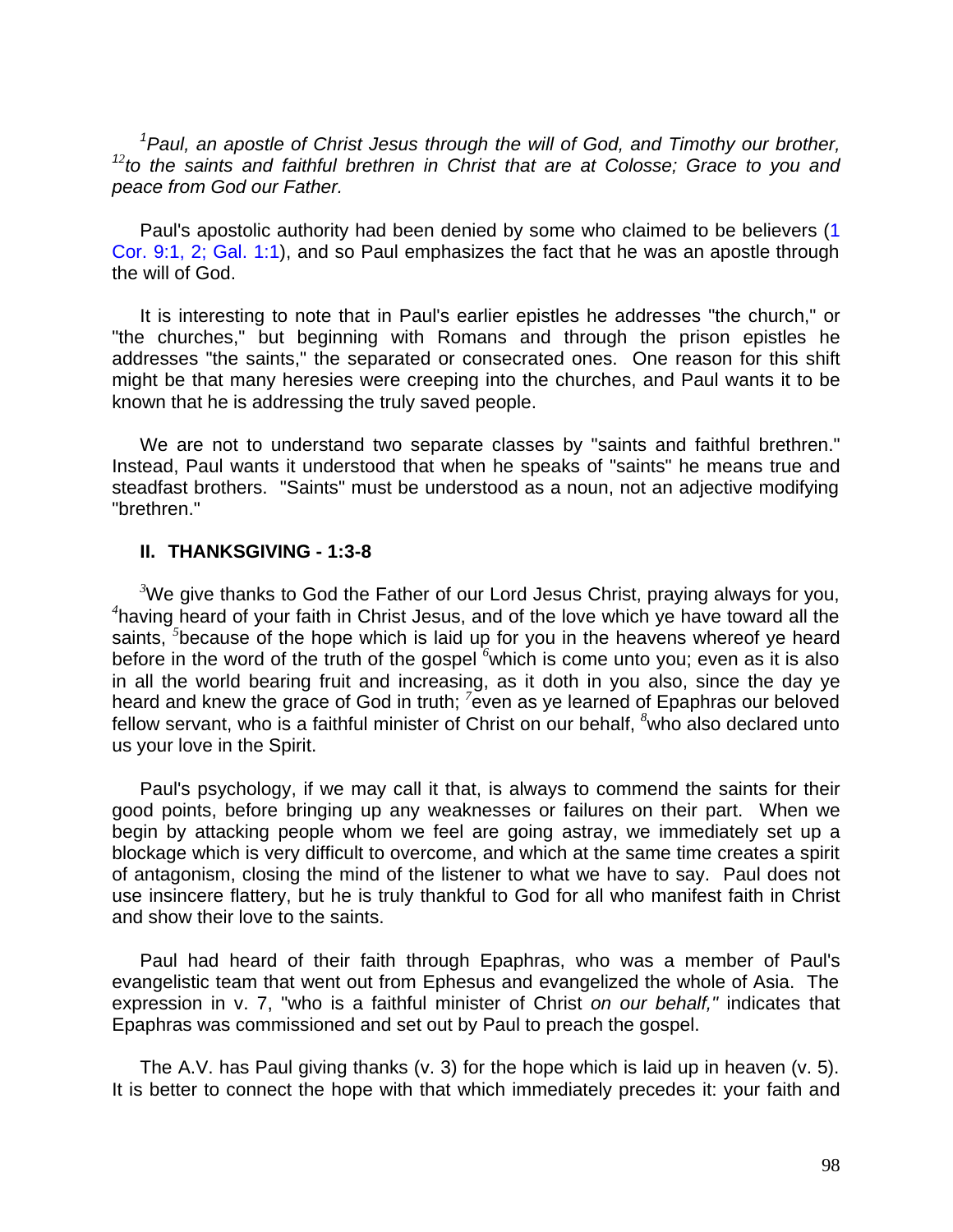*<sup>1</sup>Paul, an apostle of Christ Jesus through the will of God, and Timothy our brother, 12 to the saints and faithful brethren in Christ that are at Colosse; Grace to you and peace from God our Father.*

Paul's apostolic authority had been denied by some who claimed to be believers (1 Cor. 9:1, 2; Gal. 1:1), and so Paul emphasizes the fact that he was an apostle through the will of God.

It is interesting to note that in Paul's earlier epistles he addresses "the church," or "the churches," but beginning with Romans and through the prison epistles he addresses "the saints," the separated or consecrated ones. One reason for this shift might be that many heresies were creeping into the churches, and Paul wants it to be known that he is addressing the truly saved people.

We are not to understand two separate classes by "saints and faithful brethren." Instead, Paul wants it understood that when he speaks of "saints" he means true and steadfast brothers. "Saints" must be understood as a noun, not an adjective modifying "brethren."

#### **II. THANKSGIVING - 1:3-8**

*<sup>3</sup>*We give thanks to God the Father of our Lord Jesus Christ, praying always for you, *4* having heard of your faith in Christ Jesus, and of the love which ye have toward all the saints, <sup>5</sup>because of the hope which is laid up for you in the heavens whereof ye heard before in the word of the truth of the gospel <sup>6</sup>which is come unto you; even as it is also in all the world bearing fruit and increasing, as it doth in you also, since the day ye heard and knew the grace of God in truth; <sup>7</sup> even as ye learned of Epaphras our beloved fellow servant, who is a faithful minister of Christ on our behalf, *<sup>8</sup>*who also declared unto us your love in the Spirit.

Paul's psychology, if we may call it that, is always to commend the saints for their good points, before bringing up any weaknesses or failures on their part. When we begin by attacking people whom we feel are going astray, we immediately set up a blockage which is very difficult to overcome, and which at the same time creates a spirit of antagonism, closing the mind of the listener to what we have to say. Paul does not use insincere flattery, but he is truly thankful to God for all who manifest faith in Christ and show their love to the saints.

Paul had heard of their faith through Epaphras, who was a member of Paul's evangelistic team that went out from Ephesus and evangelized the whole of Asia. The expression in v. 7, "who is a faithful minister of Christ *on our behalf,"* indicates that Epaphras was commissioned and set out by Paul to preach the gospel.

The A.V. has Paul giving thanks (v. 3) for the hope which is laid up in heaven (v. 5). It is better to connect the hope with that which immediately precedes it: your faith and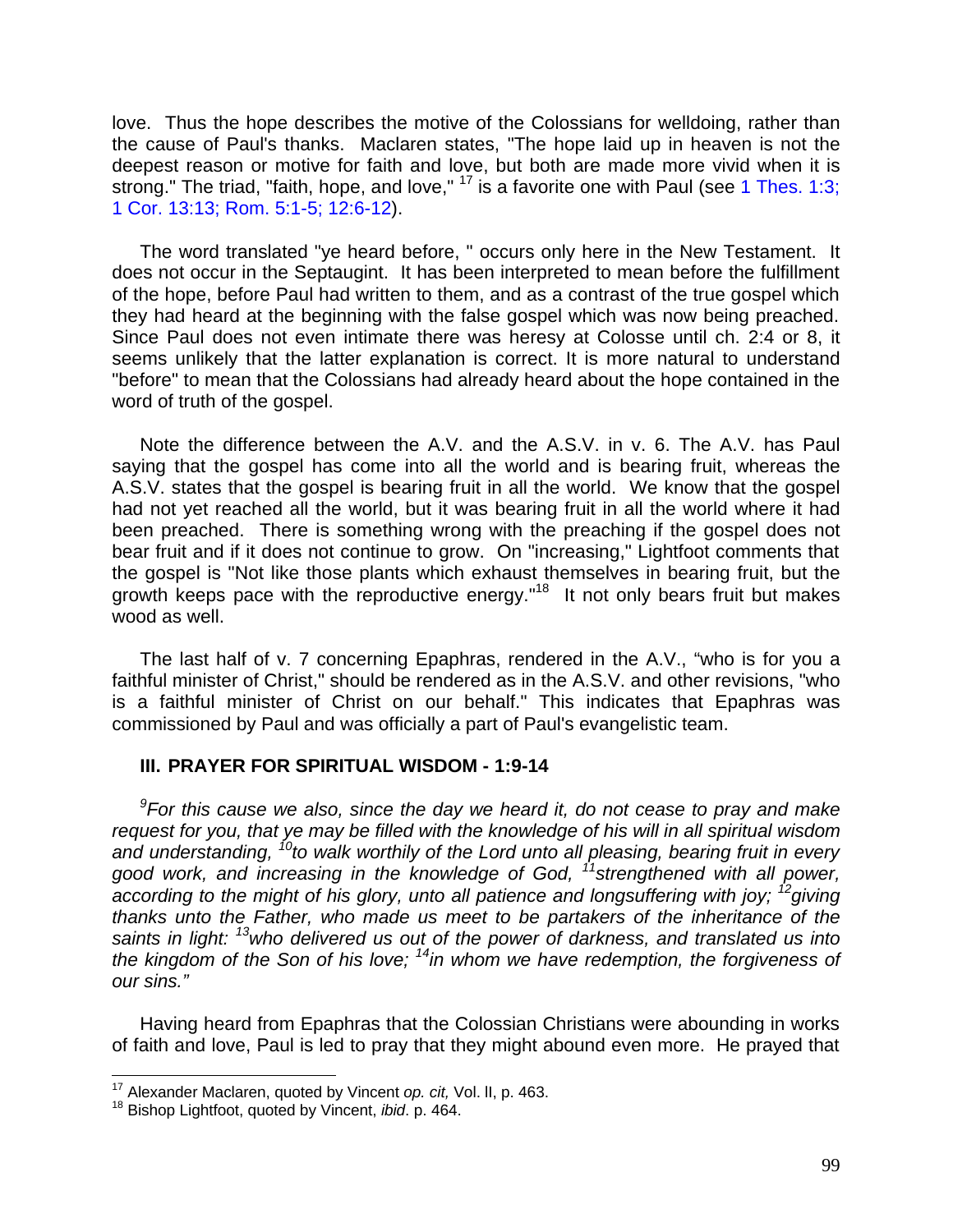love. Thus the hope describes the motive of the Colossians for welldoing, rather than the cause of Paul's thanks. Maclaren states, "The hope laid up in heaven is not the deepest reason or motive for faith and love, but both are made more vivid when it is strong." The triad, "faith, hope, and love," <sup>17</sup> is a favorite one with Paul (see 1 Thes. 1:3; 1 Cor. 13:13; Rom. 5:1-5; 12:6-12).

The word translated "ye heard before, " occurs only here in the New Testament. It does not occur in the Septaugint. It has been interpreted to mean before the fulfillment of the hope, before Paul had written to them, and as a contrast of the true gospel which they had heard at the beginning with the false gospel which was now being preached. Since Paul does not even intimate there was heresy at Colosse until ch. 2:4 or 8, it seems unlikely that the latter explanation is correct. It is more natural to understand "before" to mean that the Colossians had already heard about the hope contained in the word of truth of the gospel.

Note the difference between the A.V. and the A.S.V. in v. 6. The A.V. has Paul saying that the gospel has come into all the world and is bearing fruit, whereas the A.S.V. states that the gospel is bearing fruit in all the world. We know that the gospel had not yet reached all the world, but it was bearing fruit in all the world where it had been preached. There is something wrong with the preaching if the gospel does not bear fruit and if it does not continue to grow. On "increasing," Lightfoot comments that the gospel is "Not like those plants which exhaust themselves in bearing fruit, but the growth keeps pace with the reproductive energy."<sup>18</sup> It not only bears fruit but makes wood as well.

The last half of v. 7 concerning Epaphras, rendered in the A.V., "who is for you a faithful minister of Christ," should be rendered as in the A.S.V. and other revisions, "who is a faithful minister of Christ on our behalf." This indicates that Epaphras was commissioned by Paul and was officially a part of Paul's evangelistic team.

## **III. PRAYER FOR SPIRITUAL WISDOM - 1:9-14**

*9 For this cause we also, since the day we heard it, do not cease to pray and make request for you, that ye may be filled with the knowledge of his will in all spiritual wisdom and understanding, <sup>10</sup>to walk worthily of the Lord unto all pleasing, bearing fruit in every good work, and increasing in the knowledge of God, <sup>11</sup>strengthened with all power, according to the might of his glory, unto all patience and longsuffering with joy; <sup>12</sup>giving thanks unto the Father, who made us meet to be partakers of the inheritance of the saints in light: <sup>13</sup>who delivered us out of the power of darkness, and translated us into the kingdom of the Son of his love; <sup>14</sup>in whom we have redemption, the forgiveness of our sins."*

Having heard from Epaphras that the Colossian Christians were abounding in works of faith and love, Paul is led to pray that they might abound even more. He prayed that

 $\overline{\phantom{a}}$ 

<sup>17</sup> Alexander Maclaren, quoted by Vincent *op. cit,* Vol. lI, p. 463.

<sup>18</sup> Bishop Lightfoot, quoted by Vincent, *ibid*. p. 464.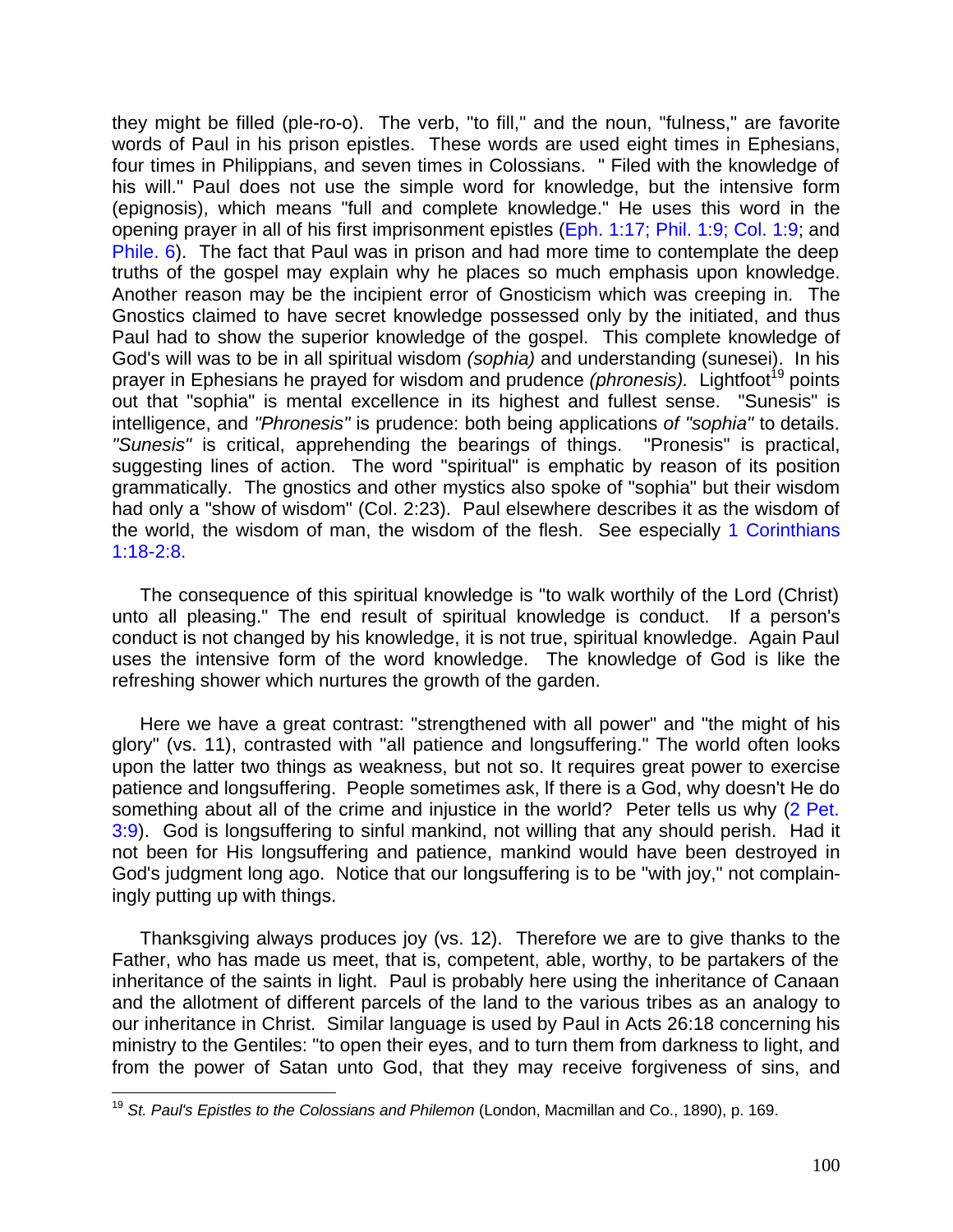they might be filled (ple-ro-o). The verb, "to fill," and the noun, "fulness," are favorite words of Paul in his prison epistles. These words are used eight times in Ephesians, four times in Philippians, and seven times in Colossians. " Filed with the knowledge of his will." Paul does not use the simple word for knowledge, but the intensive form (epignosis), which means "full and complete knowledge." He uses this word in the opening prayer in all of his first imprisonment epistles (Eph. 1:17; Phil. 1:9; Col. 1:9; and Phile. 6). The fact that Paul was in prison and had more time to contemplate the deep truths of the gospel may explain why he places so much emphasis upon knowledge. Another reason may be the incipient error of Gnosticism which was creeping in. The Gnostics claimed to have secret knowledge possessed only by the initiated, and thus Paul had to show the superior knowledge of the gospel. This complete knowledge of God's will was to be in all spiritual wisdom *(sophia)* and understanding (sunesei). In his prayer in Ephesians he prayed for wisdom and prudence *(phronesis)*. Lightfoot<sup>19</sup> points out that "sophia" is mental excellence in its highest and fullest sense. "Sunesis" is intelligence, and *"Phronesis"* is prudence: both being applications *of "sophia"* to details. *"Sunesis"* is critical, apprehending the bearings of things. "Pronesis" is practical, suggesting lines of action. The word "spiritual" is emphatic by reason of its position grammatically. The gnostics and other mystics also spoke of "sophia" but their wisdom had only a "show of wisdom" (Col. 2:23). Paul elsewhere describes it as the wisdom of the world, the wisdom of man, the wisdom of the flesh. See especially 1 Corinthians 1:18-2:8.

The consequence of this spiritual knowledge is "to walk worthily of the Lord (Christ) unto all pleasing." The end result of spiritual knowledge is conduct. If a person's conduct is not changed by his knowledge, it is not true, spiritual knowledge. Again Paul uses the intensive form of the word knowledge. The knowledge of God is like the refreshing shower which nurtures the growth of the garden.

Here we have a great contrast: "strengthened with all power" and "the might of his glory" (vs. 11), contrasted with "all patience and longsuffering." The world often looks upon the latter two things as weakness, but not so. It requires great power to exercise patience and longsuffering. People sometimes ask, lf there is a God, why doesn't He do something about all of the crime and injustice in the world? Peter tells us why (2 Pet. 3:9). God is longsuffering to sinful mankind, not willing that any should perish. Had it not been for His longsuffering and patience, mankind would have been destroyed in God's judgment long ago. Notice that our longsuffering is to be "with joy," not complainingly putting up with things.

Thanksgiving always produces joy (vs. 12). Therefore we are to give thanks to the Father, who has made us meet, that is, competent, able, worthy, to be partakers of the inheritance of the saints in light. Paul is probably here using the inheritance of Canaan and the allotment of different parcels of the land to the various tribes as an analogy to our inheritance in Christ. Similar language is used by Paul in Acts 26:18 concerning his ministry to the Gentiles: "to open their eyes, and to turn them from darkness to light, and from the power of Satan unto God, that they may receive forgiveness of sins, and

 $\overline{a}$ <sup>19</sup> *St. Paul's Epistles to the Colossians and Philemon* (London, Macmillan and Co., 1890), p. 169.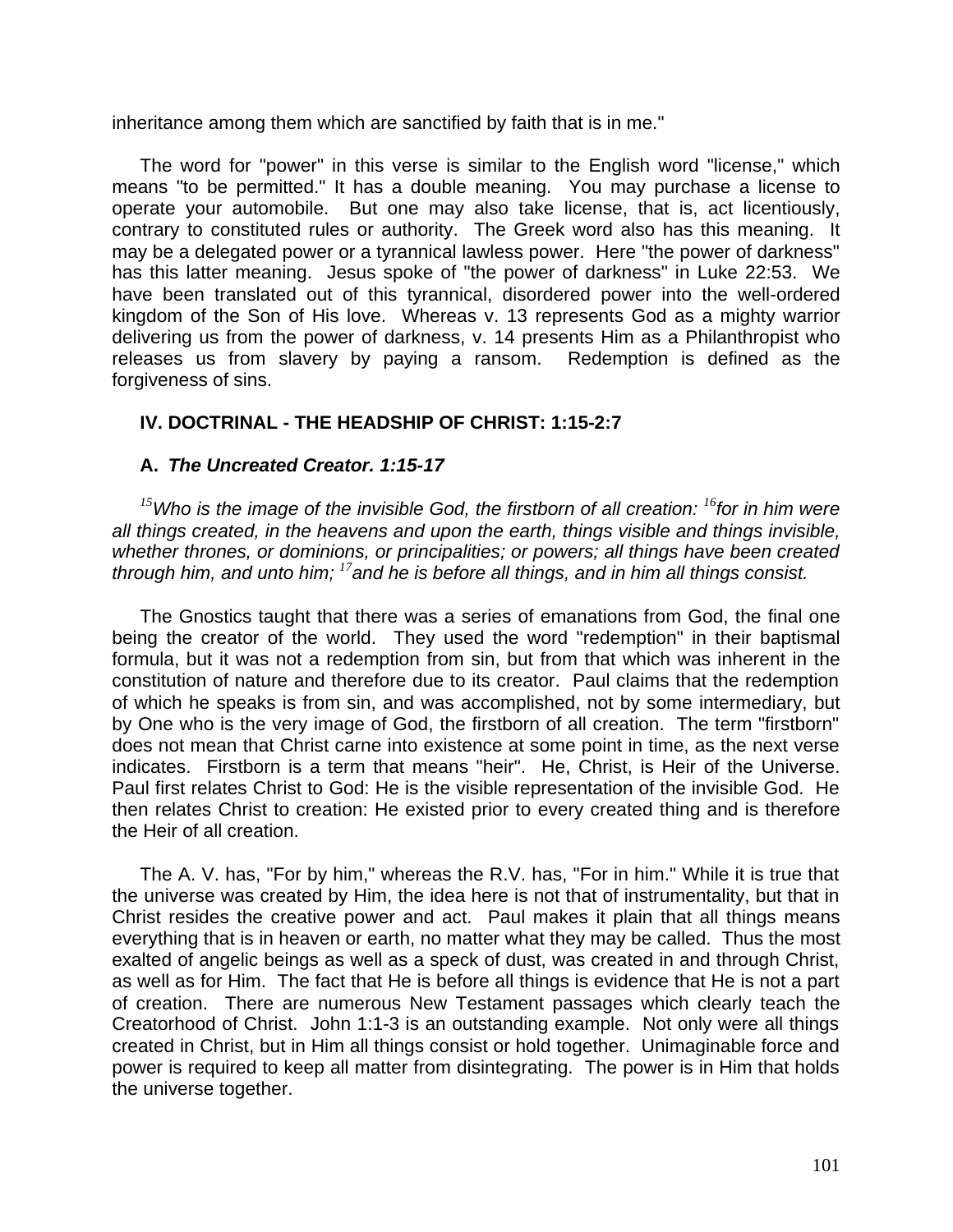inheritance among them which are sanctified by faith that is in me."

The word for "power" in this verse is similar to the English word "license," which means "to be permitted." It has a double meaning. You may purchase a license to operate your automobile. But one may also take license, that is, act licentiously, contrary to constituted rules or authority. The Greek word also has this meaning. It may be a delegated power or a tyrannical lawless power. Here "the power of darkness" has this latter meaning. Jesus spoke of "the power of darkness" in Luke 22:53. We have been translated out of this tyrannical, disordered power into the well-ordered kingdom of the Son of His love. Whereas v. 13 represents God as a mighty warrior delivering us from the power of darkness, v. 14 presents Him as a Philanthropist who releases us from slavery by paying a ransom. Redemption is defined as the forgiveness of sins.

# **IV. DOCTRINAL - THE HEADSHIP OF CHRIST: 1:15-2:7**

# **A.** *The Uncreated Creator. 1:15-17*

*<sup>15</sup>Who is the image of the invisible God, the firstborn of all creation: <sup>16</sup>for in him were all things created, in the heavens and upon the earth, things visible and things invisible, whether thrones, or dominions, or principalities; or powers; all things have been created through him, and unto him; <sup>17</sup>and he is before all things, and in him all things consist.*

The Gnostics taught that there was a series of emanations from God, the final one being the creator of the world. They used the word "redemption" in their baptismal formula, but it was not a redemption from sin, but from that which was inherent in the constitution of nature and therefore due to its creator. Paul claims that the redemption of which he speaks is from sin, and was accomplished, not by some intermediary, but by One who is the very image of God, the firstborn of all creation. The term "firstborn" does not mean that Christ carne into existence at some point in time, as the next verse indicates. Firstborn is a term that means "heir". He, Christ, is Heir of the Universe. Paul first relates Christ to God: He is the visible representation of the invisible God. He then relates Christ to creation: He existed prior to every created thing and is therefore the Heir of all creation.

The A. V. has, "For by him," whereas the R.V. has, "For in him." While it is true that the universe was created by Him, the idea here is not that of instrumentality, but that in Christ resides the creative power and act. Paul makes it plain that all things means everything that is in heaven or earth, no matter what they may be called. Thus the most exalted of angelic beings as well as a speck of dust, was created in and through Christ, as well as for Him. The fact that He is before all things is evidence that He is not a part of creation. There are numerous New Testament passages which clearly teach the Creatorhood of Christ. John 1:1-3 is an outstanding example. Not only were all things created in Christ, but in Him all things consist or hold together. Unimaginable force and power is required to keep all matter from disintegrating. The power is in Him that holds the universe together.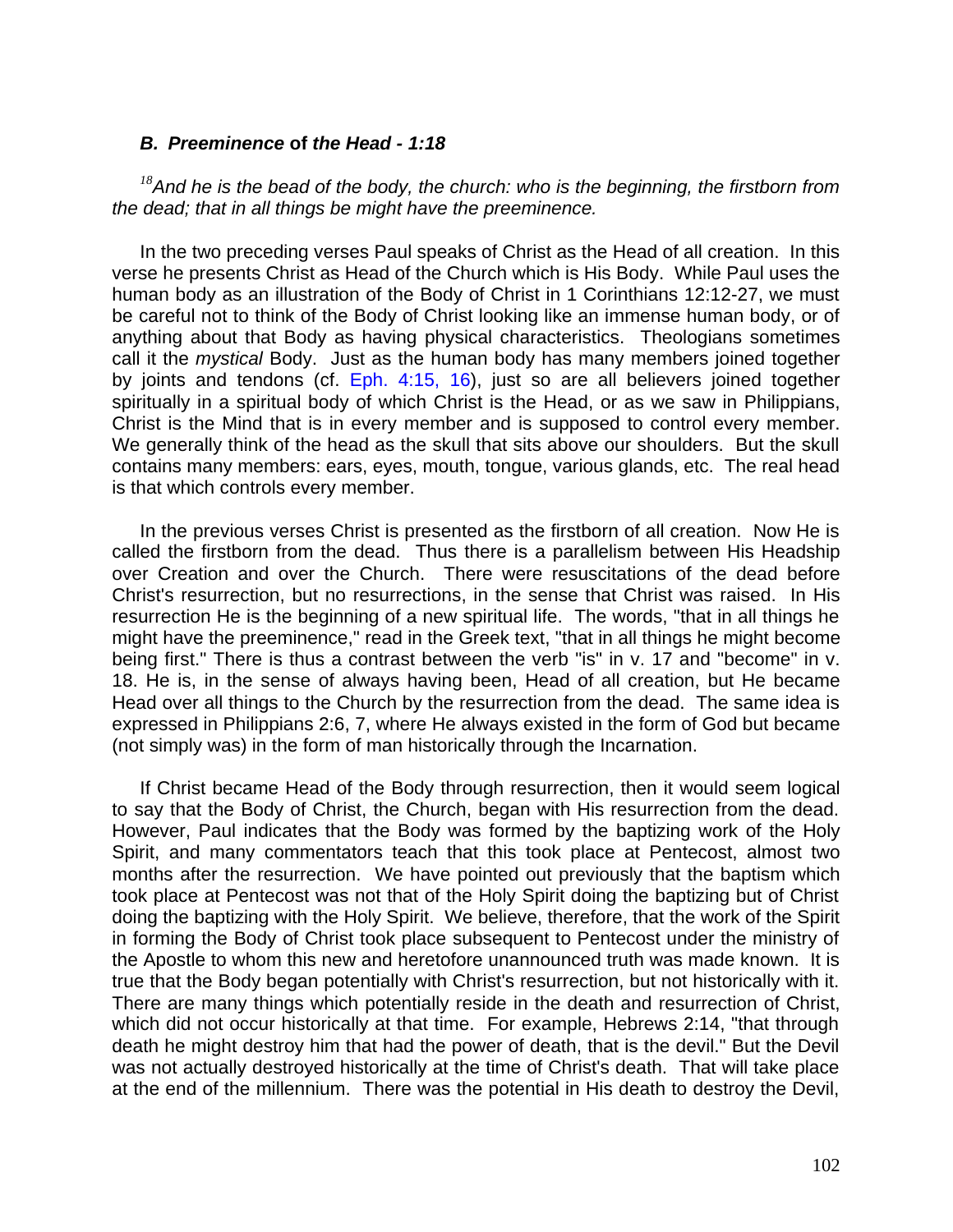## *B. Preeminence* **of** *the Head - 1:18*

*<sup>18</sup>And he is the bead of the body, the church: who is the beginning, the firstborn from the dead; that in all things be might have the preeminence.*

In the two preceding verses Paul speaks of Christ as the Head of all creation. In this verse he presents Christ as Head of the Church which is His Body. While Paul uses the human body as an illustration of the Body of Christ in 1 Corinthians 12:12-27, we must be careful not to think of the Body of Christ looking like an immense human body, or of anything about that Body as having physical characteristics. Theologians sometimes call it the *mystical* Body. Just as the human body has many members joined together by joints and tendons (cf. Eph. 4:15, 16), just so are all believers joined together spiritually in a spiritual body of which Christ is the Head, or as we saw in Philippians, Christ is the Mind that is in every member and is supposed to control every member. We generally think of the head as the skull that sits above our shoulders. But the skull contains many members: ears, eyes, mouth, tongue, various glands, etc. The real head is that which controls every member.

In the previous verses Christ is presented as the firstborn of all creation. Now He is called the firstborn from the dead. Thus there is a parallelism between His Headship over Creation and over the Church. There were resuscitations of the dead before Christ's resurrection, but no resurrections, in the sense that Christ was raised. In His resurrection He is the beginning of a new spiritual life. The words, "that in all things he might have the preeminence," read in the Greek text, "that in all things he might become being first." There is thus a contrast between the verb "is" in v. 17 and "become" in v. 18. He is, in the sense of always having been, Head of all creation, but He became Head over all things to the Church by the resurrection from the dead. The same idea is expressed in Philippians 2:6, 7, where He always existed in the form of God but became (not simply was) in the form of man historically through the Incarnation.

If Christ became Head of the Body through resurrection, then it would seem logical to say that the Body of Christ, the Church, began with His resurrection from the dead. However, Paul indicates that the Body was formed by the baptizing work of the Holy Spirit, and many commentators teach that this took place at Pentecost, almost two months after the resurrection. We have pointed out previously that the baptism which took place at Pentecost was not that of the Holy Spirit doing the baptizing but of Christ doing the baptizing with the Holy Spirit. We believe, therefore, that the work of the Spirit in forming the Body of Christ took place subsequent to Pentecost under the ministry of the Apostle to whom this new and heretofore unannounced truth was made known. It is true that the Body began potentially with Christ's resurrection, but not historically with it. There are many things which potentially reside in the death and resurrection of Christ, which did not occur historically at that time. For example, Hebrews 2:14, "that through death he might destroy him that had the power of death, that is the devil." But the Devil was not actually destroyed historically at the time of Christ's death. That will take place at the end of the millennium. There was the potential in His death to destroy the Devil,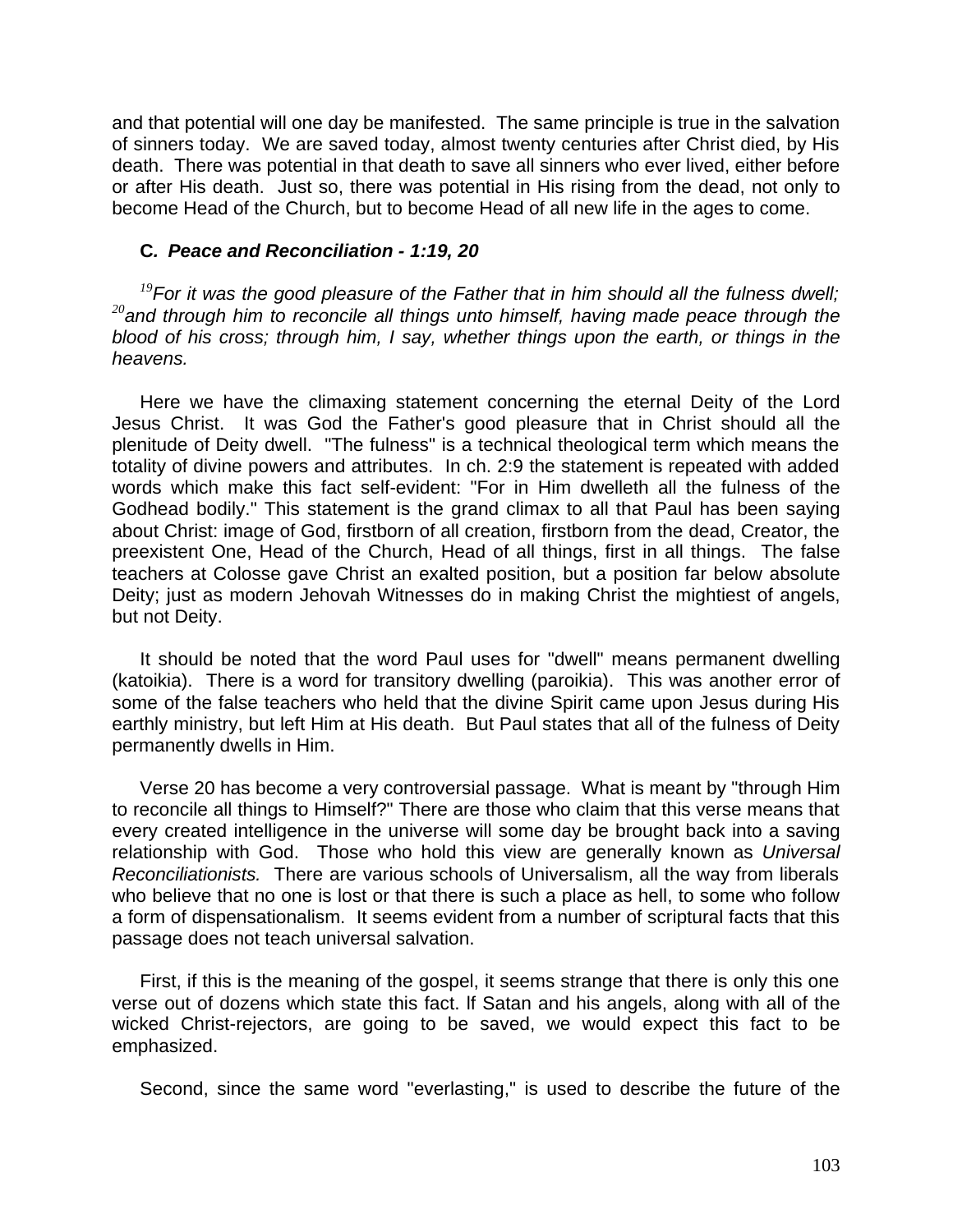and that potential will one day be manifested. The same principle is true in the salvation of sinners today. We are saved today, almost twenty centuries after Christ died, by His death. There was potential in that death to save all sinners who ever lived, either before or after His death. Just so, there was potential in His rising from the dead, not only to become Head of the Church, but to become Head of all new life in the ages to come.

## **C***. Peace and Reconciliation - 1:19, 20*

*<sup>19</sup>For it was the good pleasure of the Father that in him should all the fulness dwell; <sup>20</sup>and through him to reconcile all things unto himself, having made peace through the blood of his cross; through him, I say, whether things upon the earth, or things in the heavens.*

Here we have the climaxing statement concerning the eternal Deity of the Lord Jesus Christ. It was God the Father's good pleasure that in Christ should all the plenitude of Deity dwell. "The fulness" is a technical theological term which means the totality of divine powers and attributes. In ch. 2:9 the statement is repeated with added words which make this fact self-evident: "For in Him dwelleth all the fulness of the Godhead bodily." This statement is the grand climax to all that Paul has been saying about Christ: image of God, firstborn of all creation, firstborn from the dead, Creator, the preexistent One, Head of the Church, Head of all things, first in all things. The false teachers at Colosse gave Christ an exalted position, but a position far below absolute Deity; just as modern Jehovah Witnesses do in making Christ the mightiest of angels, but not Deity.

It should be noted that the word Paul uses for "dwell" means permanent dwelling (katoikia). There is a word for transitory dwelling (paroikia). This was another error of some of the false teachers who held that the divine Spirit came upon Jesus during His earthly ministry, but left Him at His death. But Paul states that all of the fulness of Deity permanently dwells in Him.

Verse 20 has become a very controversial passage. What is meant by "through Him to reconcile all things to Himself?" There are those who claim that this verse means that every created intelligence in the universe will some day be brought back into a saving relationship with God. Those who hold this view are generally known as *Universal Reconciliationists.* There are various schools of Universalism, all the way from liberals who believe that no one is lost or that there is such a place as hell, to some who follow a form of dispensationalism. It seems evident from a number of scriptural facts that this passage does not teach universal salvation.

First, if this is the meaning of the gospel, it seems strange that there is only this one verse out of dozens which state this fact. lf Satan and his angels, along with all of the wicked Christ-rejectors, are going to be saved, we would expect this fact to be emphasized.

Second, since the same word "everlasting," is used to describe the future of the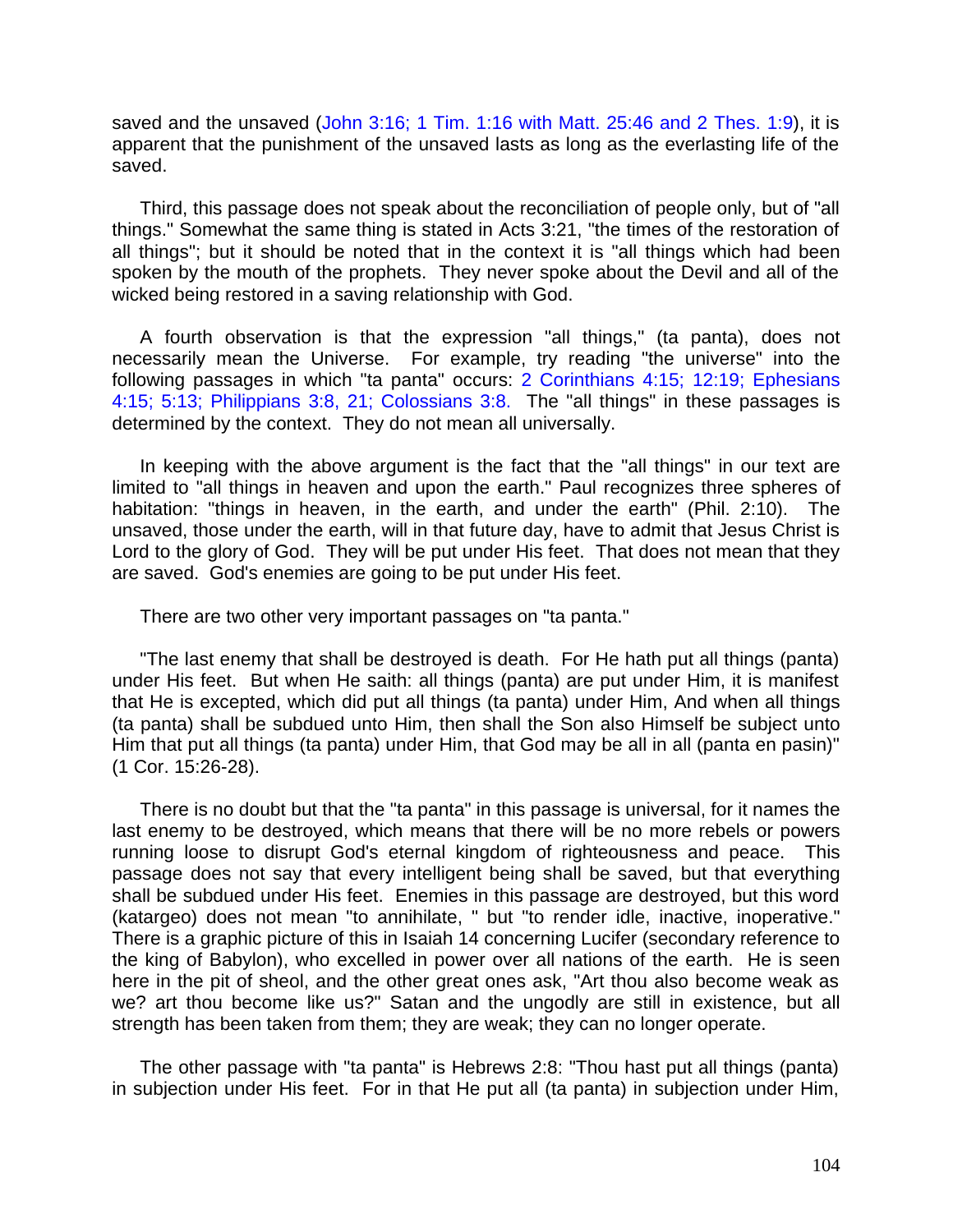saved and the unsaved (John 3:16; 1 Tim. 1:16 with Matt. 25:46 and 2 Thes. 1:9), it is apparent that the punishment of the unsaved lasts as long as the everlasting life of the saved.

Third, this passage does not speak about the reconciliation of people only, but of "all things." Somewhat the same thing is stated in Acts 3:21, "the times of the restoration of all things"; but it should be noted that in the context it is "all things which had been spoken by the mouth of the prophets. They never spoke about the Devil and all of the wicked being restored in a saving relationship with God.

A fourth observation is that the expression "all things," (ta panta), does not necessarily mean the Universe. For example, try reading "the universe" into the following passages in which "ta panta" occurs: 2 Corinthians 4:15; 12:19; Ephesians 4:15; 5:13; Philippians 3:8, 21; Colossians 3:8. The "all things" in these passages is determined by the context. They do not mean all universally.

In keeping with the above argument is the fact that the "all things" in our text are limited to "all things in heaven and upon the earth." Paul recognizes three spheres of habitation: "things in heaven, in the earth, and under the earth" (Phil. 2:10). The unsaved, those under the earth, will in that future day, have to admit that Jesus Christ is Lord to the glory of God. They will be put under His feet. That does not mean that they are saved. God's enemies are going to be put under His feet.

There are two other very important passages on "ta panta."

"The last enemy that shall be destroyed is death. For He hath put all things (panta) under His feet. But when He saith: all things (panta) are put under Him, it is manifest that He is excepted, which did put all things (ta panta) under Him, And when all things (ta panta) shall be subdued unto Him, then shall the Son also Himself be subject unto Him that put all things (ta panta) under Him, that God may be all in all (panta en pasin)" (1 Cor. 15:26-28).

There is no doubt but that the "ta panta" in this passage is universal, for it names the last enemy to be destroyed, which means that there will be no more rebels or powers running loose to disrupt God's eternal kingdom of righteousness and peace. This passage does not say that every intelligent being shall be saved, but that everything shall be subdued under His feet. Enemies in this passage are destroyed, but this word (katargeo) does not mean "to annihilate, " but "to render idle, inactive, inoperative." There is a graphic picture of this in Isaiah 14 concerning Lucifer (secondary reference to the king of Babylon), who excelled in power over all nations of the earth. He is seen here in the pit of sheol, and the other great ones ask, "Art thou also become weak as we? art thou become like us?" Satan and the ungodly are still in existence, but all strength has been taken from them; they are weak; they can no longer operate.

The other passage with "ta panta" is Hebrews 2:8: "Thou hast put all things (panta) in subjection under His feet. For in that He put all (ta panta) in subjection under Him,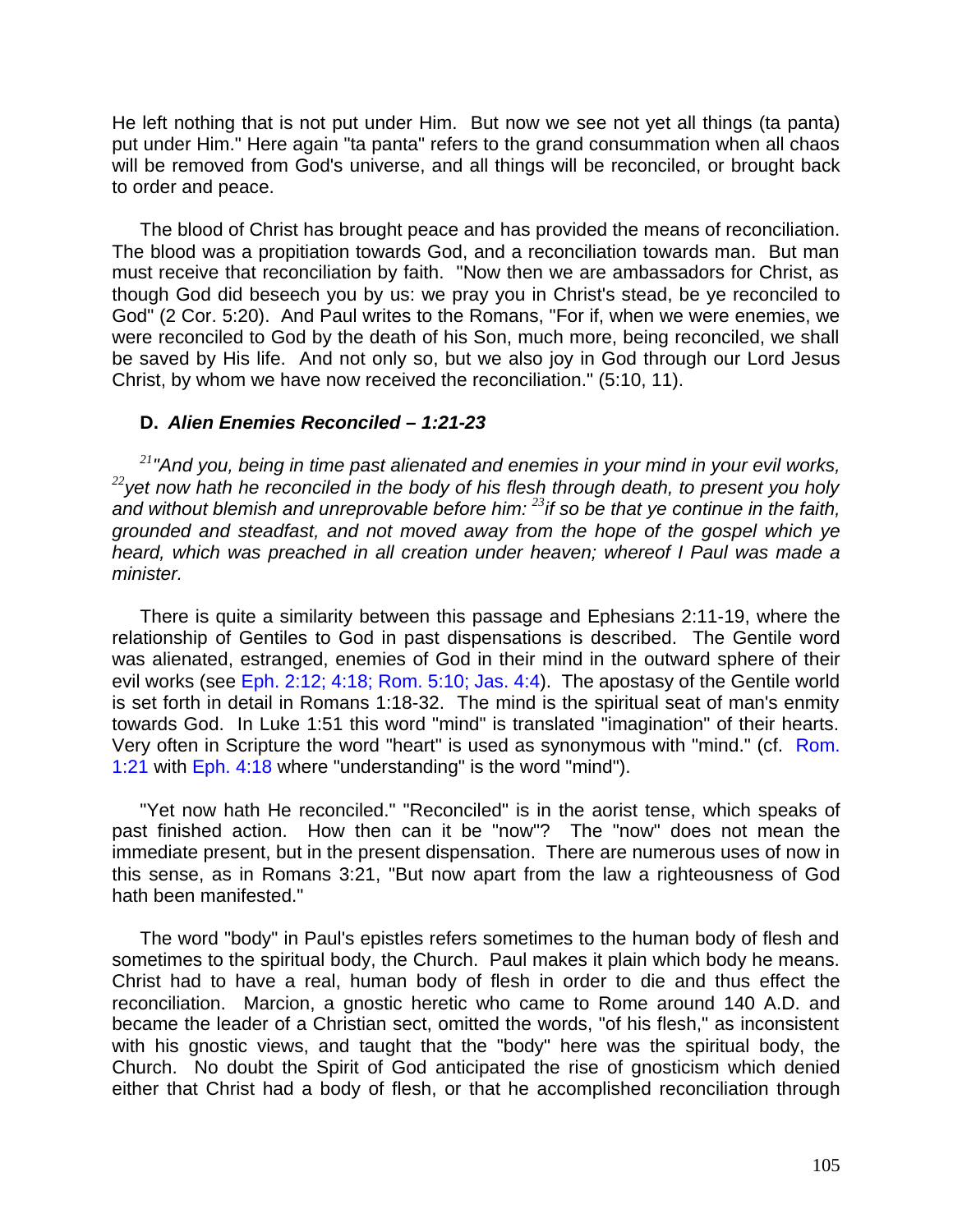He left nothing that is not put under Him. But now we see not yet all things (ta panta) put under Him." Here again "ta panta" refers to the grand consummation when all chaos will be removed from God's universe, and all things will be reconciled, or brought back to order and peace.

The blood of Christ has brought peace and has provided the means of reconciliation. The blood was a propitiation towards God, and a reconciliation towards man. But man must receive that reconciliation by faith. "Now then we are ambassadors for Christ, as though God did beseech you by us: we pray you in Christ's stead, be ye reconciled to God" (2 Cor. 5:20). And Paul writes to the Romans, "For if, when we were enemies, we were reconciled to God by the death of his Son, much more, being reconciled, we shall be saved by His life. And not only so, but we also joy in God through our Lord Jesus Christ, by whom we have now received the reconciliation." (5:10, 11).

## **D.** *Alien Enemies Reconciled – 1:21-23*

*<sup>21</sup>"And you, being in time past alienated and enemies in your mind in your evil works, <sup>22</sup>yet now hath he reconciled in the body of his flesh through death, to present you holy and without blemish and unreprovable before him: <sup>23</sup>if so be that ye continue in the faith, grounded and steadfast, and not moved away from the hope of the gospel which ye heard, which was preached in all creation under heaven; whereof I Paul was made a minister.*

There is quite a similarity between this passage and Ephesians 2:11-19, where the relationship of Gentiles to God in past dispensations is described. The Gentile word was alienated, estranged, enemies of God in their mind in the outward sphere of their evil works (see Eph. 2:12; 4:18; Rom. 5:10; Jas. 4:4). The apostasy of the Gentile world is set forth in detail in Romans 1:18-32. The mind is the spiritual seat of man's enmity towards God. In Luke 1:51 this word "mind" is translated "imagination" of their hearts. Very often in Scripture the word "heart" is used as synonymous with "mind." (cf. Rom. 1:21 with Eph. 4:18 where "understanding" is the word "mind").

"Yet now hath He reconciled." "Reconciled" is in the aorist tense, which speaks of past finished action. How then can it be "now"? The "now" does not mean the immediate present, but in the present dispensation. There are numerous uses of now in this sense, as in Romans 3:21, "But now apart from the law a righteousness of God hath been manifested."

The word "body" in Paul's epistles refers sometimes to the human body of flesh and sometimes to the spiritual body, the Church. Paul makes it plain which body he means. Christ had to have a real, human body of flesh in order to die and thus effect the reconciliation. Marcion, a gnostic heretic who came to Rome around 140 A.D. and became the leader of a Christian sect, omitted the words, "of his flesh," as inconsistent with his gnostic views, and taught that the "body" here was the spiritual body, the Church. No doubt the Spirit of God anticipated the rise of gnosticism which denied either that Christ had a body of flesh, or that he accomplished reconciliation through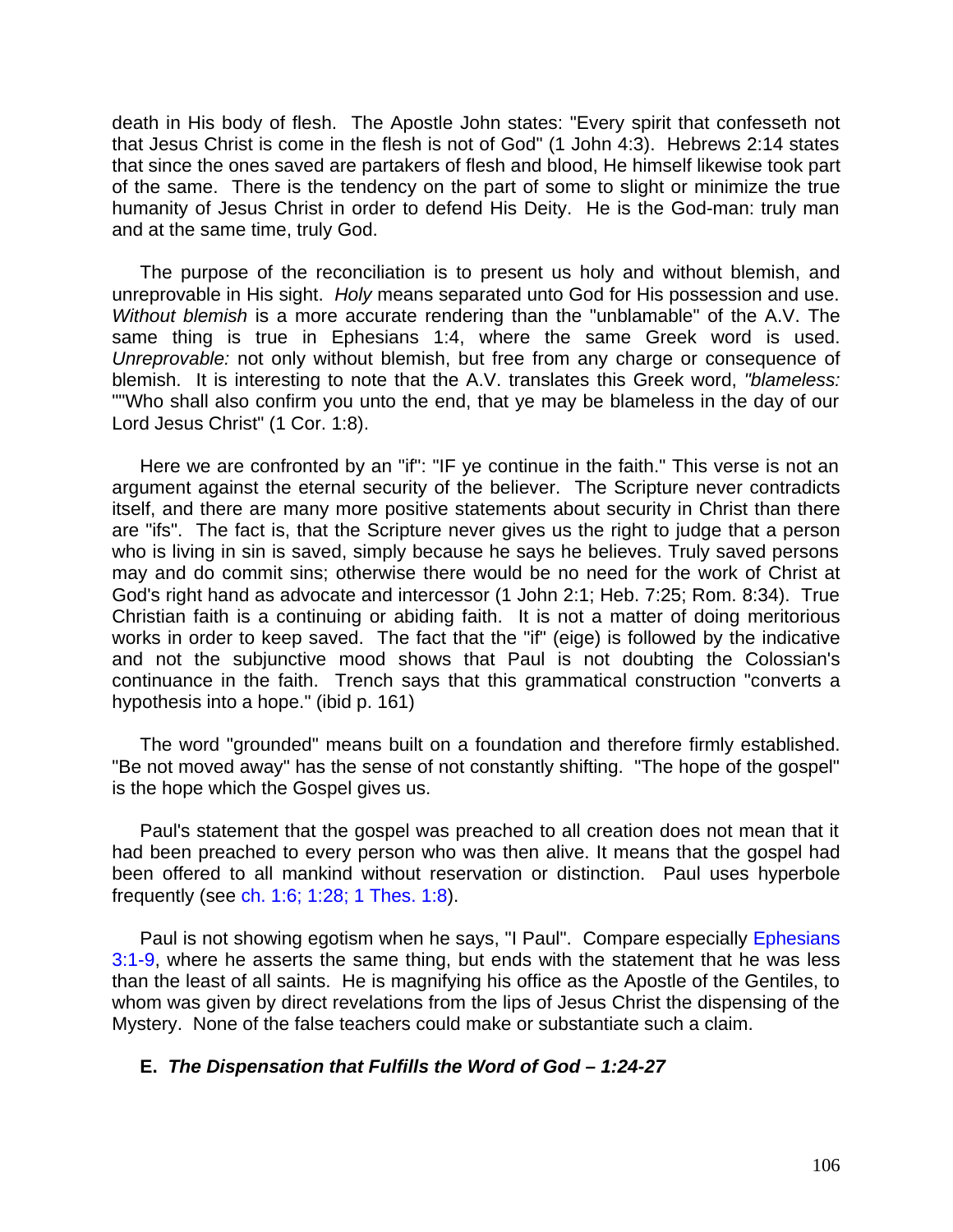death in His body of flesh. The Apostle John states: "Every spirit that confesseth not that Jesus Christ is come in the flesh is not of God" (1 John 4:3). Hebrews 2:14 states that since the ones saved are partakers of flesh and blood, He himself likewise took part of the same. There is the tendency on the part of some to slight or minimize the true humanity of Jesus Christ in order to defend His Deity. He is the God-man: truly man and at the same time, truly God.

The purpose of the reconciliation is to present us holy and without blemish, and unreprovable in His sight. *Holy* means separated unto God for His possession and use. *Without blemish* is a more accurate rendering than the "unblamable" of the A.V. The same thing is true in Ephesians 1:4, where the same Greek word is used. *Unreprovable:* not only without blemish, but free from any charge or consequence of blemish. It is interesting to note that the A.V. translates this Greek word, *"blameless:*  ""Who shall also confirm you unto the end, that ye may be blameless in the day of our Lord Jesus Christ" (1 Cor. 1:8).

Here we are confronted by an "if": "IF ye continue in the faith." This verse is not an argument against the eternal security of the believer. The Scripture never contradicts itself, and there are many more positive statements about security in Christ than there are "ifs". The fact is, that the Scripture never gives us the right to judge that a person who is living in sin is saved, simply because he says he believes. Truly saved persons may and do commit sins; otherwise there would be no need for the work of Christ at God's right hand as advocate and intercessor (1 John 2:1; Heb. 7:25; Rom. 8:34). True Christian faith is a continuing or abiding faith. It is not a matter of doing meritorious works in order to keep saved. The fact that the "if" (eige) is followed by the indicative and not the subjunctive mood shows that Paul is not doubting the Colossian's continuance in the faith. Trench says that this grammatical construction "converts a hypothesis into a hope." (ibid p. 161)

The word "grounded" means built on a foundation and therefore firmly established. "Be not moved away" has the sense of not constantly shifting. "The hope of the gospel" is the hope which the Gospel gives us.

Paul's statement that the gospel was preached to all creation does not mean that it had been preached to every person who was then alive. It means that the gospel had been offered to all mankind without reservation or distinction. Paul uses hyperbole frequently (see ch. 1:6; 1:28; 1 Thes. 1:8).

Paul is not showing egotism when he says, "I Paul". Compare especially Ephesians 3:1-9, where he asserts the same thing, but ends with the statement that he was less than the least of all saints. He is magnifying his office as the Apostle of the Gentiles, to whom was given by direct revelations from the lips of Jesus Christ the dispensing of the Mystery. None of the false teachers could make or substantiate such a claim.

## **E.** *The Dispensation that Fulfills the Word of God – 1:24-27*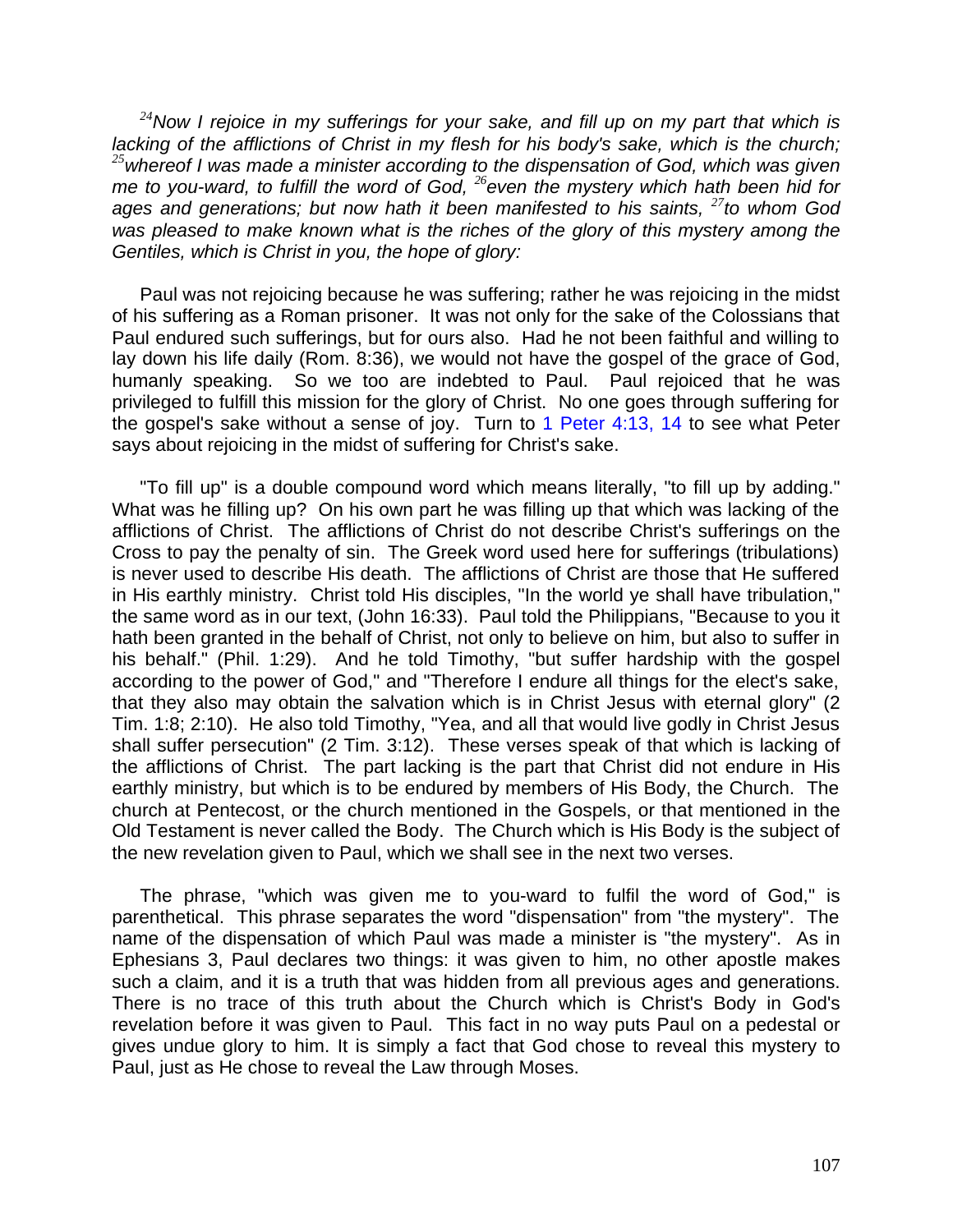*<sup>24</sup>Now I rejoice in my sufferings for your sake, and fill up on my part that which is lacking of the afflictions of Christ in my flesh for his body's sake, which is the church; <sup>25</sup>whereof I was made a minister according to the dispensation of God, which was given me to you-ward, to fulfill the word of God, <sup>26</sup>even the mystery which hath been hid for ages and generations; but now hath it been manifested to his saints, <sup>27</sup>to whom God was pleased to make known what is the riches of the glory of this mystery among the Gentiles, which is Christ in you, the hope of glory:*

Paul was not rejoicing because he was suffering; rather he was rejoicing in the midst of his suffering as a Roman prisoner. It was not only for the sake of the Colossians that Paul endured such sufferings, but for ours also. Had he not been faithful and willing to lay down his life daily (Rom. 8:36), we would not have the gospel of the grace of God, humanly speaking. So we too are indebted to Paul. Paul rejoiced that he was privileged to fulfill this mission for the glory of Christ. No one goes through suffering for the gospel's sake without a sense of joy. Turn to 1 Peter 4:13, 14 to see what Peter says about rejoicing in the midst of suffering for Christ's sake.

"To fill up" is a double compound word which means literally, "to fill up by adding." What was he filling up? On his own part he was filling up that which was lacking of the afflictions of Christ. The afflictions of Christ do not describe Christ's sufferings on the Cross to pay the penalty of sin. The Greek word used here for sufferings (tribulations) is never used to describe His death. The afflictions of Christ are those that He suffered in His earthly ministry. Christ told His disciples, "In the world ye shall have tribulation," the same word as in our text, (John 16:33). Paul told the Philippians, "Because to you it hath been granted in the behalf of Christ, not only to believe on him, but also to suffer in his behalf." (Phil. 1:29). And he told Timothy, "but suffer hardship with the gospel according to the power of God," and "Therefore I endure all things for the elect's sake, that they also may obtain the salvation which is in Christ Jesus with eternal glory" (2 Tim. 1:8; 2:10). He also told Timothy, "Yea, and all that would live godly in Christ Jesus shall suffer persecution" (2 Tim. 3:12). These verses speak of that which is lacking of the afflictions of Christ. The part lacking is the part that Christ did not endure in His earthly ministry, but which is to be endured by members of His Body, the Church. The church at Pentecost, or the church mentioned in the Gospels, or that mentioned in the Old Testament is never called the Body. The Church which is His Body is the subject of the new revelation given to Paul, which we shall see in the next two verses.

The phrase, "which was given me to you-ward to fulfil the word of God," is parenthetical. This phrase separates the word "dispensation" from "the mystery". The name of the dispensation of which Paul was made a minister is "the mystery". As in Ephesians 3, Paul declares two things: it was given to him, no other apostle makes such a claim, and it is a truth that was hidden from all previous ages and generations. There is no trace of this truth about the Church which is Christ's Body in God's revelation before it was given to Paul. This fact in no way puts Paul on a pedestal or gives undue glory to him. It is simply a fact that God chose to reveal this mystery to Paul, just as He chose to reveal the Law through Moses.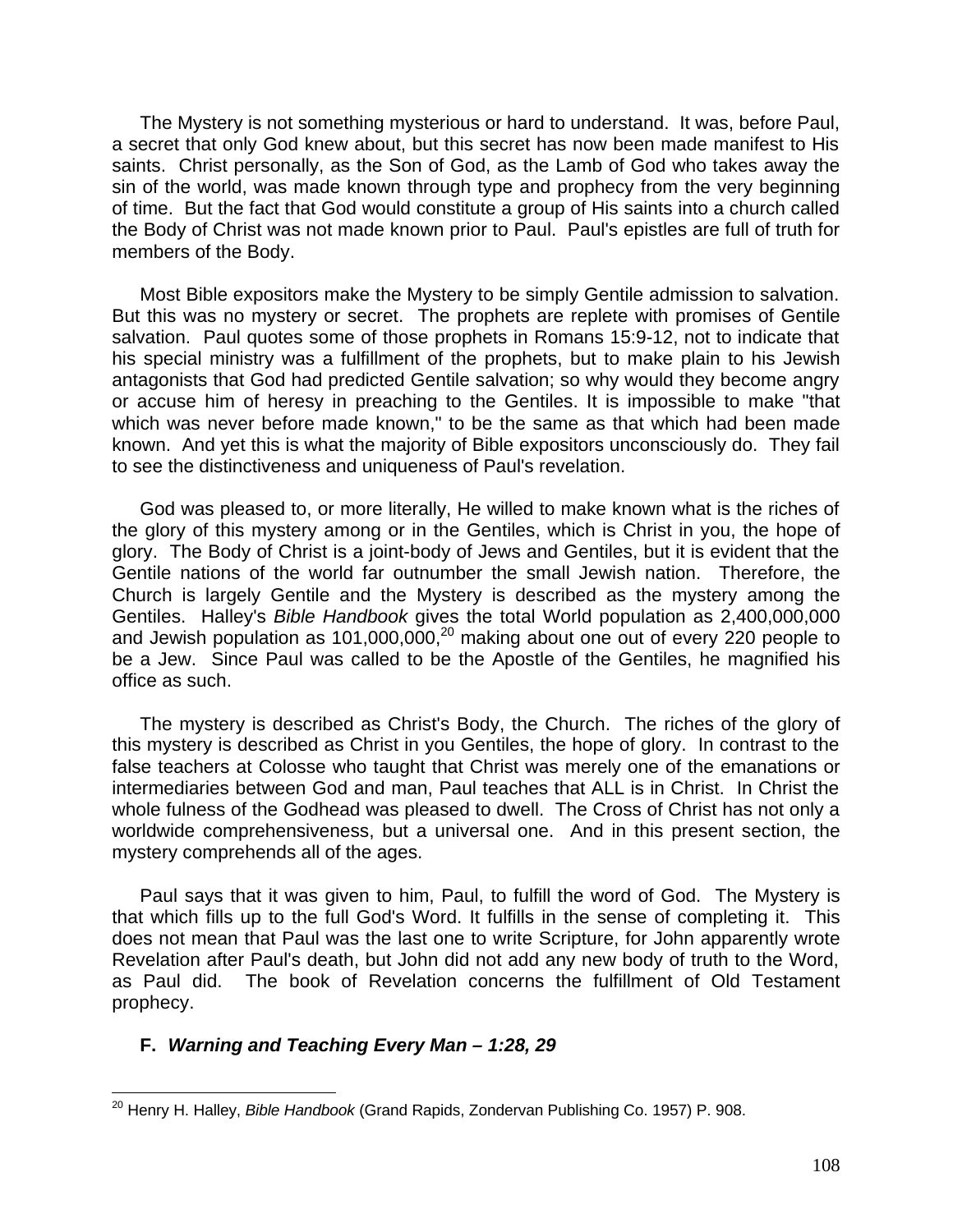The Mystery is not something mysterious or hard to understand. It was, before Paul, a secret that only God knew about, but this secret has now been made manifest to His saints. Christ personally, as the Son of God, as the Lamb of God who takes away the sin of the world, was made known through type and prophecy from the very beginning of time. But the fact that God would constitute a group of His saints into a church called the Body of Christ was not made known prior to Paul. Paul's epistles are full of truth for members of the Body.

Most Bible expositors make the Mystery to be simply Gentile admission to salvation. But this was no mystery or secret. The prophets are replete with promises of Gentile salvation. Paul quotes some of those prophets in Romans 15:9-12, not to indicate that his special ministry was a fulfillment of the prophets, but to make plain to his Jewish antagonists that God had predicted Gentile salvation; so why would they become angry or accuse him of heresy in preaching to the Gentiles. It is impossible to make "that which was never before made known," to be the same as that which had been made known. And yet this is what the majority of Bible expositors unconsciously do. They fail to see the distinctiveness and uniqueness of Paul's revelation.

God was pleased to, or more literally, He willed to make known what is the riches of the glory of this mystery among or in the Gentiles, which is Christ in you, the hope of glory. The Body of Christ is a joint-body of Jews and Gentiles, but it is evident that the Gentile nations of the world far outnumber the small Jewish nation. Therefore, the Church is largely Gentile and the Mystery is described as the mystery among the Gentiles. Halley's *Bible Handbook* gives the total World population as 2,400,000,000 and Jewish population as 101,000,000,<sup>20</sup> making about one out of every 220 people to be a Jew. Since Paul was called to be the Apostle of the Gentiles, he magnified his office as such.

The mystery is described as Christ's Body, the Church. The riches of the glory of this mystery is described as Christ in you Gentiles, the hope of glory. In contrast to the false teachers at Colosse who taught that Christ was merely one of the emanations or intermediaries between God and man, Paul teaches that ALL is in Christ. In Christ the whole fulness of the Godhead was pleased to dwell. The Cross of Christ has not only a worldwide comprehensiveness, but a universal one. And in this present section, the mystery comprehends all of the ages.

Paul says that it was given to him, Paul, to fulfill the word of God. The Mystery is that which fills up to the full God's Word. It fulfills in the sense of completing it. This does not mean that Paul was the last one to write Scripture, for John apparently wrote Revelation after Paul's death, but John did not add any new body of truth to the Word, as Paul did. The book of Revelation concerns the fulfillment of Old Testament prophecy.

### **F.** *Warning and Teaching Every Man – 1:28, 29*

 $\overline{\phantom{a}}$ <sup>20</sup> Henry H. Halley, *Bible Handbook* (Grand Rapids, Zondervan Publishing Co. 1957) P. 908.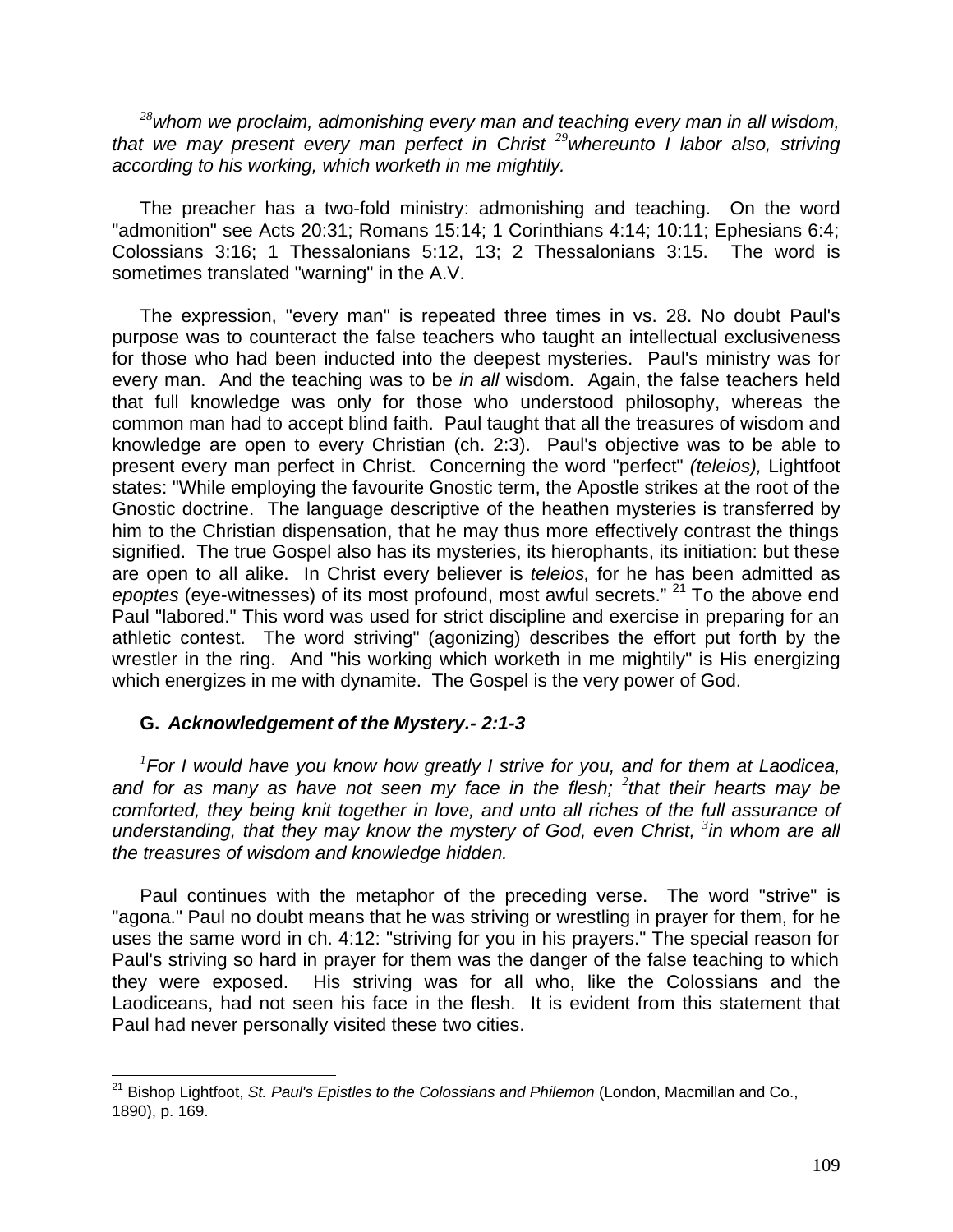*<sup>28</sup>whom we proclaim, admonishing every man and teaching every man in all wisdom, that we may present every man perfect in Christ <sup>29</sup>whereunto I labor also, striving according to his working, which worketh in me mightily.*

The preacher has a two-fold ministry: admonishing and teaching. On the word "admonition" see Acts 20:31; Romans 15:14; 1 Corinthians 4:14; 10:11; Ephesians 6:4; Colossians 3:16; 1 Thessalonians 5:12, 13; 2 Thessalonians 3:15. The word is sometimes translated "warning" in the A.V.

The expression, "every man" is repeated three times in vs. 28. No doubt Paul's purpose was to counteract the false teachers who taught an intellectual exclusiveness for those who had been inducted into the deepest mysteries. Paul's ministry was for every man. And the teaching was to be *in all* wisdom. Again, the false teachers held that full knowledge was only for those who understood philosophy, whereas the common man had to accept blind faith. Paul taught that all the treasures of wisdom and knowledge are open to every Christian (ch. 2:3). Paul's objective was to be able to present every man perfect in Christ. Concerning the word "perfect" *(teleios),* Lightfoot states: "While employing the favourite Gnostic term, the Apostle strikes at the root of the Gnostic doctrine. The language descriptive of the heathen mysteries is transferred by him to the Christian dispensation, that he may thus more effectively contrast the things signified. The true Gospel also has its mysteries, its hierophants, its initiation: but these are open to all alike. In Christ every believer is *teleios,* for he has been admitted as epoptes (eye-witnesses) of its most profound, most awful secrets." <sup>21</sup> To the above end Paul "labored." This word was used for strict discipline and exercise in preparing for an athletic contest. The word striving" (agonizing) describes the effort put forth by the wrestler in the ring. And "his working which worketh in me mightily" is His energizing which energizes in me with dynamite. The Gospel is the very power of God.

# **G.** *Acknowledgement of the Mystery.- 2:1-3*

*1 For I would have you know how greatly I strive for you, and for them at Laodicea, and for as many as have not seen my face in the flesh; <sup>2</sup> that their hearts may be comforted, they being knit together in love, and unto all riches of the full assurance of* understanding, that they may know the mystery of God, even Christ, <sup>3</sup> in whom are all *the treasures of wisdom and knowledge hidden.*

Paul continues with the metaphor of the preceding verse. The word "strive" is "agona." Paul no doubt means that he was striving or wrestling in prayer for them, for he uses the same word in ch. 4:12: "striving for you in his prayers." The special reason for Paul's striving so hard in prayer for them was the danger of the false teaching to which they were exposed. His striving was for all who, like the Colossians and the Laodiceans, had not seen his face in the flesh. It is evident from this statement that Paul had never personally visited these two cities.

 $\overline{\phantom{a}}$ <sup>21</sup> Bishop Lightfoot, *St. Paul's Epistles to the Colossians and Philemon* (London, Macmillan and Co., 1890), p. 169.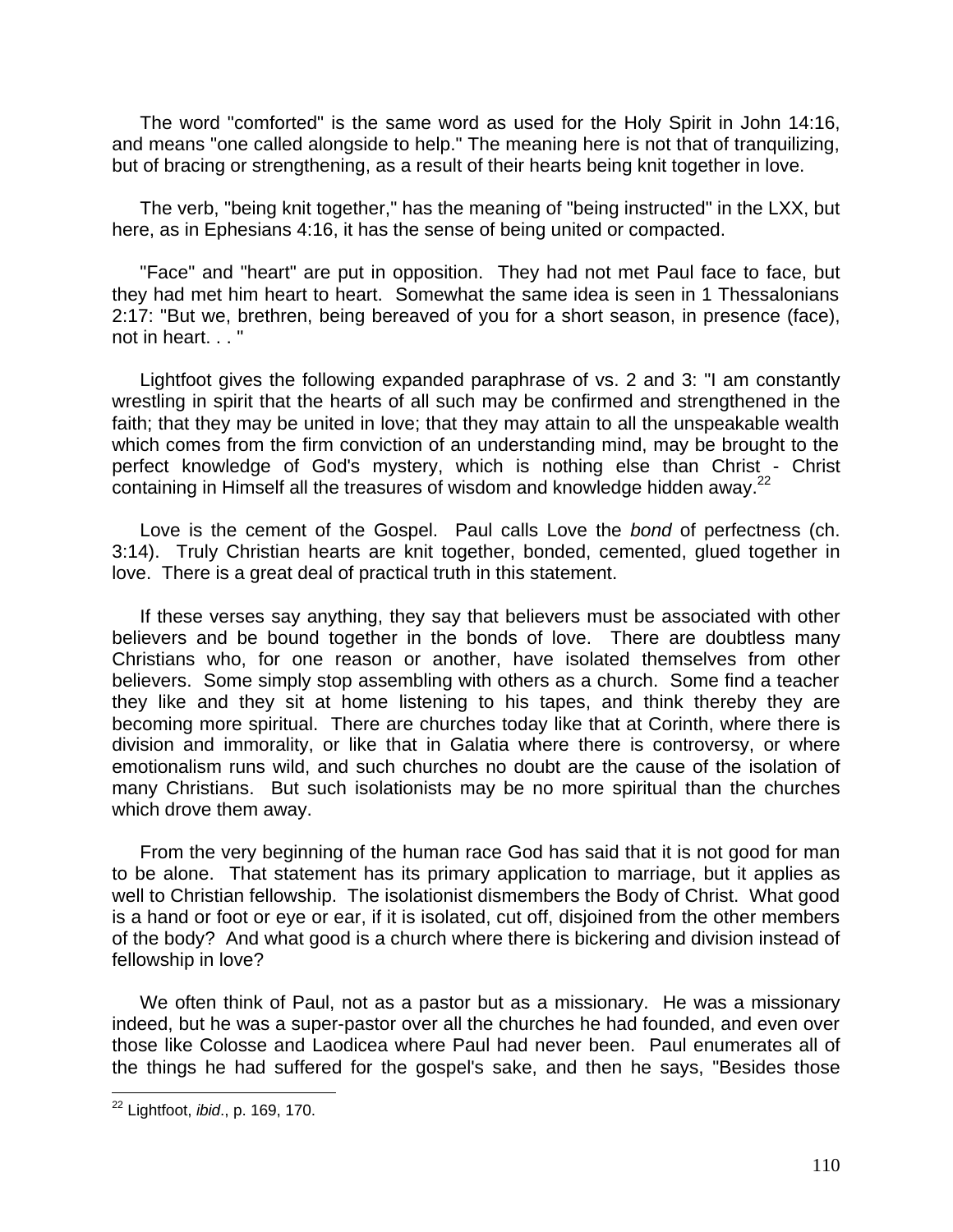The word "comforted" is the same word as used for the Holy Spirit in John 14:16, and means "one called alongside to help." The meaning here is not that of tranquilizing, but of bracing or strengthening, as a result of their hearts being knit together in love.

The verb, "being knit together," has the meaning of "being instructed" in the LXX, but here, as in Ephesians 4:16, it has the sense of being united or compacted.

"Face" and "heart" are put in opposition. They had not met Paul face to face, but they had met him heart to heart. Somewhat the same idea is seen in 1 Thessalonians 2:17: "But we, brethren, being bereaved of you for a short season, in presence (face), not in heart. . . "

Lightfoot gives the following expanded paraphrase of vs. 2 and 3: "I am constantly wrestling in spirit that the hearts of all such may be confirmed and strengthened in the faith; that they may be united in love; that they may attain to all the unspeakable wealth which comes from the firm conviction of an understanding mind, may be brought to the perfect knowledge of God's mystery, which is nothing else than Christ - Christ containing in Himself all the treasures of wisdom and knowledge hidden away.<sup>22</sup>

Love is the cement of the Gospel. Paul calls Love the *bond* of perfectness (ch. 3:14). Truly Christian hearts are knit together, bonded, cemented, glued together in love. There is a great deal of practical truth in this statement.

If these verses say anything, they say that believers must be associated with other believers and be bound together in the bonds of love. There are doubtless many Christians who, for one reason or another, have isolated themselves from other believers. Some simply stop assembling with others as a church. Some find a teacher they like and they sit at home listening to his tapes, and think thereby they are becoming more spiritual. There are churches today like that at Corinth, where there is division and immorality, or like that in Galatia where there is controversy, or where emotionalism runs wild, and such churches no doubt are the cause of the isolation of many Christians. But such isolationists may be no more spiritual than the churches which drove them away.

From the very beginning of the human race God has said that it is not good for man to be alone. That statement has its primary application to marriage, but it applies as well to Christian fellowship. The isolationist dismembers the Body of Christ. What good is a hand or foot or eye or ear, if it is isolated, cut off, disjoined from the other members of the body? And what good is a church where there is bickering and division instead of fellowship in love?

We often think of Paul, not as a pastor but as a missionary. He was a missionary indeed, but he was a super-pastor over all the churches he had founded, and even over those like Colosse and Laodicea where Paul had never been. Paul enumerates all of the things he had suffered for the gospel's sake, and then he says, "Besides those

 $\overline{a}$ <sup>22</sup> Lightfoot, *ibid*., p. 169, 170.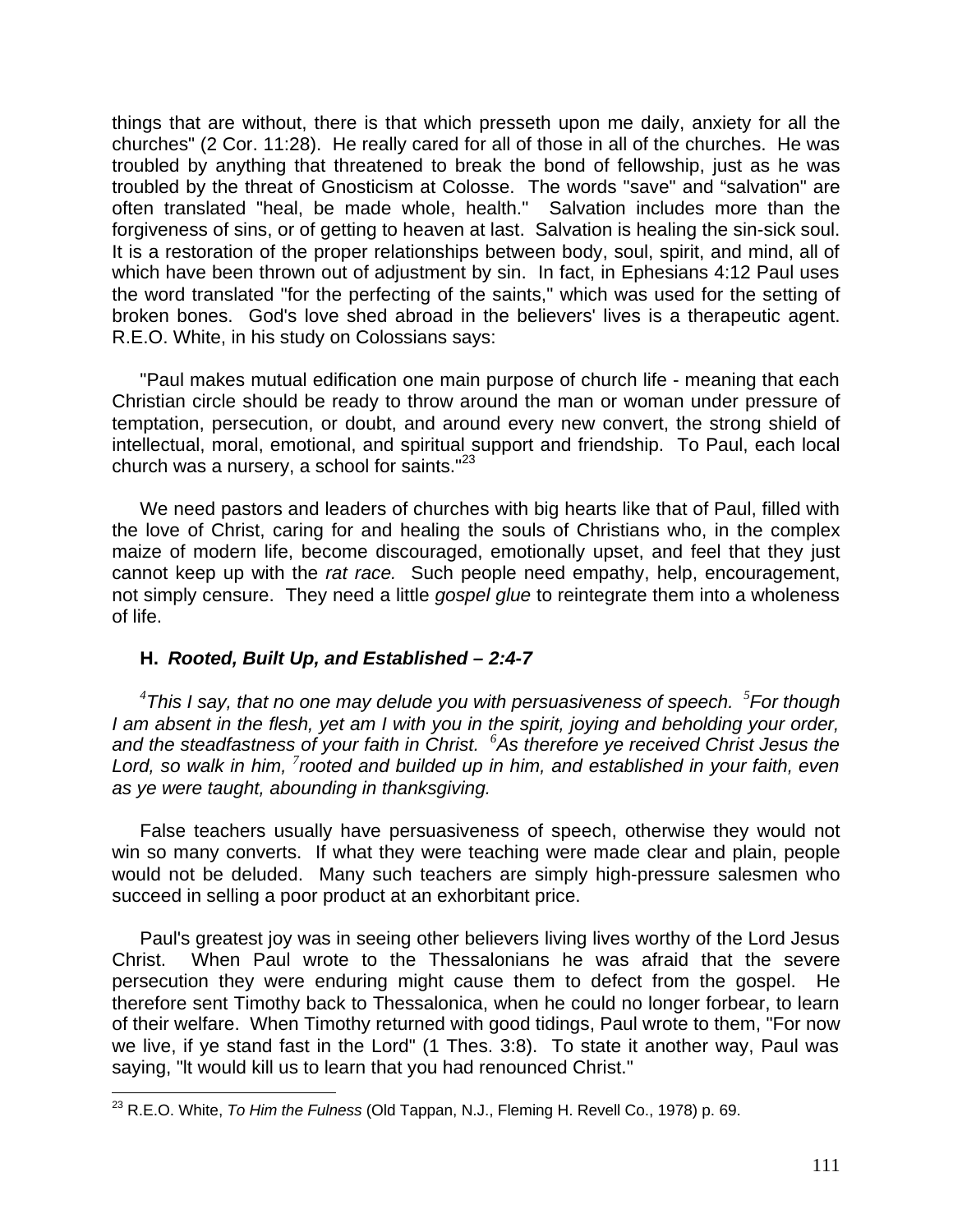things that are without, there is that which presseth upon me daily, anxiety for all the churches" (2 Cor. 11:28). He really cared for all of those in all of the churches. He was troubled by anything that threatened to break the bond of fellowship, just as he was troubled by the threat of Gnosticism at Colosse. The words "save" and "salvation" are often translated "heal, be made whole, health." Salvation includes more than the forgiveness of sins, or of getting to heaven at last. Salvation is healing the sin-sick soul. It is a restoration of the proper relationships between body, soul, spirit, and mind, all of which have been thrown out of adjustment by sin. In fact, in Ephesians 4:12 Paul uses the word translated "for the perfecting of the saints," which was used for the setting of broken bones. God's love shed abroad in the believers' lives is a therapeutic agent. R.E.O. White, in his study on Colossians says:

"Paul makes mutual edification one main purpose of church life - meaning that each Christian circle should be ready to throw around the man or woman under pressure of temptation, persecution, or doubt, and around every new convert, the strong shield of intellectual, moral, emotional, and spiritual support and friendship. To Paul, each local church was a nursery, a school for saints. $"^{23}$ 

We need pastors and leaders of churches with big hearts like that of Paul, filled with the love of Christ, caring for and healing the souls of Christians who, in the complex maize of modern life, become discouraged, emotionally upset, and feel that they just cannot keep up with the *rat race.* Such people need empathy, help, encouragement, not simply censure. They need a little *gospel glue* to reintegrate them into a wholeness of life.

# **H.** *Rooted, Built Up, and Established – 2:4-7*

*4 This I say, that no one may delude you with persuasiveness of speech. <sup>5</sup> For though I am absent in the flesh, yet am I with you in the spirit, joying and beholding your order, and the steadfastness of your faith in Christ. <sup>6</sup>As therefore ye received Christ Jesus the*  Lord, so walk in him, <sup>7</sup> rooted and builded up in him, and established in your faith, even *as ye were taught, abounding in thanksgiving.*

False teachers usually have persuasiveness of speech, otherwise they would not win so many converts. If what they were teaching were made clear and plain, people would not be deluded. Many such teachers are simply high-pressure salesmen who succeed in selling a poor product at an exhorbitant price.

Paul's greatest joy was in seeing other believers living lives worthy of the Lord Jesus Christ. When Paul wrote to the Thessalonians he was afraid that the severe persecution they were enduring might cause them to defect from the gospel. He therefore sent Timothy back to Thessalonica, when he could no longer forbear, to learn of their welfare. When Timothy returned with good tidings, Paul wrote to them, "For now we live, if ye stand fast in the Lord" (1 Thes. 3:8). To state it another way, Paul was saying, "lt would kill us to learn that you had renounced Christ."

 $\overline{\phantom{a}}$ <sup>23</sup> R.E.O. White, *To Him the Fulness* (Old Tappan, N.J., Fleming H. Revell Co., 1978) p. 69.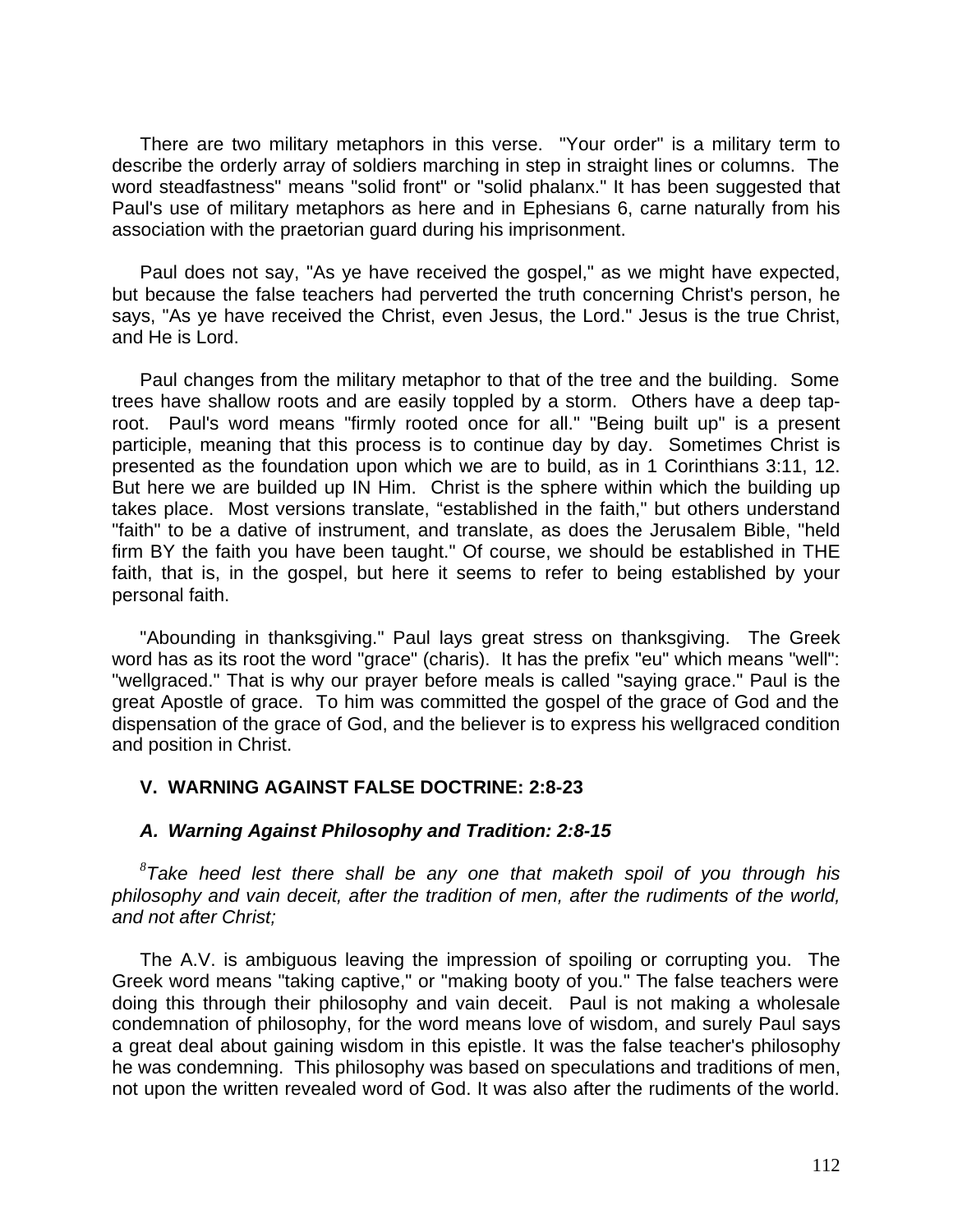There are two military metaphors in this verse. "Your order" is a military term to describe the orderly array of soldiers marching in step in straight lines or columns. The word steadfastness" means "solid front" or "solid phalanx." It has been suggested that Paul's use of military metaphors as here and in Ephesians 6, carne naturally from his association with the praetorian guard during his imprisonment.

Paul does not say, "As ye have received the gospel," as we might have expected, but because the false teachers had perverted the truth concerning Christ's person, he says, "As ye have received the Christ, even Jesus, the Lord." Jesus is the true Christ, and He is Lord.

Paul changes from the military metaphor to that of the tree and the building. Some trees have shallow roots and are easily toppled by a storm. Others have a deep taproot. Paul's word means "firmly rooted once for all." "Being built up" is a present participle, meaning that this process is to continue day by day. Sometimes Christ is presented as the foundation upon which we are to build, as in 1 Corinthians 3:11, 12. But here we are builded up IN Him. Christ is the sphere within which the building up takes place. Most versions translate, "established in the faith," but others understand "faith" to be a dative of instrument, and translate, as does the Jerusalem Bible, "held firm BY the faith you have been taught." Of course, we should be established in THE faith, that is, in the gospel, but here it seems to refer to being established by your personal faith.

"Abounding in thanksgiving." Paul lays great stress on thanksgiving. The Greek word has as its root the word "grace" (charis). It has the prefix "eu" which means "well": "wellgraced." That is why our prayer before meals is called "saying grace." Paul is the great Apostle of grace. To him was committed the gospel of the grace of God and the dispensation of the grace of God, and the believer is to express his wellgraced condition and position in Christ.

# **V. WARNING AGAINST FALSE DOCTRINE: 2:8-23**

### *A. Warning Against Philosophy and Tradition: 2:8-15*

*8 Take heed lest there shall be any one that maketh spoil of you through his philosophy and vain deceit, after the tradition of men, after the rudiments of the world, and not after Christ;*

The A.V. is ambiguous leaving the impression of spoiling or corrupting you. The Greek word means "taking captive," or "making booty of you." The false teachers were doing this through their philosophy and vain deceit. Paul is not making a wholesale condemnation of philosophy, for the word means love of wisdom, and surely Paul says a great deal about gaining wisdom in this epistle. It was the false teacher's philosophy he was condemning. This philosophy was based on speculations and traditions of men. not upon the written revealed word of God. It was also after the rudiments of the world.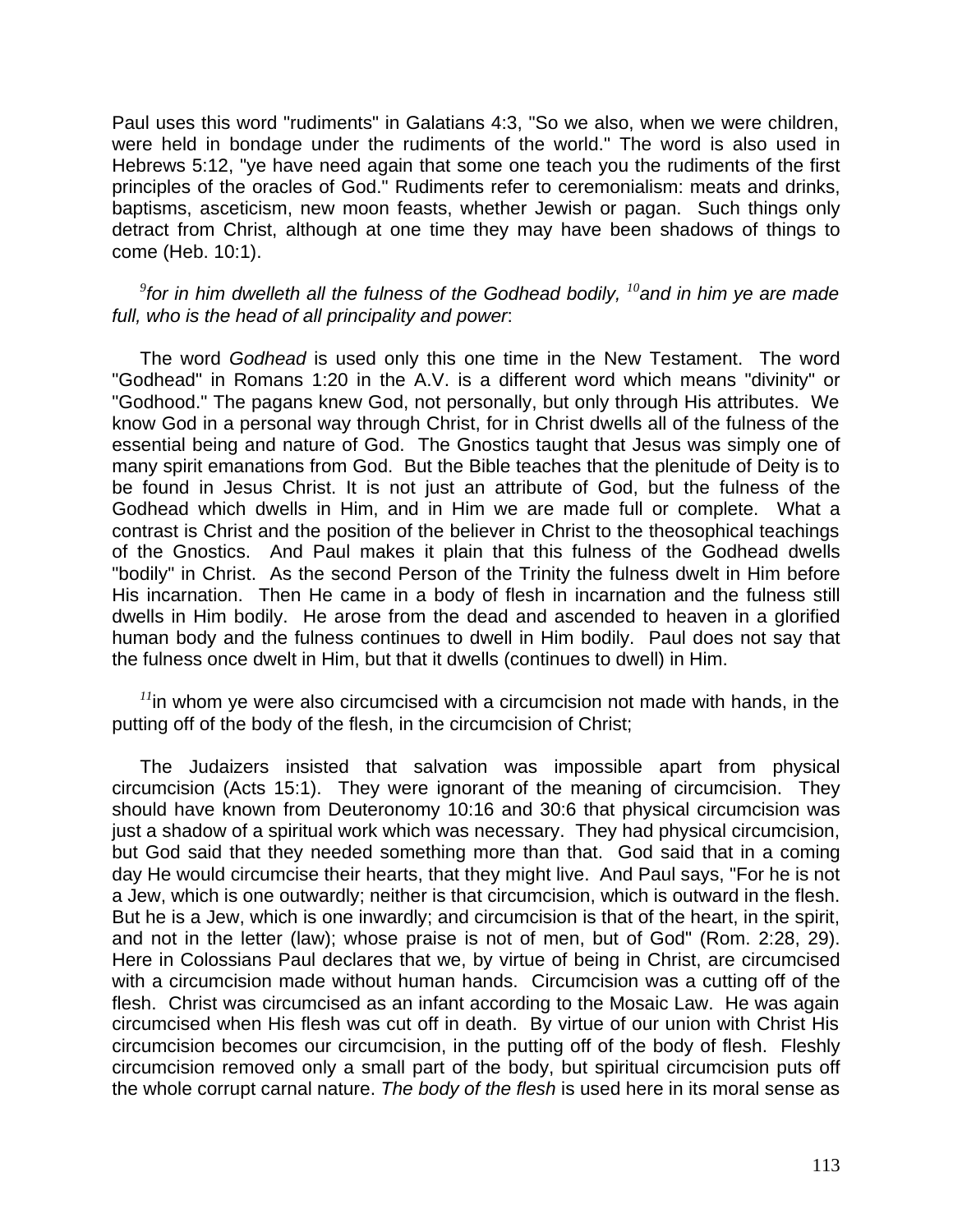Paul uses this word "rudiments" in Galatians 4:3, "So we also, when we were children, were held in bondage under the rudiments of the world." The word is also used in Hebrews 5:12, "ye have need again that some one teach you the rudiments of the first principles of the oracles of God." Rudiments refer to ceremonialism: meats and drinks, baptisms, asceticism, new moon feasts, whether Jewish or pagan. Such things only detract from Christ, although at one time they may have been shadows of things to come (Heb. 10:1).

# *9 for in him dwelleth all the fulness of the Godhead bodily, <sup>10</sup>and in him ye are made full, who is the head of all principality and power*:

The word *Godhead* is used only this one time in the New Testament. The word "Godhead" in Romans 1:20 in the A.V. is a different word which means "divinity" or "Godhood." The pagans knew God, not personally, but only through His attributes. We know God in a personal way through Christ, for in Christ dwells all of the fulness of the essential being and nature of God. The Gnostics taught that Jesus was simply one of many spirit emanations from God. But the Bible teaches that the plenitude of Deity is to be found in Jesus Christ. It is not just an attribute of God, but the fulness of the Godhead which dwells in Him, and in Him we are made full or complete. What a contrast is Christ and the position of the believer in Christ to the theosophical teachings of the Gnostics. And Paul makes it plain that this fulness of the Godhead dwells "bodily" in Christ. As the second Person of the Trinity the fulness dwelt in Him before His incarnation. Then He came in a body of flesh in incarnation and the fulness still dwells in Him bodily. He arose from the dead and ascended to heaven in a glorified human body and the fulness continues to dwell in Him bodily. Paul does not say that the fulness once dwelt in Him, but that it dwells (continues to dwell) in Him.

*<sup>11</sup>*in whom ye were also circumcised with a circumcision not made with hands, in the putting off of the body of the flesh, in the circumcision of Christ;

The Judaizers insisted that salvation was impossible apart from physical circumcision (Acts 15:1). They were ignorant of the meaning of circumcision. They should have known from Deuteronomy 10:16 and 30:6 that physical circumcision was just a shadow of a spiritual work which was necessary. They had physical circumcision, but God said that they needed something more than that. God said that in a coming day He would circumcise their hearts, that they might live. And Paul says, "For he is not a Jew, which is one outwardly; neither is that circumcision, which is outward in the flesh. But he is a Jew, which is one inwardly; and circumcision is that of the heart, in the spirit, and not in the letter (law); whose praise is not of men, but of God" (Rom. 2:28, 29). Here in Colossians Paul declares that we, by virtue of being in Christ, are circumcised with a circumcision made without human hands. Circumcision was a cutting off of the flesh. Christ was circumcised as an infant according to the Mosaic Law. He was again circumcised when His flesh was cut off in death. By virtue of our union with Christ His circumcision becomes our circumcision, in the putting off of the body of flesh. Fleshly circumcision removed only a small part of the body, but spiritual circumcision puts off the whole corrupt carnal nature. *The body of the flesh* is used here in its moral sense as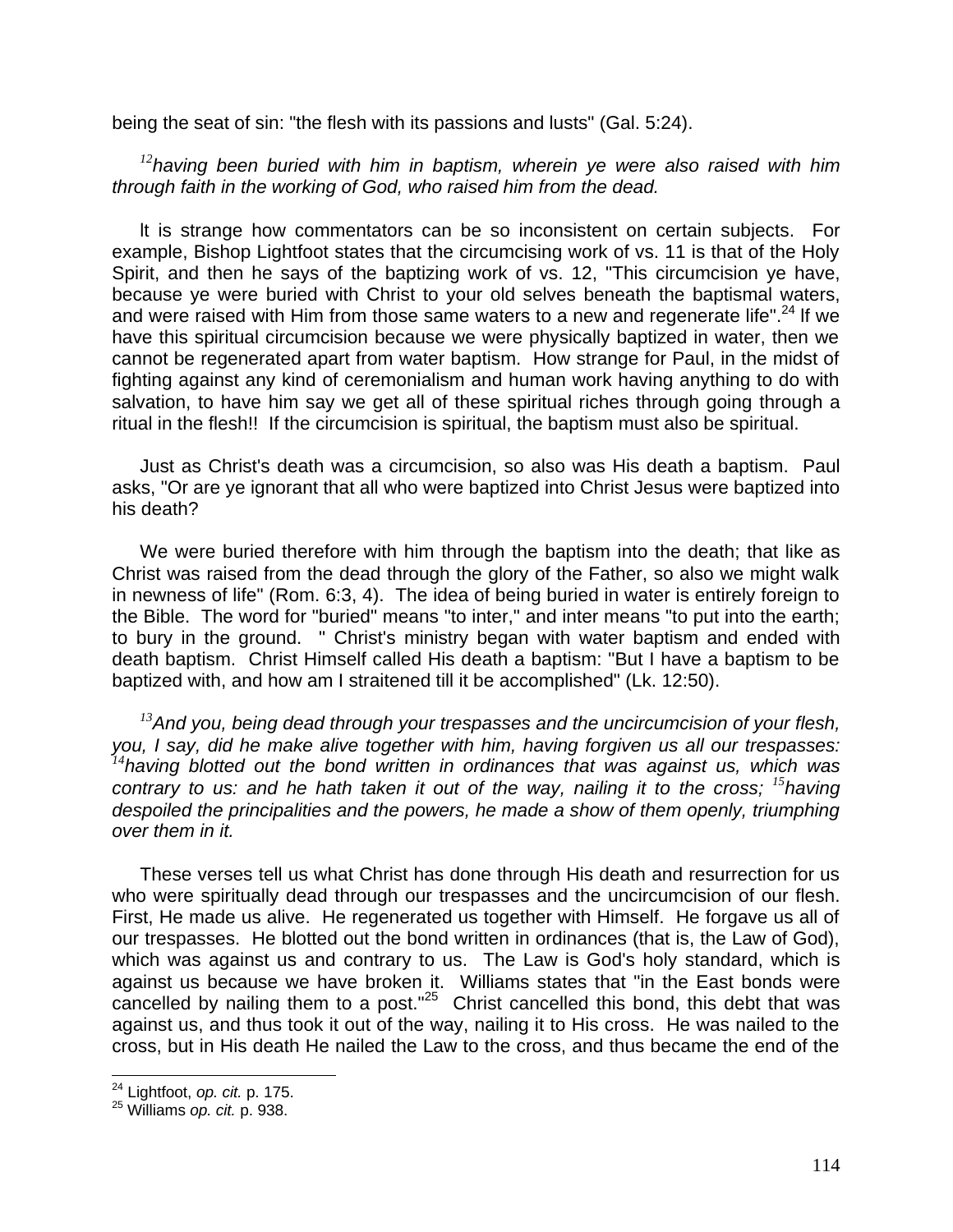being the seat of sin: "the flesh with its passions and lusts" (Gal. 5:24).

*<sup>12</sup>having been buried with him in baptism, wherein ye were also raised with him through faith in the working of God, who raised him from the dead.*

lt is strange how commentators can be so inconsistent on certain subjects. For example, Bishop Lightfoot states that the circumcising work of vs. 11 is that of the Holy Spirit, and then he says of the baptizing work of vs. 12, "This circumcision ye have, because ye were buried with Christ to your old selves beneath the baptismal waters, and were raised with Him from those same waters to a new and regenerate life".<sup>24</sup> If we have this spiritual circumcision because we were physically baptized in water, then we cannot be regenerated apart from water baptism. How strange for Paul, in the midst of fighting against any kind of ceremonialism and human work having anything to do with salvation, to have him say we get all of these spiritual riches through going through a ritual in the flesh!! If the circumcision is spiritual, the baptism must also be spiritual.

Just as Christ's death was a circumcision, so also was His death a baptism. Paul asks, "Or are ye ignorant that all who were baptized into Christ Jesus were baptized into his death?

We were buried therefore with him through the baptism into the death; that like as Christ was raised from the dead through the glory of the Father, so also we might walk in newness of life" (Rom. 6:3, 4). The idea of being buried in water is entirely foreign to the Bible. The word for "buried" means "to inter," and inter means "to put into the earth; to bury in the ground. " Christ's ministry began with water baptism and ended with death baptism. Christ Himself called His death a baptism: "But I have a baptism to be baptized with, and how am I straitened till it be accomplished" (Lk. 12:50).

*<sup>13</sup>And you, being dead through your trespasses and the uncircumcision of your flesh, you, I say, did he make alive together with him, having forgiven us all our trespasses: <sup>14</sup>having blotted out the bond written in ordinances that was against us, which was contrary to us: and he hath taken it out of the way, nailing it to the cross; <sup>15</sup><i>having despoiled the principalities and the powers, he made a show of them openly, triumphing over them in it.*

These verses tell us what Christ has done through His death and resurrection for us who were spiritually dead through our trespasses and the uncircumcision of our flesh. First, He made us alive. He regenerated us together with Himself. He forgave us all of our trespasses. He blotted out the bond written in ordinances (that is, the Law of God), which was against us and contrary to us. The Law is God's holy standard, which is against us because we have broken it. Williams states that "in the East bonds were cancelled by nailing them to a post. $n^{25}$  Christ cancelled this bond, this debt that was against us, and thus took it out of the way, nailing it to His cross. He was nailed to the cross, but in His death He nailed the Law to the cross, and thus became the end of the

 $\overline{a}$ 

<sup>24</sup> Lightfoot, *op. cit.* p. 175.

<sup>25</sup> Williams *op. cit.* p. 938.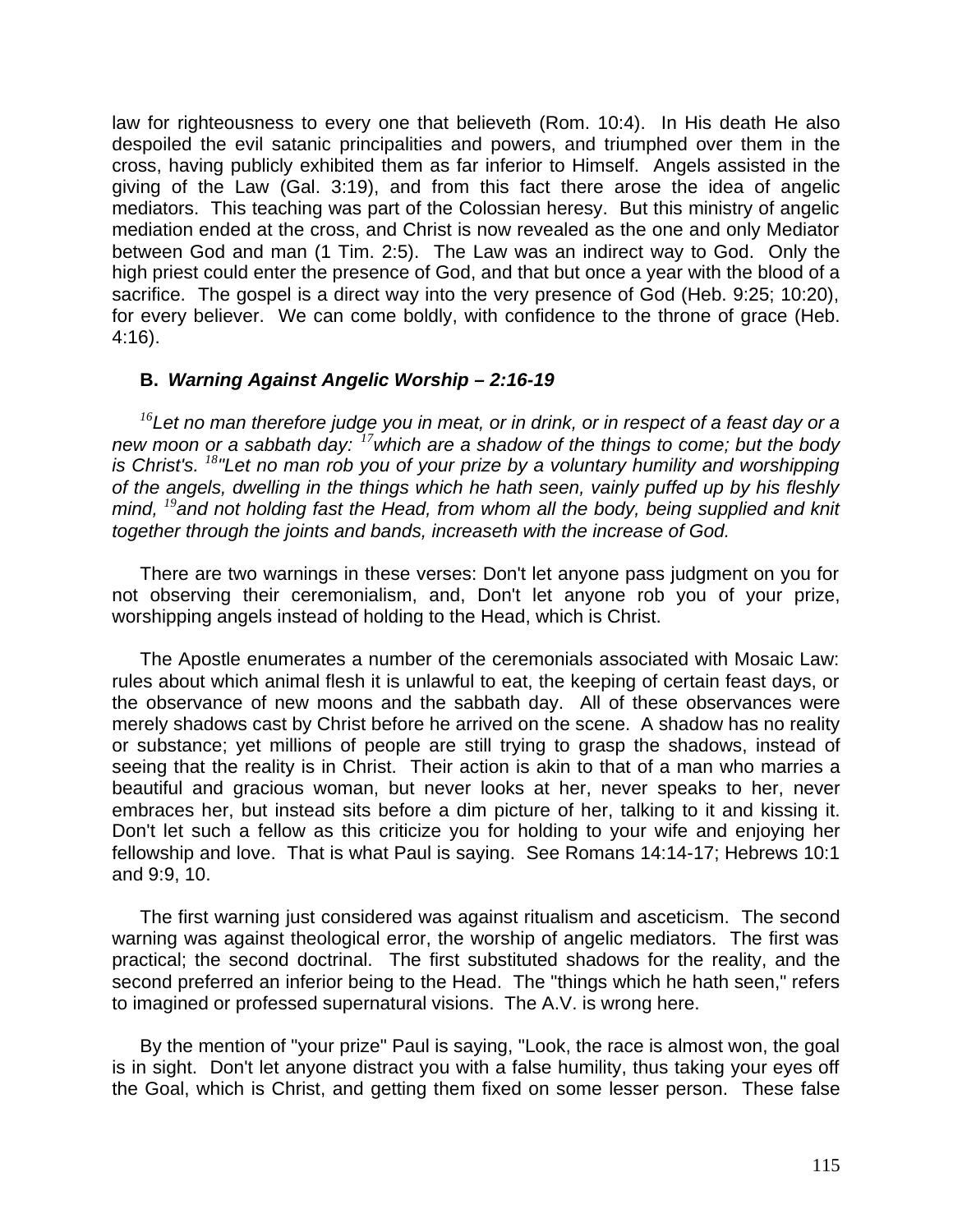law for righteousness to every one that believeth (Rom. 10:4). In His death He also despoiled the evil satanic principalities and powers, and triumphed over them in the cross, having publicly exhibited them as far inferior to Himself. Angels assisted in the giving of the Law (Gal. 3:19), and from this fact there arose the idea of angelic mediators. This teaching was part of the Colossian heresy. But this ministry of angelic mediation ended at the cross, and Christ is now revealed as the one and only Mediator between God and man (1 Tim. 2:5). The Law was an indirect way to God. Only the high priest could enter the presence of God, and that but once a year with the blood of a sacrifice. The gospel is a direct way into the very presence of God (Heb. 9:25; 10:20), for every believer. We can come boldly, with confidence to the throne of grace (Heb. 4:16).

# **B.** *Warning Against Angelic Worship – 2:16-19*

*<sup>16</sup>Let no man therefore judge you in meat, or in drink, or in respect of a feast day or a new moon or a sabbath day:<sup>17</sup>which are a shadow of the things to come; but the body is Christ's. <sup>18</sup>"Let no man rob you of your prize by a voluntary humility and worshipping of the angels, dwelling in the things which he hath seen, vainly puffed up by his fleshly mind, <sup>19</sup>and not holding fast the Head, from whom all the body, being supplied and knit together through the joints and bands, increaseth with the increase of God.*

There are two warnings in these verses: Don't let anyone pass judgment on you for not observing their ceremonialism, and, Don't let anyone rob you of your prize, worshipping angels instead of holding to the Head, which is Christ.

The Apostle enumerates a number of the ceremonials associated with Mosaic Law: rules about which animal flesh it is unlawful to eat, the keeping of certain feast days, or the observance of new moons and the sabbath day. All of these observances were merely shadows cast by Christ before he arrived on the scene. A shadow has no reality or substance; yet millions of people are still trying to grasp the shadows, instead of seeing that the reality is in Christ. Their action is akin to that of a man who marries a beautiful and gracious woman, but never looks at her, never speaks to her, never embraces her, but instead sits before a dim picture of her, talking to it and kissing it. Don't let such a fellow as this criticize you for holding to your wife and enjoying her fellowship and love. That is what Paul is saying. See Romans 14:14-17; Hebrews 10:1 and 9:9, 10.

The first warning just considered was against ritualism and asceticism. The second warning was against theological error, the worship of angelic mediators. The first was practical; the second doctrinal. The first substituted shadows for the reality, and the second preferred an inferior being to the Head. The "things which he hath seen," refers to imagined or professed supernatural visions. The A.V. is wrong here.

By the mention of "your prize" Paul is saying, "Look, the race is almost won, the goal is in sight. Don't let anyone distract you with a false humility, thus taking your eyes off the Goal, which is Christ, and getting them fixed on some lesser person. These false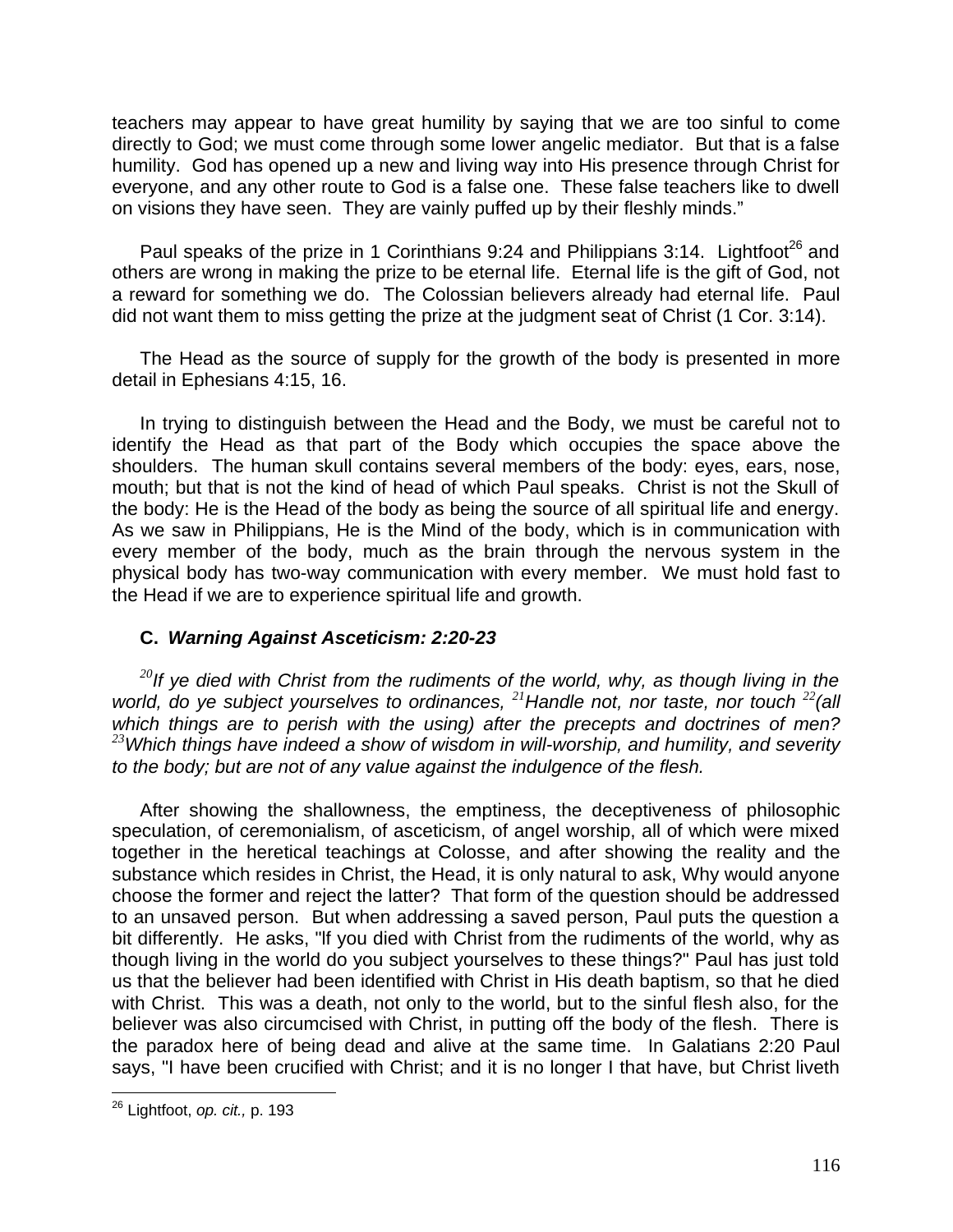teachers may appear to have great humility by saying that we are too sinful to come directly to God; we must come through some lower angelic mediator. But that is a false humility. God has opened up a new and living way into His presence through Christ for everyone, and any other route to God is a false one. These false teachers like to dwell on visions they have seen. They are vainly puffed up by their fleshly minds."

Paul speaks of the prize in 1 Corinthians 9:24 and Philippians 3:14. Lightfoot<sup>26</sup> and others are wrong in making the prize to be eternal life. Eternal life is the gift of God, not a reward for something we do. The Colossian believers already had eternal life. Paul did not want them to miss getting the prize at the judgment seat of Christ (1 Cor. 3:14).

The Head as the source of supply for the growth of the body is presented in more detail in Ephesians 4:15, 16.

In trying to distinguish between the Head and the Body, we must be careful not to identify the Head as that part of the Body which occupies the space above the shoulders. The human skull contains several members of the body: eyes, ears, nose, mouth; but that is not the kind of head of which Paul speaks. Christ is not the Skull of the body: He is the Head of the body as being the source of all spiritual life and energy. As we saw in Philippians, He is the Mind of the body, which is in communication with every member of the body, much as the brain through the nervous system in the physical body has two-way communication with every member. We must hold fast to the Head if we are to experience spiritual life and growth.

# **C.** *Warning Against Asceticism: 2:20-23*

*<sup>20</sup>If ye died with Christ from the rudiments of the world, why, as though living in the world, do ye subject yourselves to ordinances, <sup>21</sup>Handle not, nor taste, nor touch <sup>22</sup>(all which things are to perish with the using) after the precepts and doctrines of men? <sup>23</sup>Which things have indeed a show of wisdom in will-worship, and humility, and severity to the body; but are not of any value against the indulgence of the flesh.*

After showing the shallowness, the emptiness, the deceptiveness of philosophic speculation, of ceremonialism, of asceticism, of angel worship, all of which were mixed together in the heretical teachings at Colosse, and after showing the reality and the substance which resides in Christ, the Head, it is only natural to ask, Why would anyone choose the former and reject the latter? That form of the question should be addressed to an unsaved person. But when addressing a saved person, Paul puts the question a bit differently. He asks, "lf you died with Christ from the rudiments of the world, why as though living in the world do you subject yourselves to these things?" Paul has just told us that the believer had been identified with Christ in His death baptism, so that he died with Christ. This was a death, not only to the world, but to the sinful flesh also, for the believer was also circumcised with Christ, in putting off the body of the flesh. There is the paradox here of being dead and alive at the same time. In Galatians 2:20 Paul says, "I have been crucified with Christ; and it is no longer I that have, but Christ liveth

 $\overline{\phantom{a}}$ <sup>26</sup> Lightfoot, *op. cit.,* p. 193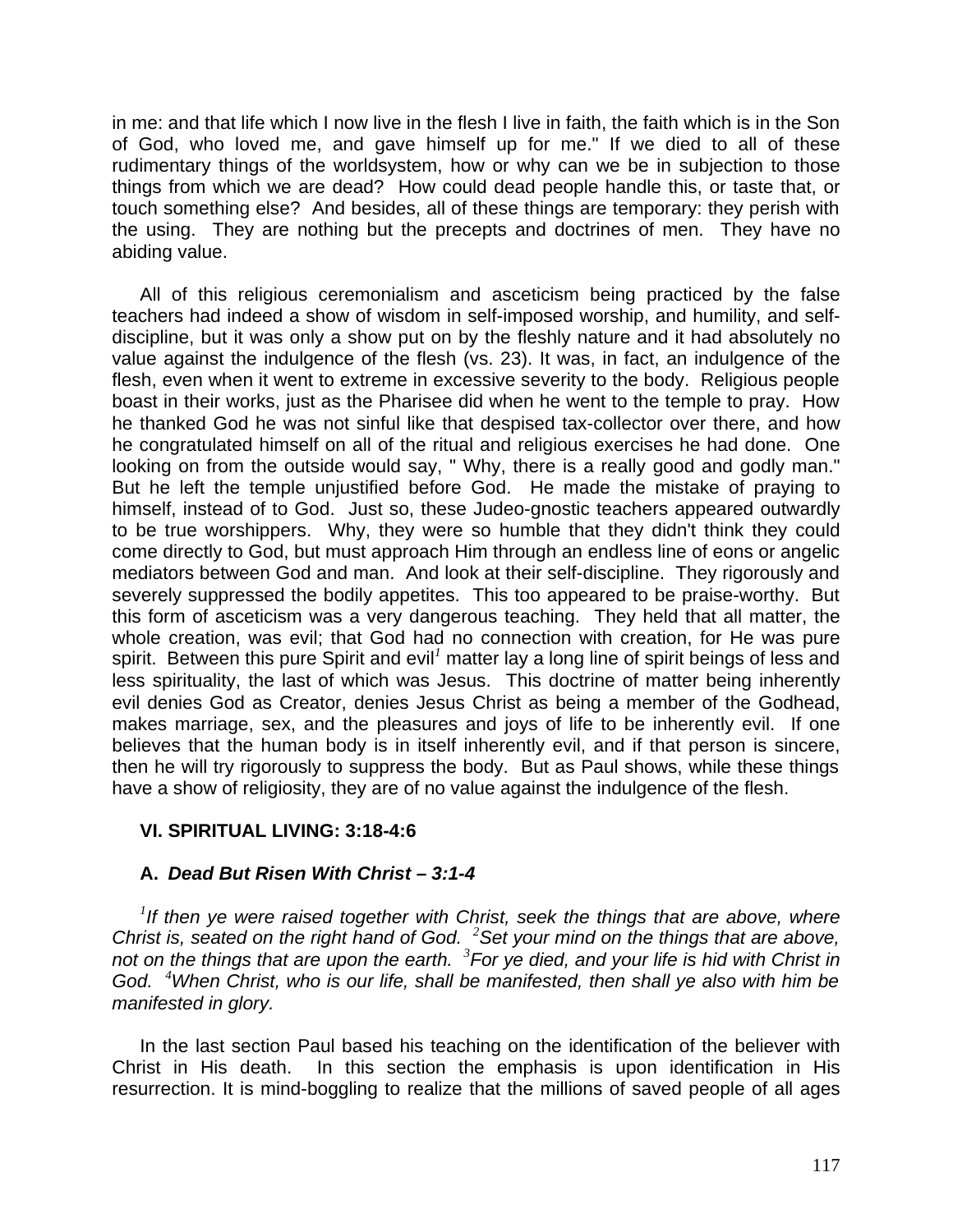in me: and that life which I now live in the flesh I live in faith, the faith which is in the Son of God, who loved me, and gave himself up for me." If we died to all of these rudimentary things of the worldsystem, how or why can we be in subjection to those things from which we are dead? How could dead people handle this, or taste that, or touch something else? And besides, all of these things are temporary: they perish with the using. They are nothing but the precepts and doctrines of men. They have no abiding value.

All of this religious ceremonialism and asceticism being practiced by the false teachers had indeed a show of wisdom in self-imposed worship, and humility, and selfdiscipline, but it was only a show put on by the fleshly nature and it had absolutely no value against the indulgence of the flesh (vs. 23). It was, in fact, an indulgence of the flesh, even when it went to extreme in excessive severity to the body. Religious people boast in their works, just as the Pharisee did when he went to the temple to pray. How he thanked God he was not sinful like that despised tax-collector over there, and how he congratulated himself on all of the ritual and religious exercises he had done. One looking on from the outside would say, " Why, there is a really good and godly man." But he left the temple unjustified before God. He made the mistake of praying to himself, instead of to God. Just so, these Judeo-gnostic teachers appeared outwardly to be true worshippers. Why, they were so humble that they didn't think they could come directly to God, but must approach Him through an endless line of eons or angelic mediators between God and man. And look at their self-discipline. They rigorously and severely suppressed the bodily appetites. This too appeared to be praise-worthy. But this form of asceticism was a very dangerous teaching. They held that all matter, the whole creation, was evil; that God had no connection with creation, for He was pure spirit. Between this pure Spirit and evil<sup>1</sup> matter lay a long line of spirit beings of less and less spirituality, the last of which was Jesus. This doctrine of matter being inherently evil denies God as Creator, denies Jesus Christ as being a member of the Godhead, makes marriage, sex, and the pleasures and joys of life to be inherently evil. If one believes that the human body is in itself inherently evil, and if that person is sincere, then he will try rigorously to suppress the body. But as Paul shows, while these things have a show of religiosity, they are of no value against the indulgence of the flesh.

# **VI. SPIRITUAL LIVING: 3:18-4:6**

# **A.** *Dead But Risen With Christ – 3:1-4*

*1 If then ye were raised together with Christ, seek the things that are above, where Christ is, seated on the right hand of God. <sup>2</sup>Set your mind on the things that are above, not on the things that are upon the earth. <sup>3</sup> For ye died, and your life is hid with Christ in God. <sup>4</sup>When Christ, who is our life, shall be manifested, then shall ye also with him be manifested in glory.*

In the last section Paul based his teaching on the identification of the believer with Christ in His death. In this section the emphasis is upon identification in His resurrection. It is mind-boggling to realize that the millions of saved people of all ages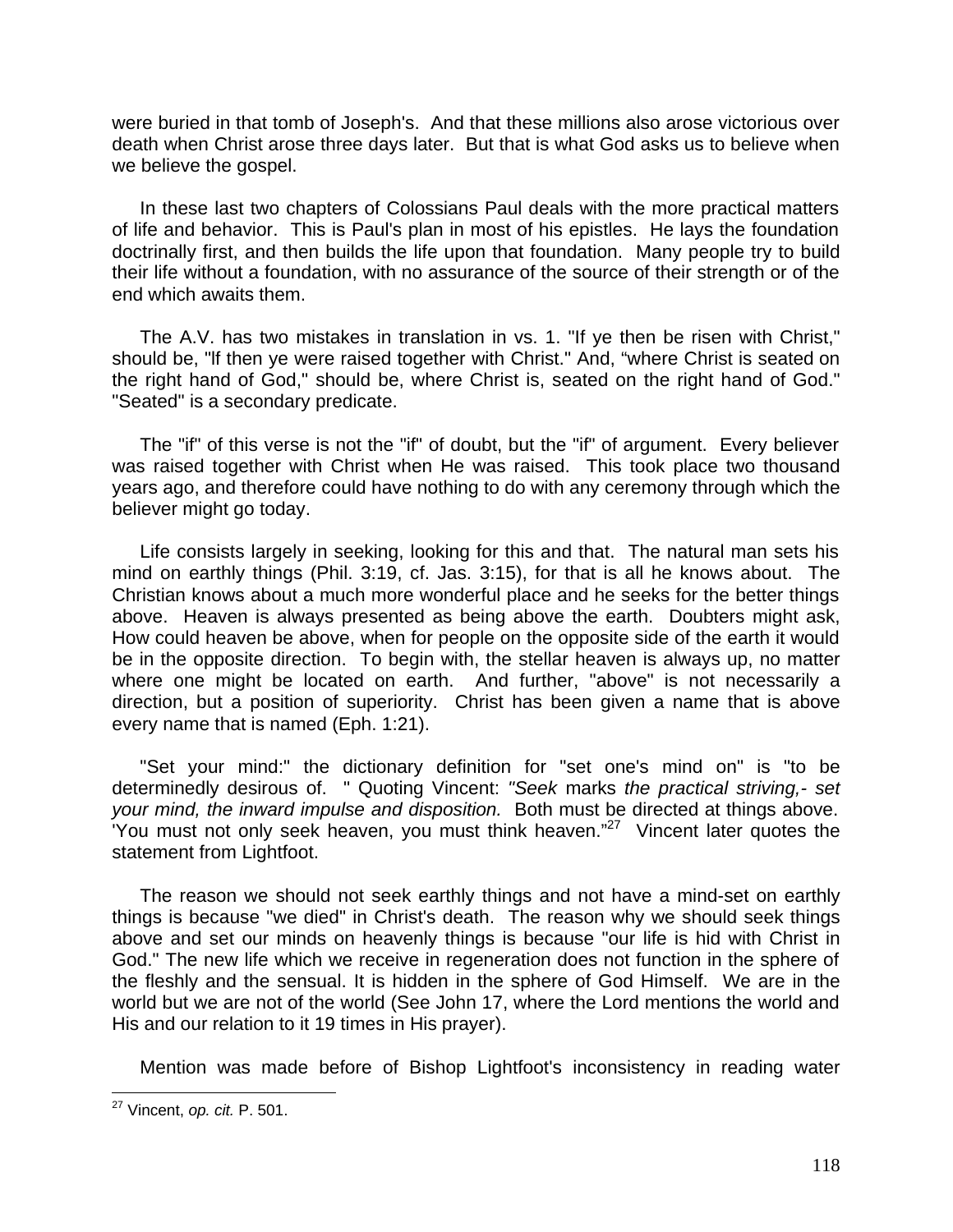were buried in that tomb of Joseph's. And that these millions also arose victorious over death when Christ arose three days later. But that is what God asks us to believe when we believe the gospel.

In these last two chapters of Colossians Paul deals with the more practical matters of life and behavior. This is Paul's plan in most of his epistles. He lays the foundation doctrinally first, and then builds the life upon that foundation. Many people try to build their life without a foundation, with no assurance of the source of their strength or of the end which awaits them.

The A.V. has two mistakes in translation in vs. 1. "If ye then be risen with Christ," should be, "lf then ye were raised together with Christ." And, "where Christ is seated on the right hand of God," should be, where Christ is, seated on the right hand of God." "Seated" is a secondary predicate.

The "if" of this verse is not the "if" of doubt, but the "if" of argument. Every believer was raised together with Christ when He was raised. This took place two thousand years ago, and therefore could have nothing to do with any ceremony through which the believer might go today.

Life consists largely in seeking, looking for this and that. The natural man sets his mind on earthly things (Phil. 3:19, cf. Jas. 3:15), for that is all he knows about. The Christian knows about a much more wonderful place and he seeks for the better things above. Heaven is always presented as being above the earth. Doubters might ask, How could heaven be above, when for people on the opposite side of the earth it would be in the opposite direction. To begin with, the stellar heaven is always up, no matter where one might be located on earth. And further, "above" is not necessarily a direction, but a position of superiority. Christ has been given a name that is above every name that is named (Eph. 1:21).

"Set your mind:" the dictionary definition for "set one's mind on" is "to be determinedly desirous of. " Quoting Vincent: *"Seek* marks *the practical striving,- set your mind, the inward impulse and disposition.* Both must be directed at things above. 'You must not only seek heaven, you must think heaven."<sup>27</sup> Vincent later quotes the statement from Lightfoot.

The reason we should not seek earthly things and not have a mind-set on earthly things is because "we died" in Christ's death. The reason why we should seek things above and set our minds on heavenly things is because "our life is hid with Christ in God." The new life which we receive in regeneration does not function in the sphere of the fleshly and the sensual. It is hidden in the sphere of God Himself. We are in the world but we are not of the world (See John 17, where the Lord mentions the world and His and our relation to it 19 times in His prayer).

Mention was made before of Bishop Lightfoot's inconsistency in reading water

 $\overline{\phantom{a}}$ <sup>27</sup> Vincent, *op. cit.* P. 501.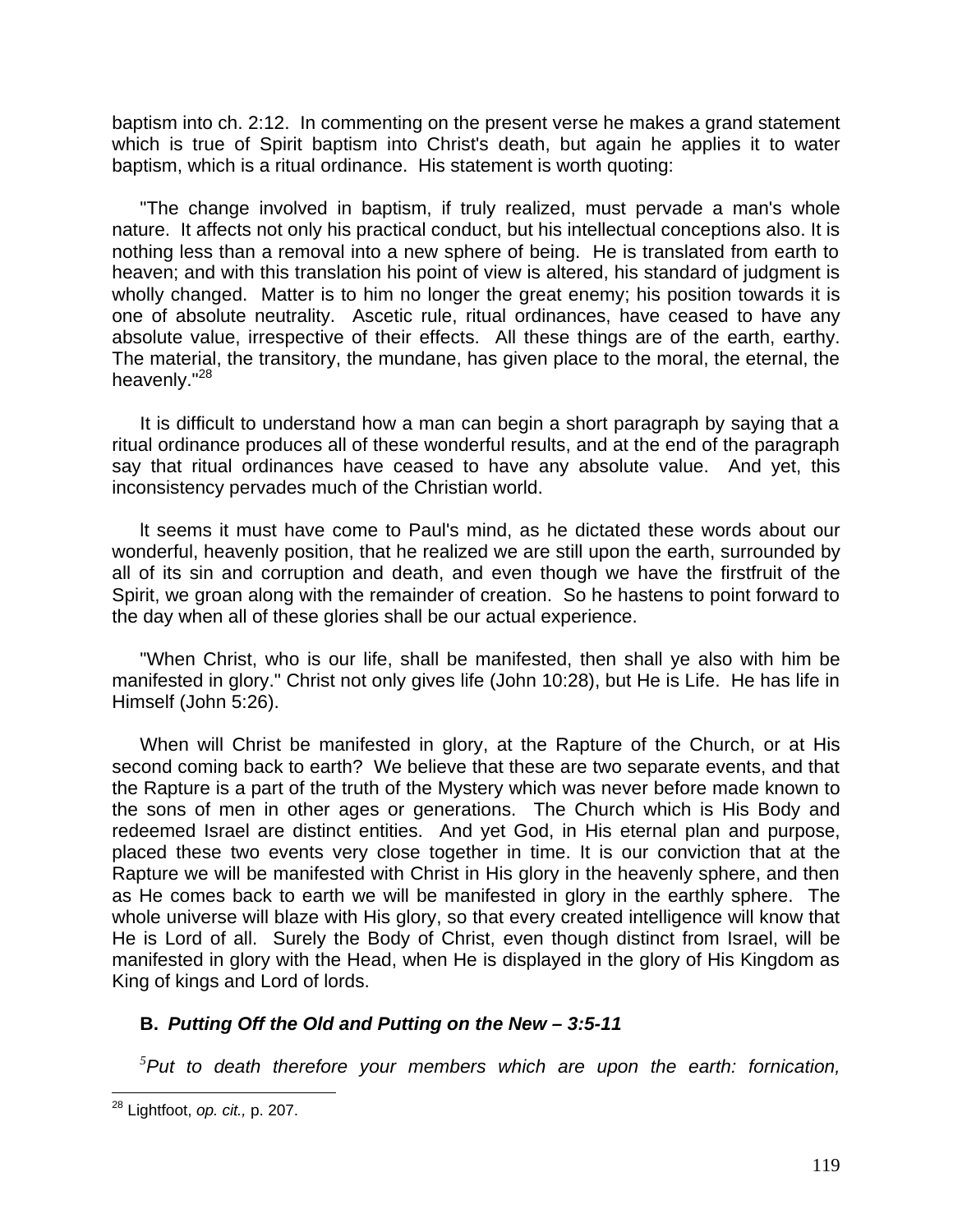baptism into ch. 2:12. In commenting on the present verse he makes a grand statement which is true of Spirit baptism into Christ's death, but again he applies it to water baptism, which is a ritual ordinance. His statement is worth quoting:

"The change involved in baptism, if truly realized, must pervade a man's whole nature. It affects not only his practical conduct, but his intellectual conceptions also. It is nothing less than a removal into a new sphere of being. He is translated from earth to heaven; and with this translation his point of view is altered, his standard of judgment is wholly changed. Matter is to him no longer the great enemy; his position towards it is one of absolute neutrality. Ascetic rule, ritual ordinances, have ceased to have any absolute value, irrespective of their effects. All these things are of the earth, earthy. The material, the transitory, the mundane, has given place to the moral, the eternal, the heavenly."<sup>28</sup>

It is difficult to understand how a man can begin a short paragraph by saying that a ritual ordinance produces all of these wonderful results, and at the end of the paragraph say that ritual ordinances have ceased to have any absolute value. And yet, this inconsistency pervades much of the Christian world.

lt seems it must have come to Paul's mind, as he dictated these words about our wonderful, heavenly position, that he realized we are still upon the earth, surrounded by all of its sin and corruption and death, and even though we have the firstfruit of the Spirit, we groan along with the remainder of creation. So he hastens to point forward to the day when all of these glories shall be our actual experience.

"When Christ, who is our life, shall be manifested, then shall ye also with him be manifested in glory." Christ not only gives life (John 10:28), but He is Life. He has life in Himself (John 5:26).

When will Christ be manifested in glory, at the Rapture of the Church, or at His second coming back to earth? We believe that these are two separate events, and that the Rapture is a part of the truth of the Mystery which was never before made known to the sons of men in other ages or generations. The Church which is His Body and redeemed Israel are distinct entities. And yet God, in His eternal plan and purpose, placed these two events very close together in time. It is our conviction that at the Rapture we will be manifested with Christ in His glory in the heavenly sphere, and then as He comes back to earth we will be manifested in glory in the earthly sphere. The whole universe will blaze with His glory, so that every created intelligence will know that He is Lord of all. Surely the Body of Christ, even though distinct from Israel, will be manifested in glory with the Head, when He is displayed in the glory of His Kingdom as King of kings and Lord of lords.

# **B.** *Putting Off the Old and Putting on the New – 3:5-11*

*<sup>5</sup>Put to death therefore your members which are upon the earth: fornication,*

 $\overline{a}$ <sup>28</sup> Lightfoot, *op. cit.,* p. 207.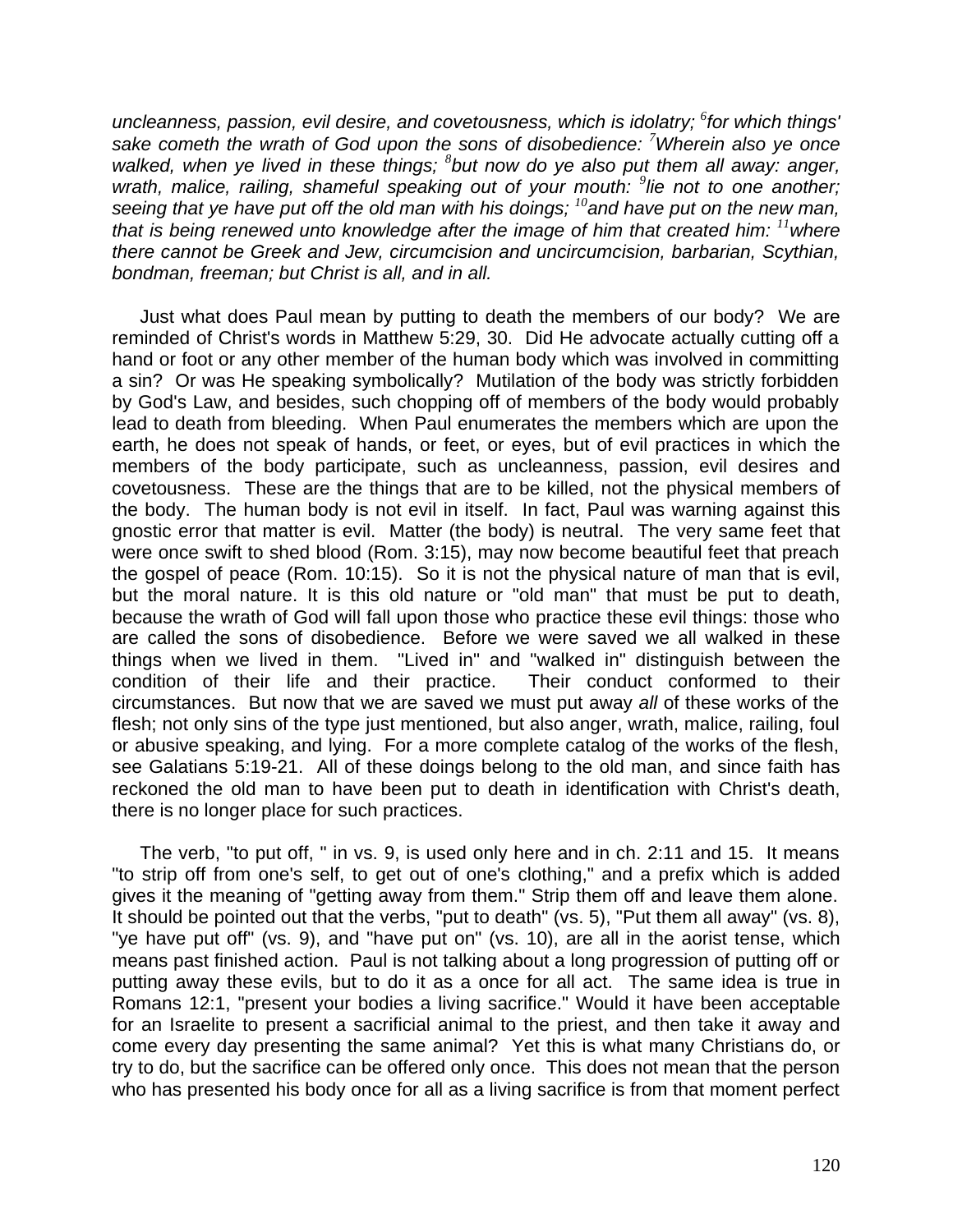*uncleanness, passion, evil desire, and covetousness, which is idolatry; <sup>6</sup> for which things' sake cometh the wrath of God upon the sons of disobedience: <sup>7</sup>Wherein also ye once walked, when ye lived in these things; <sup>8</sup> but now do ye also put them all away: anger,* wrath, malice, railing, shameful speaking out of your mouth: <sup>9</sup>lie not to one another; *seeing that ye have put off the old man with his doings; <sup>10</sup>and have put on the new man, that is being renewed unto knowledge after the image of him that created him: <sup>11</sup>where there cannot be Greek and Jew, circumcision and uncircumcision, barbarian, Scythian, bondman, freeman; but Christ is all, and in all.*

Just what does Paul mean by putting to death the members of our body? We are reminded of Christ's words in Matthew 5:29, 30. Did He advocate actually cutting off a hand or foot or any other member of the human body which was involved in committing a sin? Or was He speaking symbolically? Mutilation of the body was strictly forbidden by God's Law, and besides, such chopping off of members of the body would probably lead to death from bleeding. When Paul enumerates the members which are upon the earth, he does not speak of hands, or feet, or eyes, but of evil practices in which the members of the body participate, such as uncleanness, passion, evil desires and covetousness. These are the things that are to be killed, not the physical members of the body. The human body is not evil in itself. In fact, Paul was warning against this gnostic error that matter is evil. Matter (the body) is neutral. The very same feet that were once swift to shed blood (Rom. 3:15), may now become beautiful feet that preach the gospel of peace (Rom. 10:15). So it is not the physical nature of man that is evil, but the moral nature. It is this old nature or "old man" that must be put to death, because the wrath of God will fall upon those who practice these evil things: those who are called the sons of disobedience. Before we were saved we all walked in these things when we lived in them. "Lived in" and "walked in" distinguish between the condition of their life and their practice. Their conduct conformed to their circumstances. But now that we are saved we must put away *all* of these works of the flesh; not only sins of the type just mentioned, but also anger, wrath, malice, railing, foul or abusive speaking, and lying. For a more complete catalog of the works of the flesh, see Galatians 5:19-21. All of these doings belong to the old man, and since faith has reckoned the old man to have been put to death in identification with Christ's death, there is no longer place for such practices.

The verb, "to put off, " in vs. 9, is used only here and in ch. 2:11 and 15. It means "to strip off from one's self, to get out of one's clothing," and a prefix which is added gives it the meaning of "getting away from them." Strip them off and leave them alone. It should be pointed out that the verbs, "put to death" (vs. 5), "Put them all away" (vs. 8), "ye have put off" (vs. 9), and "have put on" (vs. 10), are all in the aorist tense, which means past finished action. Paul is not talking about a long progression of putting off or putting away these evils, but to do it as a once for all act. The same idea is true in Romans 12:1, "present your bodies a living sacrifice." Would it have been acceptable for an Israelite to present a sacrificial animal to the priest, and then take it away and come every day presenting the same animal? Yet this is what many Christians do, or try to do, but the sacrifice can be offered only once. This does not mean that the person who has presented his body once for all as a living sacrifice is from that moment perfect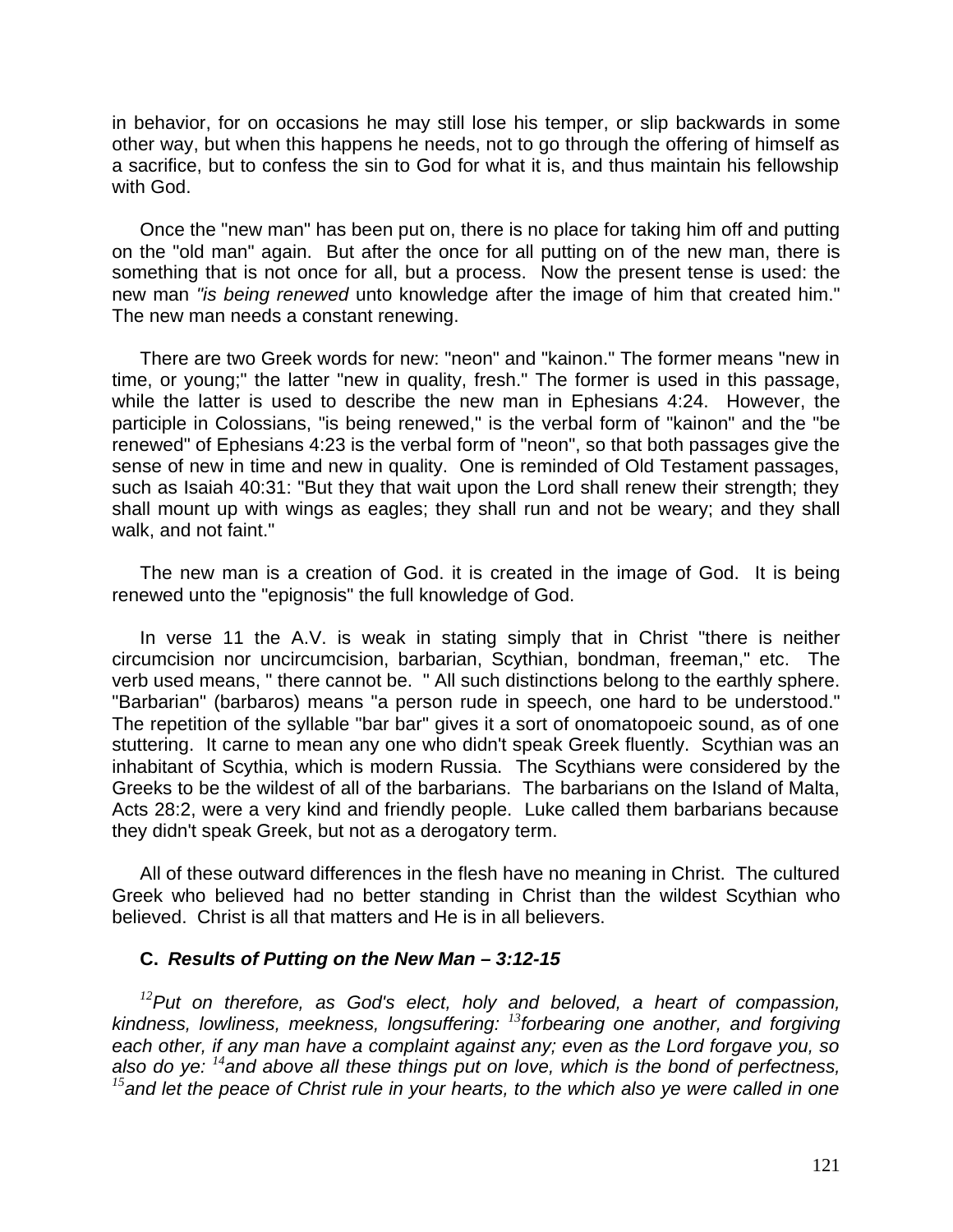in behavior, for on occasions he may still lose his temper, or slip backwards in some other way, but when this happens he needs, not to go through the offering of himself as a sacrifice, but to confess the sin to God for what it is, and thus maintain his fellowship with God.

Once the "new man" has been put on, there is no place for taking him off and putting on the "old man" again. But after the once for all putting on of the new man, there is something that is not once for all, but a process. Now the present tense is used: the new man *"is being renewed* unto knowledge after the image of him that created him." The new man needs a constant renewing.

There are two Greek words for new: "neon" and "kainon." The former means "new in time, or young;" the latter "new in quality, fresh." The former is used in this passage, while the latter is used to describe the new man in Ephesians 4:24. However, the participle in Colossians, "is being renewed," is the verbal form of "kainon" and the "be renewed" of Ephesians 4:23 is the verbal form of "neon", so that both passages give the sense of new in time and new in quality. One is reminded of Old Testament passages, such as Isaiah 40:31: "But they that wait upon the Lord shall renew their strength; they shall mount up with wings as eagles; they shall run and not be weary; and they shall walk, and not faint."

The new man is a creation of God. it is created in the image of God. It is being renewed unto the "epignosis" the full knowledge of God.

In verse 11 the A.V. is weak in stating simply that in Christ "there is neither circumcision nor uncircumcision, barbarian, Scythian, bondman, freeman," etc. The verb used means, " there cannot be. " All such distinctions belong to the earthly sphere. "Barbarian" (barbaros) means "a person rude in speech, one hard to be understood." The repetition of the syllable "bar bar" gives it a sort of onomatopoeic sound, as of one stuttering. It carne to mean any one who didn't speak Greek fluently. Scythian was an inhabitant of Scythia, which is modern Russia. The Scythians were considered by the Greeks to be the wildest of all of the barbarians. The barbarians on the Island of Malta, Acts 28:2, were a very kind and friendly people. Luke called them barbarians because they didn't speak Greek, but not as a derogatory term.

All of these outward differences in the flesh have no meaning in Christ. The cultured Greek who believed had no better standing in Christ than the wildest Scythian who believed. Christ is all that matters and He is in all believers.

#### **C.** *Results of Putting on the New Man – 3:12-15*

*<sup>12</sup>Put on therefore, as God's elect, holy and beloved, a heart of compassion, kindness, lowliness, meekness, longsuffering: <sup>13</sup>forbearing one another, and forgiving each other, if any man have a complaint against any; even as the Lord forgave you, so also do ye: <sup>14</sup>and above all these things put on love, which is the bond of perfectness, <sup>15</sup>and let the peace of Christ rule in your hearts, to the which also ye were called in one*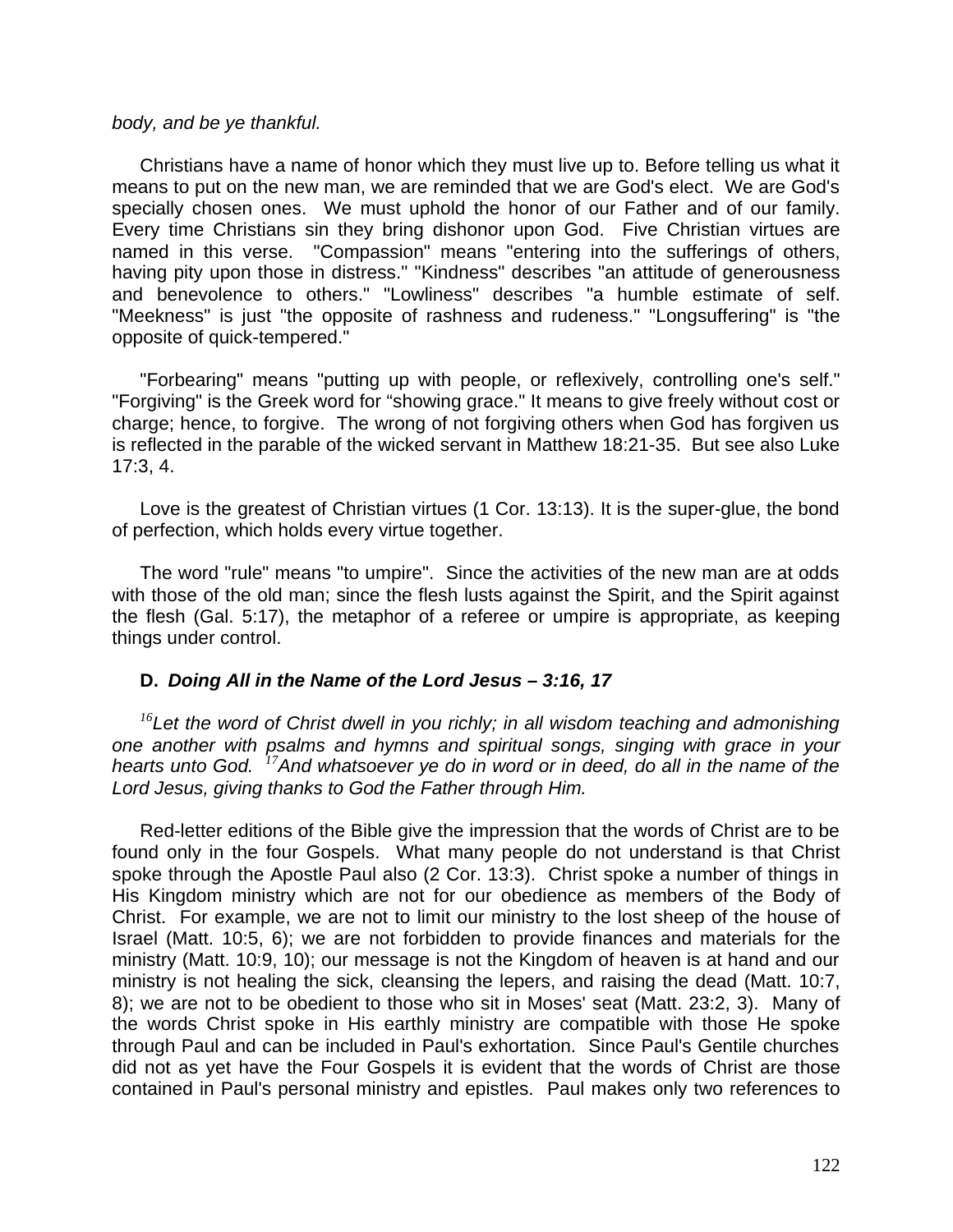#### *body, and be ye thankful.*

Christians have a name of honor which they must live up to. Before telling us what it means to put on the new man, we are reminded that we are God's elect. We are God's specially chosen ones. We must uphold the honor of our Father and of our family. Every time Christians sin they bring dishonor upon God. Five Christian virtues are named in this verse. "Compassion" means "entering into the sufferings of others, having pity upon those in distress." "Kindness" describes "an attitude of generousness and benevolence to others." "Lowliness" describes "a humble estimate of self. "Meekness" is just "the opposite of rashness and rudeness." "Longsuffering" is "the opposite of quick-tempered."

"Forbearing" means "putting up with people, or reflexively, controlling one's self." "Forgiving" is the Greek word for "showing grace." It means to give freely without cost or charge; hence, to forgive. The wrong of not forgiving others when God has forgiven us is reflected in the parable of the wicked servant in Matthew 18:21-35. But see also Luke 17:3, 4.

Love is the greatest of Christian virtues (1 Cor. 13:13). It is the super-glue, the bond of perfection, which holds every virtue together.

The word "rule" means "to umpire". Since the activities of the new man are at odds with those of the old man; since the flesh lusts against the Spirit, and the Spirit against the flesh (Gal. 5:17), the metaphor of a referee or umpire is appropriate, as keeping things under control.

### **D.** *Doing All in the Name of the Lord Jesus – 3:16, 17*

*<sup>16</sup>Let the word of Christ dwell in you richly; in all wisdom teaching and admonishing one another with psalms and hymns and spiritual songs, singing with grace in your hearts unto God. <sup>17</sup>And whatsoever ye do in word or in deed, do all in the name of the Lord Jesus, giving thanks to God the Father through Him.*

Red-letter editions of the Bible give the impression that the words of Christ are to be found only in the four Gospels. What many people do not understand is that Christ spoke through the Apostle Paul also (2 Cor. 13:3). Christ spoke a number of things in His Kingdom ministry which are not for our obedience as members of the Body of Christ. For example, we are not to limit our ministry to the lost sheep of the house of Israel (Matt. 10:5, 6); we are not forbidden to provide finances and materials for the ministry (Matt. 10:9, 10); our message is not the Kingdom of heaven is at hand and our ministry is not healing the sick, cleansing the lepers, and raising the dead (Matt. 10:7, 8); we are not to be obedient to those who sit in Moses' seat (Matt. 23:2, 3). Many of the words Christ spoke in His earthly ministry are compatible with those He spoke through Paul and can be included in Paul's exhortation. Since Paul's Gentile churches did not as yet have the Four Gospels it is evident that the words of Christ are those contained in Paul's personal ministry and epistles. Paul makes only two references to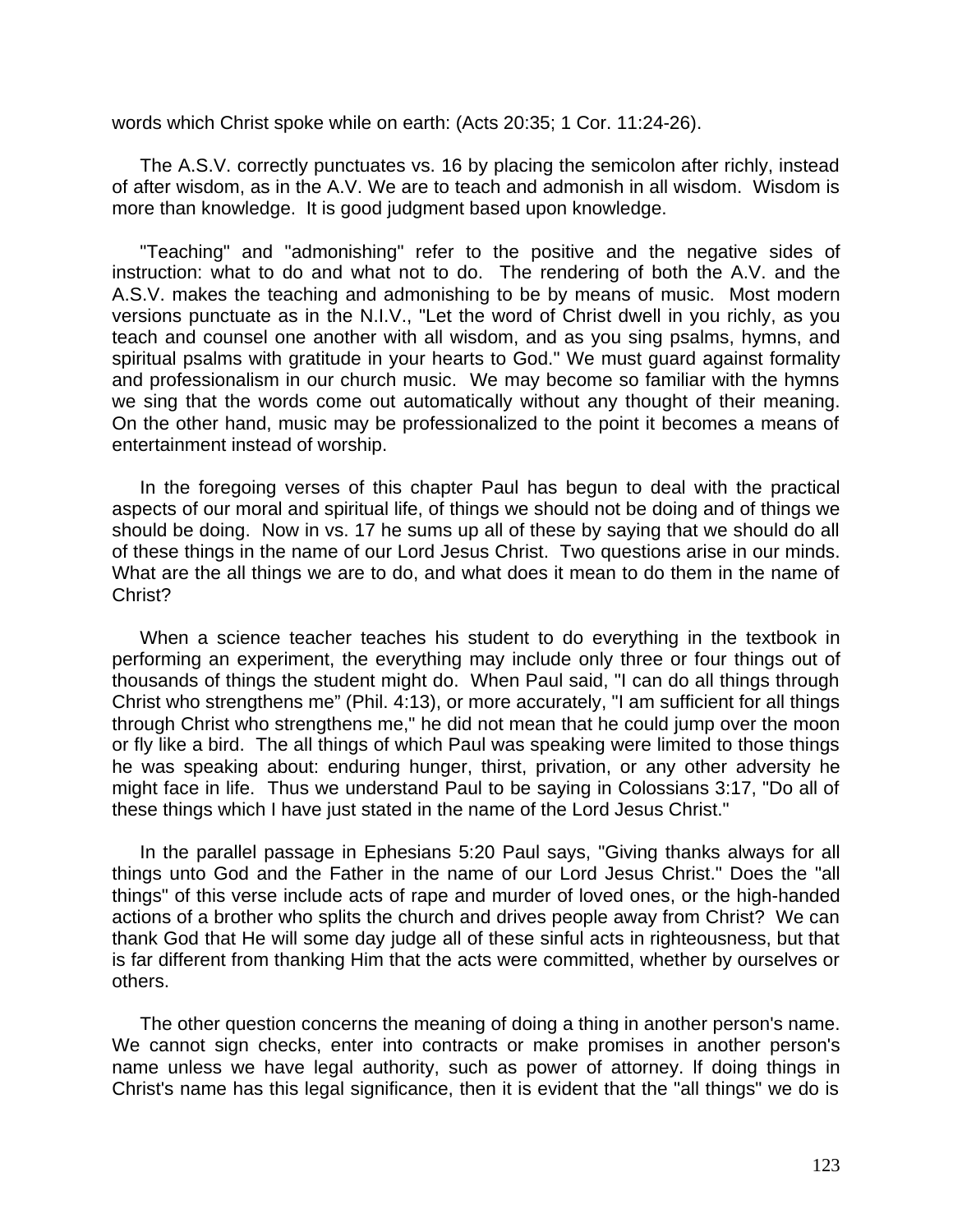words which Christ spoke while on earth: (Acts 20:35; 1 Cor. 11:24-26).

The A.S.V. correctly punctuates vs. 16 by placing the semicolon after richly, instead of after wisdom, as in the A.V. We are to teach and admonish in all wisdom. Wisdom is more than knowledge. It is good judgment based upon knowledge.

"Teaching" and "admonishing" refer to the positive and the negative sides of instruction: what to do and what not to do. The rendering of both the A.V. and the A.S.V. makes the teaching and admonishing to be by means of music. Most modern versions punctuate as in the N.I.V., "Let the word of Christ dwell in you richly, as you teach and counsel one another with all wisdom, and as you sing psalms, hymns, and spiritual psalms with gratitude in your hearts to God." We must guard against formality and professionalism in our church music. We may become so familiar with the hymns we sing that the words come out automatically without any thought of their meaning. On the other hand, music may be professionalized to the point it becomes a means of entertainment instead of worship.

In the foregoing verses of this chapter Paul has begun to deal with the practical aspects of our moral and spiritual life, of things we should not be doing and of things we should be doing. Now in vs. 17 he sums up all of these by saying that we should do all of these things in the name of our Lord Jesus Christ. Two questions arise in our minds. What are the all things we are to do, and what does it mean to do them in the name of Christ?

When a science teacher teaches his student to do everything in the textbook in performing an experiment, the everything may include only three or four things out of thousands of things the student might do. When Paul said, "I can do all things through Christ who strengthens me" (Phil. 4:13), or more accurately, "I am sufficient for all things through Christ who strengthens me," he did not mean that he could jump over the moon or fly like a bird. The all things of which Paul was speaking were limited to those things he was speaking about: enduring hunger, thirst, privation, or any other adversity he might face in life. Thus we understand Paul to be saying in Colossians 3:17, "Do all of these things which I have just stated in the name of the Lord Jesus Christ."

In the parallel passage in Ephesians 5:20 Paul says, "Giving thanks always for all things unto God and the Father in the name of our Lord Jesus Christ." Does the "all things" of this verse include acts of rape and murder of loved ones, or the high-handed actions of a brother who splits the church and drives people away from Christ? We can thank God that He will some day judge all of these sinful acts in righteousness, but that is far different from thanking Him that the acts were committed, whether by ourselves or others.

The other question concerns the meaning of doing a thing in another person's name. We cannot sign checks, enter into contracts or make promises in another person's name unless we have legal authority, such as power of attorney. lf doing things in Christ's name has this legal significance, then it is evident that the "all things" we do is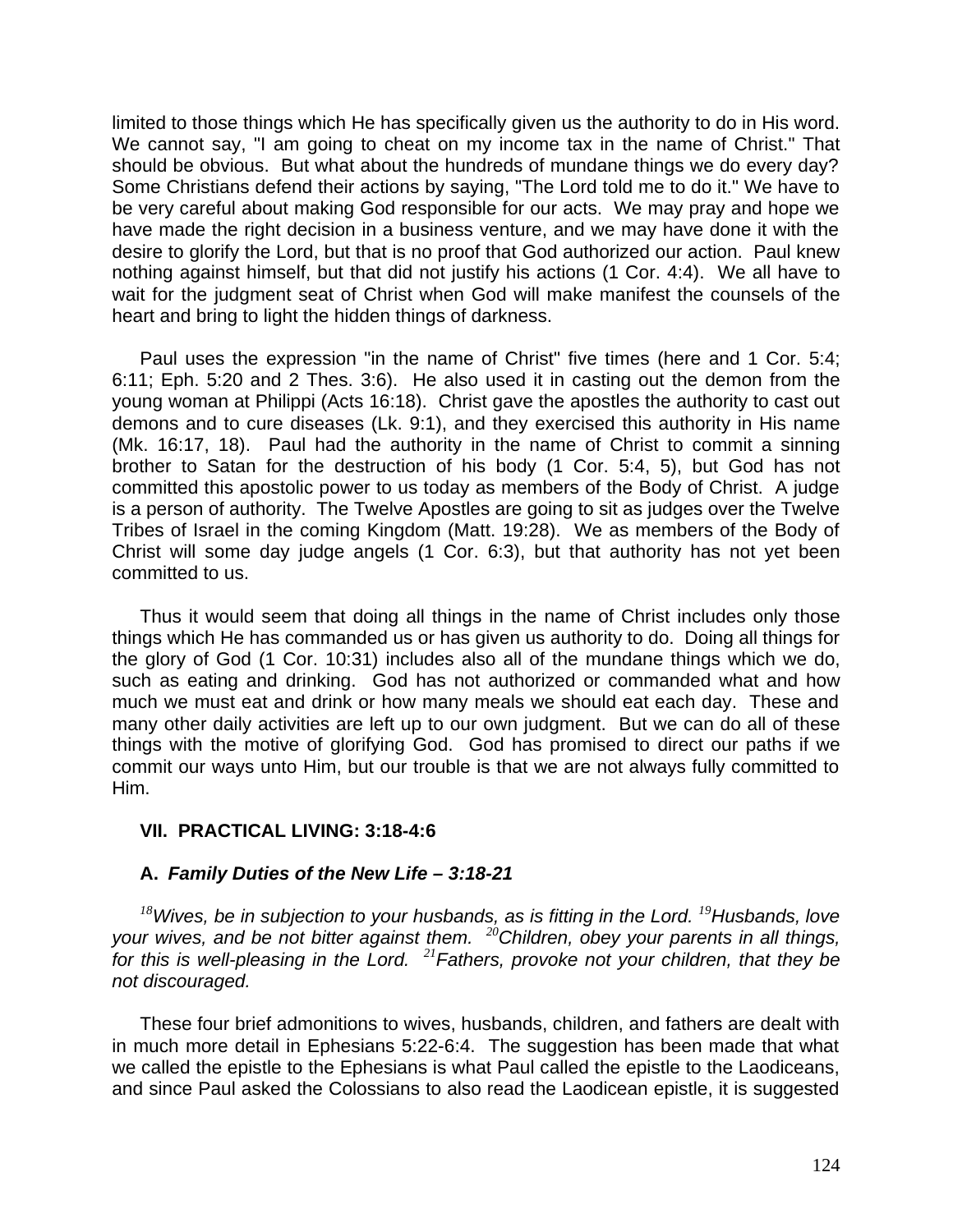limited to those things which He has specifically given us the authority to do in His word. We cannot say, "I am going to cheat on my income tax in the name of Christ." That should be obvious. But what about the hundreds of mundane things we do every day? Some Christians defend their actions by saying, "The Lord told me to do it." We have to be very careful about making God responsible for our acts. We may pray and hope we have made the right decision in a business venture, and we may have done it with the desire to glorify the Lord, but that is no proof that God authorized our action. Paul knew nothing against himself, but that did not justify his actions (1 Cor. 4:4). We all have to wait for the judgment seat of Christ when God will make manifest the counsels of the heart and bring to light the hidden things of darkness.

Paul uses the expression "in the name of Christ" five times (here and 1 Cor. 5:4; 6:11; Eph. 5:20 and 2 Thes. 3:6). He also used it in casting out the demon from the young woman at Philippi (Acts 16:18). Christ gave the apostles the authority to cast out demons and to cure diseases (Lk. 9:1), and they exercised this authority in His name (Mk. 16:17, 18). Paul had the authority in the name of Christ to commit a sinning brother to Satan for the destruction of his body (1 Cor. 5:4, 5), but God has not committed this apostolic power to us today as members of the Body of Christ. A judge is a person of authority. The Twelve Apostles are going to sit as judges over the Twelve Tribes of Israel in the coming Kingdom (Matt. 19:28). We as members of the Body of Christ will some day judge angels (1 Cor. 6:3), but that authority has not yet been committed to us.

Thus it would seem that doing all things in the name of Christ includes only those things which He has commanded us or has given us authority to do. Doing all things for the glory of God (1 Cor. 10:31) includes also all of the mundane things which we do, such as eating and drinking. God has not authorized or commanded what and how much we must eat and drink or how many meals we should eat each day. These and many other daily activities are left up to our own judgment. But we can do all of these things with the motive of glorifying God. God has promised to direct our paths if we commit our ways unto Him, but our trouble is that we are not always fully committed to Him.

# **VII. PRACTICAL LIVING: 3:18-4:6**

# **A.** *Family Duties of the New Life – 3:18-21*

*<sup>18</sup>Wives, be in subjection to your husbands, as is fitting in the Lord. <sup>19</sup>Husbands, love your wives, and be not bitter against them. <sup>20</sup>Children, obey your parents in all things, for this is well-pleasing in the Lord. <sup>21</sup>Fathers, provoke not your children, that they be not discouraged.*

These four brief admonitions to wives, husbands, children, and fathers are dealt with in much more detail in Ephesians 5:22-6:4. The suggestion has been made that what we called the epistle to the Ephesians is what Paul called the epistle to the Laodiceans, and since Paul asked the Colossians to also read the Laodicean epistle, it is suggested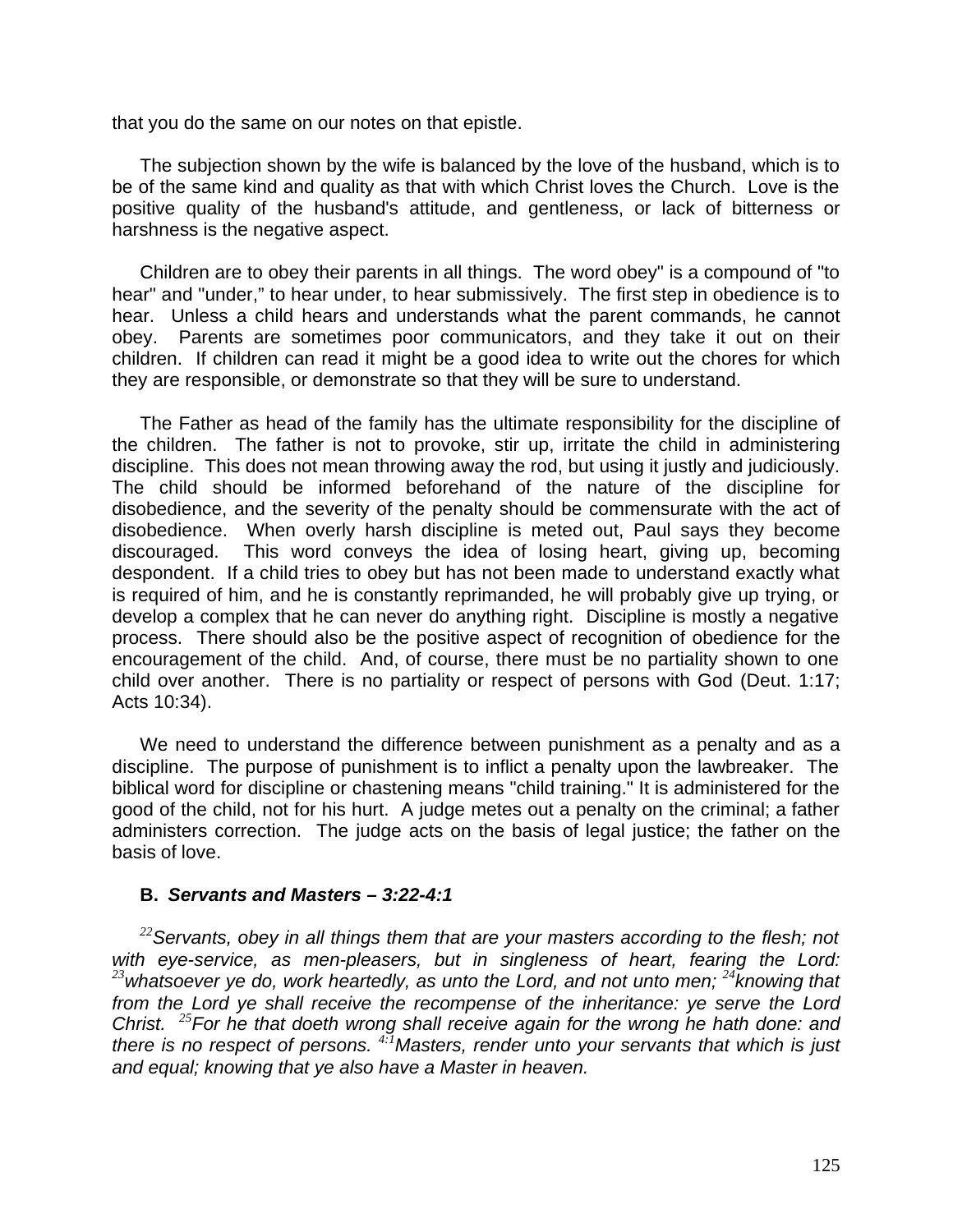that you do the same on our notes on that epistle.

The subjection shown by the wife is balanced by the love of the husband, which is to be of the same kind and quality as that with which Christ loves the Church. Love is the positive quality of the husband's attitude, and gentleness, or lack of bitterness or harshness is the negative aspect.

Children are to obey their parents in all things. The word obey" is a compound of "to hear" and "under," to hear under, to hear submissively. The first step in obedience is to hear. Unless a child hears and understands what the parent commands, he cannot obey. Parents are sometimes poor communicators, and they take it out on their children. If children can read it might be a good idea to write out the chores for which they are responsible, or demonstrate so that they will be sure to understand.

The Father as head of the family has the ultimate responsibility for the discipline of the children. The father is not to provoke, stir up, irritate the child in administering discipline. This does not mean throwing away the rod, but using it justly and judiciously. The child should be informed beforehand of the nature of the discipline for disobedience, and the severity of the penalty should be commensurate with the act of disobedience. When overly harsh discipline is meted out, Paul says they become discouraged. This word conveys the idea of losing heart, giving up, becoming despondent. If a child tries to obey but has not been made to understand exactly what is required of him, and he is constantly reprimanded, he will probably give up trying, or develop a complex that he can never do anything right. Discipline is mostly a negative process. There should also be the positive aspect of recognition of obedience for the encouragement of the child. And, of course, there must be no partiality shown to one child over another. There is no partiality or respect of persons with God (Deut. 1:17; Acts 10:34).

We need to understand the difference between punishment as a penalty and as a discipline. The purpose of punishment is to inflict a penalty upon the lawbreaker. The biblical word for discipline or chastening means "child training." It is administered for the good of the child, not for his hurt. A judge metes out a penalty on the criminal; a father administers correction. The judge acts on the basis of legal justice; the father on the basis of love.

### **B.** *Servants and Masters – 3:22-4:1*

*<sup>22</sup>Servants, obey in all things them that are your masters according to the flesh; not with eye-service, as men-pleasers, but in singleness of heart, fearing the Lord: <sup>23</sup>whatsoever ye do, work heartedly, as unto the Lord, and not unto men; <sup>24</sup>knowing that from the Lord ye shall receive the recompense of the inheritance: ye serve the Lord Christ. <sup>25</sup>For he that doeth wrong shall receive again for the wrong he hath done: and there is no respect of persons. 4:1Masters, render unto your servants that which is just and equal; knowing that ye also have a Master in heaven.*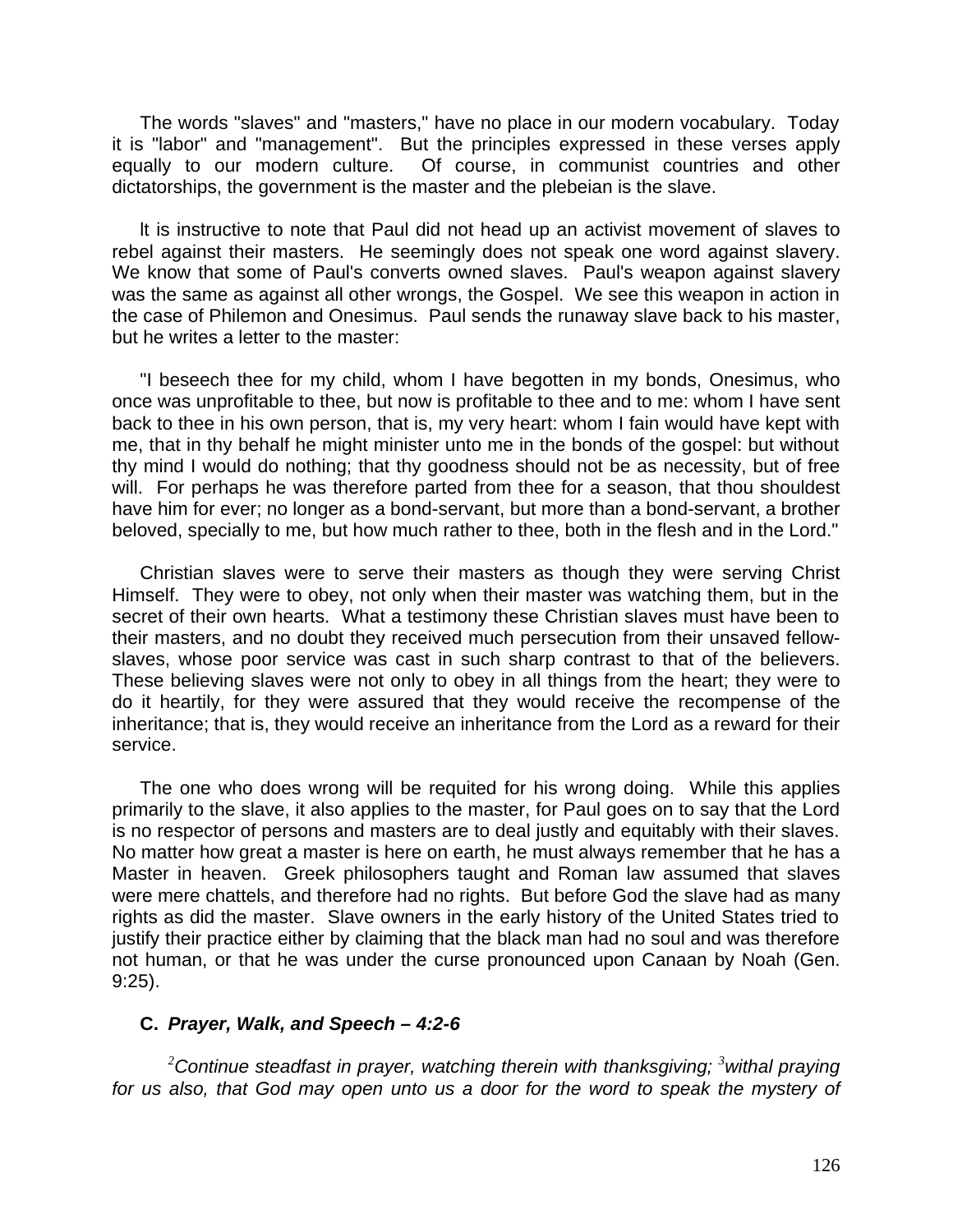The words "slaves" and "masters," have no place in our modern vocabulary. Today it is "labor" and "management". But the principles expressed in these verses apply equally to our modern culture. Of course, in communist countries and other dictatorships, the government is the master and the plebeian is the slave.

lt is instructive to note that Paul did not head up an activist movement of slaves to rebel against their masters. He seemingly does not speak one word against slavery. We know that some of Paul's converts owned slaves. Paul's weapon against slavery was the same as against all other wrongs, the Gospel. We see this weapon in action in the case of Philemon and Onesimus. Paul sends the runaway slave back to his master, but he writes a letter to the master:

"I beseech thee for my child, whom I have begotten in my bonds, Onesimus, who once was unprofitable to thee, but now is profitable to thee and to me: whom I have sent back to thee in his own person, that is, my very heart: whom I fain would have kept with me, that in thy behalf he might minister unto me in the bonds of the gospel: but without thy mind I would do nothing; that thy goodness should not be as necessity, but of free will. For perhaps he was therefore parted from thee for a season, that thou shouldest have him for ever; no longer as a bond-servant, but more than a bond-servant, a brother beloved, specially to me, but how much rather to thee, both in the flesh and in the Lord."

Christian slaves were to serve their masters as though they were serving Christ Himself. They were to obey, not only when their master was watching them, but in the secret of their own hearts. What a testimony these Christian slaves must have been to their masters, and no doubt they received much persecution from their unsaved fellowslaves, whose poor service was cast in such sharp contrast to that of the believers. These believing slaves were not only to obey in all things from the heart; they were to do it heartily, for they were assured that they would receive the recompense of the inheritance; that is, they would receive an inheritance from the Lord as a reward for their service.

The one who does wrong will be requited for his wrong doing. While this applies primarily to the slave, it also applies to the master, for Paul goes on to say that the Lord is no respector of persons and masters are to deal justly and equitably with their slaves. No matter how great a master is here on earth, he must always remember that he has a Master in heaven. Greek philosophers taught and Roman law assumed that slaves were mere chattels, and therefore had no rights. But before God the slave had as many rights as did the master. Slave owners in the early history of the United States tried to justify their practice either by claiming that the black man had no soul and was therefore not human, or that he was under the curse pronounced upon Canaan by Noah (Gen. 9:25).

# **C.** *Prayer, Walk, and Speech – 4:2-6*

*<sup>2</sup>Continue steadfast in prayer, watching therein with thanksgiving; <sup>3</sup>withal praying for us also, that God may open unto us a door for the word to speak the mystery of*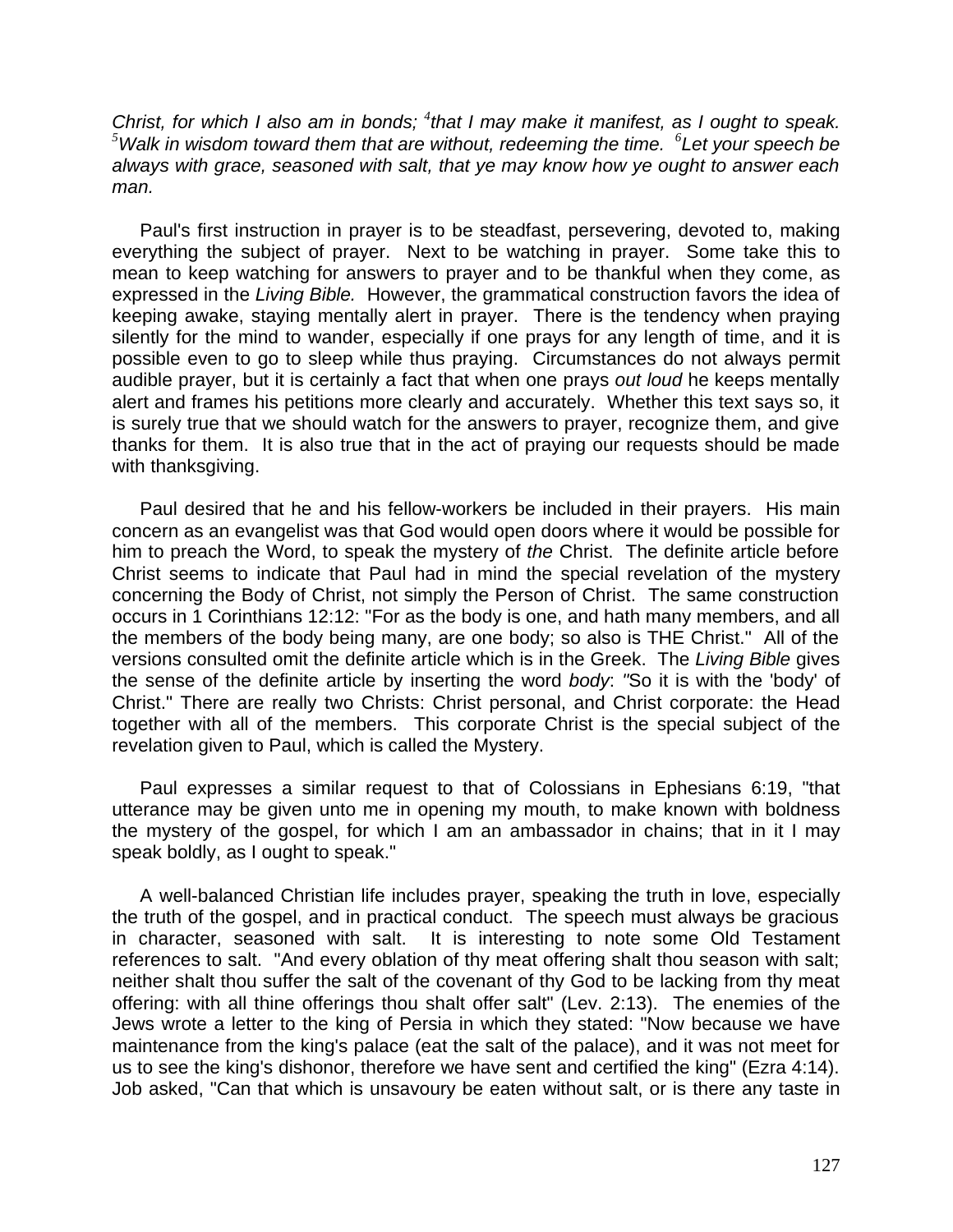*Christ, for which I also am in bonds;* <sup>4</sup>that I may make it manifest, as I ought to speak. *<sup>5</sup>Walk in wisdom toward them that are without, redeeming the time. <sup>6</sup> Let your speech be always with grace, seasoned with salt, that ye may know how ye ought to answer each man.*

Paul's first instruction in prayer is to be steadfast, persevering, devoted to, making everything the subject of prayer. Next to be watching in prayer. Some take this to mean to keep watching for answers to prayer and to be thankful when they come, as expressed in the *Living Bible.* However, the grammatical construction favors the idea of keeping awake, staying mentally alert in prayer. There is the tendency when praying silently for the mind to wander, especially if one prays for any length of time, and it is possible even to go to sleep while thus praying. Circumstances do not always permit audible prayer, but it is certainly a fact that when one prays *out loud* he keeps mentally alert and frames his petitions more clearly and accurately. Whether this text says so, it is surely true that we should watch for the answers to prayer, recognize them, and give thanks for them. It is also true that in the act of praying our requests should be made with thanksgiving.

Paul desired that he and his fellow-workers be included in their prayers. His main concern as an evangelist was that God would open doors where it would be possible for him to preach the Word, to speak the mystery of *the* Christ. The definite article before Christ seems to indicate that Paul had in mind the special revelation of the mystery concerning the Body of Christ, not simply the Person of Christ. The same construction occurs in 1 Corinthians 12:12: "For as the body is one, and hath many members, and all the members of the body being many, are one body; so also is THE Christ." All of the versions consulted omit the definite article which is in the Greek. The *Living Bible* gives the sense of the definite article by inserting the word *body*: *"*So it is with the 'body' of Christ." There are really two Christs: Christ personal, and Christ corporate: the Head together with all of the members. This corporate Christ is the special subject of the revelation given to Paul, which is called the Mystery.

Paul expresses a similar request to that of Colossians in Ephesians 6:19, "that utterance may be given unto me in opening my mouth, to make known with boldness the mystery of the gospel, for which I am an ambassador in chains; that in it I may speak boldly, as I ought to speak."

A well-balanced Christian life includes prayer, speaking the truth in love, especially the truth of the gospel, and in practical conduct. The speech must always be gracious in character, seasoned with salt. It is interesting to note some Old Testament references to salt. "And every oblation of thy meat offering shalt thou season with salt; neither shalt thou suffer the salt of the covenant of thy God to be lacking from thy meat offering: with all thine offerings thou shalt offer salt" (Lev. 2:13). The enemies of the Jews wrote a letter to the king of Persia in which they stated: "Now because we have maintenance from the king's palace (eat the salt of the palace), and it was not meet for us to see the king's dishonor, therefore we have sent and certified the king" (Ezra 4:14). Job asked, "Can that which is unsavoury be eaten without salt, or is there any taste in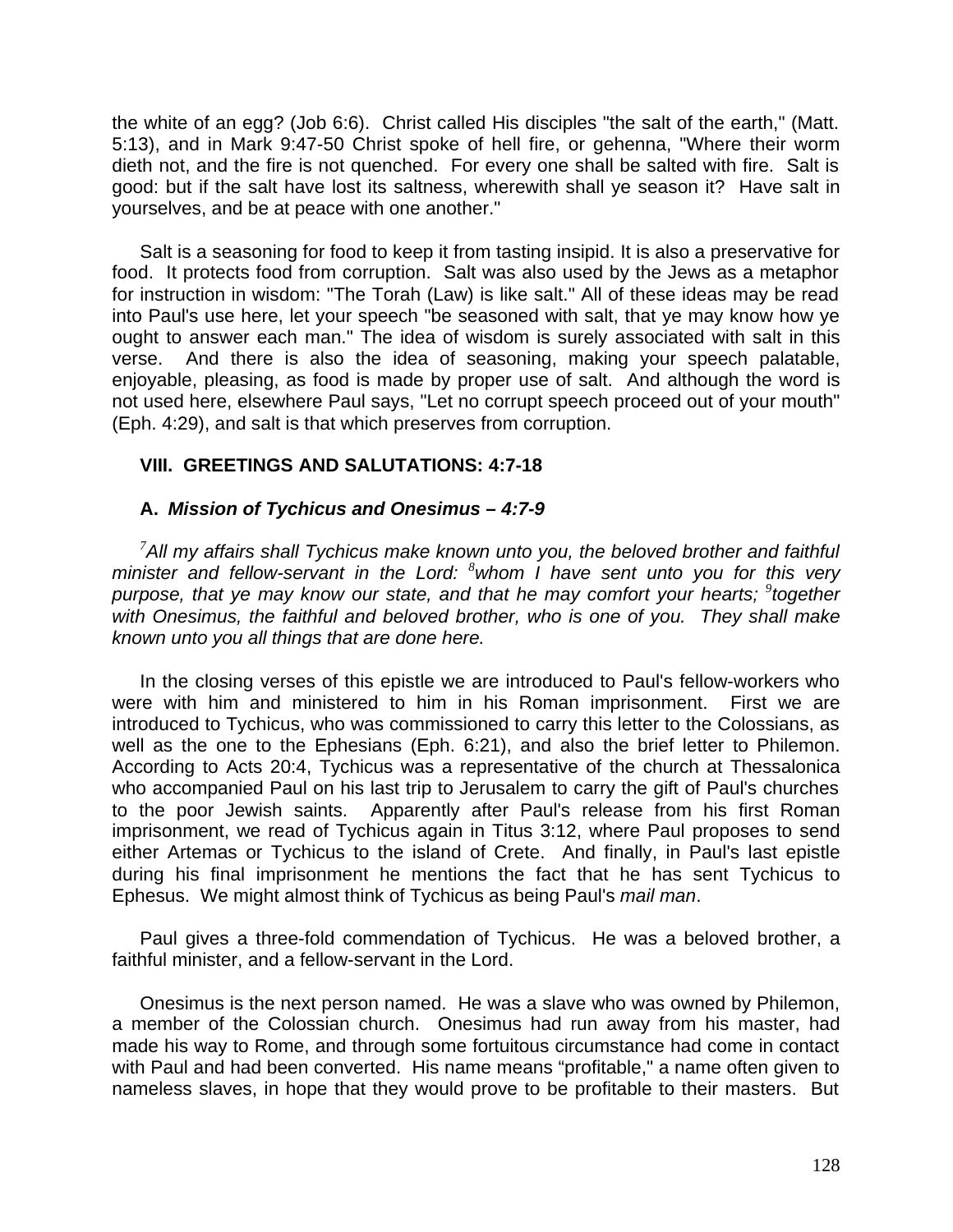the white of an egg? (Job 6:6). Christ called His disciples "the salt of the earth," (Matt. 5:13), and in Mark 9:47-50 Christ spoke of hell fire, or gehenna, "Where their worm dieth not, and the fire is not quenched. For every one shall be salted with fire. Salt is good: but if the salt have lost its saltness, wherewith shall ye season it? Have salt in yourselves, and be at peace with one another."

Salt is a seasoning for food to keep it from tasting insipid. It is also a preservative for food. It protects food from corruption. Salt was also used by the Jews as a metaphor for instruction in wisdom: "The Torah (Law) is like salt." All of these ideas may be read into Paul's use here, let your speech "be seasoned with salt, that ye may know how ye ought to answer each man." The idea of wisdom is surely associated with salt in this verse. And there is also the idea of seasoning, making your speech palatable, enjoyable, pleasing, as food is made by proper use of salt. And although the word is not used here, elsewhere Paul says, "Let no corrupt speech proceed out of your mouth" (Eph. 4:29), and salt is that which preserves from corruption.

# **VIII. GREETINGS AND SALUTATIONS: 4:7-18**

# **A.** *Mission of Tychicus and Onesimus – 4:7-9*

*<sup>7</sup>All my affairs shall Tychicus make known unto you, the beloved brother and faithful minister and fellow-servant in the Lord: <sup>8</sup>whom I have sent unto you for this very purpose, that ye may know our state, and that he may comfort your hearts; <sup>9</sup> together with Onesimus, the faithful and beloved brother, who is one of you. They shall make known unto you all things that are done here.*

In the closing verses of this epistle we are introduced to Paul's fellow-workers who were with him and ministered to him in his Roman imprisonment. First we are introduced to Tychicus, who was commissioned to carry this letter to the Colossians, as well as the one to the Ephesians (Eph. 6:21), and also the brief letter to Philemon. According to Acts 20:4, Tychicus was a representative of the church at Thessalonica who accompanied Paul on his last trip to Jerusalem to carry the gift of Paul's churches to the poor Jewish saints. Apparently after Paul's release from his first Roman imprisonment, we read of Tychicus again in Titus 3:12, where Paul proposes to send either Artemas or Tychicus to the island of Crete. And finally, in Paul's last epistle during his final imprisonment he mentions the fact that he has sent Tychicus to Ephesus. We might almost think of Tychicus as being Paul's *mail man*.

Paul gives a three-fold commendation of Tychicus. He was a beloved brother, a faithful minister, and a fellow-servant in the Lord.

Onesimus is the next person named. He was a slave who was owned by Philemon, a member of the Colossian church. Onesimus had run away from his master, had made his way to Rome, and through some fortuitous circumstance had come in contact with Paul and had been converted. His name means "profitable," a name often given to nameless slaves, in hope that they would prove to be profitable to their masters. But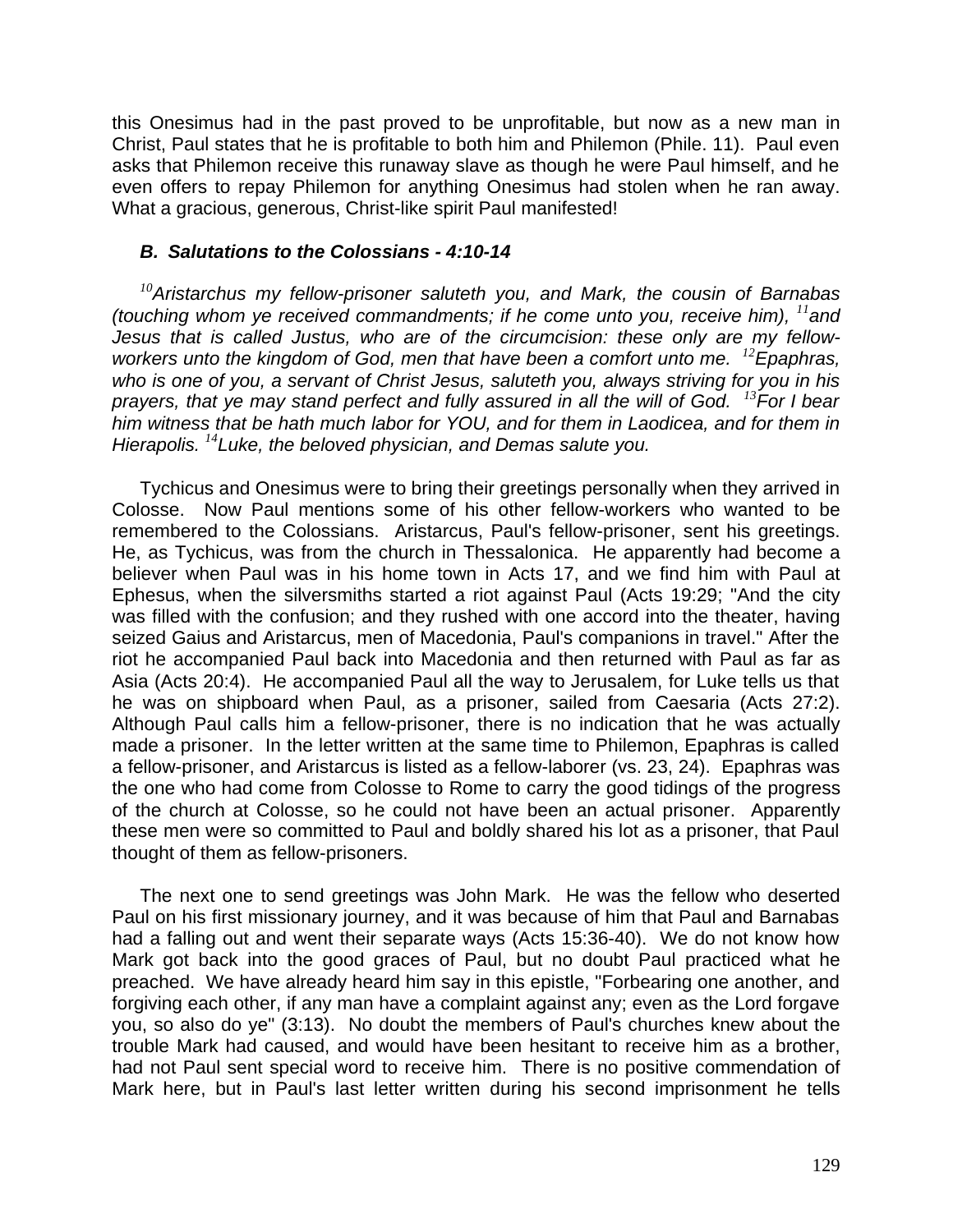this Onesimus had in the past proved to be unprofitable, but now as a new man in Christ, Paul states that he is profitable to both him and Philemon (Phile. 11). Paul even asks that Philemon receive this runaway slave as though he were Paul himself, and he even offers to repay Philemon for anything Onesimus had stolen when he ran away. What a gracious, generous, Christ-like spirit Paul manifested!

### *B. Salutations to the Colossians - 4:10-14*

*<sup>10</sup>Aristarchus my fellow-prisoner saluteth you, and Mark, the cousin of Barnabas (touching whom ye received commandments; if he come unto you, receive him), <sup>11</sup>and Jesus that is called Justus, who are of the circumcision: these only are my fellowworkers unto the kingdom of God, men that have been a comfort unto me. <sup>12</sup>Epaphras, who is one of you, a servant of Christ Jesus, saluteth you, always striving for you in his prayers, that ye may stand perfect and fully assured in all the will of God. <sup>13</sup>For I bear him witness that be hath much labor for YOU, and for them in Laodicea, and for them in Hierapolis. <sup>14</sup>Luke, the beloved physician, and Demas salute you.*

Tychicus and Onesimus were to bring their greetings personally when they arrived in Colosse. Now Paul mentions some of his other fellow-workers who wanted to be remembered to the Colossians. Aristarcus, Paul's fellow-prisoner, sent his greetings. He, as Tychicus, was from the church in Thessalonica. He apparently had become a believer when Paul was in his home town in Acts 17, and we find him with Paul at Ephesus, when the silversmiths started a riot against Paul (Acts 19:29; "And the city was filled with the confusion; and they rushed with one accord into the theater, having seized Gaius and Aristarcus, men of Macedonia, Paul's companions in travel." After the riot he accompanied Paul back into Macedonia and then returned with Paul as far as Asia (Acts 20:4). He accompanied Paul all the way to Jerusalem, for Luke tells us that he was on shipboard when Paul, as a prisoner, sailed from Caesaria (Acts 27:2). Although Paul calls him a fellow-prisoner, there is no indication that he was actually made a prisoner. In the letter written at the same time to Philemon, Epaphras is called a fellow-prisoner, and Aristarcus is listed as a fellow-laborer (vs. 23, 24). Epaphras was the one who had come from Colosse to Rome to carry the good tidings of the progress of the church at Colosse, so he could not have been an actual prisoner. Apparently these men were so committed to Paul and boldly shared his lot as a prisoner, that Paul thought of them as fellow-prisoners.

The next one to send greetings was John Mark. He was the fellow who deserted Paul on his first missionary journey, and it was because of him that Paul and Barnabas had a falling out and went their separate ways (Acts 15:36-40). We do not know how Mark got back into the good graces of Paul, but no doubt Paul practiced what he preached. We have already heard him say in this epistle, "Forbearing one another, and forgiving each other, if any man have a complaint against any; even as the Lord forgave you, so also do ye" (3:13). No doubt the members of Paul's churches knew about the trouble Mark had caused, and would have been hesitant to receive him as a brother, had not Paul sent special word to receive him. There is no positive commendation of Mark here, but in Paul's last letter written during his second imprisonment he tells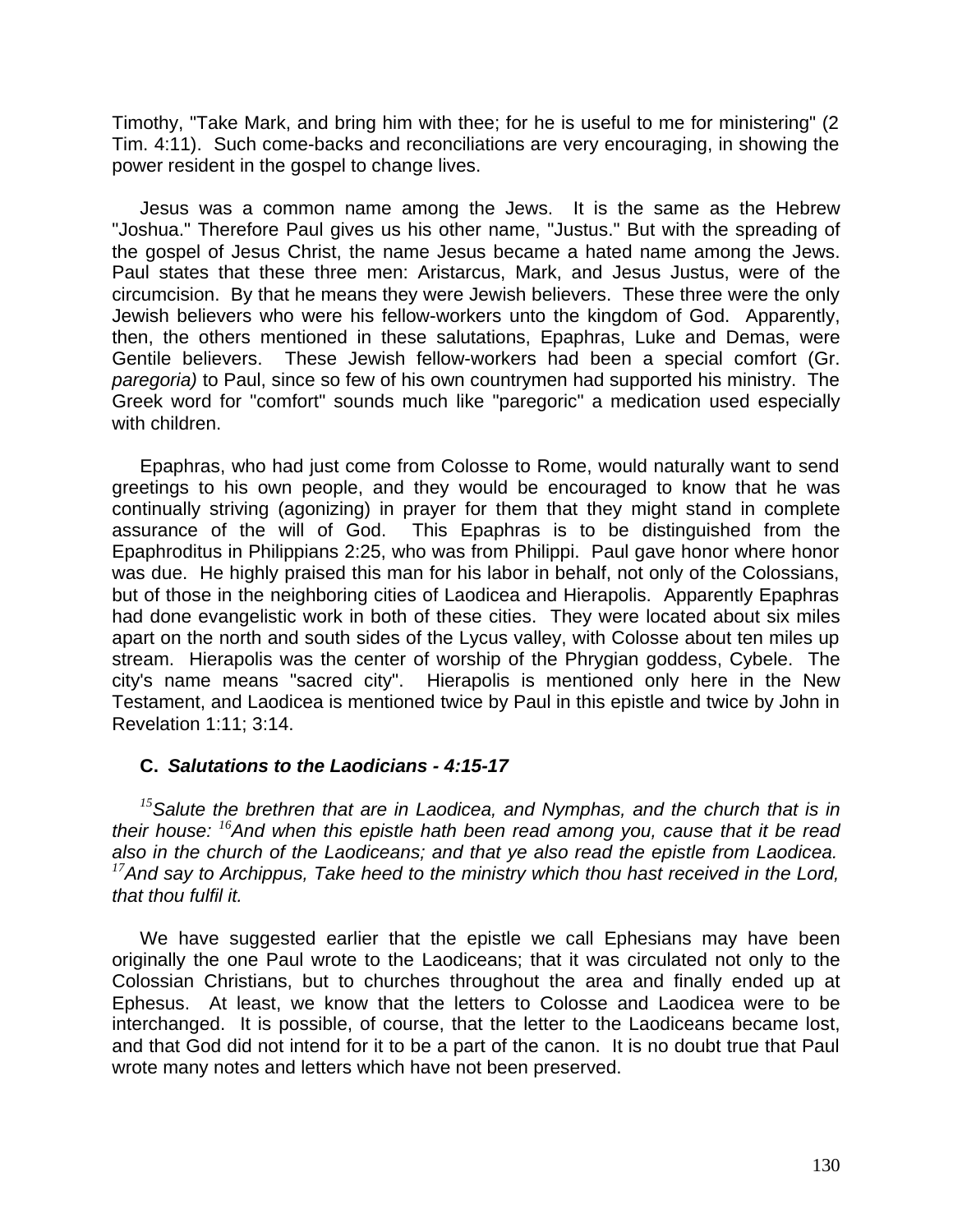Timothy, "Take Mark, and bring him with thee; for he is useful to me for ministering" (2 Tim. 4:11). Such come-backs and reconciliations are very encouraging, in showing the power resident in the gospel to change lives.

Jesus was a common name among the Jews. It is the same as the Hebrew "Joshua." Therefore Paul gives us his other name, "Justus." But with the spreading of the gospel of Jesus Christ, the name Jesus became a hated name among the Jews. Paul states that these three men: Aristarcus, Mark, and Jesus Justus, were of the circumcision. By that he means they were Jewish believers. These three were the only Jewish believers who were his fellow-workers unto the kingdom of God. Apparently, then, the others mentioned in these salutations, Epaphras, Luke and Demas, were Gentile believers. These Jewish fellow-workers had been a special comfort (Gr. *paregoria)* to Paul, since so few of his own countrymen had supported his ministry. The Greek word for "comfort" sounds much like "paregoric" a medication used especially with children.

Epaphras, who had just come from Colosse to Rome, would naturally want to send greetings to his own people, and they would be encouraged to know that he was continually striving (agonizing) in prayer for them that they might stand in complete assurance of the will of God. This Epaphras is to be distinguished from the Epaphroditus in Philippians 2:25, who was from Philippi. Paul gave honor where honor was due. He highly praised this man for his labor in behalf, not only of the Colossians, but of those in the neighboring cities of Laodicea and Hierapolis. Apparently Epaphras had done evangelistic work in both of these cities. They were located about six miles apart on the north and south sides of the Lycus valley, with Colosse about ten miles up stream. Hierapolis was the center of worship of the Phrygian goddess, Cybele. The city's name means "sacred city". Hierapolis is mentioned only here in the New Testament, and Laodicea is mentioned twice by Paul in this epistle and twice by John in Revelation 1:11; 3:14.

# **C.** *Salutations to the Laodicians - 4:15-17*

*<sup>15</sup>Salute the brethren that are in Laodicea, and Nymphas, and the church that is in their house: <sup>16</sup>And when this epistle hath been read among you, cause that it be read also in the church of the Laodiceans; and that ye also read the epistle from Laodicea. <sup>17</sup>And say to Archippus, Take heed to the ministry which thou hast received in the Lord, that thou fulfil it.*

We have suggested earlier that the epistle we call Ephesians may have been originally the one Paul wrote to the Laodiceans; that it was circulated not only to the Colossian Christians, but to churches throughout the area and finally ended up at Ephesus. At least, we know that the letters to Colosse and Laodicea were to be interchanged. It is possible, of course, that the letter to the Laodiceans became lost, and that God did not intend for it to be a part of the canon. It is no doubt true that Paul wrote many notes and letters which have not been preserved.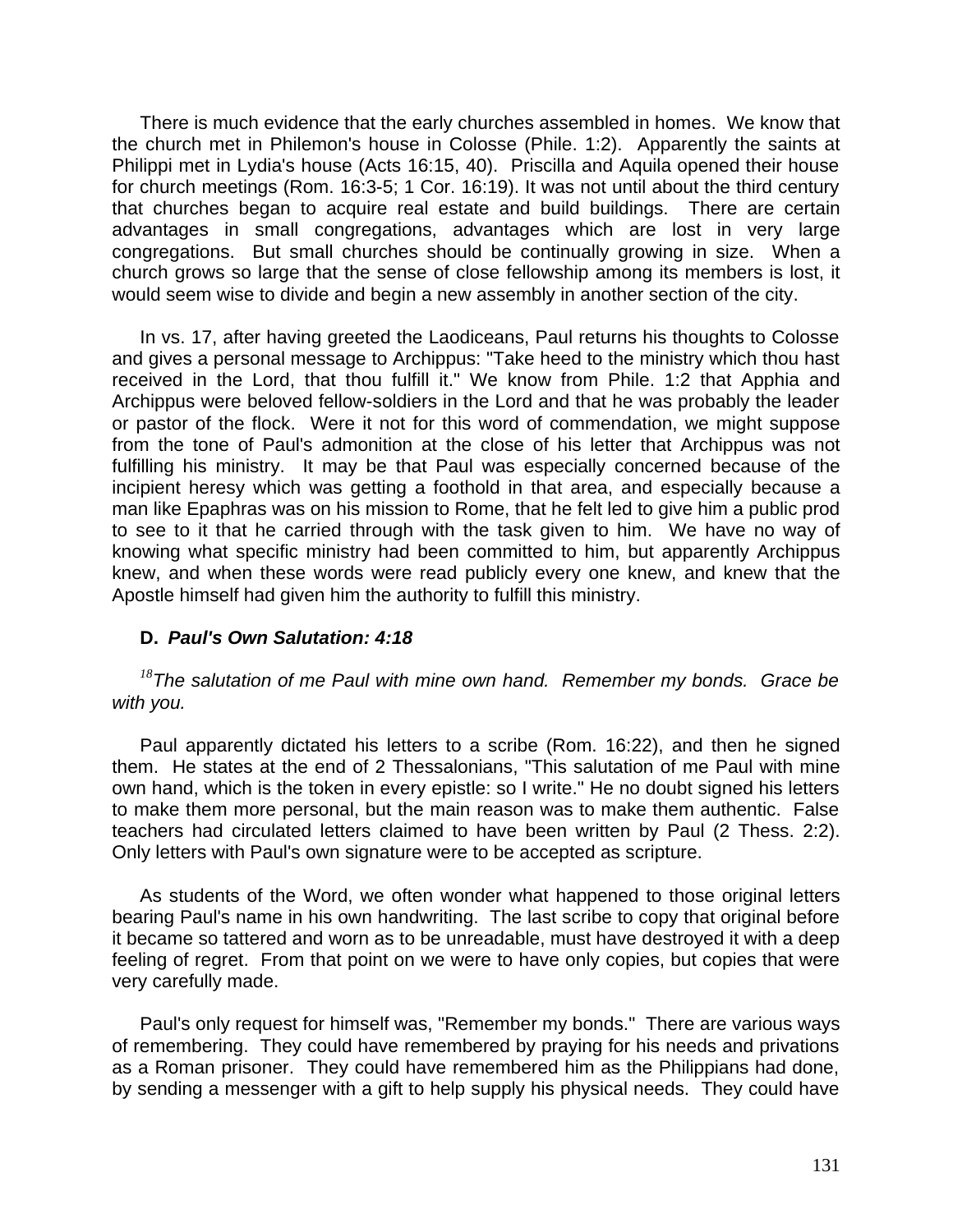There is much evidence that the early churches assembled in homes. We know that the church met in Philemon's house in Colosse (Phile. 1:2). Apparently the saints at Philippi met in Lydia's house (Acts 16:15, 40). Priscilla and Aquila opened their house for church meetings (Rom. 16:3-5; 1 Cor. 16:19). It was not until about the third century that churches began to acquire real estate and build buildings. There are certain advantages in small congregations, advantages which are lost in very large congregations. But small churches should be continually growing in size. When a church grows so large that the sense of close fellowship among its members is lost, it would seem wise to divide and begin a new assembly in another section of the city.

In vs. 17, after having greeted the Laodiceans, Paul returns his thoughts to Colosse and gives a personal message to Archippus: "Take heed to the ministry which thou hast received in the Lord, that thou fulfill it." We know from Phile. 1:2 that Apphia and Archippus were beloved fellow-soldiers in the Lord and that he was probably the leader or pastor of the flock. Were it not for this word of commendation, we might suppose from the tone of Paul's admonition at the close of his letter that Archippus was not fulfilling his ministry. It may be that Paul was especially concerned because of the incipient heresy which was getting a foothold in that area, and especially because a man like Epaphras was on his mission to Rome, that he felt led to give him a public prod to see to it that he carried through with the task given to him. We have no way of knowing what specific ministry had been committed to him, but apparently Archippus knew, and when these words were read publicly every one knew, and knew that the Apostle himself had given him the authority to fulfill this ministry.

# **D.** *Paul's Own Salutation: 4:18*

*<sup>18</sup>The salutation of me Paul with mine own hand. Remember my bonds. Grace be with you.*

Paul apparently dictated his letters to a scribe (Rom. 16:22), and then he signed them. He states at the end of 2 Thessalonians, "This salutation of me Paul with mine own hand, which is the token in every epistle: so I write." He no doubt signed his letters to make them more personal, but the main reason was to make them authentic. False teachers had circulated letters claimed to have been written by Paul (2 Thess. 2:2). Only letters with Paul's own signature were to be accepted as scripture.

As students of the Word, we often wonder what happened to those original letters bearing Paul's name in his own handwriting. The last scribe to copy that original before it became so tattered and worn as to be unreadable, must have destroyed it with a deep feeling of regret. From that point on we were to have only copies, but copies that were very carefully made.

Paul's only request for himself was, "Remember my bonds." There are various ways of remembering. They could have remembered by praying for his needs and privations as a Roman prisoner. They could have remembered him as the Philippians had done, by sending a messenger with a gift to help supply his physical needs. They could have